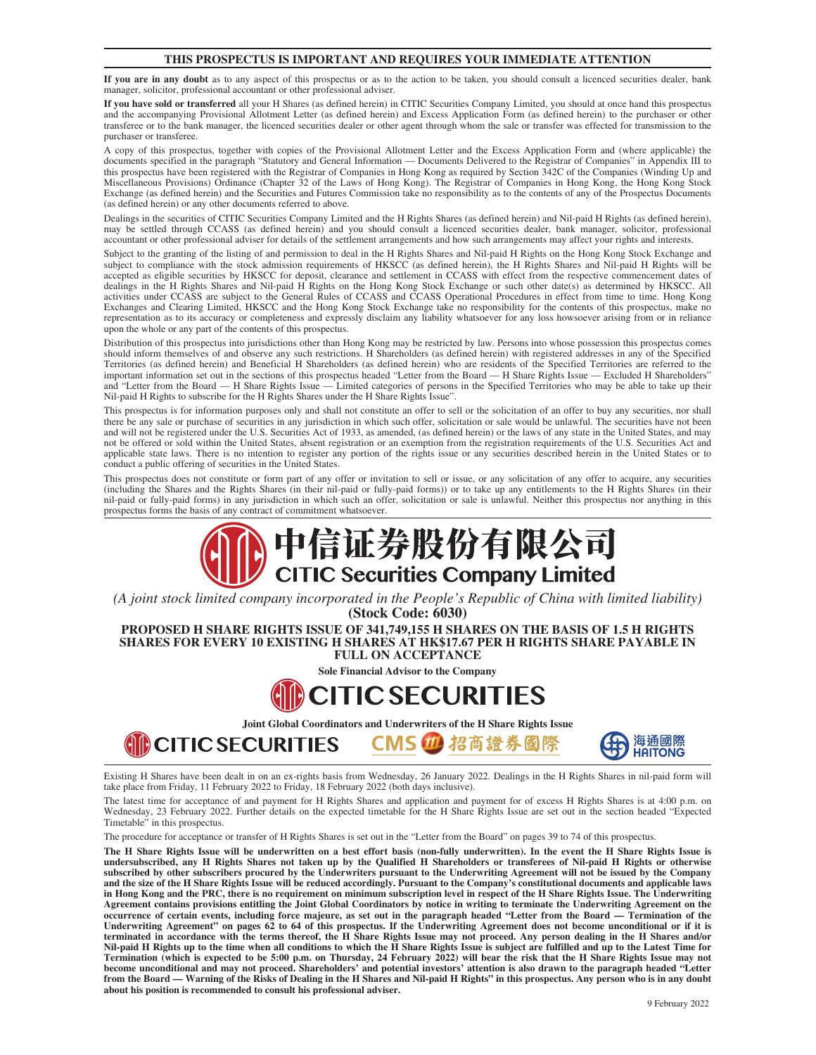#### **THIS PROSPECTUS IS IMPORTANT AND REQUIRES YOUR IMMEDIATE ATTENTION**

**If you are in any doubt** as to any aspect of this prospectus or as to the action to be taken, you should consult a licenced securities dealer, bank manager, solicitor, professional accountant or other professional adviser.

**If you have sold or transferred** all your H Shares (as defined herein) in CITIC Securities Company Limited, you should at once hand this prospectus and the accompanying Provisional Allotment Letter (as defined herein) and Excess Application Form (as defined herein) to the purchaser or other transferee or to the bank manager, the licenced securities dealer or other agent through whom the sale or transfer was effected for transmission to the purchaser or transferee.

A copy of this prospectus, together with copies of the Provisional Allotment Letter and the Excess Application Form and (where applicable) the documents specified in the paragraph "Statutory and General Information — Documents Delivered to the Registrar of Companies" in Appendix III to this prospectus have been registered with the Registrar of Companies in Hong Kong as required by Section 342C of the Companies (Winding Up and Miscellaneous Provisions) Ordinance (Chapter 32 of the Laws of Hong Kong). The Registrar of Companies in Hong Kong, the Hong Kong Stock Exchange (as defined herein) and the Securities and Futures Commission take no responsibility as to the contents of any of the Prospectus Documents (as defined herein) or any other documents referred to above.

Dealings in the securities of CITIC Securities Company Limited and the H Rights Shares (as defined herein) and Nil-paid H Rights (as defined herein), may be settled through CCASS (as defined herein) and you should consult a licenced securities dealer, bank manager, solicitor, professional accountant or other professional adviser for details of the settlement arrangements and how such arrangements may affect your rights and interests.

Subject to the granting of the listing of and permission to deal in the H Rights Shares and Nil-paid H Rights on the Hong Kong Stock Exchange and subject to compliance with the stock admission requirements of HKSCC (as defined herein), the H Rights Shares and Nil-paid H Rights will be accepted as eligible securities by HKSCC for deposit, clearance and settlement in CCASS with effect from the respective commencement dates of dealings in the H Rights Shares and Nil-paid H Rights on the Hong Kong Stock Exchange or such other date(s) as determined by HKSCC. All activities under CCASS are subject to the General Rules of CCASS and CCASS Operational Procedures in effect from time to time. Hong Kong Exchanges and Clearing Limited, HKSCC and the Hong Kong Stock Exchange take no responsibility for the contents of this prospectus, make no representation as to its accuracy or completeness and expressly disclaim any liability whatsoever for any loss howsoever arising from or in reliance upon the whole or any part of the contents of this prospectus.

Distribution of this prospectus into jurisdictions other than Hong Kong may be restricted by law. Persons into whose possession this prospectus comes should inform themselves of and observe any such restrictions. H Shareholders (as defined herein) with registered addresses in any of the Specified Territories (as defined herein) and Beneficial H Shareholders (as defined herein) who are residents of the Specified Territories are referred to the important information set out in the sections of this prospectus headed "Letter from the Board — H Share Rights Issue — Excluded H Shareholders" and "Letter from the Board — H Share Rights Issue — Limited categories of persons in the Specified Territories who may be able to take up their Nil-paid H Rights to subscribe for the H Rights Shares under the H Share Rights Issue".

This prospectus is for information purposes only and shall not constitute an offer to sell or the solicitation of an offer to buy any securities, nor shall there be any sale or purchase of securities in any jurisdiction in which such offer, solicitation or sale would be unlawful. The securities have not been and will not be registered under the U.S. Securities Act of 1933, as amended, (as defined herein) or the laws of any state in the United States, and may not be offered or sold within the United States, absent registration or an exemption from the registration requirements of the U.S. Securities Act and applicable state laws. There is no intention to register any portion of the rights issue or any securities described herein in the United States or to conduct a public offering of securities in the United States.

This prospectus does not constitute or form part of any offer or invitation to sell or issue, or any solicitation of any offer to acquire, any securities (including the Shares and the Rights Shares (in their nil-paid or fully-paid forms)) or to take up any entitlements to the H Rights Shares (in their nil-paid or fully-paid forms) in any jurisdiction in which such an offer, solicitation or sale is unlawful. Neither this prospectus nor anything in this prospectus forms the basis of any contract of commitment whatsoever.

# 中信证券股份有限公司 **CITIC Securities Company Limited**

*(A joint stock limited company incorporated in the People's Republic of China with limited liability)* **(Stock Code: 6030)**

**PROPOSED H SHARE RIGHTS ISSUE OF 341,749,155 H SHARES ON THE BASIS OF 1.5 H RIGHTS SHARES FOR EVERY 10 EXISTING H SHARES AT HK\$17.67 PER H RIGHTS SHARE PAYABLE IN FULL ON ACCEPTANCE**

**Sole Financial Advisor to the Company**

## **CITIC SECURITIES**

**Joint Global Coordinators and Underwriters of the H Share Rights Issue**

CMS 1 招商證券國際



Existing H Shares have been dealt in on an ex-rights basis from Wednesday, 26 January 2022. Dealings in the H Rights Shares in nil-paid form will take place from Friday, 11 February 2022 to Friday, 18 February 2022 (both days inclusive).

The latest time for acceptance of and payment for H Rights Shares and application and payment for of excess H Rights Shares is at 4:00 p.m. on Wednesday, 23 February 2022. Further details on the expected timetable for the H Share Rights Issue are set out in the section headed "Expected Timetable" in this prospectus.

The procedure for acceptance or transfer of H Rights Shares is set out in the "[Letter from the Board"](#page-51-0) on pages 39 to 74 of this prospectus.

**AD CITIC SECURITIES** 

**The H Share Rights Issue will be underwritten on a best effort basis (non-fully underwritten). In the event the H Share Rights Issue is undersubscribed, any H Rights Shares not taken up by the Qualified H Shareholders or transferees of Nil-paid H Rights or otherwise subscribed by other subscribers procured by the Underwriters pursuant to the Underwriting Agreement will not be issued by the Company and the size of the H Share Rights Issue will be reduced accordingly. Pursuant to the Company's constitutional documents and applicable laws in Hong Kong and the PRC, there is no requirement on minimum subscription level in respect of the H Share Rights Issue. The Underwriting Agreement contains provisions entitling the Joint Global Coordinators by notice in writing to terminate the Underwriting Agreement on the occurrence of certain events, including force majeure, as set out in the paragraph headed "Letter from the Board — Termination of the Underwriting Agreement" on pages 62 to 64 of this prospectus. If the Underwriting Agreement does not become unconditional or if it is terminated in accordance with the terms thereof, the H Share Rights Issue may not proceed. Any person dealing in the H Shares and/or Nil-paid H Rights up to the time when all conditions to which the H Share Rights Issue is subject are fulfilled and up to the Latest Time for Termination (which is expected to be 5:00 p.m. on Thursday, 24 February 2022) will bear the risk that the H Share Rights Issue may not become unconditional and may not proceed. Shareholders' and potential investors' attention is also drawn to the paragraph headed "Letter from the Board — Warning of the Risks of Dealing in the H Shares and Nil-paid H Rights" in this prospectus. Any person who is in any doubt about his position is recommended to consult his professional adviser.**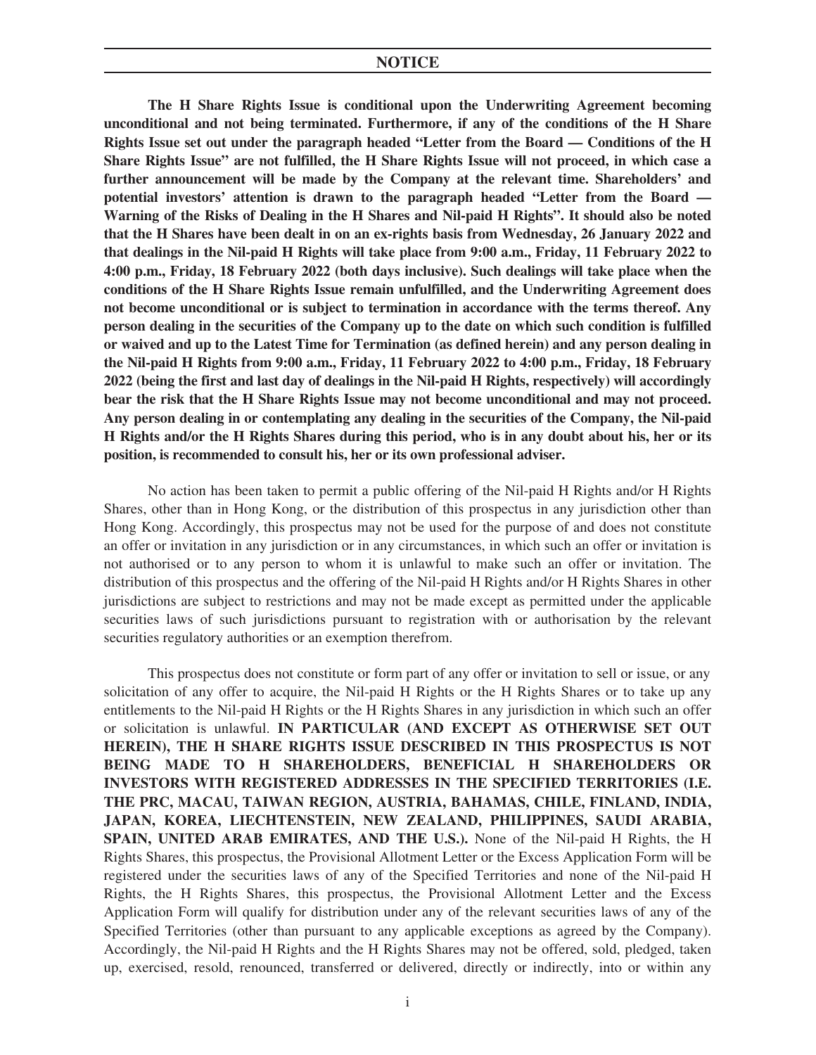**The H Share Rights Issue is conditional upon the Underwriting Agreement becoming unconditional and not being terminated. Furthermore, if any of the conditions of the H Share Rights Issue set out under the paragraph headed "Letter from the Board — Conditions of the H Share Rights Issue" are not fulfilled, the H Share Rights Issue will not proceed, in which case a further announcement will be made by the Company at the relevant time. Shareholders' and potential investors' attention is drawn to the paragraph headed "Letter from the Board — Warning of the Risks of Dealing in the H Shares and Nil-paid H Rights". It should also be noted that the H Shares have been dealt in on an ex-rights basis from Wednesday, 26 January 2022 and that dealings in the Nil-paid H Rights will take place from 9:00 a.m., Friday, 11 February 2022 to 4:00 p.m., Friday, 18 February 2022 (both days inclusive). Such dealings will take place when the conditions of the H Share Rights Issue remain unfulfilled, and the Underwriting Agreement does not become unconditional or is subject to termination in accordance with the terms thereof. Any person dealing in the securities of the Company up to the date on which such condition is fulfilled or waived and up to the Latest Time for Termination (as defined herein) and any person dealing in the Nil-paid H Rights from 9:00 a.m., Friday, 11 February 2022 to 4:00 p.m., Friday, 18 February 2022 (being the first and last day of dealings in the Nil-paid H Rights, respectively) will accordingly bear the risk that the H Share Rights Issue may not become unconditional and may not proceed. Any person dealing in or contemplating any dealing in the securities of the Company, the Nil-paid H Rights and/or the H Rights Shares during this period, who is in any doubt about his, her or its position, is recommended to consult his, her or its own professional adviser.**

No action has been taken to permit a public offering of the Nil-paid H Rights and/or H Rights Shares, other than in Hong Kong, or the distribution of this prospectus in any jurisdiction other than Hong Kong. Accordingly, this prospectus may not be used for the purpose of and does not constitute an offer or invitation in any jurisdiction or in any circumstances, in which such an offer or invitation is not authorised or to any person to whom it is unlawful to make such an offer or invitation. The distribution of this prospectus and the offering of the Nil-paid H Rights and/or H Rights Shares in other jurisdictions are subject to restrictions and may not be made except as permitted under the applicable securities laws of such jurisdictions pursuant to registration with or authorisation by the relevant securities regulatory authorities or an exemption therefrom.

This prospectus does not constitute or form part of any offer or invitation to sell or issue, or any solicitation of any offer to acquire, the Nil-paid H Rights or the H Rights Shares or to take up any entitlements to the Nil-paid H Rights or the H Rights Shares in any jurisdiction in which such an offer or solicitation is unlawful. **IN PARTICULAR (AND EXCEPT AS OTHERWISE SET OUT HEREIN), THE H SHARE RIGHTS ISSUE DESCRIBED IN THIS PROSPECTUS IS NOT BEING MADE TO H SHAREHOLDERS, BENEFICIAL H SHAREHOLDERS OR INVESTORS WITH REGISTERED ADDRESSES IN THE SPECIFIED TERRITORIES (I.E. THE PRC, MACAU, TAIWAN REGION, AUSTRIA, BAHAMAS, CHILE, FINLAND, INDIA, JAPAN, KOREA, LIECHTENSTEIN, NEW ZEALAND, PHILIPPINES, SAUDI ARABIA, SPAIN, UNITED ARAB EMIRATES, AND THE U.S.).** None of the Nil-paid H Rights, the H Rights Shares, this prospectus, the Provisional Allotment Letter or the Excess Application Form will be registered under the securities laws of any of the Specified Territories and none of the Nil-paid H Rights, the H Rights Shares, this prospectus, the Provisional Allotment Letter and the Excess Application Form will qualify for distribution under any of the relevant securities laws of any of the Specified Territories (other than pursuant to any applicable exceptions as agreed by the Company). Accordingly, the Nil-paid H Rights and the H Rights Shares may not be offered, sold, pledged, taken up, exercised, resold, renounced, transferred or delivered, directly or indirectly, into or within any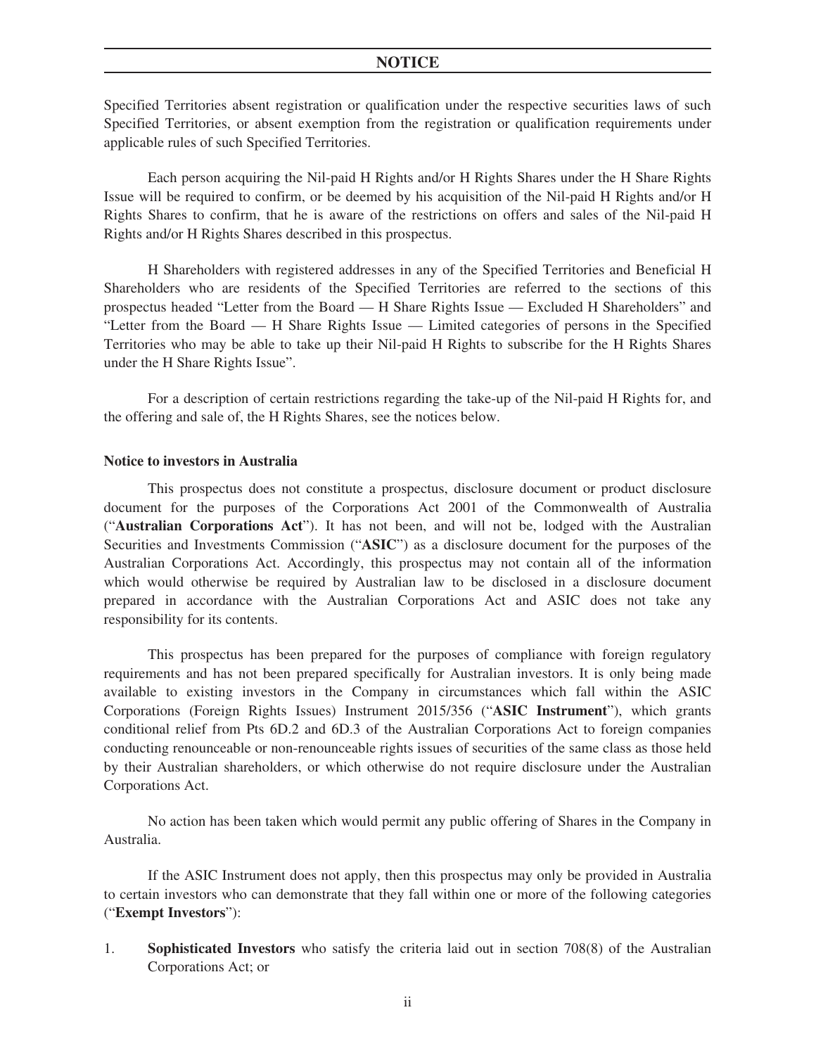Specified Territories absent registration or qualification under the respective securities laws of such Specified Territories, or absent exemption from the registration or qualification requirements under applicable rules of such Specified Territories.

Each person acquiring the Nil-paid H Rights and/or H Rights Shares under the H Share Rights Issue will be required to confirm, or be deemed by his acquisition of the Nil-paid H Rights and/or H Rights Shares to confirm, that he is aware of the restrictions on offers and sales of the Nil-paid H Rights and/or H Rights Shares described in this prospectus.

H Shareholders with registered addresses in any of the Specified Territories and Beneficial H Shareholders who are residents of the Specified Territories are referred to the sections of this prospectus headed "Letter from the Board — H Share Rights Issue — Excluded H Shareholders" and "Letter from the Board — H Share Rights Issue — Limited categories of persons in the Specified Territories who may be able to take up their Nil-paid H Rights to subscribe for the H Rights Shares under the H Share Rights Issue".

For a description of certain restrictions regarding the take-up of the Nil-paid H Rights for, and the offering and sale of, the H Rights Shares, see the notices below.

#### **Notice to investors in Australia**

This prospectus does not constitute a prospectus, disclosure document or product disclosure document for the purposes of the Corporations Act 2001 of the Commonwealth of Australia ("**Australian Corporations Act**"). It has not been, and will not be, lodged with the Australian Securities and Investments Commission ("**ASIC**") as a disclosure document for the purposes of the Australian Corporations Act. Accordingly, this prospectus may not contain all of the information which would otherwise be required by Australian law to be disclosed in a disclosure document prepared in accordance with the Australian Corporations Act and ASIC does not take any responsibility for its contents.

This prospectus has been prepared for the purposes of compliance with foreign regulatory requirements and has not been prepared specifically for Australian investors. It is only being made available to existing investors in the Company in circumstances which fall within the ASIC Corporations (Foreign Rights Issues) Instrument 2015/356 ("**ASIC Instrument**"), which grants conditional relief from Pts 6D.2 and 6D.3 of the Australian Corporations Act to foreign companies conducting renounceable or non-renounceable rights issues of securities of the same class as those held by their Australian shareholders, or which otherwise do not require disclosure under the Australian Corporations Act.

No action has been taken which would permit any public offering of Shares in the Company in Australia.

If the ASIC Instrument does not apply, then this prospectus may only be provided in Australia to certain investors who can demonstrate that they fall within one or more of the following categories ("**Exempt Investors**"):

1. **Sophisticated Investors** who satisfy the criteria laid out in section 708(8) of the Australian Corporations Act; or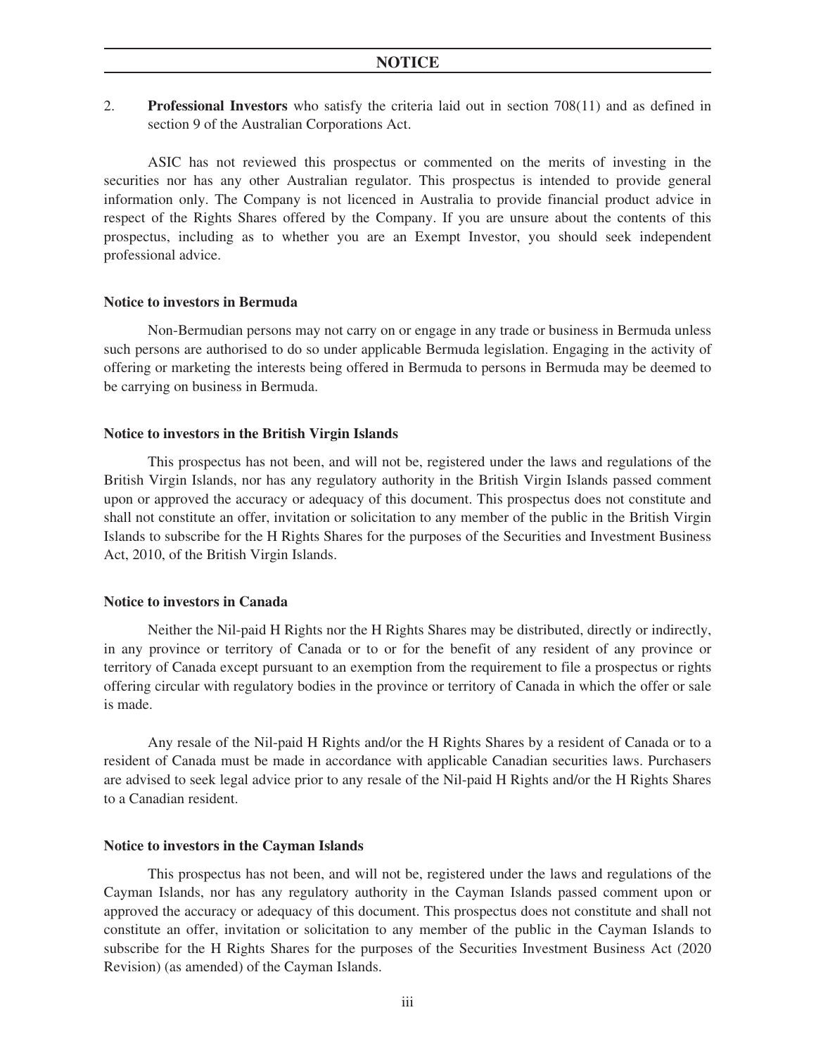2. **Professional Investors** who satisfy the criteria laid out in section 708(11) and as defined in section 9 of the Australian Corporations Act.

ASIC has not reviewed this prospectus or commented on the merits of investing in the securities nor has any other Australian regulator. This prospectus is intended to provide general information only. The Company is not licenced in Australia to provide financial product advice in respect of the Rights Shares offered by the Company. If you are unsure about the contents of this prospectus, including as to whether you are an Exempt Investor, you should seek independent professional advice.

### **Notice to investors in Bermuda**

Non-Bermudian persons may not carry on or engage in any trade or business in Bermuda unless such persons are authorised to do so under applicable Bermuda legislation. Engaging in the activity of offering or marketing the interests being offered in Bermuda to persons in Bermuda may be deemed to be carrying on business in Bermuda.

#### **Notice to investors in the British Virgin Islands**

This prospectus has not been, and will not be, registered under the laws and regulations of the British Virgin Islands, nor has any regulatory authority in the British Virgin Islands passed comment upon or approved the accuracy or adequacy of this document. This prospectus does not constitute and shall not constitute an offer, invitation or solicitation to any member of the public in the British Virgin Islands to subscribe for the H Rights Shares for the purposes of the Securities and Investment Business Act, 2010, of the British Virgin Islands.

#### **Notice to investors in Canada**

Neither the Nil-paid H Rights nor the H Rights Shares may be distributed, directly or indirectly, in any province or territory of Canada or to or for the benefit of any resident of any province or territory of Canada except pursuant to an exemption from the requirement to file a prospectus or rights offering circular with regulatory bodies in the province or territory of Canada in which the offer or sale is made.

Any resale of the Nil-paid H Rights and/or the H Rights Shares by a resident of Canada or to a resident of Canada must be made in accordance with applicable Canadian securities laws. Purchasers are advised to seek legal advice prior to any resale of the Nil-paid H Rights and/or the H Rights Shares to a Canadian resident.

#### **Notice to investors in the Cayman Islands**

This prospectus has not been, and will not be, registered under the laws and regulations of the Cayman Islands, nor has any regulatory authority in the Cayman Islands passed comment upon or approved the accuracy or adequacy of this document. This prospectus does not constitute and shall not constitute an offer, invitation or solicitation to any member of the public in the Cayman Islands to subscribe for the H Rights Shares for the purposes of the Securities Investment Business Act (2020 Revision) (as amended) of the Cayman Islands.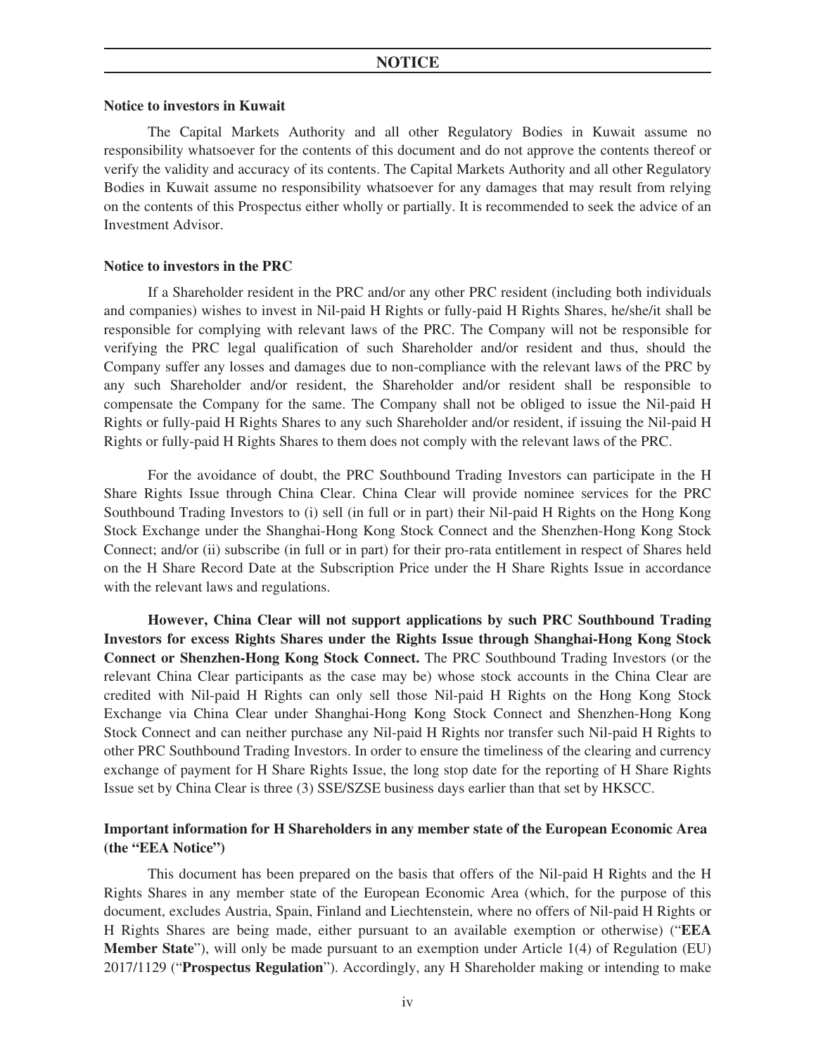### **Notice to investors in Kuwait**

The Capital Markets Authority and all other Regulatory Bodies in Kuwait assume no responsibility whatsoever for the contents of this document and do not approve the contents thereof or verify the validity and accuracy of its contents. The Capital Markets Authority and all other Regulatory Bodies in Kuwait assume no responsibility whatsoever for any damages that may result from relying on the contents of this Prospectus either wholly or partially. It is recommended to seek the advice of an Investment Advisor.

#### **Notice to investors in the PRC**

If a Shareholder resident in the PRC and/or any other PRC resident (including both individuals and companies) wishes to invest in Nil-paid H Rights or fully-paid H Rights Shares, he/she/it shall be responsible for complying with relevant laws of the PRC. The Company will not be responsible for verifying the PRC legal qualification of such Shareholder and/or resident and thus, should the Company suffer any losses and damages due to non-compliance with the relevant laws of the PRC by any such Shareholder and/or resident, the Shareholder and/or resident shall be responsible to compensate the Company for the same. The Company shall not be obliged to issue the Nil-paid H Rights or fully-paid H Rights Shares to any such Shareholder and/or resident, if issuing the Nil-paid H Rights or fully-paid H Rights Shares to them does not comply with the relevant laws of the PRC.

For the avoidance of doubt, the PRC Southbound Trading Investors can participate in the H Share Rights Issue through China Clear. China Clear will provide nominee services for the PRC Southbound Trading Investors to (i) sell (in full or in part) their Nil-paid H Rights on the Hong Kong Stock Exchange under the Shanghai-Hong Kong Stock Connect and the Shenzhen-Hong Kong Stock Connect; and/or (ii) subscribe (in full or in part) for their pro-rata entitlement in respect of Shares held on the H Share Record Date at the Subscription Price under the H Share Rights Issue in accordance with the relevant laws and regulations.

**However, China Clear will not support applications by such PRC Southbound Trading Investors for excess Rights Shares under the Rights Issue through Shanghai-Hong Kong Stock Connect or Shenzhen-Hong Kong Stock Connect.** The PRC Southbound Trading Investors (or the relevant China Clear participants as the case may be) whose stock accounts in the China Clear are credited with Nil-paid H Rights can only sell those Nil-paid H Rights on the Hong Kong Stock Exchange via China Clear under Shanghai-Hong Kong Stock Connect and Shenzhen-Hong Kong Stock Connect and can neither purchase any Nil-paid H Rights nor transfer such Nil-paid H Rights to other PRC Southbound Trading Investors. In order to ensure the timeliness of the clearing and currency exchange of payment for H Share Rights Issue, the long stop date for the reporting of H Share Rights Issue set by China Clear is three (3) SSE/SZSE business days earlier than that set by HKSCC.

## **Important information for H Shareholders in any member state of the European Economic Area (the "EEA Notice")**

This document has been prepared on the basis that offers of the Nil-paid H Rights and the H Rights Shares in any member state of the European Economic Area (which, for the purpose of this document, excludes Austria, Spain, Finland and Liechtenstein, where no offers of Nil-paid H Rights or H Rights Shares are being made, either pursuant to an available exemption or otherwise) ("**EEA Member State**"), will only be made pursuant to an exemption under Article 1(4) of Regulation (EU) 2017/1129 ("**Prospectus Regulation**"). Accordingly, any H Shareholder making or intending to make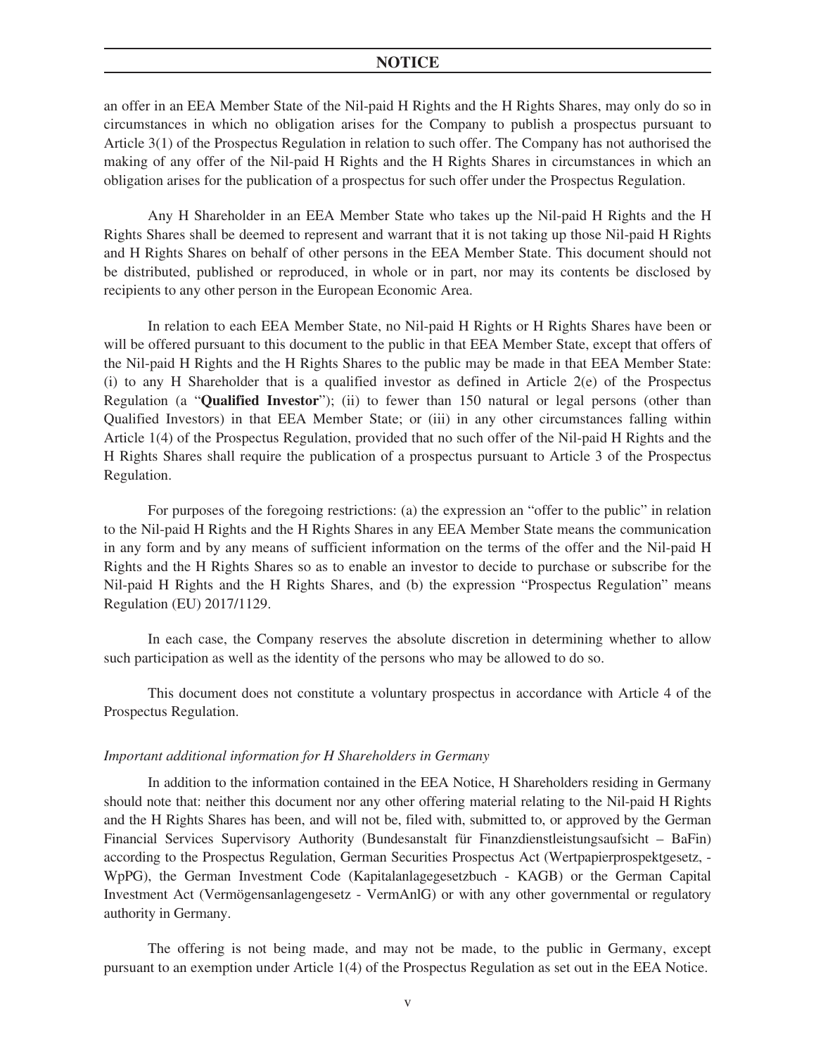an offer in an EEA Member State of the Nil-paid H Rights and the H Rights Shares, may only do so in circumstances in which no obligation arises for the Company to publish a prospectus pursuant to Article 3(1) of the Prospectus Regulation in relation to such offer. The Company has not authorised the making of any offer of the Nil-paid H Rights and the H Rights Shares in circumstances in which an obligation arises for the publication of a prospectus for such offer under the Prospectus Regulation.

Any H Shareholder in an EEA Member State who takes up the Nil-paid H Rights and the H Rights Shares shall be deemed to represent and warrant that it is not taking up those Nil-paid H Rights and H Rights Shares on behalf of other persons in the EEA Member State. This document should not be distributed, published or reproduced, in whole or in part, nor may its contents be disclosed by recipients to any other person in the European Economic Area.

In relation to each EEA Member State, no Nil-paid H Rights or H Rights Shares have been or will be offered pursuant to this document to the public in that EEA Member State, except that offers of the Nil-paid H Rights and the H Rights Shares to the public may be made in that EEA Member State: (i) to any H Shareholder that is a qualified investor as defined in Article  $2(e)$  of the Prospectus Regulation (a "**Qualified Investor**"); (ii) to fewer than 150 natural or legal persons (other than Qualified Investors) in that EEA Member State; or (iii) in any other circumstances falling within Article 1(4) of the Prospectus Regulation, provided that no such offer of the Nil-paid H Rights and the H Rights Shares shall require the publication of a prospectus pursuant to Article 3 of the Prospectus Regulation.

For purposes of the foregoing restrictions: (a) the expression an "offer to the public" in relation to the Nil-paid H Rights and the H Rights Shares in any EEA Member State means the communication in any form and by any means of sufficient information on the terms of the offer and the Nil-paid H Rights and the H Rights Shares so as to enable an investor to decide to purchase or subscribe for the Nil-paid H Rights and the H Rights Shares, and (b) the expression "Prospectus Regulation" means Regulation (EU) 2017/1129.

In each case, the Company reserves the absolute discretion in determining whether to allow such participation as well as the identity of the persons who may be allowed to do so.

This document does not constitute a voluntary prospectus in accordance with Article 4 of the Prospectus Regulation.

#### *Important additional information for H Shareholders in Germany*

In addition to the information contained in the EEA Notice, H Shareholders residing in Germany should note that: neither this document nor any other offering material relating to the Nil-paid H Rights and the H Rights Shares has been, and will not be, filed with, submitted to, or approved by the German Financial Services Supervisory Authority (Bundesanstalt für Finanzdienstleistungsaufsicht – BaFin) according to the Prospectus Regulation, German Securities Prospectus Act (Wertpapierprospektgesetz, - WpPG), the German Investment Code (Kapitalanlagegesetzbuch - KAGB) or the German Capital Investment Act (Vermögensanlagengesetz - VermAnlG) or with any other governmental or regulatory authority in Germany.

The offering is not being made, and may not be made, to the public in Germany, except pursuant to an exemption under Article 1(4) of the Prospectus Regulation as set out in the EEA Notice.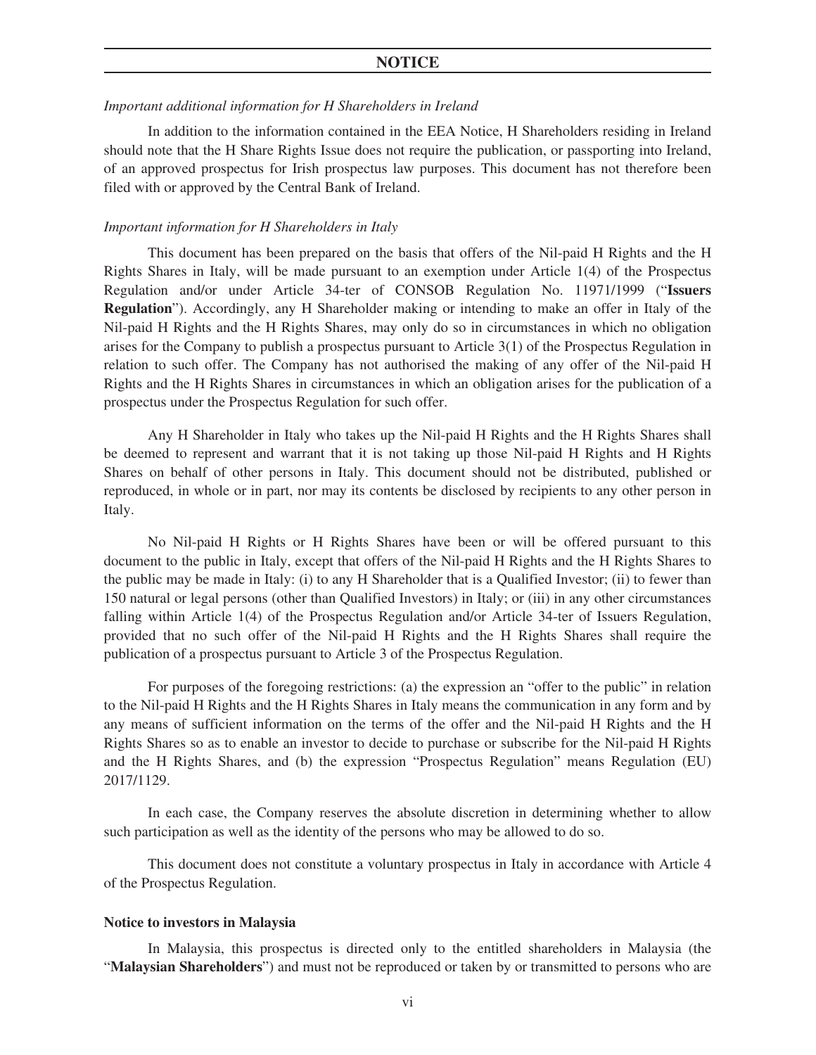## *Important additional information for H Shareholders in Ireland*

In addition to the information contained in the EEA Notice, H Shareholders residing in Ireland should note that the H Share Rights Issue does not require the publication, or passporting into Ireland, of an approved prospectus for Irish prospectus law purposes. This document has not therefore been filed with or approved by the Central Bank of Ireland.

#### *Important information for H Shareholders in Italy*

This document has been prepared on the basis that offers of the Nil-paid H Rights and the H Rights Shares in Italy, will be made pursuant to an exemption under Article 1(4) of the Prospectus Regulation and/or under Article 34-ter of CONSOB Regulation No. 11971/1999 ("**Issuers Regulation**"). Accordingly, any H Shareholder making or intending to make an offer in Italy of the Nil-paid H Rights and the H Rights Shares, may only do so in circumstances in which no obligation arises for the Company to publish a prospectus pursuant to Article 3(1) of the Prospectus Regulation in relation to such offer. The Company has not authorised the making of any offer of the Nil-paid H Rights and the H Rights Shares in circumstances in which an obligation arises for the publication of a prospectus under the Prospectus Regulation for such offer.

Any H Shareholder in Italy who takes up the Nil-paid H Rights and the H Rights Shares shall be deemed to represent and warrant that it is not taking up those Nil-paid H Rights and H Rights Shares on behalf of other persons in Italy. This document should not be distributed, published or reproduced, in whole or in part, nor may its contents be disclosed by recipients to any other person in Italy.

No Nil-paid H Rights or H Rights Shares have been or will be offered pursuant to this document to the public in Italy, except that offers of the Nil-paid H Rights and the H Rights Shares to the public may be made in Italy: (i) to any H Shareholder that is a Qualified Investor; (ii) to fewer than 150 natural or legal persons (other than Qualified Investors) in Italy; or (iii) in any other circumstances falling within Article 1(4) of the Prospectus Regulation and/or Article 34-ter of Issuers Regulation, provided that no such offer of the Nil-paid H Rights and the H Rights Shares shall require the publication of a prospectus pursuant to Article 3 of the Prospectus Regulation.

For purposes of the foregoing restrictions: (a) the expression an "offer to the public" in relation to the Nil-paid H Rights and the H Rights Shares in Italy means the communication in any form and by any means of sufficient information on the terms of the offer and the Nil-paid H Rights and the H Rights Shares so as to enable an investor to decide to purchase or subscribe for the Nil-paid H Rights and the H Rights Shares, and (b) the expression "Prospectus Regulation" means Regulation (EU) 2017/1129.

In each case, the Company reserves the absolute discretion in determining whether to allow such participation as well as the identity of the persons who may be allowed to do so.

This document does not constitute a voluntary prospectus in Italy in accordance with Article 4 of the Prospectus Regulation.

#### **Notice to investors in Malaysia**

In Malaysia, this prospectus is directed only to the entitled shareholders in Malaysia (the "**Malaysian Shareholders**") and must not be reproduced or taken by or transmitted to persons who are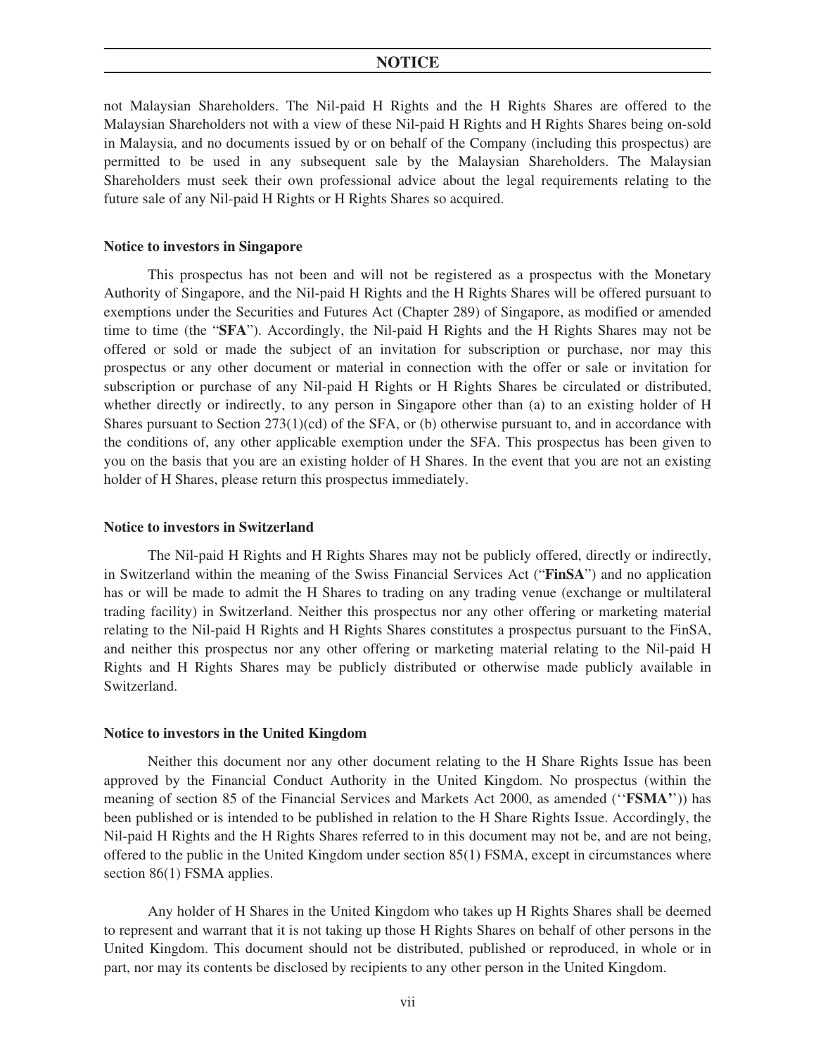not Malaysian Shareholders. The Nil-paid H Rights and the H Rights Shares are offered to the Malaysian Shareholders not with a view of these Nil-paid H Rights and H Rights Shares being on-sold in Malaysia, and no documents issued by or on behalf of the Company (including this prospectus) are permitted to be used in any subsequent sale by the Malaysian Shareholders. The Malaysian Shareholders must seek their own professional advice about the legal requirements relating to the future sale of any Nil-paid H Rights or H Rights Shares so acquired.

#### **Notice to investors in Singapore**

This prospectus has not been and will not be registered as a prospectus with the Monetary Authority of Singapore, and the Nil-paid H Rights and the H Rights Shares will be offered pursuant to exemptions under the Securities and Futures Act (Chapter 289) of Singapore, as modified or amended time to time (the "**SFA**"). Accordingly, the Nil-paid H Rights and the H Rights Shares may not be offered or sold or made the subject of an invitation for subscription or purchase, nor may this prospectus or any other document or material in connection with the offer or sale or invitation for subscription or purchase of any Nil-paid H Rights or H Rights Shares be circulated or distributed, whether directly or indirectly, to any person in Singapore other than (a) to an existing holder of H Shares pursuant to Section 273(1)(cd) of the SFA, or (b) otherwise pursuant to, and in accordance with the conditions of, any other applicable exemption under the SFA. This prospectus has been given to you on the basis that you are an existing holder of H Shares. In the event that you are not an existing holder of H Shares, please return this prospectus immediately.

#### **Notice to investors in Switzerland**

The Nil-paid H Rights and H Rights Shares may not be publicly offered, directly or indirectly, in Switzerland within the meaning of the Swiss Financial Services Act ("**FinSA**") and no application has or will be made to admit the H Shares to trading on any trading venue (exchange or multilateral trading facility) in Switzerland. Neither this prospectus nor any other offering or marketing material relating to the Nil-paid H Rights and H Rights Shares constitutes a prospectus pursuant to the FinSA, and neither this prospectus nor any other offering or marketing material relating to the Nil-paid H Rights and H Rights Shares may be publicly distributed or otherwise made publicly available in Switzerland.

#### **Notice to investors in the United Kingdom**

Neither this document nor any other document relating to the H Share Rights Issue has been approved by the Financial Conduct Authority in the United Kingdom. No prospectus (within the meaning of section 85 of the Financial Services and Markets Act 2000, as amended (''**FSMA'**')) has been published or is intended to be published in relation to the H Share Rights Issue. Accordingly, the Nil-paid H Rights and the H Rights Shares referred to in this document may not be, and are not being, offered to the public in the United Kingdom under section 85(1) FSMA, except in circumstances where section 86(1) FSMA applies.

Any holder of H Shares in the United Kingdom who takes up H Rights Shares shall be deemed to represent and warrant that it is not taking up those H Rights Shares on behalf of other persons in the United Kingdom. This document should not be distributed, published or reproduced, in whole or in part, nor may its contents be disclosed by recipients to any other person in the United Kingdom.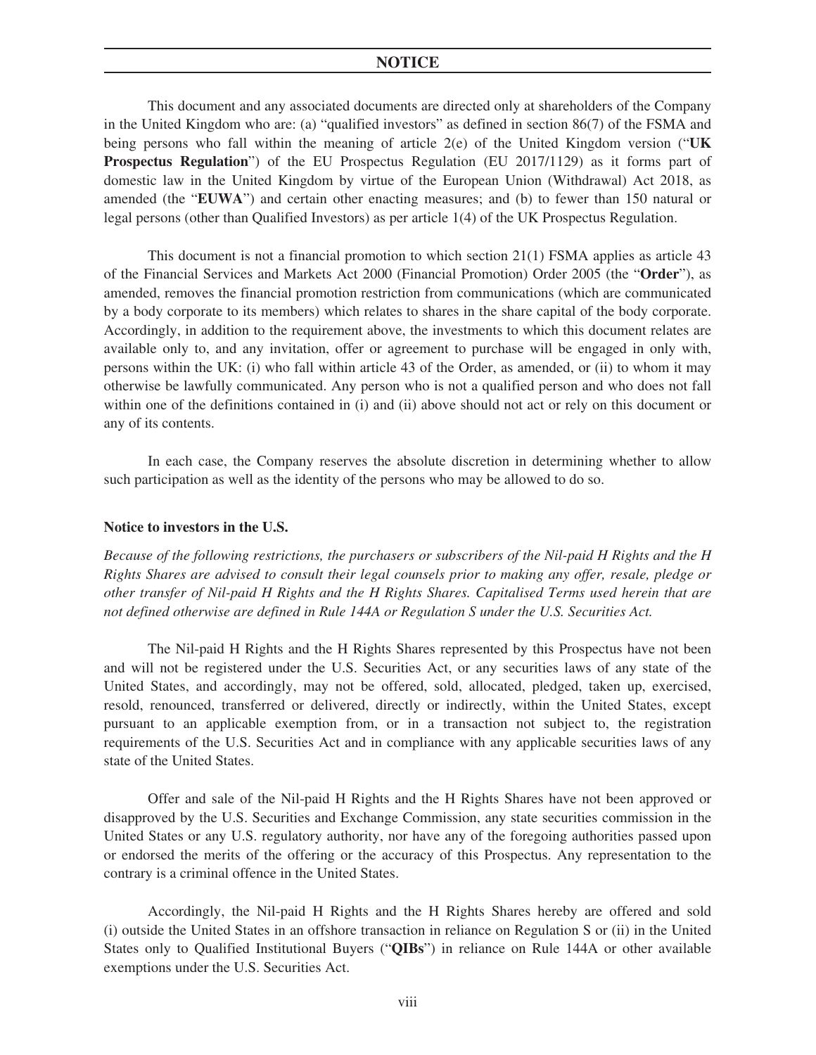This document and any associated documents are directed only at shareholders of the Company in the United Kingdom who are: (a) "qualified investors" as defined in section 86(7) of the FSMA and being persons who fall within the meaning of article 2(e) of the United Kingdom version ("**UK Prospectus Regulation**") of the EU Prospectus Regulation (EU 2017/1129) as it forms part of domestic law in the United Kingdom by virtue of the European Union (Withdrawal) Act 2018, as amended (the "**EUWA**") and certain other enacting measures; and (b) to fewer than 150 natural or legal persons (other than Qualified Investors) as per article 1(4) of the UK Prospectus Regulation.

This document is not a financial promotion to which section 21(1) FSMA applies as article 43 of the Financial Services and Markets Act 2000 (Financial Promotion) Order 2005 (the "**Order**"), as amended, removes the financial promotion restriction from communications (which are communicated by a body corporate to its members) which relates to shares in the share capital of the body corporate. Accordingly, in addition to the requirement above, the investments to which this document relates are available only to, and any invitation, offer or agreement to purchase will be engaged in only with, persons within the UK: (i) who fall within article 43 of the Order, as amended, or (ii) to whom it may otherwise be lawfully communicated. Any person who is not a qualified person and who does not fall within one of the definitions contained in (i) and (ii) above should not act or rely on this document or any of its contents.

In each case, the Company reserves the absolute discretion in determining whether to allow such participation as well as the identity of the persons who may be allowed to do so.

#### **Notice to investors in the U.S.**

*Because of the following restrictions, the purchasers or subscribers of the Nil-paid H Rights and the H Rights Shares are advised to consult their legal counsels prior to making any offer, resale, pledge or other transfer of Nil-paid H Rights and the H Rights Shares. Capitalised Terms used herein that are not defined otherwise are defined in Rule 144A or Regulation S under the U.S. Securities Act.*

The Nil-paid H Rights and the H Rights Shares represented by this Prospectus have not been and will not be registered under the U.S. Securities Act, or any securities laws of any state of the United States, and accordingly, may not be offered, sold, allocated, pledged, taken up, exercised, resold, renounced, transferred or delivered, directly or indirectly, within the United States, except pursuant to an applicable exemption from, or in a transaction not subject to, the registration requirements of the U.S. Securities Act and in compliance with any applicable securities laws of any state of the United States.

Offer and sale of the Nil-paid H Rights and the H Rights Shares have not been approved or disapproved by the U.S. Securities and Exchange Commission, any state securities commission in the United States or any U.S. regulatory authority, nor have any of the foregoing authorities passed upon or endorsed the merits of the offering or the accuracy of this Prospectus. Any representation to the contrary is a criminal offence in the United States.

Accordingly, the Nil-paid H Rights and the H Rights Shares hereby are offered and sold (i) outside the United States in an offshore transaction in reliance on Regulation S or (ii) in the United States only to Qualified Institutional Buyers ("**QIBs**") in reliance on Rule 144A or other available exemptions under the U.S. Securities Act.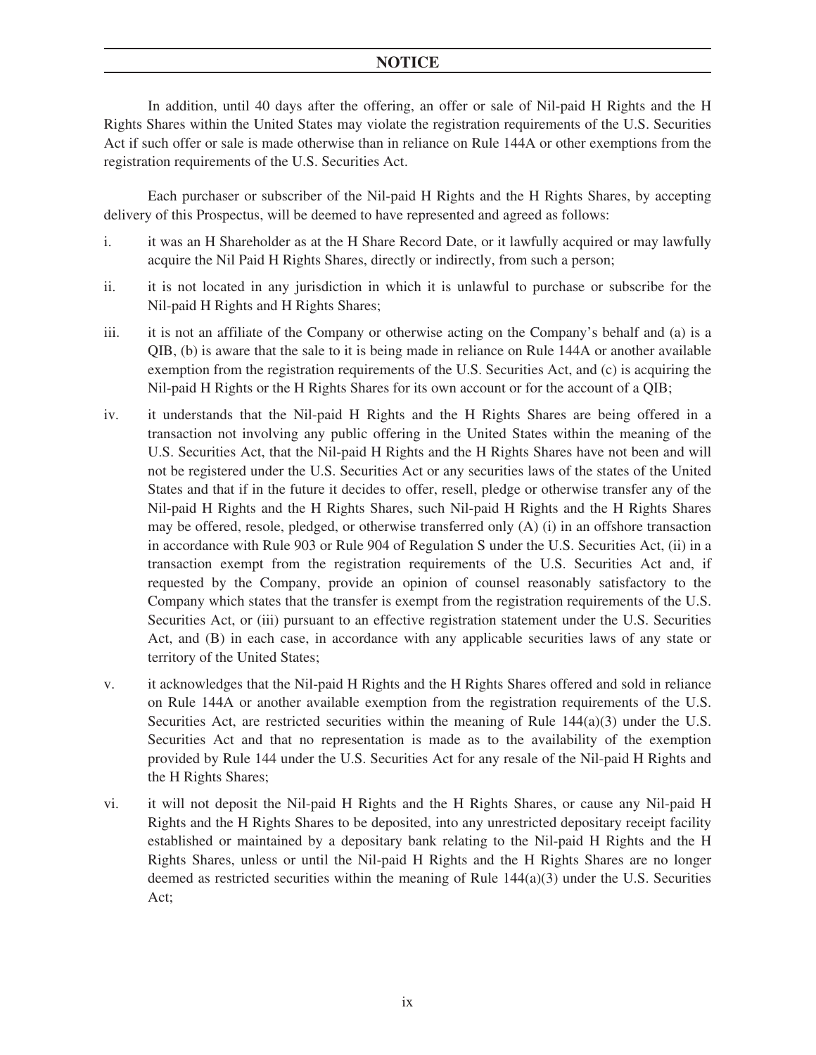In addition, until 40 days after the offering, an offer or sale of Nil-paid H Rights and the H Rights Shares within the United States may violate the registration requirements of the U.S. Securities Act if such offer or sale is made otherwise than in reliance on Rule 144A or other exemptions from the registration requirements of the U.S. Securities Act.

Each purchaser or subscriber of the Nil-paid H Rights and the H Rights Shares, by accepting delivery of this Prospectus, will be deemed to have represented and agreed as follows:

- i. it was an H Shareholder as at the H Share Record Date, or it lawfully acquired or may lawfully acquire the Nil Paid H Rights Shares, directly or indirectly, from such a person;
- ii. it is not located in any jurisdiction in which it is unlawful to purchase or subscribe for the Nil-paid H Rights and H Rights Shares;
- iii. it is not an affiliate of the Company or otherwise acting on the Company's behalf and (a) is a QIB, (b) is aware that the sale to it is being made in reliance on Rule 144A or another available exemption from the registration requirements of the U.S. Securities Act, and (c) is acquiring the Nil-paid H Rights or the H Rights Shares for its own account or for the account of a QIB;
- iv. it understands that the Nil-paid H Rights and the H Rights Shares are being offered in a transaction not involving any public offering in the United States within the meaning of the U.S. Securities Act, that the Nil-paid H Rights and the H Rights Shares have not been and will not be registered under the U.S. Securities Act or any securities laws of the states of the United States and that if in the future it decides to offer, resell, pledge or otherwise transfer any of the Nil-paid H Rights and the H Rights Shares, such Nil-paid H Rights and the H Rights Shares may be offered, resole, pledged, or otherwise transferred only (A) (i) in an offshore transaction in accordance with Rule 903 or Rule 904 of Regulation S under the U.S. Securities Act, (ii) in a transaction exempt from the registration requirements of the U.S. Securities Act and, if requested by the Company, provide an opinion of counsel reasonably satisfactory to the Company which states that the transfer is exempt from the registration requirements of the U.S. Securities Act, or (iii) pursuant to an effective registration statement under the U.S. Securities Act, and (B) in each case, in accordance with any applicable securities laws of any state or territory of the United States;
- v. it acknowledges that the Nil-paid H Rights and the H Rights Shares offered and sold in reliance on Rule 144A or another available exemption from the registration requirements of the U.S. Securities Act, are restricted securities within the meaning of Rule  $144(a)(3)$  under the U.S. Securities Act and that no representation is made as to the availability of the exemption provided by Rule 144 under the U.S. Securities Act for any resale of the Nil-paid H Rights and the H Rights Shares;
- vi. it will not deposit the Nil-paid H Rights and the H Rights Shares, or cause any Nil-paid H Rights and the H Rights Shares to be deposited, into any unrestricted depositary receipt facility established or maintained by a depositary bank relating to the Nil-paid H Rights and the H Rights Shares, unless or until the Nil-paid H Rights and the H Rights Shares are no longer deemed as restricted securities within the meaning of Rule  $144(a)(3)$  under the U.S. Securities Act;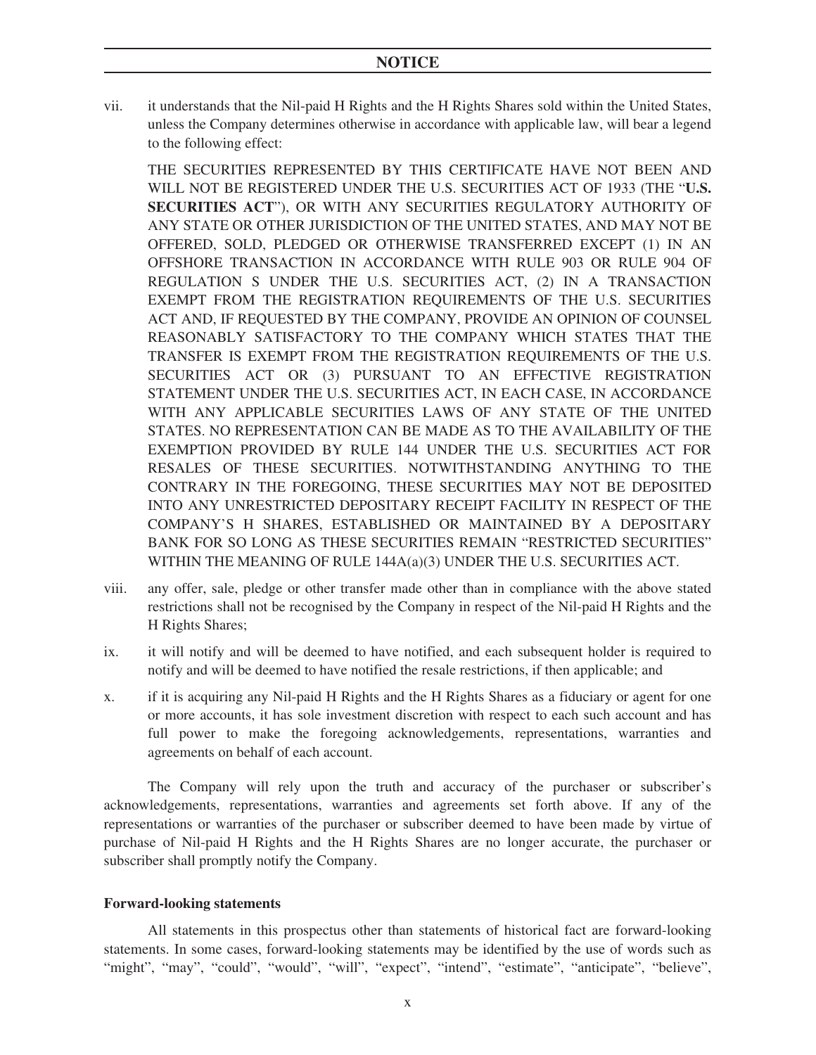vii. it understands that the Nil-paid H Rights and the H Rights Shares sold within the United States, unless the Company determines otherwise in accordance with applicable law, will bear a legend to the following effect:

THE SECURITIES REPRESENTED BY THIS CERTIFICATE HAVE NOT BEEN AND WILL NOT BE REGISTERED UNDER THE U.S. SECURITIES ACT OF 1933 (THE "**U.S. SECURITIES ACT**"), OR WITH ANY SECURITIES REGULATORY AUTHORITY OF ANY STATE OR OTHER JURISDICTION OF THE UNITED STATES, AND MAY NOT BE OFFERED, SOLD, PLEDGED OR OTHERWISE TRANSFERRED EXCEPT (1) IN AN OFFSHORE TRANSACTION IN ACCORDANCE WITH RULE 903 OR RULE 904 OF REGULATION S UNDER THE U.S. SECURITIES ACT, (2) IN A TRANSACTION EXEMPT FROM THE REGISTRATION REQUIREMENTS OF THE U.S. SECURITIES ACT AND, IF REQUESTED BY THE COMPANY, PROVIDE AN OPINION OF COUNSEL REASONABLY SATISFACTORY TO THE COMPANY WHICH STATES THAT THE TRANSFER IS EXEMPT FROM THE REGISTRATION REQUIREMENTS OF THE U.S. SECURITIES ACT OR (3) PURSUANT TO AN EFFECTIVE REGISTRATION STATEMENT UNDER THE U.S. SECURITIES ACT, IN EACH CASE, IN ACCORDANCE WITH ANY APPLICABLE SECURITIES LAWS OF ANY STATE OF THE UNITED STATES. NO REPRESENTATION CAN BE MADE AS TO THE AVAILABILITY OF THE EXEMPTION PROVIDED BY RULE 144 UNDER THE U.S. SECURITIES ACT FOR RESALES OF THESE SECURITIES. NOTWITHSTANDING ANYTHING TO THE CONTRARY IN THE FOREGOING, THESE SECURITIES MAY NOT BE DEPOSITED INTO ANY UNRESTRICTED DEPOSITARY RECEIPT FACILITY IN RESPECT OF THE COMPANY'S H SHARES, ESTABLISHED OR MAINTAINED BY A DEPOSITARY BANK FOR SO LONG AS THESE SECURITIES REMAIN "RESTRICTED SECURITIES" WITHIN THE MEANING OF RULE 144A(a)(3) UNDER THE U.S. SECURITIES ACT.

- viii. any offer, sale, pledge or other transfer made other than in compliance with the above stated restrictions shall not be recognised by the Company in respect of the Nil-paid H Rights and the H Rights Shares;
- ix. it will notify and will be deemed to have notified, and each subsequent holder is required to notify and will be deemed to have notified the resale restrictions, if then applicable; and
- x. if it is acquiring any Nil-paid H Rights and the H Rights Shares as a fiduciary or agent for one or more accounts, it has sole investment discretion with respect to each such account and has full power to make the foregoing acknowledgements, representations, warranties and agreements on behalf of each account.

The Company will rely upon the truth and accuracy of the purchaser or subscriber's acknowledgements, representations, warranties and agreements set forth above. If any of the representations or warranties of the purchaser or subscriber deemed to have been made by virtue of purchase of Nil-paid H Rights and the H Rights Shares are no longer accurate, the purchaser or subscriber shall promptly notify the Company.

## **Forward-looking statements**

All statements in this prospectus other than statements of historical fact are forward-looking statements. In some cases, forward-looking statements may be identified by the use of words such as "might", "may", "could", "would", "will", "expect", "intend", "estimate", "anticipate", "believe",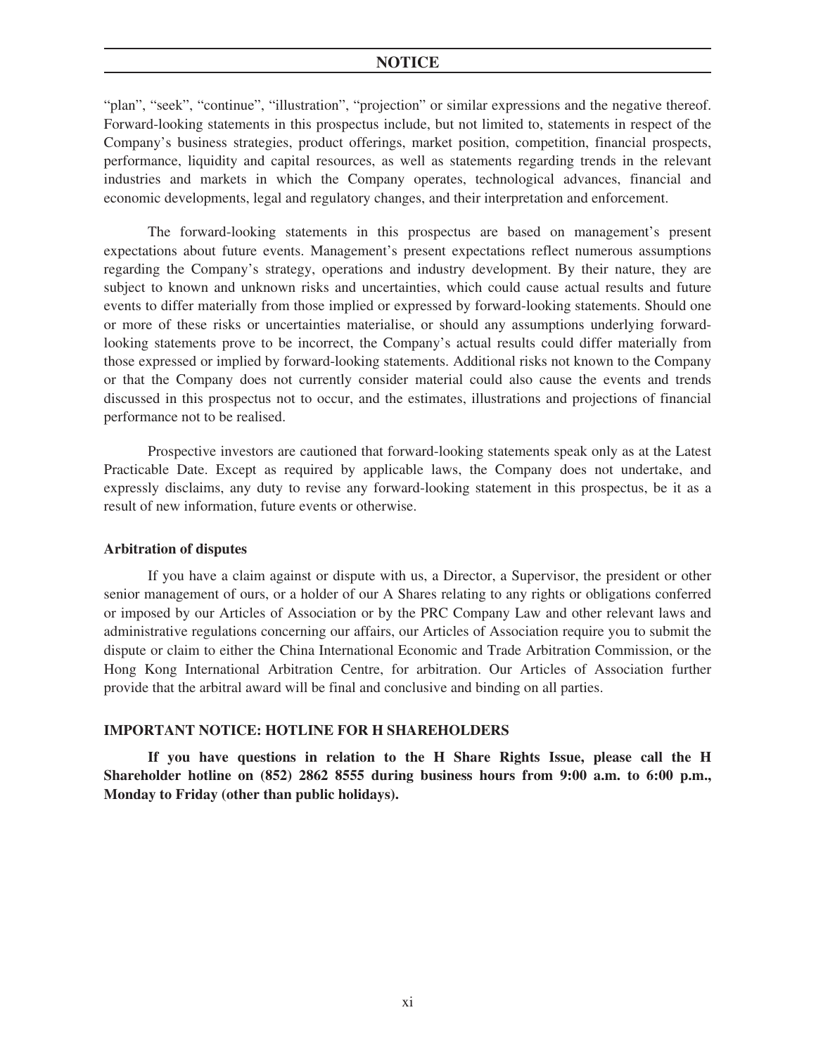"plan", "seek", "continue", "illustration", "projection" or similar expressions and the negative thereof. Forward-looking statements in this prospectus include, but not limited to, statements in respect of the Company's business strategies, product offerings, market position, competition, financial prospects, performance, liquidity and capital resources, as well as statements regarding trends in the relevant industries and markets in which the Company operates, technological advances, financial and economic developments, legal and regulatory changes, and their interpretation and enforcement.

The forward-looking statements in this prospectus are based on management's present expectations about future events. Management's present expectations reflect numerous assumptions regarding the Company's strategy, operations and industry development. By their nature, they are subject to known and unknown risks and uncertainties, which could cause actual results and future events to differ materially from those implied or expressed by forward-looking statements. Should one or more of these risks or uncertainties materialise, or should any assumptions underlying forwardlooking statements prove to be incorrect, the Company's actual results could differ materially from those expressed or implied by forward-looking statements. Additional risks not known to the Company or that the Company does not currently consider material could also cause the events and trends discussed in this prospectus not to occur, and the estimates, illustrations and projections of financial performance not to be realised.

Prospective investors are cautioned that forward-looking statements speak only as at the Latest Practicable Date. Except as required by applicable laws, the Company does not undertake, and expressly disclaims, any duty to revise any forward-looking statement in this prospectus, be it as a result of new information, future events or otherwise.

#### **Arbitration of disputes**

If you have a claim against or dispute with us, a Director, a Supervisor, the president or other senior management of ours, or a holder of our A Shares relating to any rights or obligations conferred or imposed by our Articles of Association or by the PRC Company Law and other relevant laws and administrative regulations concerning our affairs, our Articles of Association require you to submit the dispute or claim to either the China International Economic and Trade Arbitration Commission, or the Hong Kong International Arbitration Centre, for arbitration. Our Articles of Association further provide that the arbitral award will be final and conclusive and binding on all parties.

#### **IMPORTANT NOTICE: HOTLINE FOR H SHAREHOLDERS**

**If you have questions in relation to the H Share Rights Issue, please call the H Shareholder hotline on (852) 2862 8555 during business hours from 9:00 a.m. to 6:00 p.m., Monday to Friday (other than public holidays).**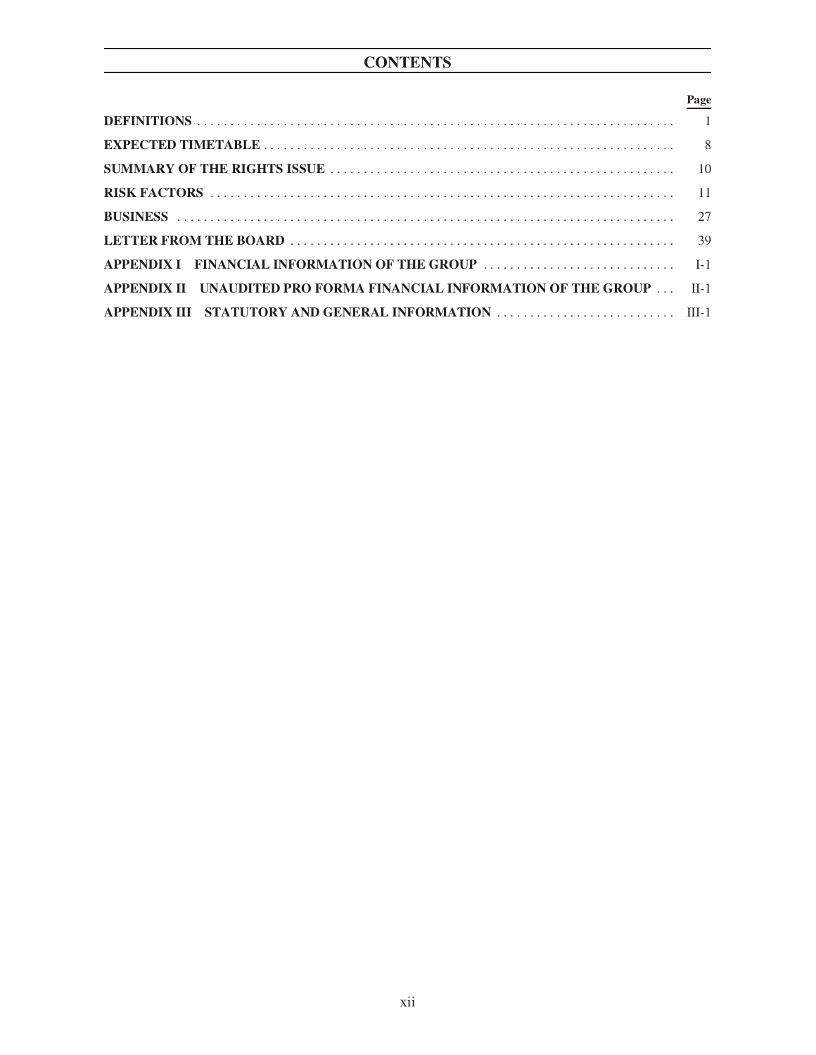## **Page**

| APPENDIX II UNAUDITED PRO FORMA FINANCIAL INFORMATION OF THE GROUP  II-1 |  |
|--------------------------------------------------------------------------|--|
|                                                                          |  |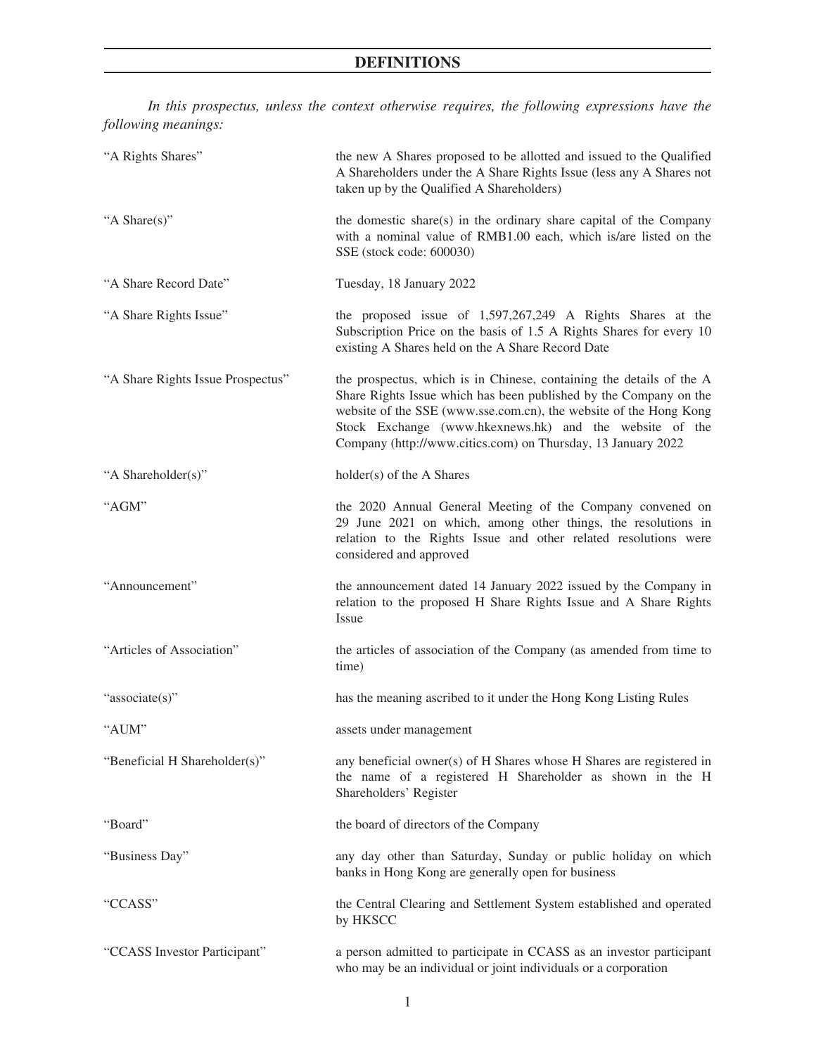<span id="page-13-0"></span>*In this prospectus, unless the context otherwise requires, the following expressions have the following meanings:*

| "A Rights Shares"                 | the new A Shares proposed to be allotted and issued to the Qualified<br>A Shareholders under the A Share Rights Issue (less any A Shares not<br>taken up by the Qualified A Shareholders)                                                                                                                                                 |
|-----------------------------------|-------------------------------------------------------------------------------------------------------------------------------------------------------------------------------------------------------------------------------------------------------------------------------------------------------------------------------------------|
| "A Share(s)"                      | the domestic share(s) in the ordinary share capital of the Company<br>with a nominal value of RMB1.00 each, which is/are listed on the<br>SSE (stock code: 600030)                                                                                                                                                                        |
| "A Share Record Date"             | Tuesday, 18 January 2022                                                                                                                                                                                                                                                                                                                  |
| "A Share Rights Issue"            | the proposed issue of $1,597,267,249$ A Rights Shares at the<br>Subscription Price on the basis of 1.5 A Rights Shares for every 10<br>existing A Shares held on the A Share Record Date                                                                                                                                                  |
| "A Share Rights Issue Prospectus" | the prospectus, which is in Chinese, containing the details of the A<br>Share Rights Issue which has been published by the Company on the<br>website of the SSE (www.sse.com.cn), the website of the Hong Kong<br>Stock Exchange (www.hkexnews.hk) and the website of the<br>Company (http://www.citics.com) on Thursday, 13 January 2022 |
| "A Shareholder(s)"                | holder(s) of the A Shares                                                                                                                                                                                                                                                                                                                 |
| "AGM"                             | the 2020 Annual General Meeting of the Company convened on<br>29 June 2021 on which, among other things, the resolutions in<br>relation to the Rights Issue and other related resolutions were<br>considered and approved                                                                                                                 |
| "Announcement"                    | the announcement dated 14 January 2022 issued by the Company in<br>relation to the proposed H Share Rights Issue and A Share Rights<br>Issue                                                                                                                                                                                              |
| "Articles of Association"         | the articles of association of the Company (as amended from time to<br>time)                                                                                                                                                                                                                                                              |
| "associate(s)"                    | has the meaning ascribed to it under the Hong Kong Listing Rules                                                                                                                                                                                                                                                                          |
| "AUM"                             | assets under management                                                                                                                                                                                                                                                                                                                   |
| "Beneficial H Shareholder(s)"     | any beneficial owner(s) of H Shares whose H Shares are registered in<br>the name of a registered H Shareholder as shown in the H<br>Shareholders' Register                                                                                                                                                                                |
| "Board"                           | the board of directors of the Company                                                                                                                                                                                                                                                                                                     |
| "Business Day"                    | any day other than Saturday, Sunday or public holiday on which<br>banks in Hong Kong are generally open for business                                                                                                                                                                                                                      |
| "CCASS"                           | the Central Clearing and Settlement System established and operated<br>by HKSCC                                                                                                                                                                                                                                                           |
| "CCASS Investor Participant"      | a person admitted to participate in CCASS as an investor participant<br>who may be an individual or joint individuals or a corporation                                                                                                                                                                                                    |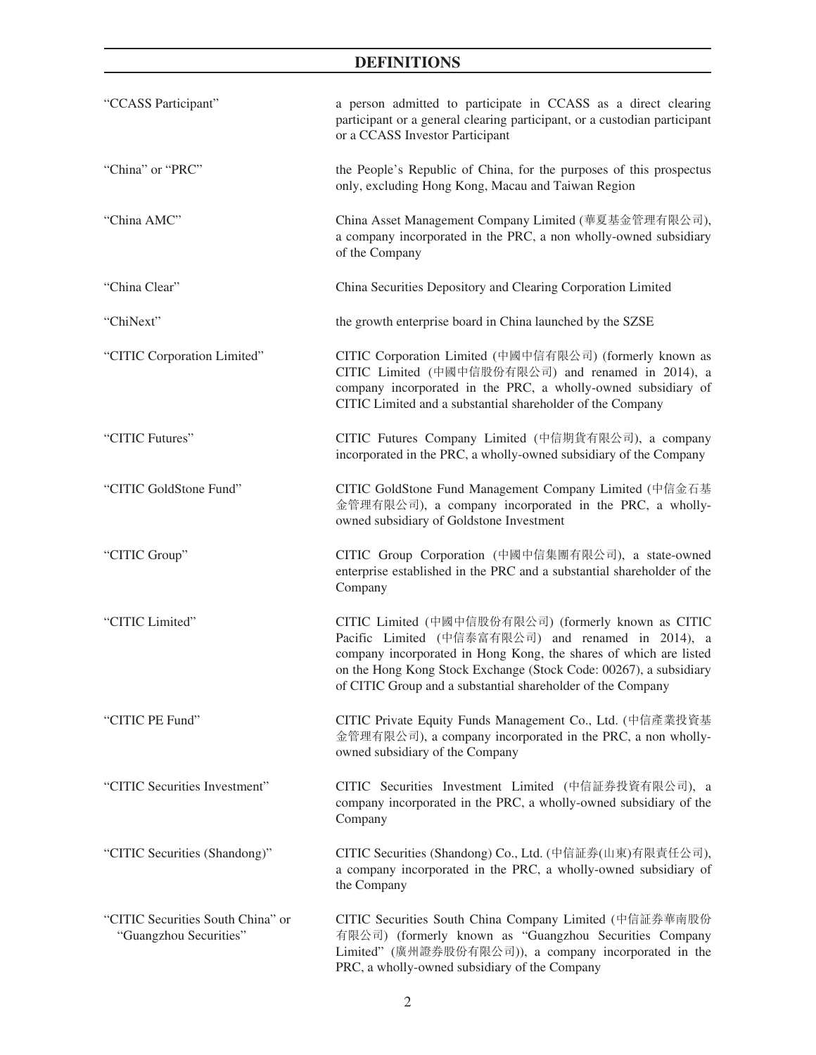| "CCASS Participant"                                         | a person admitted to participate in CCASS as a direct clearing<br>participant or a general clearing participant, or a custodian participant<br>or a CCASS Investor Participant                                                                                                                                     |
|-------------------------------------------------------------|--------------------------------------------------------------------------------------------------------------------------------------------------------------------------------------------------------------------------------------------------------------------------------------------------------------------|
| "China" or "PRC"                                            | the People's Republic of China, for the purposes of this prospectus<br>only, excluding Hong Kong, Macau and Taiwan Region                                                                                                                                                                                          |
| "China AMC"                                                 | China Asset Management Company Limited (華夏基金管理有限公司),<br>a company incorporated in the PRC, a non wholly-owned subsidiary<br>of the Company                                                                                                                                                                         |
| "China Clear"                                               | China Securities Depository and Clearing Corporation Limited                                                                                                                                                                                                                                                       |
| "ChiNext"                                                   | the growth enterprise board in China launched by the SZSE                                                                                                                                                                                                                                                          |
| "CITIC Corporation Limited"                                 | CITIC Corporation Limited (中國中信有限公司) (formerly known as<br>CITIC Limited (中國中信股份有限公司) and renamed in 2014), a<br>company incorporated in the PRC, a wholly-owned subsidiary of<br>CITIC Limited and a substantial shareholder of the Company                                                                       |
| "CITIC Futures"                                             | CITIC Futures Company Limited (中信期貨有限公司), a company<br>incorporated in the PRC, a wholly-owned subsidiary of the Company                                                                                                                                                                                           |
| "CITIC GoldStone Fund"                                      | CITIC GoldStone Fund Management Company Limited (中信金石基<br>金管理有限公司), a company incorporated in the PRC, a wholly-<br>owned subsidiary of Goldstone Investment                                                                                                                                                       |
| "CITIC Group"                                               | CITIC Group Corporation (中國中信集團有限公司), a state-owned<br>enterprise established in the PRC and a substantial shareholder of the<br>Company                                                                                                                                                                           |
| "CITIC Limited"                                             | CITIC Limited (中國中信股份有限公司) (formerly known as CITIC<br>Pacific Limited (中信泰富有限公司) and renamed in 2014), a<br>company incorporated in Hong Kong, the shares of which are listed<br>on the Hong Kong Stock Exchange (Stock Code: 00267), a subsidiary<br>of CITIC Group and a substantial shareholder of the Company |
| "CITIC PE Fund"                                             | CITIC Private Equity Funds Management Co., Ltd. (中信產業投資基<br>金管理有限公司), a company incorporated in the PRC, a non wholly-<br>owned subsidiary of the Company                                                                                                                                                          |
| "CITIC Securities Investment"                               | CITIC Securities Investment Limited (中信証券投資有限公司), a<br>company incorporated in the PRC, a wholly-owned subsidiary of the<br>Company                                                                                                                                                                                |
| "CITIC Securities (Shandong)"                               | CITIC Securities (Shandong) Co., Ltd. (中信証券(山東)有限責任公司),<br>a company incorporated in the PRC, a wholly-owned subsidiary of<br>the Company                                                                                                                                                                          |
| "CITIC Securities South China" or<br>"Guangzhou Securities" | CITIC Securities South China Company Limited (中信証券華南股份<br>有限公司) (formerly known as "Guangzhou Securities Company<br>Limited" (廣州證券股份有限公司)), a company incorporated in the<br>PRC, a wholly-owned subsidiary of the Company                                                                                         |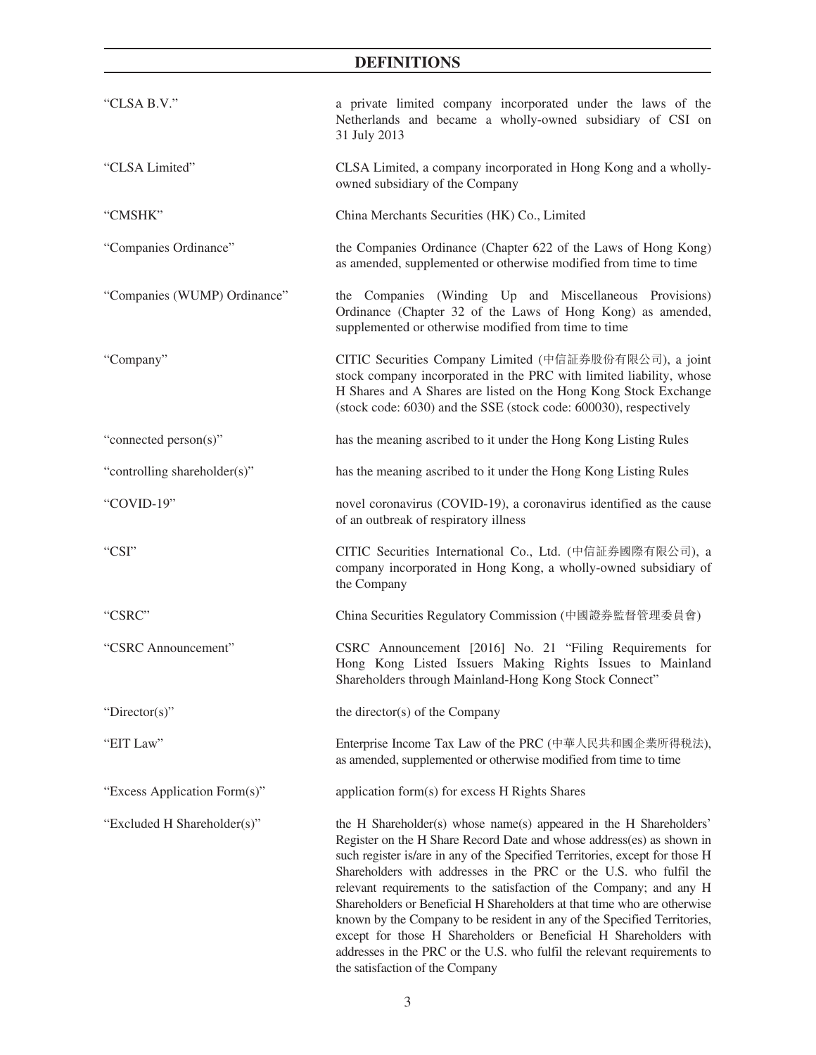| "CLSA B.V."                  | a private limited company incorporated under the laws of the<br>Netherlands and became a wholly-owned subsidiary of CSI on<br>31 July 2013                                                                                                                                                                                                                                                                                                                                                                                                                                                                                                                                                                          |
|------------------------------|---------------------------------------------------------------------------------------------------------------------------------------------------------------------------------------------------------------------------------------------------------------------------------------------------------------------------------------------------------------------------------------------------------------------------------------------------------------------------------------------------------------------------------------------------------------------------------------------------------------------------------------------------------------------------------------------------------------------|
| "CLSA Limited"               | CLSA Limited, a company incorporated in Hong Kong and a wholly-<br>owned subsidiary of the Company                                                                                                                                                                                                                                                                                                                                                                                                                                                                                                                                                                                                                  |
| "CMSHK"                      | China Merchants Securities (HK) Co., Limited                                                                                                                                                                                                                                                                                                                                                                                                                                                                                                                                                                                                                                                                        |
| "Companies Ordinance"        | the Companies Ordinance (Chapter 622 of the Laws of Hong Kong)<br>as amended, supplemented or otherwise modified from time to time                                                                                                                                                                                                                                                                                                                                                                                                                                                                                                                                                                                  |
| "Companies (WUMP) Ordinance" | the Companies (Winding Up and Miscellaneous Provisions)<br>Ordinance (Chapter 32 of the Laws of Hong Kong) as amended,<br>supplemented or otherwise modified from time to time                                                                                                                                                                                                                                                                                                                                                                                                                                                                                                                                      |
| "Company"                    | CITIC Securities Company Limited (中信証券股份有限公司), a joint<br>stock company incorporated in the PRC with limited liability, whose<br>H Shares and A Shares are listed on the Hong Kong Stock Exchange<br>(stock code: 6030) and the SSE (stock code: 600030), respectively                                                                                                                                                                                                                                                                                                                                                                                                                                              |
| "connected person(s)"        | has the meaning ascribed to it under the Hong Kong Listing Rules                                                                                                                                                                                                                                                                                                                                                                                                                                                                                                                                                                                                                                                    |
| "controlling shareholder(s)" | has the meaning ascribed to it under the Hong Kong Listing Rules                                                                                                                                                                                                                                                                                                                                                                                                                                                                                                                                                                                                                                                    |
| "COVID-19"                   | novel coronavirus (COVID-19), a coronavirus identified as the cause<br>of an outbreak of respiratory illness                                                                                                                                                                                                                                                                                                                                                                                                                                                                                                                                                                                                        |
| "CSI"                        | CITIC Securities International Co., Ltd. (中信証券國際有限公司), a<br>company incorporated in Hong Kong, a wholly-owned subsidiary of<br>the Company                                                                                                                                                                                                                                                                                                                                                                                                                                                                                                                                                                          |
| "CSRC"                       | China Securities Regulatory Commission (中國證券監督管理委員會)                                                                                                                                                                                                                                                                                                                                                                                                                                                                                                                                                                                                                                                                |
| "CSRC Announcement"          | CSRC Announcement [2016] No. 21 "Filing Requirements for<br>Hong Kong Listed Issuers Making Rights Issues to Mainland<br>Shareholders through Mainland-Hong Kong Stock Connect"                                                                                                                                                                                                                                                                                                                                                                                                                                                                                                                                     |
| "Director(s)"                | the director(s) of the Company                                                                                                                                                                                                                                                                                                                                                                                                                                                                                                                                                                                                                                                                                      |
| "EIT Law"                    | Enterprise Income Tax Law of the PRC (中華人民共和國企業所得税法),<br>as amended, supplemented or otherwise modified from time to time                                                                                                                                                                                                                                                                                                                                                                                                                                                                                                                                                                                           |
| "Excess Application Form(s)" | application form(s) for excess H Rights Shares                                                                                                                                                                                                                                                                                                                                                                                                                                                                                                                                                                                                                                                                      |
| "Excluded H Shareholder(s)"  | the H Shareholder(s) whose name(s) appeared in the H Shareholders'<br>Register on the H Share Record Date and whose address(es) as shown in<br>such register is/are in any of the Specified Territories, except for those H<br>Shareholders with addresses in the PRC or the U.S. who fulfil the<br>relevant requirements to the satisfaction of the Company; and any H<br>Shareholders or Beneficial H Shareholders at that time who are otherwise<br>known by the Company to be resident in any of the Specified Territories,<br>except for those H Shareholders or Beneficial H Shareholders with<br>addresses in the PRC or the U.S. who fulfil the relevant requirements to<br>the satisfaction of the Company |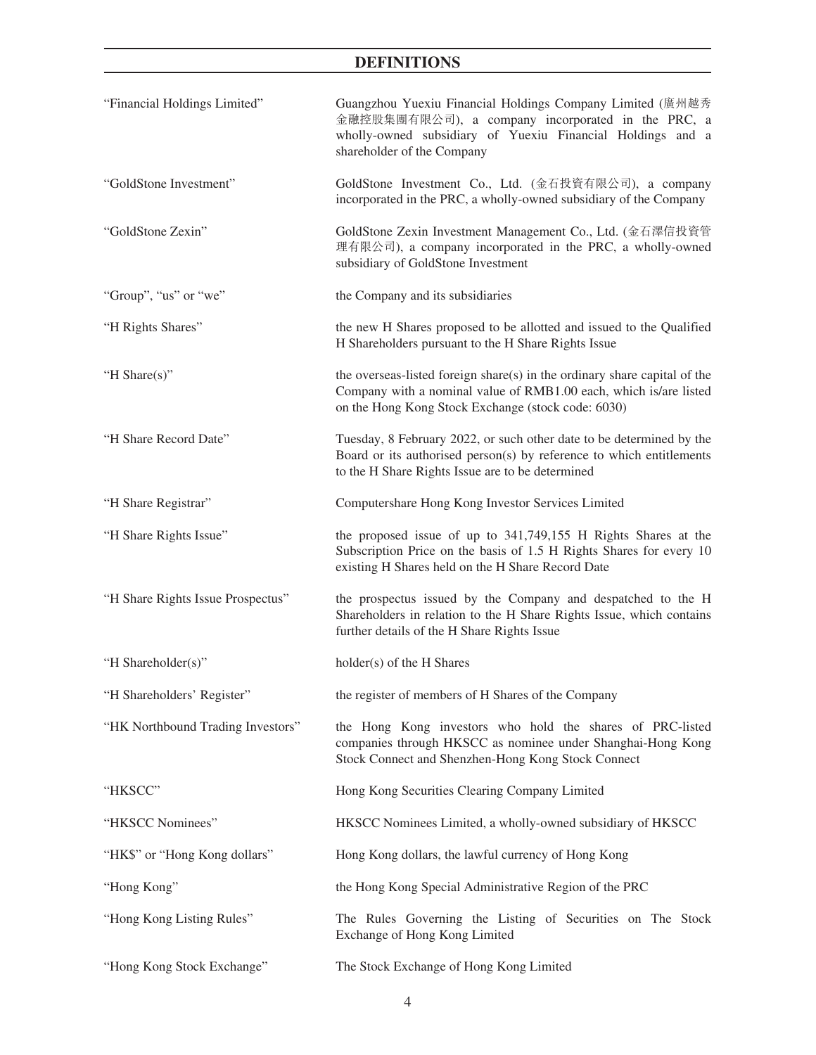| "Financial Holdings Limited"      | Guangzhou Yuexiu Financial Holdings Company Limited (廣州越秀<br>金融控股集團有限公司), a company incorporated in the PRC, a<br>wholly-owned subsidiary of Yuexiu Financial Holdings and a<br>shareholder of the Company |
|-----------------------------------|------------------------------------------------------------------------------------------------------------------------------------------------------------------------------------------------------------|
| "GoldStone Investment"            | GoldStone Investment Co., Ltd. (金石投資有限公司), a company<br>incorporated in the PRC, a wholly-owned subsidiary of the Company                                                                                  |
| "GoldStone Zexin"                 | GoldStone Zexin Investment Management Co., Ltd. (金石澤信投資管<br>理有限公司), a company incorporated in the PRC, a wholly-owned<br>subsidiary of GoldStone Investment                                                |
| "Group", "us" or "we"             | the Company and its subsidiaries                                                                                                                                                                           |
| "H Rights Shares"                 | the new H Shares proposed to be allotted and issued to the Qualified<br>H Shareholders pursuant to the H Share Rights Issue                                                                                |
| "H Share(s)"                      | the overseas-listed foreign share(s) in the ordinary share capital of the<br>Company with a nominal value of RMB1.00 each, which is/are listed<br>on the Hong Kong Stock Exchange (stock code: 6030)       |
| "H Share Record Date"             | Tuesday, 8 February 2022, or such other date to be determined by the<br>Board or its authorised person(s) by reference to which entitlements<br>to the H Share Rights Issue are to be determined           |
| "H Share Registrar"               | Computershare Hong Kong Investor Services Limited                                                                                                                                                          |
| "H Share Rights Issue"            | the proposed issue of up to 341,749,155 H Rights Shares at the<br>Subscription Price on the basis of 1.5 H Rights Shares for every 10<br>existing H Shares held on the H Share Record Date                 |
| "H Share Rights Issue Prospectus" | the prospectus issued by the Company and despatched to the H<br>Shareholders in relation to the H Share Rights Issue, which contains<br>further details of the H Share Rights Issue                        |
| "H Shareholder(s)"                | holder(s) of the H Shares                                                                                                                                                                                  |
| "H Shareholders' Register"        | the register of members of H Shares of the Company                                                                                                                                                         |
| "HK Northbound Trading Investors" | the Hong Kong investors who hold the shares of PRC-listed<br>companies through HKSCC as nominee under Shanghai-Hong Kong<br>Stock Connect and Shenzhen-Hong Kong Stock Connect                             |
| "HKSCC"                           | Hong Kong Securities Clearing Company Limited                                                                                                                                                              |
| "HKSCC Nominees"                  | HKSCC Nominees Limited, a wholly-owned subsidiary of HKSCC                                                                                                                                                 |
| "HK\$" or "Hong Kong dollars"     | Hong Kong dollars, the lawful currency of Hong Kong                                                                                                                                                        |
| "Hong Kong"                       | the Hong Kong Special Administrative Region of the PRC                                                                                                                                                     |
| "Hong Kong Listing Rules"         | The Rules Governing the Listing of Securities on The Stock<br>Exchange of Hong Kong Limited                                                                                                                |
| "Hong Kong Stock Exchange"        | The Stock Exchange of Hong Kong Limited                                                                                                                                                                    |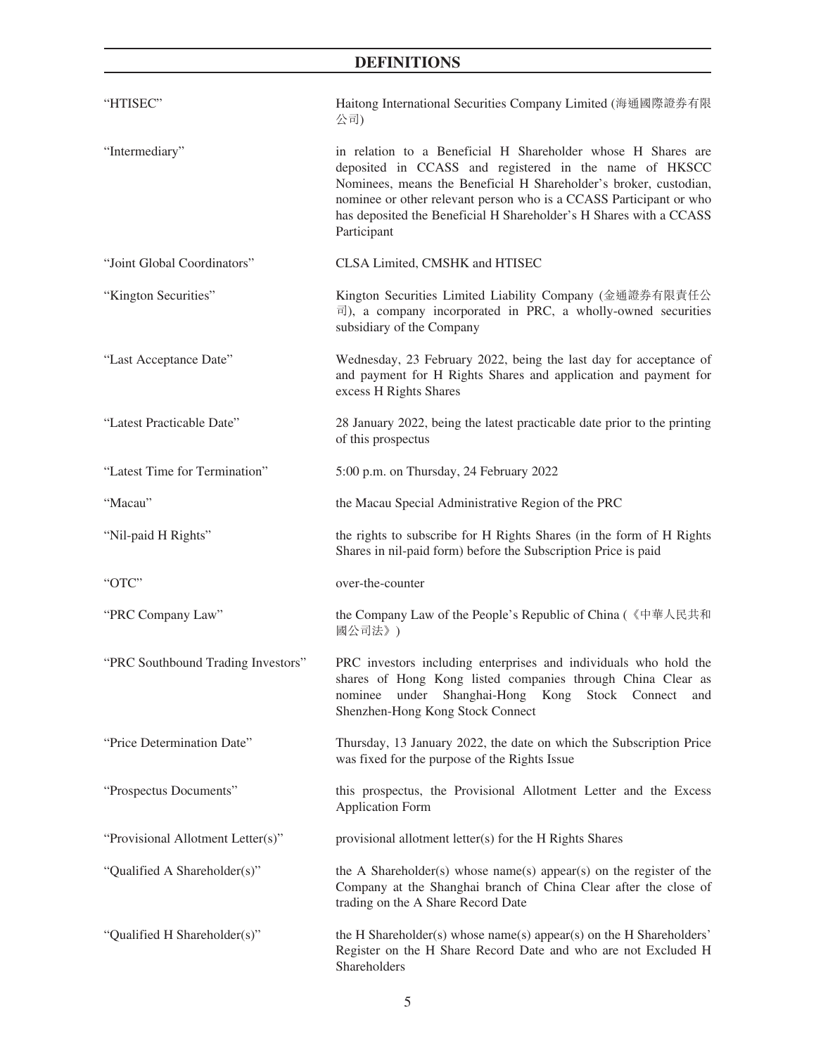| "HTISEC"                           | Haitong International Securities Company Limited (海通國際證券有限<br>公司)                                                                                                                                                                                                                                                                                      |
|------------------------------------|--------------------------------------------------------------------------------------------------------------------------------------------------------------------------------------------------------------------------------------------------------------------------------------------------------------------------------------------------------|
| "Intermediary"                     | in relation to a Beneficial H Shareholder whose H Shares are<br>deposited in CCASS and registered in the name of HKSCC<br>Nominees, means the Beneficial H Shareholder's broker, custodian,<br>nominee or other relevant person who is a CCASS Participant or who<br>has deposited the Beneficial H Shareholder's H Shares with a CCASS<br>Participant |
| "Joint Global Coordinators"        | CLSA Limited, CMSHK and HTISEC                                                                                                                                                                                                                                                                                                                         |
| "Kington Securities"               | Kington Securities Limited Liability Company (金通證券有限責任公<br>$\overline{\mathbb{E}}$ ), a company incorporated in PRC, a wholly-owned securities<br>subsidiary of the Company                                                                                                                                                                            |
| "Last Acceptance Date"             | Wednesday, 23 February 2022, being the last day for acceptance of<br>and payment for H Rights Shares and application and payment for<br>excess H Rights Shares                                                                                                                                                                                         |
| "Latest Practicable Date"          | 28 January 2022, being the latest practicable date prior to the printing<br>of this prospectus                                                                                                                                                                                                                                                         |
| "Latest Time for Termination"      | 5:00 p.m. on Thursday, 24 February 2022                                                                                                                                                                                                                                                                                                                |
| "Macau"                            | the Macau Special Administrative Region of the PRC                                                                                                                                                                                                                                                                                                     |
| "Nil-paid H Rights"                | the rights to subscribe for H Rights Shares (in the form of H Rights<br>Shares in nil-paid form) before the Subscription Price is paid                                                                                                                                                                                                                 |
| "OTC"                              | over-the-counter                                                                                                                                                                                                                                                                                                                                       |
| "PRC Company Law"                  | the Company Law of the People's Republic of China (《中華人民共和<br>國公司法》)                                                                                                                                                                                                                                                                                   |
| "PRC Southbound Trading Investors" | PRC investors including enterprises and individuals who hold the<br>shares of Hong Kong listed companies through China Clear as<br>Shanghai-Hong<br>Stock<br>nominee<br>under<br>Kong<br>Connect<br>and<br>Shenzhen-Hong Kong Stock Connect                                                                                                            |
| "Price Determination Date"         | Thursday, 13 January 2022, the date on which the Subscription Price<br>was fixed for the purpose of the Rights Issue                                                                                                                                                                                                                                   |
| "Prospectus Documents"             | this prospectus, the Provisional Allotment Letter and the Excess<br><b>Application Form</b>                                                                                                                                                                                                                                                            |
| "Provisional Allotment Letter(s)"  | provisional allotment letter(s) for the H Rights Shares                                                                                                                                                                                                                                                                                                |
| "Qualified A Shareholder(s)"       | the A Shareholder(s) whose name(s) appear(s) on the register of the<br>Company at the Shanghai branch of China Clear after the close of<br>trading on the A Share Record Date                                                                                                                                                                          |
| "Qualified H Shareholder(s)"       | the H Shareholder(s) whose name(s) appear(s) on the H Shareholders'<br>Register on the H Share Record Date and who are not Excluded H<br>Shareholders                                                                                                                                                                                                  |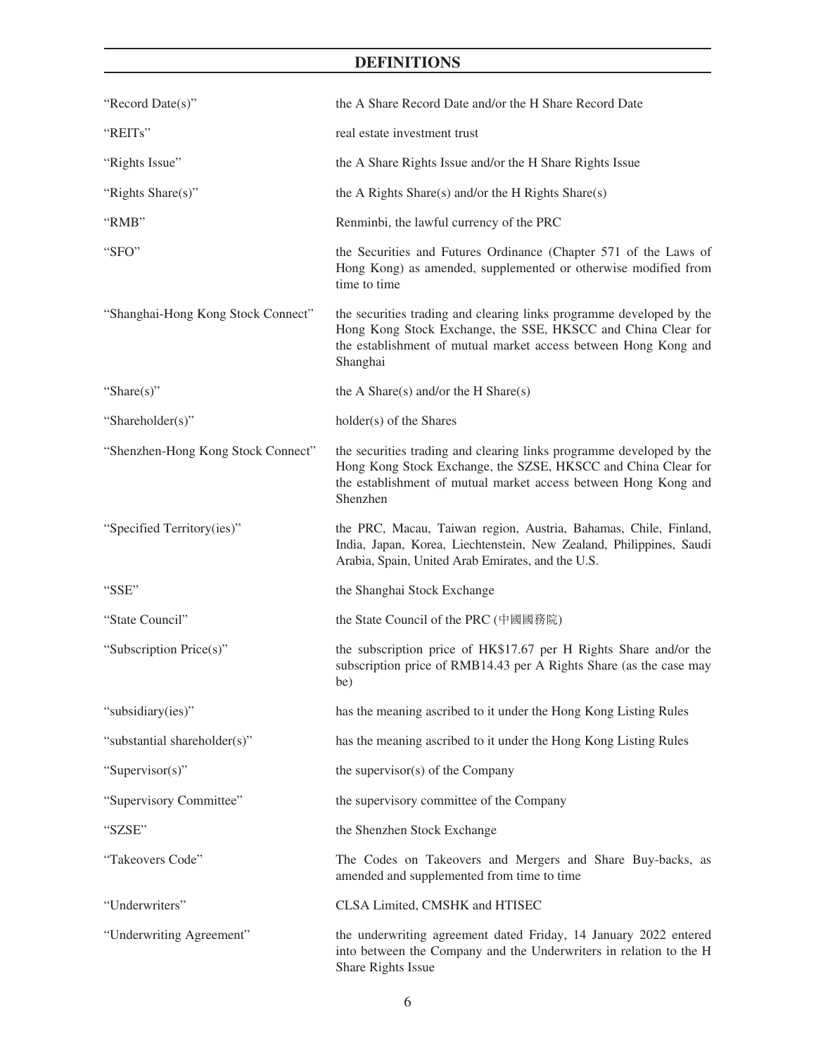| "Record Date(s)"                   | the A Share Record Date and/or the H Share Record Date                                                                                                                                                               |
|------------------------------------|----------------------------------------------------------------------------------------------------------------------------------------------------------------------------------------------------------------------|
| "REITs"                            | real estate investment trust                                                                                                                                                                                         |
| "Rights Issue"                     | the A Share Rights Issue and/or the H Share Rights Issue                                                                                                                                                             |
| "Rights Share(s)"                  | the A Rights Share(s) and/or the H Rights Share(s)                                                                                                                                                                   |
| "RMB"                              | Renminbi, the lawful currency of the PRC                                                                                                                                                                             |
| "SFO"                              | the Securities and Futures Ordinance (Chapter 571 of the Laws of<br>Hong Kong) as amended, supplemented or otherwise modified from<br>time to time                                                                   |
| "Shanghai-Hong Kong Stock Connect" | the securities trading and clearing links programme developed by the<br>Hong Kong Stock Exchange, the SSE, HKSCC and China Clear for<br>the establishment of mutual market access between Hong Kong and<br>Shanghai  |
| "Share $(s)$ "                     | the A Share(s) and/or the H Share(s)                                                                                                                                                                                 |
| "Shareholder(s)"                   | holder(s) of the Shares                                                                                                                                                                                              |
| "Shenzhen-Hong Kong Stock Connect" | the securities trading and clearing links programme developed by the<br>Hong Kong Stock Exchange, the SZSE, HKSCC and China Clear for<br>the establishment of mutual market access between Hong Kong and<br>Shenzhen |
| "Specified Territory(ies)"         | the PRC, Macau, Taiwan region, Austria, Bahamas, Chile, Finland,<br>India, Japan, Korea, Liechtenstein, New Zealand, Philippines, Saudi<br>Arabia, Spain, United Arab Emirates, and the U.S.                         |
| "SSE"                              | the Shanghai Stock Exchange                                                                                                                                                                                          |
| "State Council"                    | the State Council of the PRC (中國國務院)                                                                                                                                                                                 |
| "Subscription Price(s)"            | the subscription price of HK\$17.67 per H Rights Share and/or the<br>subscription price of RMB14.43 per A Rights Share (as the case may<br>be)                                                                       |
| "subsidiary(ies)"                  | has the meaning ascribed to it under the Hong Kong Listing Rules                                                                                                                                                     |
| "substantial shareholder(s)"       | has the meaning ascribed to it under the Hong Kong Listing Rules                                                                                                                                                     |
| "Supervisor(s)"                    | the supervisor(s) of the Company                                                                                                                                                                                     |
| "Supervisory Committee"            | the supervisory committee of the Company                                                                                                                                                                             |
| "SZSE"                             | the Shenzhen Stock Exchange                                                                                                                                                                                          |
| "Takeovers Code"                   | The Codes on Takeovers and Mergers and Share Buy-backs, as<br>amended and supplemented from time to time                                                                                                             |
| "Underwriters"                     | CLSA Limited, CMSHK and HTISEC                                                                                                                                                                                       |
| "Underwriting Agreement"           | the underwriting agreement dated Friday, 14 January 2022 entered<br>into between the Company and the Underwriters in relation to the H<br>Share Rights Issue                                                         |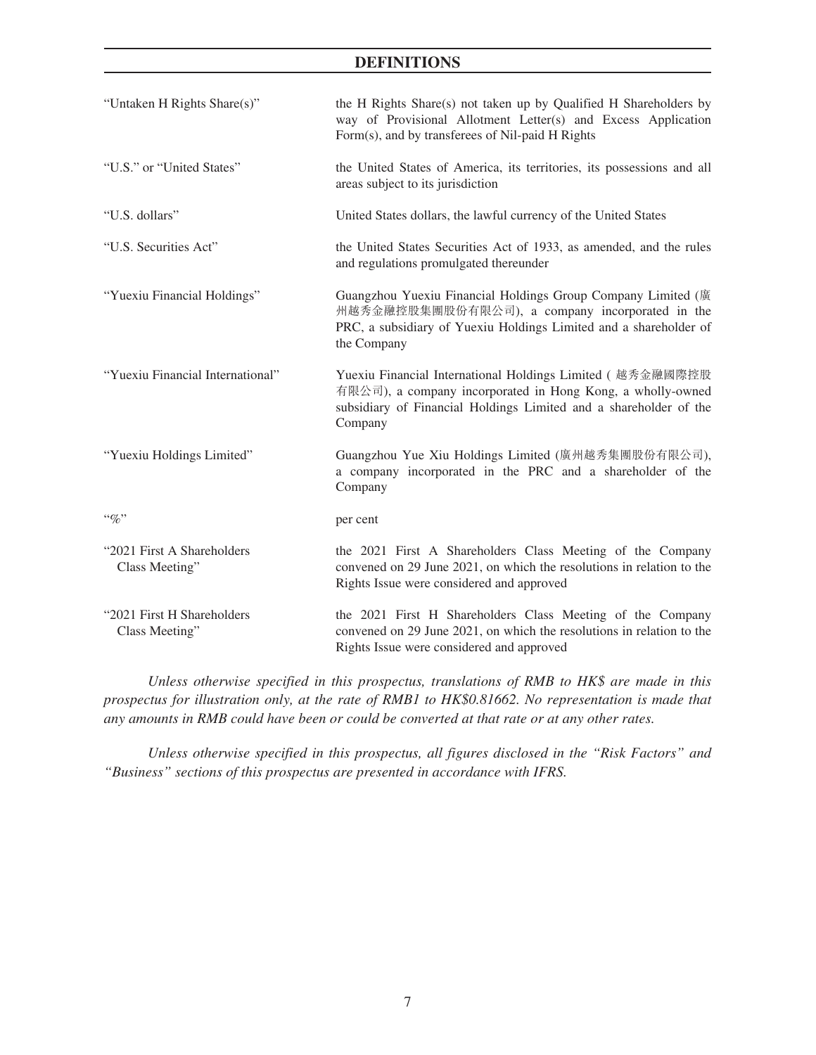| "Untaken H Rights Share(s)"                  | the H Rights Share(s) not taken up by Qualified H Shareholders by<br>way of Provisional Allotment Letter(s) and Excess Application<br>Form(s), and by transferees of Nil-paid H Rights                  |
|----------------------------------------------|---------------------------------------------------------------------------------------------------------------------------------------------------------------------------------------------------------|
| "U.S." or "United States"                    | the United States of America, its territories, its possessions and all<br>areas subject to its jurisdiction                                                                                             |
| "U.S. dollars"                               | United States dollars, the lawful currency of the United States                                                                                                                                         |
| "U.S. Securities Act"                        | the United States Securities Act of 1933, as amended, and the rules<br>and regulations promulgated thereunder                                                                                           |
| "Yuexiu Financial Holdings"                  | Guangzhou Yuexiu Financial Holdings Group Company Limited (廣<br>州越秀金融控股集團股份有限公司), a company incorporated in the<br>PRC, a subsidiary of Yuexiu Holdings Limited and a shareholder of<br>the Company     |
| "Yuexiu Financial International"             | Yuexiu Financial International Holdings Limited (越秀金融國際控股<br>有限公司), a company incorporated in Hong Kong, a wholly-owned<br>subsidiary of Financial Holdings Limited and a shareholder of the<br>Company |
| "Yuexiu Holdings Limited"                    | Guangzhou Yue Xiu Holdings Limited (廣州越秀集團股份有限公司),<br>a company incorporated in the PRC and a shareholder of the<br>Company                                                                             |
| $``\%"$                                      | per cent                                                                                                                                                                                                |
| "2021 First A Shareholders<br>Class Meeting" | the 2021 First A Shareholders Class Meeting of the Company<br>convened on 29 June 2021, on which the resolutions in relation to the<br>Rights Issue were considered and approved                        |
| "2021 First H Shareholders<br>Class Meeting" | the 2021 First H Shareholders Class Meeting of the Company<br>convened on 29 June 2021, on which the resolutions in relation to the<br>Rights Issue were considered and approved                        |

*Unless otherwise specified in this prospectus, translations of RMB to HK\$ are made in this prospectus for illustration only, at the rate of RMB1 to HK\$0.81662. No representation is made that any amounts in RMB could have been or could be converted at that rate or at any other rates.*

*Unless otherwise specified in this prospectus, all figures disclosed in the "Risk Factors" and "Business" sections of this prospectus are presented in accordance with IFRS.*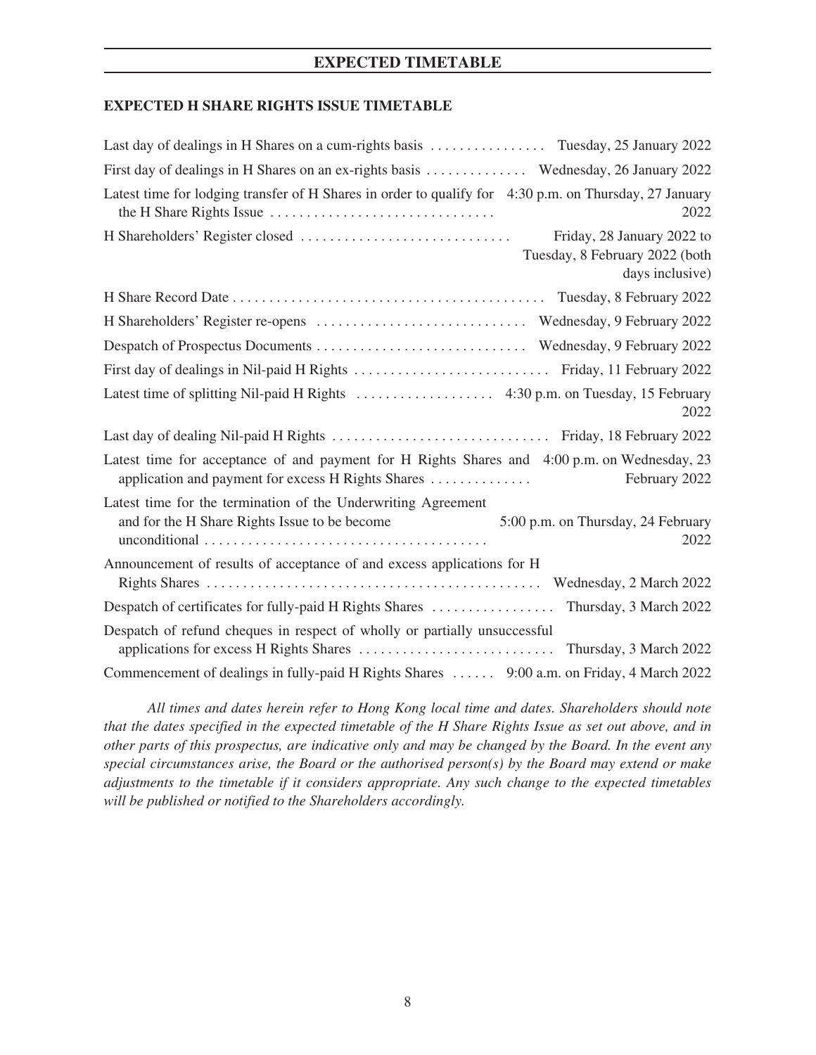## **EXPECTED TIMETABLE**

## <span id="page-20-0"></span>**EXPECTED H SHARE RIGHTS ISSUE TIMETABLE**

| Last day of dealings in H Shares on a cum-rights basis  Tuesday, 25 January 2022                                                                                    |
|---------------------------------------------------------------------------------------------------------------------------------------------------------------------|
| First day of dealings in H Shares on an ex-rights basis  Wednesday, 26 January 2022                                                                                 |
| Latest time for lodging transfer of H Shares in order to qualify for 4:30 p.m. on Thursday, 27 January<br>2022                                                      |
| Friday, 28 January 2022 to<br>Tuesday, 8 February 2022 (both<br>days inclusive)                                                                                     |
|                                                                                                                                                                     |
|                                                                                                                                                                     |
|                                                                                                                                                                     |
|                                                                                                                                                                     |
| 2022                                                                                                                                                                |
|                                                                                                                                                                     |
| Latest time for acceptance of and payment for H Rights Shares and 4:00 p.m. on Wednesday, 23<br>application and payment for excess H Rights Shares<br>February 2022 |
| Latest time for the termination of the Underwriting Agreement<br>and for the H Share Rights Issue to be become<br>5:00 p.m. on Thursday, 24 February<br>2022        |
| Announcement of results of acceptance of and excess applications for H                                                                                              |
| Despatch of certificates for fully-paid H Rights Shares  Thursday, 3 March 2022                                                                                     |
| Despatch of refund cheques in respect of wholly or partially unsuccessful                                                                                           |
| Commencement of dealings in fully-paid H Rights Shares  9:00 a.m. on Friday, 4 March 2022                                                                           |

*All times and dates herein refer to Hong Kong local time and dates. Shareholders should note that the dates specified in the expected timetable of the H Share Rights Issue as set out above, and in other parts of this prospectus, are indicative only and may be changed by the Board. In the event any special circumstances arise, the Board or the authorised person(s) by the Board may extend or make adjustments to the timetable if it considers appropriate. Any such change to the expected timetables will be published or notified to the Shareholders accordingly.*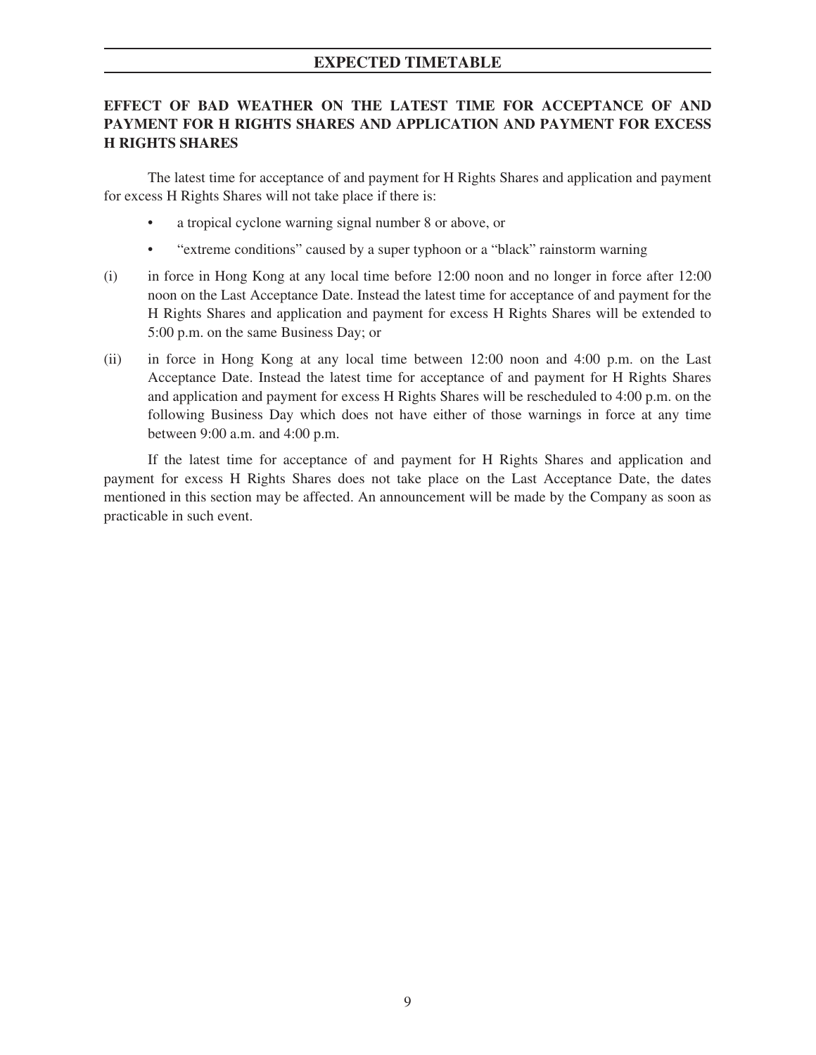## **EXPECTED TIMETABLE**

## **EFFECT OF BAD WEATHER ON THE LATEST TIME FOR ACCEPTANCE OF AND PAYMENT FOR H RIGHTS SHARES AND APPLICATION AND PAYMENT FOR EXCESS H RIGHTS SHARES**

The latest time for acceptance of and payment for H Rights Shares and application and payment for excess H Rights Shares will not take place if there is:

- a tropical cyclone warning signal number 8 or above, or
- "extreme conditions" caused by a super typhoon or a "black" rainstorm warning
- (i) in force in Hong Kong at any local time before 12:00 noon and no longer in force after 12:00 noon on the Last Acceptance Date. Instead the latest time for acceptance of and payment for the H Rights Shares and application and payment for excess H Rights Shares will be extended to 5:00 p.m. on the same Business Day; or
- (ii) in force in Hong Kong at any local time between 12:00 noon and 4:00 p.m. on the Last Acceptance Date. Instead the latest time for acceptance of and payment for H Rights Shares and application and payment for excess H Rights Shares will be rescheduled to 4:00 p.m. on the following Business Day which does not have either of those warnings in force at any time between 9:00 a.m. and 4:00 p.m.

If the latest time for acceptance of and payment for H Rights Shares and application and payment for excess H Rights Shares does not take place on the Last Acceptance Date, the dates mentioned in this section may be affected. An announcement will be made by the Company as soon as practicable in such event.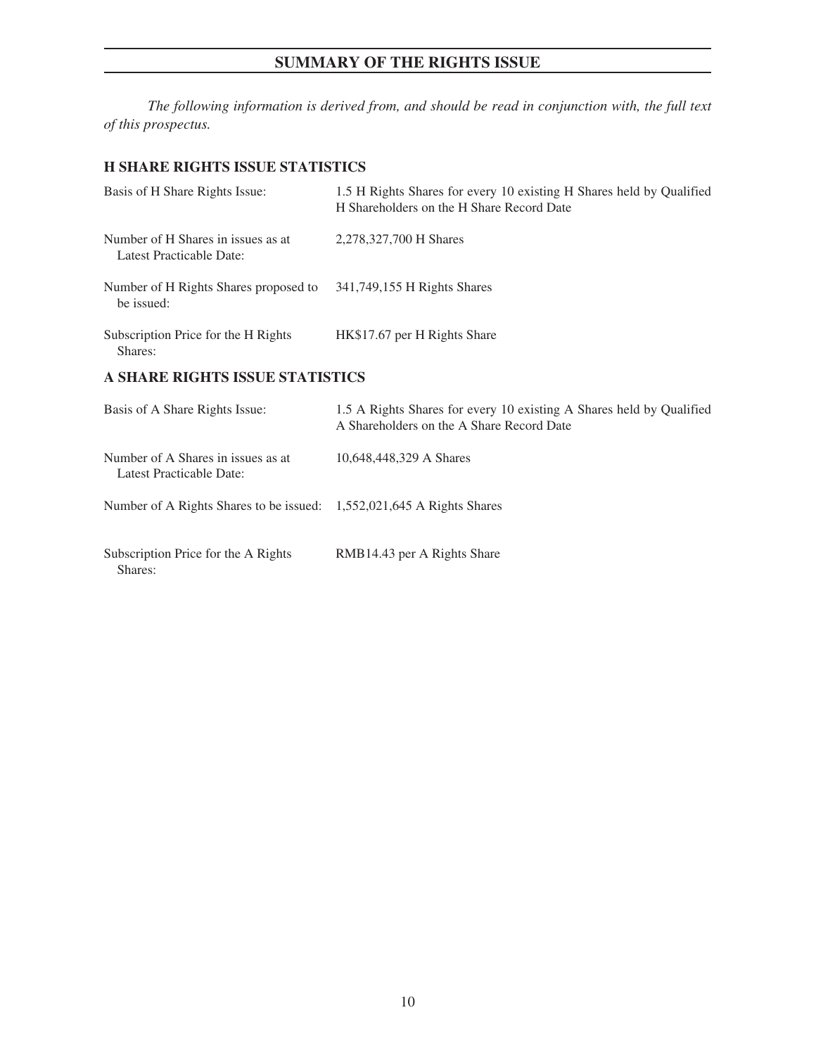## **SUMMARY OF THE RIGHTS ISSUE**

<span id="page-22-0"></span>*The following information is derived from, and should be read in conjunction with, the full text of this prospectus.*

## **H SHARE RIGHTS ISSUE STATISTICS**

| Basis of H Share Rights Issue:                                 | 1.5 H Rights Shares for every 10 existing H Shares held by Qualified<br>H Shareholders on the H Share Record Date |
|----------------------------------------------------------------|-------------------------------------------------------------------------------------------------------------------|
| Number of H Shares in issues as at<br>Latest Practicable Date: | 2,278,327,700 H Shares                                                                                            |
| Number of H Rights Shares proposed to<br>be issued:            | 341,749,155 H Rights Shares                                                                                       |
| Subscription Price for the H Rights<br>Shares:                 | HK\$17.67 per H Rights Share                                                                                      |
| <b>A SHARE RIGHTS ISSUE STATISTICS</b>                         |                                                                                                                   |

| Basis of A Share Rights Issue:                                        | 1.5 A Rights Shares for every 10 existing A Shares held by Qualified<br>A Shareholders on the A Share Record Date |
|-----------------------------------------------------------------------|-------------------------------------------------------------------------------------------------------------------|
| Number of A Shares in issues as at<br>Latest Practicable Date:        | 10,648,448,329 A Shares                                                                                           |
| Number of A Rights Shares to be issued: 1,552,021,645 A Rights Shares |                                                                                                                   |
| Subscription Price for the A Rights<br>Shares:                        | RMB14.43 per A Rights Share                                                                                       |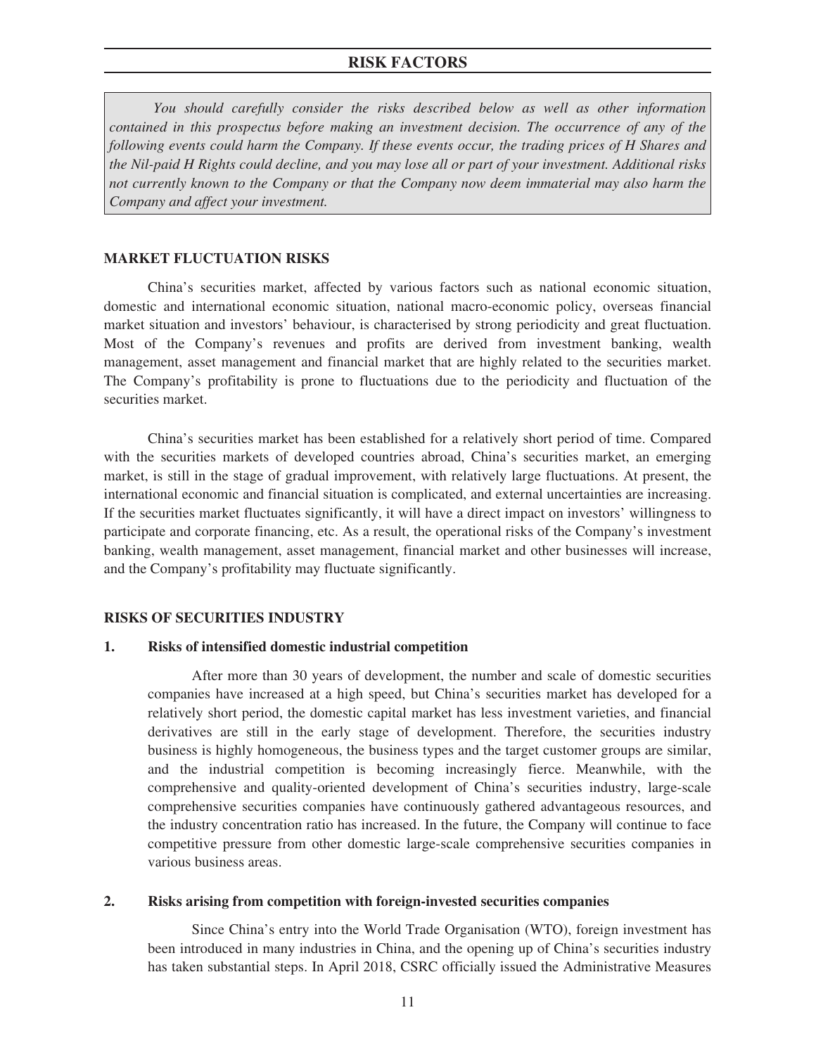<span id="page-23-0"></span>*You should carefully consider the risks described below as well as other information contained in this prospectus before making an investment decision. The occurrence of any of the following events could harm the Company. If these events occur, the trading prices of H Shares and the Nil-paid H Rights could decline, and you may lose all or part of your investment. Additional risks not currently known to the Company or that the Company now deem immaterial may also harm the Company and affect your investment.*

## **MARKET FLUCTUATION RISKS**

China's securities market, affected by various factors such as national economic situation, domestic and international economic situation, national macro-economic policy, overseas financial market situation and investors' behaviour, is characterised by strong periodicity and great fluctuation. Most of the Company's revenues and profits are derived from investment banking, wealth management, asset management and financial market that are highly related to the securities market. The Company's profitability is prone to fluctuations due to the periodicity and fluctuation of the securities market.

China's securities market has been established for a relatively short period of time. Compared with the securities markets of developed countries abroad, China's securities market, an emerging market, is still in the stage of gradual improvement, with relatively large fluctuations. At present, the international economic and financial situation is complicated, and external uncertainties are increasing. If the securities market fluctuates significantly, it will have a direct impact on investors' willingness to participate and corporate financing, etc. As a result, the operational risks of the Company's investment banking, wealth management, asset management, financial market and other businesses will increase, and the Company's profitability may fluctuate significantly.

## **RISKS OF SECURITIES INDUSTRY**

## **1. Risks of intensified domestic industrial competition**

After more than 30 years of development, the number and scale of domestic securities companies have increased at a high speed, but China's securities market has developed for a relatively short period, the domestic capital market has less investment varieties, and financial derivatives are still in the early stage of development. Therefore, the securities industry business is highly homogeneous, the business types and the target customer groups are similar, and the industrial competition is becoming increasingly fierce. Meanwhile, with the comprehensive and quality-oriented development of China's securities industry, large-scale comprehensive securities companies have continuously gathered advantageous resources, and the industry concentration ratio has increased. In the future, the Company will continue to face competitive pressure from other domestic large-scale comprehensive securities companies in various business areas.

## **2. Risks arising from competition with foreign-invested securities companies**

Since China's entry into the World Trade Organisation (WTO), foreign investment has been introduced in many industries in China, and the opening up of China's securities industry has taken substantial steps. In April 2018, CSRC officially issued the Administrative Measures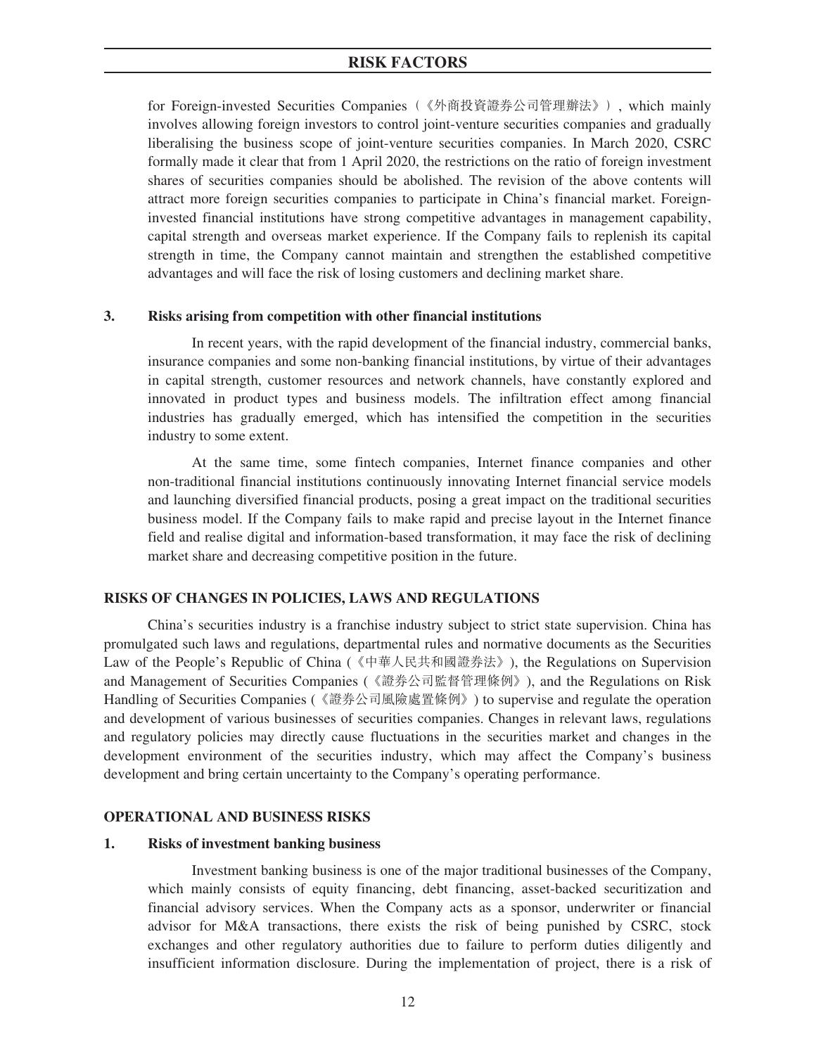for Foreign-invested Securities Companies(《外商投資證券公司管理辦法》), which mainly involves allowing foreign investors to control joint-venture securities companies and gradually liberalising the business scope of joint-venture securities companies. In March 2020, CSRC formally made it clear that from 1 April 2020, the restrictions on the ratio of foreign investment shares of securities companies should be abolished. The revision of the above contents will attract more foreign securities companies to participate in China's financial market. Foreigninvested financial institutions have strong competitive advantages in management capability, capital strength and overseas market experience. If the Company fails to replenish its capital strength in time, the Company cannot maintain and strengthen the established competitive advantages and will face the risk of losing customers and declining market share.

## **3. Risks arising from competition with other financial institutions**

In recent years, with the rapid development of the financial industry, commercial banks, insurance companies and some non-banking financial institutions, by virtue of their advantages in capital strength, customer resources and network channels, have constantly explored and innovated in product types and business models. The infiltration effect among financial industries has gradually emerged, which has intensified the competition in the securities industry to some extent.

At the same time, some fintech companies, Internet finance companies and other non-traditional financial institutions continuously innovating Internet financial service models and launching diversified financial products, posing a great impact on the traditional securities business model. If the Company fails to make rapid and precise layout in the Internet finance field and realise digital and information-based transformation, it may face the risk of declining market share and decreasing competitive position in the future.

## **RISKS OF CHANGES IN POLICIES, LAWS AND REGULATIONS**

China's securities industry is a franchise industry subject to strict state supervision. China has promulgated such laws and regulations, departmental rules and normative documents as the Securities Law of the People's Republic of China (《中華人民共和國證券法》), the Regulations on Supervision and Management of Securities Companies (《證券公司監督管理條例》), and the Regulations on Risk Handling of Securities Companies (《證券公司風險處置條例》) to supervise and regulate the operation and development of various businesses of securities companies. Changes in relevant laws, regulations and regulatory policies may directly cause fluctuations in the securities market and changes in the development environment of the securities industry, which may affect the Company's business development and bring certain uncertainty to the Company's operating performance.

## **OPERATIONAL AND BUSINESS RISKS**

## **1. Risks of investment banking business**

Investment banking business is one of the major traditional businesses of the Company, which mainly consists of equity financing, debt financing, asset-backed securitization and financial advisory services. When the Company acts as a sponsor, underwriter or financial advisor for M&A transactions, there exists the risk of being punished by CSRC, stock exchanges and other regulatory authorities due to failure to perform duties diligently and insufficient information disclosure. During the implementation of project, there is a risk of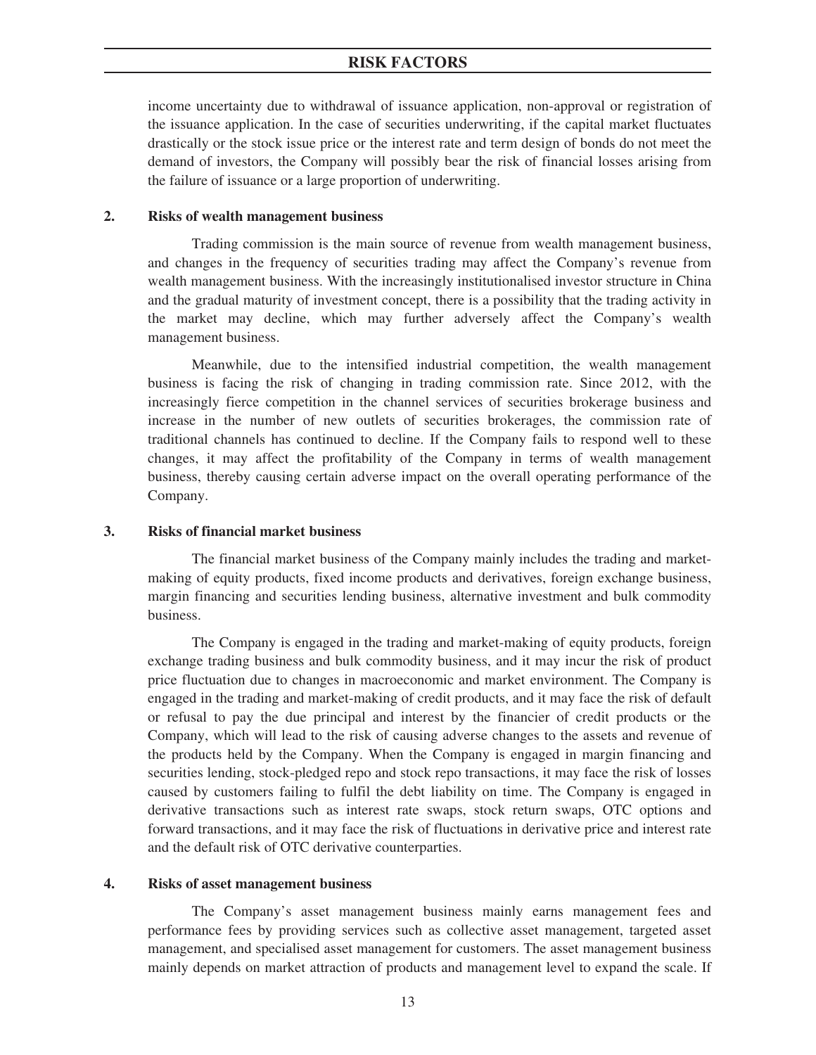income uncertainty due to withdrawal of issuance application, non-approval or registration of the issuance application. In the case of securities underwriting, if the capital market fluctuates drastically or the stock issue price or the interest rate and term design of bonds do not meet the demand of investors, the Company will possibly bear the risk of financial losses arising from the failure of issuance or a large proportion of underwriting.

### **2. Risks of wealth management business**

Trading commission is the main source of revenue from wealth management business, and changes in the frequency of securities trading may affect the Company's revenue from wealth management business. With the increasingly institutionalised investor structure in China and the gradual maturity of investment concept, there is a possibility that the trading activity in the market may decline, which may further adversely affect the Company's wealth management business.

Meanwhile, due to the intensified industrial competition, the wealth management business is facing the risk of changing in trading commission rate. Since 2012, with the increasingly fierce competition in the channel services of securities brokerage business and increase in the number of new outlets of securities brokerages, the commission rate of traditional channels has continued to decline. If the Company fails to respond well to these changes, it may affect the profitability of the Company in terms of wealth management business, thereby causing certain adverse impact on the overall operating performance of the Company.

#### **3. Risks of financial market business**

The financial market business of the Company mainly includes the trading and marketmaking of equity products, fixed income products and derivatives, foreign exchange business, margin financing and securities lending business, alternative investment and bulk commodity business.

The Company is engaged in the trading and market-making of equity products, foreign exchange trading business and bulk commodity business, and it may incur the risk of product price fluctuation due to changes in macroeconomic and market environment. The Company is engaged in the trading and market-making of credit products, and it may face the risk of default or refusal to pay the due principal and interest by the financier of credit products or the Company, which will lead to the risk of causing adverse changes to the assets and revenue of the products held by the Company. When the Company is engaged in margin financing and securities lending, stock-pledged repo and stock repo transactions, it may face the risk of losses caused by customers failing to fulfil the debt liability on time. The Company is engaged in derivative transactions such as interest rate swaps, stock return swaps, OTC options and forward transactions, and it may face the risk of fluctuations in derivative price and interest rate and the default risk of OTC derivative counterparties.

#### **4. Risks of asset management business**

The Company's asset management business mainly earns management fees and performance fees by providing services such as collective asset management, targeted asset management, and specialised asset management for customers. The asset management business mainly depends on market attraction of products and management level to expand the scale. If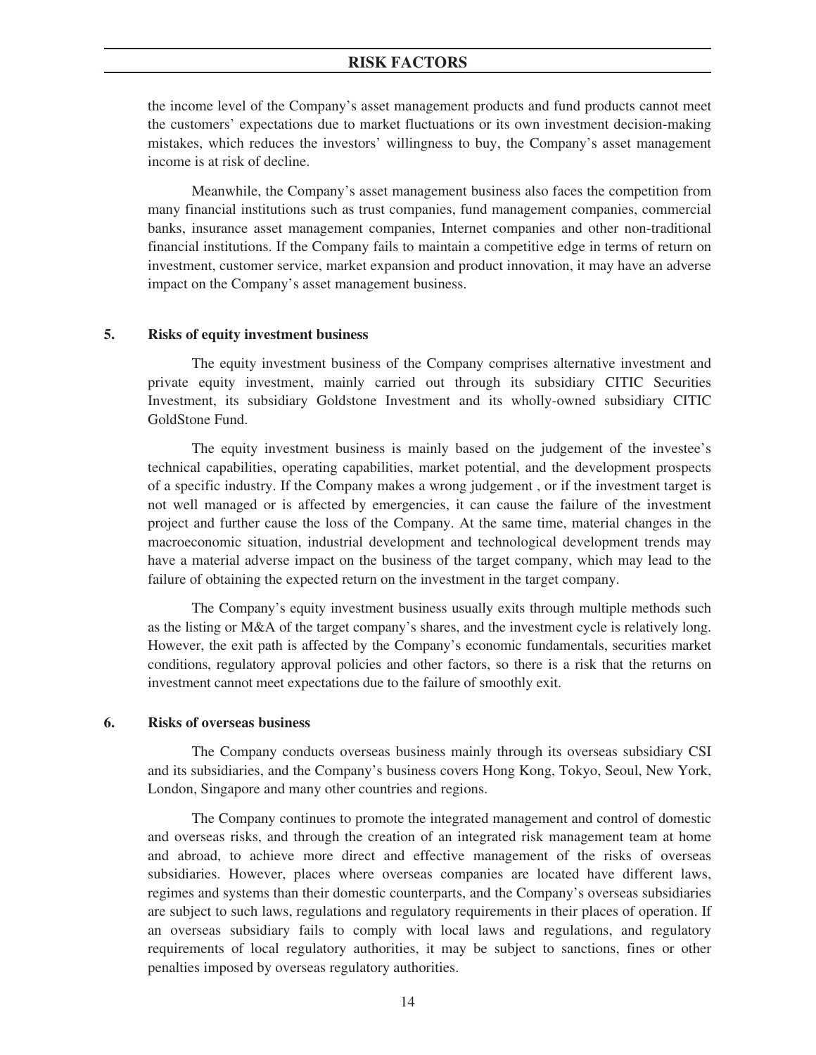the income level of the Company's asset management products and fund products cannot meet the customers' expectations due to market fluctuations or its own investment decision-making mistakes, which reduces the investors' willingness to buy, the Company's asset management income is at risk of decline.

Meanwhile, the Company's asset management business also faces the competition from many financial institutions such as trust companies, fund management companies, commercial banks, insurance asset management companies, Internet companies and other non-traditional financial institutions. If the Company fails to maintain a competitive edge in terms of return on investment, customer service, market expansion and product innovation, it may have an adverse impact on the Company's asset management business.

#### **5. Risks of equity investment business**

The equity investment business of the Company comprises alternative investment and private equity investment, mainly carried out through its subsidiary CITIC Securities Investment, its subsidiary Goldstone Investment and its wholly-owned subsidiary CITIC GoldStone Fund.

The equity investment business is mainly based on the judgement of the investee's technical capabilities, operating capabilities, market potential, and the development prospects of a specific industry. If the Company makes a wrong judgement , or if the investment target is not well managed or is affected by emergencies, it can cause the failure of the investment project and further cause the loss of the Company. At the same time, material changes in the macroeconomic situation, industrial development and technological development trends may have a material adverse impact on the business of the target company, which may lead to the failure of obtaining the expected return on the investment in the target company.

The Company's equity investment business usually exits through multiple methods such as the listing or M&A of the target company's shares, and the investment cycle is relatively long. However, the exit path is affected by the Company's economic fundamentals, securities market conditions, regulatory approval policies and other factors, so there is a risk that the returns on investment cannot meet expectations due to the failure of smoothly exit.

#### **6. Risks of overseas business**

The Company conducts overseas business mainly through its overseas subsidiary CSI and its subsidiaries, and the Company's business covers Hong Kong, Tokyo, Seoul, New York, London, Singapore and many other countries and regions.

The Company continues to promote the integrated management and control of domestic and overseas risks, and through the creation of an integrated risk management team at home and abroad, to achieve more direct and effective management of the risks of overseas subsidiaries. However, places where overseas companies are located have different laws, regimes and systems than their domestic counterparts, and the Company's overseas subsidiaries are subject to such laws, regulations and regulatory requirements in their places of operation. If an overseas subsidiary fails to comply with local laws and regulations, and regulatory requirements of local regulatory authorities, it may be subject to sanctions, fines or other penalties imposed by overseas regulatory authorities.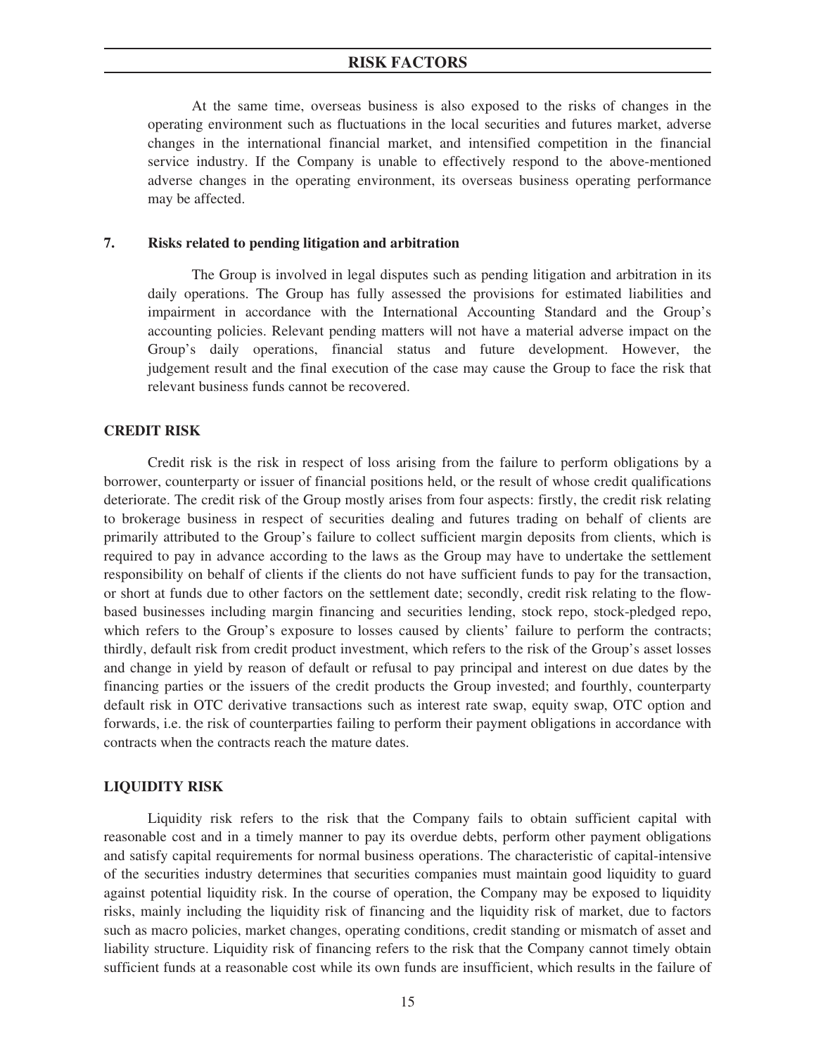At the same time, overseas business is also exposed to the risks of changes in the operating environment such as fluctuations in the local securities and futures market, adverse changes in the international financial market, and intensified competition in the financial service industry. If the Company is unable to effectively respond to the above-mentioned adverse changes in the operating environment, its overseas business operating performance may be affected.

## **7. Risks related to pending litigation and arbitration**

The Group is involved in legal disputes such as pending litigation and arbitration in its daily operations. The Group has fully assessed the provisions for estimated liabilities and impairment in accordance with the International Accounting Standard and the Group's accounting policies. Relevant pending matters will not have a material adverse impact on the Group's daily operations, financial status and future development. However, the judgement result and the final execution of the case may cause the Group to face the risk that relevant business funds cannot be recovered.

#### **CREDIT RISK**

Credit risk is the risk in respect of loss arising from the failure to perform obligations by a borrower, counterparty or issuer of financial positions held, or the result of whose credit qualifications deteriorate. The credit risk of the Group mostly arises from four aspects: firstly, the credit risk relating to brokerage business in respect of securities dealing and futures trading on behalf of clients are primarily attributed to the Group's failure to collect sufficient margin deposits from clients, which is required to pay in advance according to the laws as the Group may have to undertake the settlement responsibility on behalf of clients if the clients do not have sufficient funds to pay for the transaction, or short at funds due to other factors on the settlement date; secondly, credit risk relating to the flowbased businesses including margin financing and securities lending, stock repo, stock-pledged repo, which refers to the Group's exposure to losses caused by clients' failure to perform the contracts; thirdly, default risk from credit product investment, which refers to the risk of the Group's asset losses and change in yield by reason of default or refusal to pay principal and interest on due dates by the financing parties or the issuers of the credit products the Group invested; and fourthly, counterparty default risk in OTC derivative transactions such as interest rate swap, equity swap, OTC option and forwards, i.e. the risk of counterparties failing to perform their payment obligations in accordance with contracts when the contracts reach the mature dates.

#### **LIQUIDITY RISK**

Liquidity risk refers to the risk that the Company fails to obtain sufficient capital with reasonable cost and in a timely manner to pay its overdue debts, perform other payment obligations and satisfy capital requirements for normal business operations. The characteristic of capital-intensive of the securities industry determines that securities companies must maintain good liquidity to guard against potential liquidity risk. In the course of operation, the Company may be exposed to liquidity risks, mainly including the liquidity risk of financing and the liquidity risk of market, due to factors such as macro policies, market changes, operating conditions, credit standing or mismatch of asset and liability structure. Liquidity risk of financing refers to the risk that the Company cannot timely obtain sufficient funds at a reasonable cost while its own funds are insufficient, which results in the failure of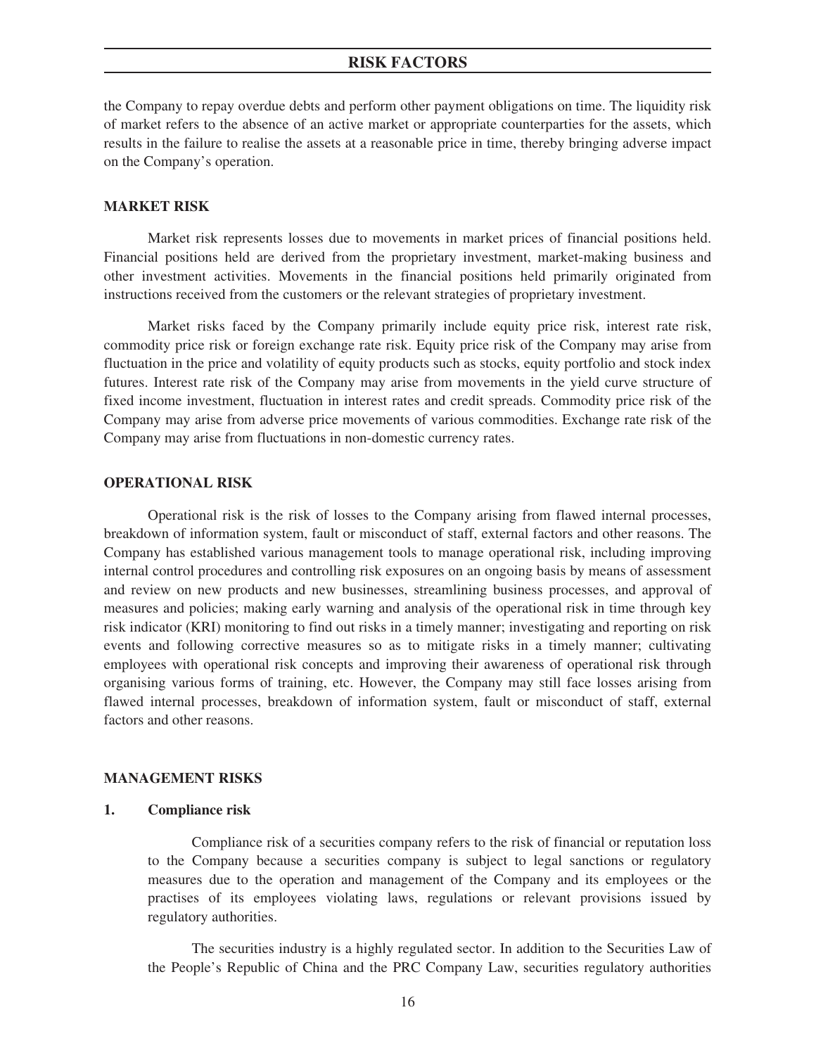the Company to repay overdue debts and perform other payment obligations on time. The liquidity risk of market refers to the absence of an active market or appropriate counterparties for the assets, which results in the failure to realise the assets at a reasonable price in time, thereby bringing adverse impact on the Company's operation.

#### **MARKET RISK**

Market risk represents losses due to movements in market prices of financial positions held. Financial positions held are derived from the proprietary investment, market-making business and other investment activities. Movements in the financial positions held primarily originated from instructions received from the customers or the relevant strategies of proprietary investment.

Market risks faced by the Company primarily include equity price risk, interest rate risk, commodity price risk or foreign exchange rate risk. Equity price risk of the Company may arise from fluctuation in the price and volatility of equity products such as stocks, equity portfolio and stock index futures. Interest rate risk of the Company may arise from movements in the yield curve structure of fixed income investment, fluctuation in interest rates and credit spreads. Commodity price risk of the Company may arise from adverse price movements of various commodities. Exchange rate risk of the Company may arise from fluctuations in non-domestic currency rates.

## **OPERATIONAL RISK**

Operational risk is the risk of losses to the Company arising from flawed internal processes, breakdown of information system, fault or misconduct of staff, external factors and other reasons. The Company has established various management tools to manage operational risk, including improving internal control procedures and controlling risk exposures on an ongoing basis by means of assessment and review on new products and new businesses, streamlining business processes, and approval of measures and policies; making early warning and analysis of the operational risk in time through key risk indicator (KRI) monitoring to find out risks in a timely manner; investigating and reporting on risk events and following corrective measures so as to mitigate risks in a timely manner; cultivating employees with operational risk concepts and improving their awareness of operational risk through organising various forms of training, etc. However, the Company may still face losses arising from flawed internal processes, breakdown of information system, fault or misconduct of staff, external factors and other reasons.

## **MANAGEMENT RISKS**

## **1. Compliance risk**

Compliance risk of a securities company refers to the risk of financial or reputation loss to the Company because a securities company is subject to legal sanctions or regulatory measures due to the operation and management of the Company and its employees or the practises of its employees violating laws, regulations or relevant provisions issued by regulatory authorities.

The securities industry is a highly regulated sector. In addition to the Securities Law of the People's Republic of China and the PRC Company Law, securities regulatory authorities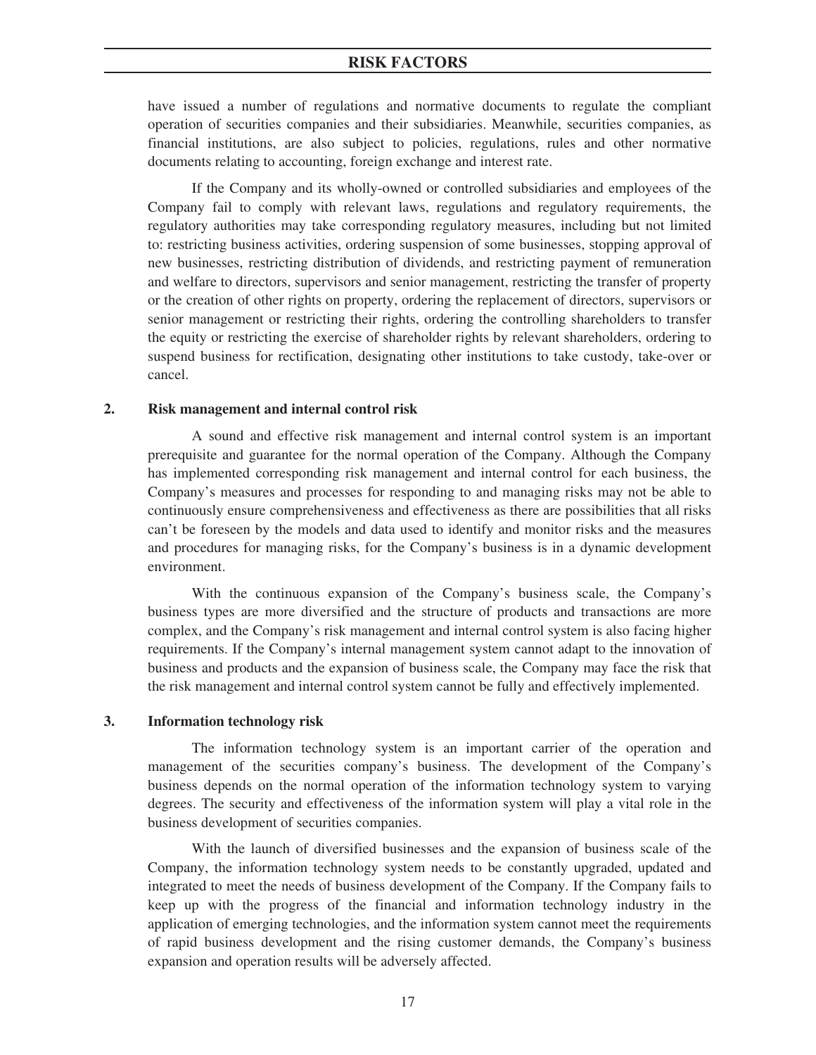have issued a number of regulations and normative documents to regulate the compliant operation of securities companies and their subsidiaries. Meanwhile, securities companies, as financial institutions, are also subject to policies, regulations, rules and other normative documents relating to accounting, foreign exchange and interest rate.

If the Company and its wholly-owned or controlled subsidiaries and employees of the Company fail to comply with relevant laws, regulations and regulatory requirements, the regulatory authorities may take corresponding regulatory measures, including but not limited to: restricting business activities, ordering suspension of some businesses, stopping approval of new businesses, restricting distribution of dividends, and restricting payment of remuneration and welfare to directors, supervisors and senior management, restricting the transfer of property or the creation of other rights on property, ordering the replacement of directors, supervisors or senior management or restricting their rights, ordering the controlling shareholders to transfer the equity or restricting the exercise of shareholder rights by relevant shareholders, ordering to suspend business for rectification, designating other institutions to take custody, take-over or cancel.

## **2. Risk management and internal control risk**

A sound and effective risk management and internal control system is an important prerequisite and guarantee for the normal operation of the Company. Although the Company has implemented corresponding risk management and internal control for each business, the Company's measures and processes for responding to and managing risks may not be able to continuously ensure comprehensiveness and effectiveness as there are possibilities that all risks can't be foreseen by the models and data used to identify and monitor risks and the measures and procedures for managing risks, for the Company's business is in a dynamic development environment.

With the continuous expansion of the Company's business scale, the Company's business types are more diversified and the structure of products and transactions are more complex, and the Company's risk management and internal control system is also facing higher requirements. If the Company's internal management system cannot adapt to the innovation of business and products and the expansion of business scale, the Company may face the risk that the risk management and internal control system cannot be fully and effectively implemented.

#### **3. Information technology risk**

The information technology system is an important carrier of the operation and management of the securities company's business. The development of the Company's business depends on the normal operation of the information technology system to varying degrees. The security and effectiveness of the information system will play a vital role in the business development of securities companies.

With the launch of diversified businesses and the expansion of business scale of the Company, the information technology system needs to be constantly upgraded, updated and integrated to meet the needs of business development of the Company. If the Company fails to keep up with the progress of the financial and information technology industry in the application of emerging technologies, and the information system cannot meet the requirements of rapid business development and the rising customer demands, the Company's business expansion and operation results will be adversely affected.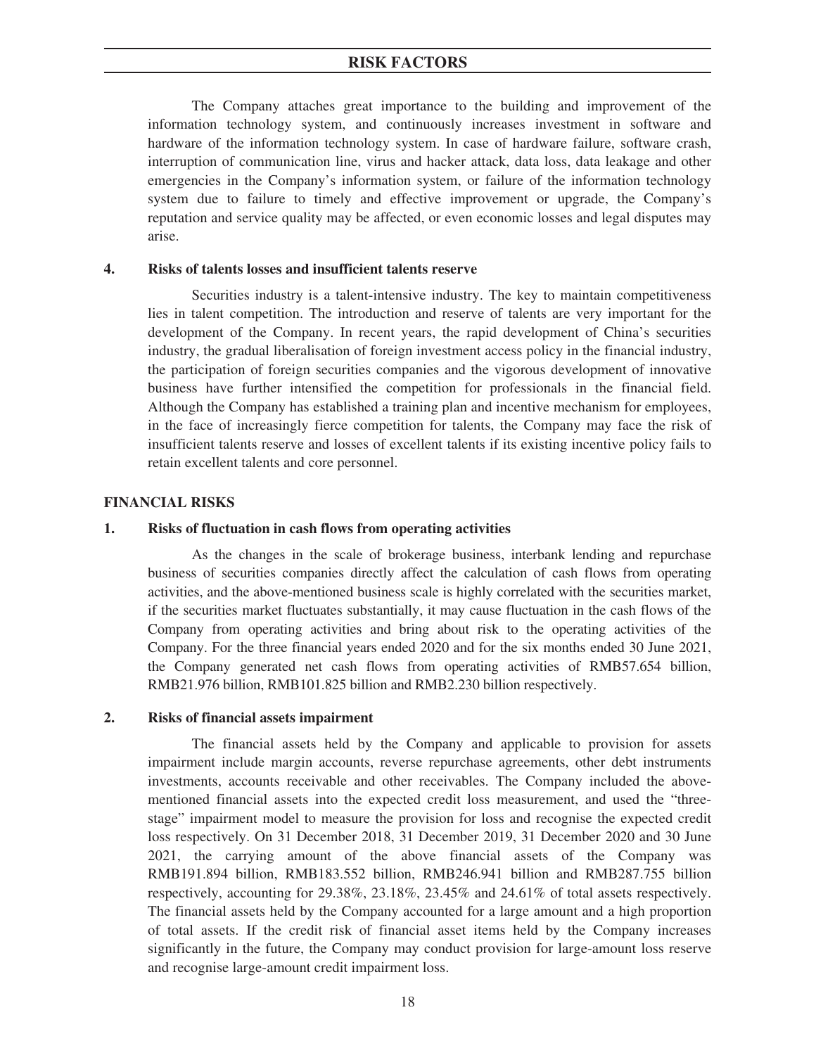The Company attaches great importance to the building and improvement of the information technology system, and continuously increases investment in software and hardware of the information technology system. In case of hardware failure, software crash, interruption of communication line, virus and hacker attack, data loss, data leakage and other emergencies in the Company's information system, or failure of the information technology system due to failure to timely and effective improvement or upgrade, the Company's reputation and service quality may be affected, or even economic losses and legal disputes may arise.

## **4. Risks of talents losses and insufficient talents reserve**

Securities industry is a talent-intensive industry. The key to maintain competitiveness lies in talent competition. The introduction and reserve of talents are very important for the development of the Company. In recent years, the rapid development of China's securities industry, the gradual liberalisation of foreign investment access policy in the financial industry, the participation of foreign securities companies and the vigorous development of innovative business have further intensified the competition for professionals in the financial field. Although the Company has established a training plan and incentive mechanism for employees, in the face of increasingly fierce competition for talents, the Company may face the risk of insufficient talents reserve and losses of excellent talents if its existing incentive policy fails to retain excellent talents and core personnel.

## **FINANCIAL RISKS**

## **1. Risks of fluctuation in cash flows from operating activities**

As the changes in the scale of brokerage business, interbank lending and repurchase business of securities companies directly affect the calculation of cash flows from operating activities, and the above-mentioned business scale is highly correlated with the securities market, if the securities market fluctuates substantially, it may cause fluctuation in the cash flows of the Company from operating activities and bring about risk to the operating activities of the Company. For the three financial years ended 2020 and for the six months ended 30 June 2021, the Company generated net cash flows from operating activities of RMB57.654 billion, RMB21.976 billion, RMB101.825 billion and RMB2.230 billion respectively.

## **2. Risks of financial assets impairment**

The financial assets held by the Company and applicable to provision for assets impairment include margin accounts, reverse repurchase agreements, other debt instruments investments, accounts receivable and other receivables. The Company included the abovementioned financial assets into the expected credit loss measurement, and used the "threestage" impairment model to measure the provision for loss and recognise the expected credit loss respectively. On 31 December 2018, 31 December 2019, 31 December 2020 and 30 June 2021, the carrying amount of the above financial assets of the Company was RMB191.894 billion, RMB183.552 billion, RMB246.941 billion and RMB287.755 billion respectively, accounting for 29.38%, 23.18%, 23.45% and 24.61% of total assets respectively. The financial assets held by the Company accounted for a large amount and a high proportion of total assets. If the credit risk of financial asset items held by the Company increases significantly in the future, the Company may conduct provision for large-amount loss reserve and recognise large-amount credit impairment loss.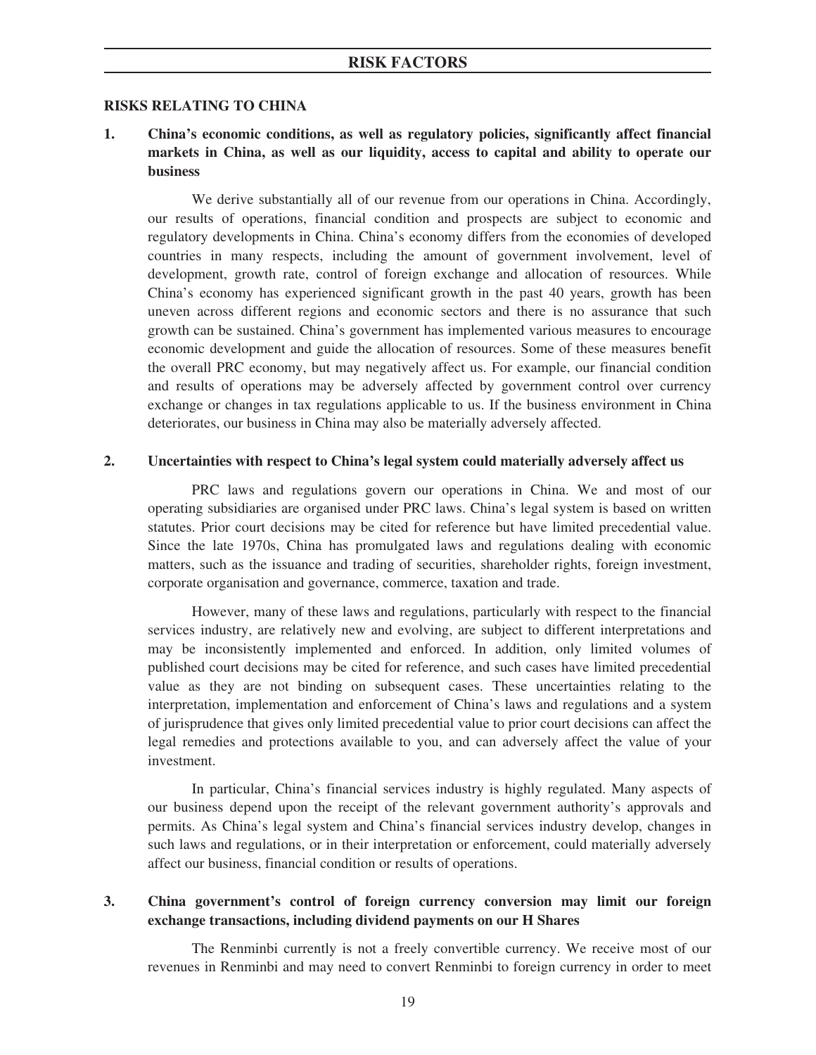## **RISKS RELATING TO CHINA**

**1. China's economic conditions, as well as regulatory policies, significantly affect financial markets in China, as well as our liquidity, access to capital and ability to operate our business**

We derive substantially all of our revenue from our operations in China. Accordingly, our results of operations, financial condition and prospects are subject to economic and regulatory developments in China. China's economy differs from the economies of developed countries in many respects, including the amount of government involvement, level of development, growth rate, control of foreign exchange and allocation of resources. While China's economy has experienced significant growth in the past 40 years, growth has been uneven across different regions and economic sectors and there is no assurance that such growth can be sustained. China's government has implemented various measures to encourage economic development and guide the allocation of resources. Some of these measures benefit the overall PRC economy, but may negatively affect us. For example, our financial condition and results of operations may be adversely affected by government control over currency exchange or changes in tax regulations applicable to us. If the business environment in China deteriorates, our business in China may also be materially adversely affected.

## **2. Uncertainties with respect to China's legal system could materially adversely affect us**

PRC laws and regulations govern our operations in China. We and most of our operating subsidiaries are organised under PRC laws. China's legal system is based on written statutes. Prior court decisions may be cited for reference but have limited precedential value. Since the late 1970s, China has promulgated laws and regulations dealing with economic matters, such as the issuance and trading of securities, shareholder rights, foreign investment, corporate organisation and governance, commerce, taxation and trade.

However, many of these laws and regulations, particularly with respect to the financial services industry, are relatively new and evolving, are subject to different interpretations and may be inconsistently implemented and enforced. In addition, only limited volumes of published court decisions may be cited for reference, and such cases have limited precedential value as they are not binding on subsequent cases. These uncertainties relating to the interpretation, implementation and enforcement of China's laws and regulations and a system of jurisprudence that gives only limited precedential value to prior court decisions can affect the legal remedies and protections available to you, and can adversely affect the value of your investment.

In particular, China's financial services industry is highly regulated. Many aspects of our business depend upon the receipt of the relevant government authority's approvals and permits. As China's legal system and China's financial services industry develop, changes in such laws and regulations, or in their interpretation or enforcement, could materially adversely affect our business, financial condition or results of operations.

## **3. China government's control of foreign currency conversion may limit our foreign exchange transactions, including dividend payments on our H Shares**

The Renminbi currently is not a freely convertible currency. We receive most of our revenues in Renminbi and may need to convert Renminbi to foreign currency in order to meet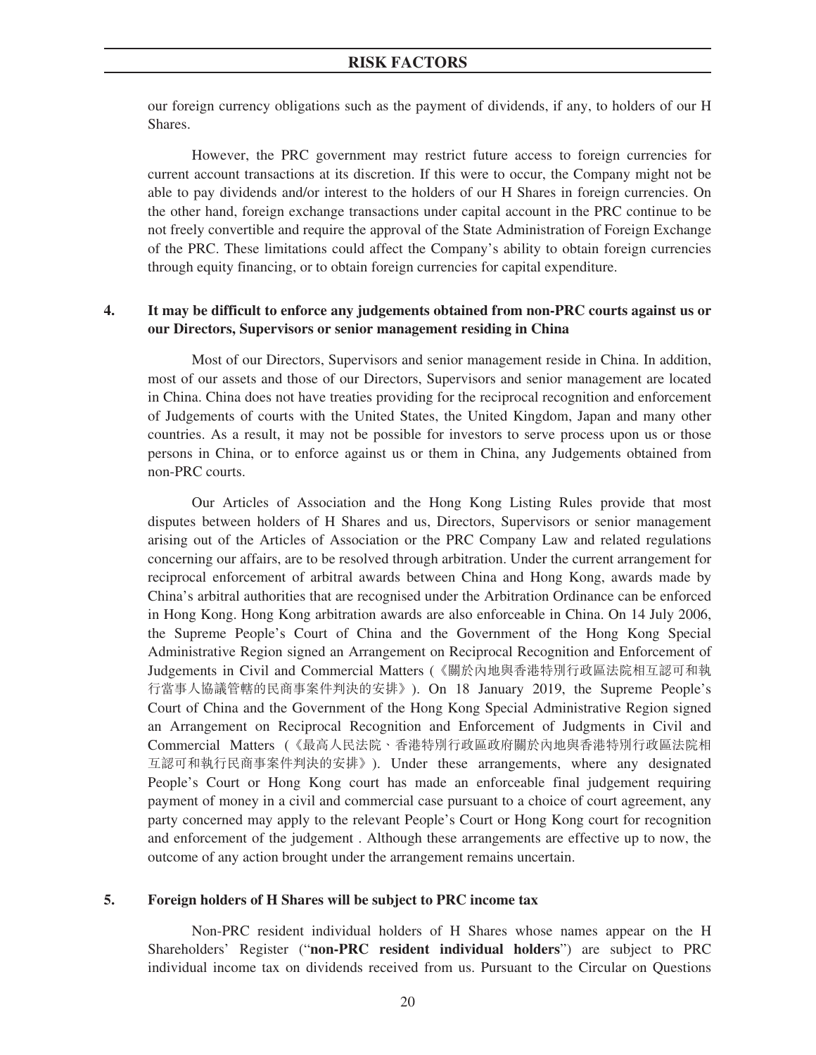our foreign currency obligations such as the payment of dividends, if any, to holders of our H Shares.

However, the PRC government may restrict future access to foreign currencies for current account transactions at its discretion. If this were to occur, the Company might not be able to pay dividends and/or interest to the holders of our H Shares in foreign currencies. On the other hand, foreign exchange transactions under capital account in the PRC continue to be not freely convertible and require the approval of the State Administration of Foreign Exchange of the PRC. These limitations could affect the Company's ability to obtain foreign currencies through equity financing, or to obtain foreign currencies for capital expenditure.

## **4. It may be difficult to enforce any judgements obtained from non-PRC courts against us or our Directors, Supervisors or senior management residing in China**

Most of our Directors, Supervisors and senior management reside in China. In addition, most of our assets and those of our Directors, Supervisors and senior management are located in China. China does not have treaties providing for the reciprocal recognition and enforcement of Judgements of courts with the United States, the United Kingdom, Japan and many other countries. As a result, it may not be possible for investors to serve process upon us or those persons in China, or to enforce against us or them in China, any Judgements obtained from non-PRC courts.

Our Articles of Association and the Hong Kong Listing Rules provide that most disputes between holders of H Shares and us, Directors, Supervisors or senior management arising out of the Articles of Association or the PRC Company Law and related regulations concerning our affairs, are to be resolved through arbitration. Under the current arrangement for reciprocal enforcement of arbitral awards between China and Hong Kong, awards made by China's arbitral authorities that are recognised under the Arbitration Ordinance can be enforced in Hong Kong. Hong Kong arbitration awards are also enforceable in China. On 14 July 2006, the Supreme People's Court of China and the Government of the Hong Kong Special Administrative Region signed an Arrangement on Reciprocal Recognition and Enforcement of Judgements in Civil and Commercial Matters (《關於內地與香港特別行政區法院相互認可和執 行當事人協議管轄的民商事案件判決的安排》). On 18 January 2019, the Supreme People's Court of China and the Government of the Hong Kong Special Administrative Region signed an Arrangement on Reciprocal Recognition and Enforcement of Judgments in Civil and Commercial Matters (《最高人民法院、香港特別行政區政府關於內地與香港特別行政區法院相 互認可和執行民商事案件判決的安排》). Under these arrangements, where any designated People's Court or Hong Kong court has made an enforceable final judgement requiring payment of money in a civil and commercial case pursuant to a choice of court agreement, any party concerned may apply to the relevant People's Court or Hong Kong court for recognition and enforcement of the judgement . Although these arrangements are effective up to now, the outcome of any action brought under the arrangement remains uncertain.

## **5. Foreign holders of H Shares will be subject to PRC income tax**

Non-PRC resident individual holders of H Shares whose names appear on the H Shareholders' Register ("**non-PRC resident individual holders**") are subject to PRC individual income tax on dividends received from us. Pursuant to the Circular on Questions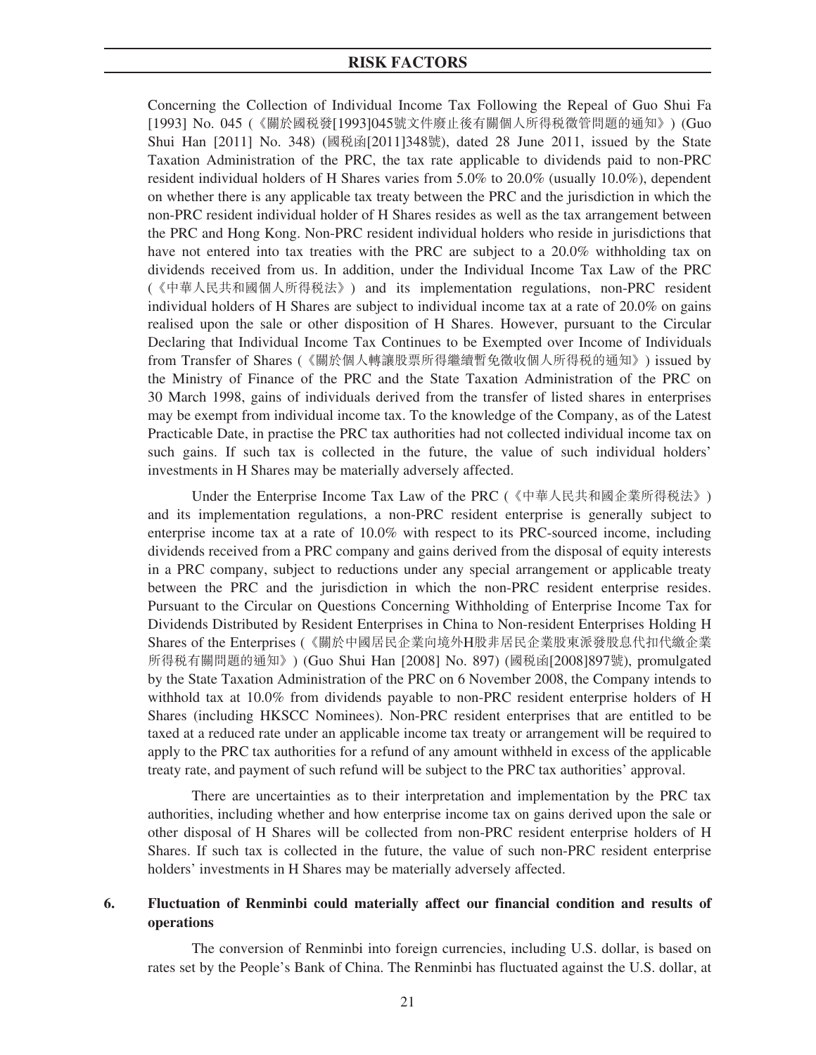Concerning the Collection of Individual Income Tax Following the Repeal of Guo Shui Fa [1993] No. 045 (《關於國稅發[1993]045號文件廢止後有關個人所得稅徵管問題的通知》) (Guo Shui Han [2011] No. 348) (國稅函[2011]348號), dated 28 June 2011, issued by the State Taxation Administration of the PRC, the tax rate applicable to dividends paid to non-PRC resident individual holders of H Shares varies from 5.0% to 20.0% (usually 10.0%), dependent on whether there is any applicable tax treaty between the PRC and the jurisdiction in which the non-PRC resident individual holder of H Shares resides as well as the tax arrangement between the PRC and Hong Kong. Non-PRC resident individual holders who reside in jurisdictions that have not entered into tax treaties with the PRC are subject to a 20.0% withholding tax on dividends received from us. In addition, under the Individual Income Tax Law of the PRC (《中華人民共和國個人所得稅法》) and its implementation regulations, non-PRC resident individual holders of H Shares are subject to individual income tax at a rate of 20.0% on gains realised upon the sale or other disposition of H Shares. However, pursuant to the Circular Declaring that Individual Income Tax Continues to be Exempted over Income of Individuals from Transfer of Shares (《關於個人轉讓股票所得繼續暫免徵收個人所得稅的通知》) issued by the Ministry of Finance of the PRC and the State Taxation Administration of the PRC on 30 March 1998, gains of individuals derived from the transfer of listed shares in enterprises may be exempt from individual income tax. To the knowledge of the Company, as of the Latest Practicable Date, in practise the PRC tax authorities had not collected individual income tax on such gains. If such tax is collected in the future, the value of such individual holders' investments in H Shares may be materially adversely affected.

Under the Enterprise Income Tax Law of the PRC (《中華人民共和國企業所得稅法》) and its implementation regulations, a non-PRC resident enterprise is generally subject to enterprise income tax at a rate of 10.0% with respect to its PRC-sourced income, including dividends received from a PRC company and gains derived from the disposal of equity interests in a PRC company, subject to reductions under any special arrangement or applicable treaty between the PRC and the jurisdiction in which the non-PRC resident enterprise resides. Pursuant to the Circular on Questions Concerning Withholding of Enterprise Income Tax for Dividends Distributed by Resident Enterprises in China to Non-resident Enterprises Holding H Shares of the Enterprises (《關於中國居民企業向境外H股非居民企業股東派發股息代扣代繳企業 所得稅有關問題的通知》) (Guo Shui Han [2008] No. 897) (國稅函[2008]897號), promulgated by the State Taxation Administration of the PRC on 6 November 2008, the Company intends to withhold tax at 10.0% from dividends payable to non-PRC resident enterprise holders of H Shares (including HKSCC Nominees). Non-PRC resident enterprises that are entitled to be taxed at a reduced rate under an applicable income tax treaty or arrangement will be required to apply to the PRC tax authorities for a refund of any amount withheld in excess of the applicable treaty rate, and payment of such refund will be subject to the PRC tax authorities' approval.

There are uncertainties as to their interpretation and implementation by the PRC tax authorities, including whether and how enterprise income tax on gains derived upon the sale or other disposal of H Shares will be collected from non-PRC resident enterprise holders of H Shares. If such tax is collected in the future, the value of such non-PRC resident enterprise holders' investments in H Shares may be materially adversely affected.

## **6. Fluctuation of Renminbi could materially affect our financial condition and results of operations**

The conversion of Renminbi into foreign currencies, including U.S. dollar, is based on rates set by the People's Bank of China. The Renminbi has fluctuated against the U.S. dollar, at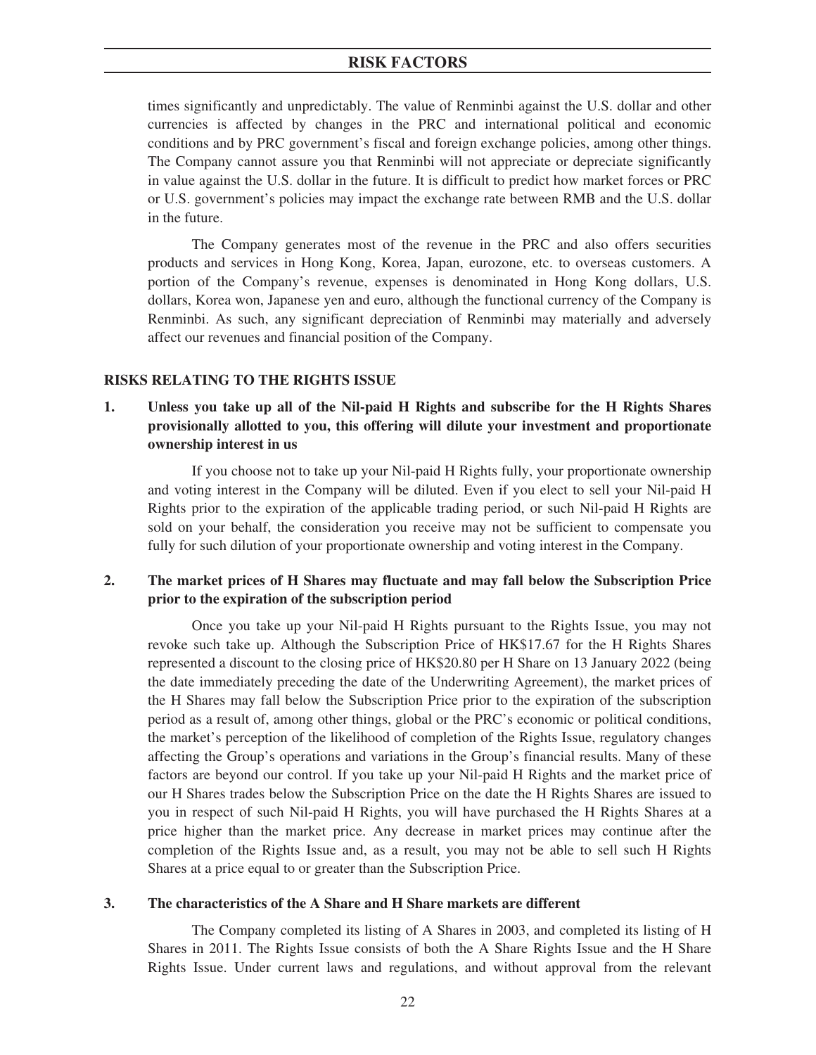times significantly and unpredictably. The value of Renminbi against the U.S. dollar and other currencies is affected by changes in the PRC and international political and economic conditions and by PRC government's fiscal and foreign exchange policies, among other things. The Company cannot assure you that Renminbi will not appreciate or depreciate significantly in value against the U.S. dollar in the future. It is difficult to predict how market forces or PRC or U.S. government's policies may impact the exchange rate between RMB and the U.S. dollar in the future.

The Company generates most of the revenue in the PRC and also offers securities products and services in Hong Kong, Korea, Japan, eurozone, etc. to overseas customers. A portion of the Company's revenue, expenses is denominated in Hong Kong dollars, U.S. dollars, Korea won, Japanese yen and euro, although the functional currency of the Company is Renminbi. As such, any significant depreciation of Renminbi may materially and adversely affect our revenues and financial position of the Company.

## **RISKS RELATING TO THE RIGHTS ISSUE**

**1. Unless you take up all of the Nil-paid H Rights and subscribe for the H Rights Shares provisionally allotted to you, this offering will dilute your investment and proportionate ownership interest in us**

If you choose not to take up your Nil-paid H Rights fully, your proportionate ownership and voting interest in the Company will be diluted. Even if you elect to sell your Nil-paid H Rights prior to the expiration of the applicable trading period, or such Nil-paid H Rights are sold on your behalf, the consideration you receive may not be sufficient to compensate you fully for such dilution of your proportionate ownership and voting interest in the Company.

## **2. The market prices of H Shares may fluctuate and may fall below the Subscription Price prior to the expiration of the subscription period**

Once you take up your Nil-paid H Rights pursuant to the Rights Issue, you may not revoke such take up. Although the Subscription Price of HK\$17.67 for the H Rights Shares represented a discount to the closing price of HK\$20.80 per H Share on 13 January 2022 (being the date immediately preceding the date of the Underwriting Agreement), the market prices of the H Shares may fall below the Subscription Price prior to the expiration of the subscription period as a result of, among other things, global or the PRC's economic or political conditions, the market's perception of the likelihood of completion of the Rights Issue, regulatory changes affecting the Group's operations and variations in the Group's financial results. Many of these factors are beyond our control. If you take up your Nil-paid H Rights and the market price of our H Shares trades below the Subscription Price on the date the H Rights Shares are issued to you in respect of such Nil-paid H Rights, you will have purchased the H Rights Shares at a price higher than the market price. Any decrease in market prices may continue after the completion of the Rights Issue and, as a result, you may not be able to sell such H Rights Shares at a price equal to or greater than the Subscription Price.

## **3. The characteristics of the A Share and H Share markets are different**

The Company completed its listing of A Shares in 2003, and completed its listing of H Shares in 2011. The Rights Issue consists of both the A Share Rights Issue and the H Share Rights Issue. Under current laws and regulations, and without approval from the relevant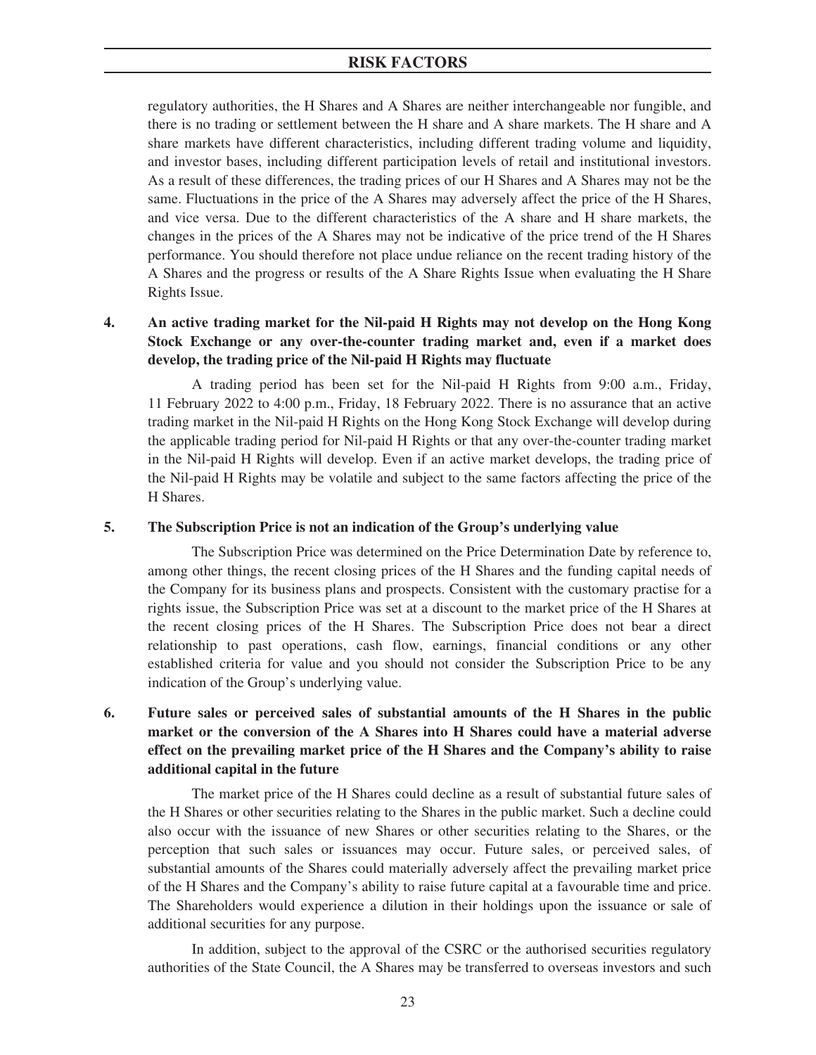regulatory authorities, the H Shares and A Shares are neither interchangeable nor fungible, and there is no trading or settlement between the H share and A share markets. The H share and A share markets have different characteristics, including different trading volume and liquidity, and investor bases, including different participation levels of retail and institutional investors. As a result of these differences, the trading prices of our H Shares and A Shares may not be the same. Fluctuations in the price of the A Shares may adversely affect the price of the H Shares, and vice versa. Due to the different characteristics of the A share and H share markets, the changes in the prices of the A Shares may not be indicative of the price trend of the H Shares performance. You should therefore not place undue reliance on the recent trading history of the A Shares and the progress or results of the A Share Rights Issue when evaluating the H Share Rights Issue.

## **4. An active trading market for the Nil-paid H Rights may not develop on the Hong Kong Stock Exchange or any over-the-counter trading market and, even if a market does develop, the trading price of the Nil-paid H Rights may fluctuate**

A trading period has been set for the Nil-paid H Rights from 9:00 a.m., Friday, 11 February 2022 to 4:00 p.m., Friday, 18 February 2022. There is no assurance that an active trading market in the Nil-paid H Rights on the Hong Kong Stock Exchange will develop during the applicable trading period for Nil-paid H Rights or that any over-the-counter trading market in the Nil-paid H Rights will develop. Even if an active market develops, the trading price of the Nil-paid H Rights may be volatile and subject to the same factors affecting the price of the H Shares.

## **5. The Subscription Price is not an indication of the Group's underlying value**

The Subscription Price was determined on the Price Determination Date by reference to, among other things, the recent closing prices of the H Shares and the funding capital needs of the Company for its business plans and prospects. Consistent with the customary practise for a rights issue, the Subscription Price was set at a discount to the market price of the H Shares at the recent closing prices of the H Shares. The Subscription Price does not bear a direct relationship to past operations, cash flow, earnings, financial conditions or any other established criteria for value and you should not consider the Subscription Price to be any indication of the Group's underlying value.

## **6. Future sales or perceived sales of substantial amounts of the H Shares in the public market or the conversion of the A Shares into H Shares could have a material adverse effect on the prevailing market price of the H Shares and the Company's ability to raise additional capital in the future**

The market price of the H Shares could decline as a result of substantial future sales of the H Shares or other securities relating to the Shares in the public market. Such a decline could also occur with the issuance of new Shares or other securities relating to the Shares, or the perception that such sales or issuances may occur. Future sales, or perceived sales, of substantial amounts of the Shares could materially adversely affect the prevailing market price of the H Shares and the Company's ability to raise future capital at a favourable time and price. The Shareholders would experience a dilution in their holdings upon the issuance or sale of additional securities for any purpose.

In addition, subject to the approval of the CSRC or the authorised securities regulatory authorities of the State Council, the A Shares may be transferred to overseas investors and such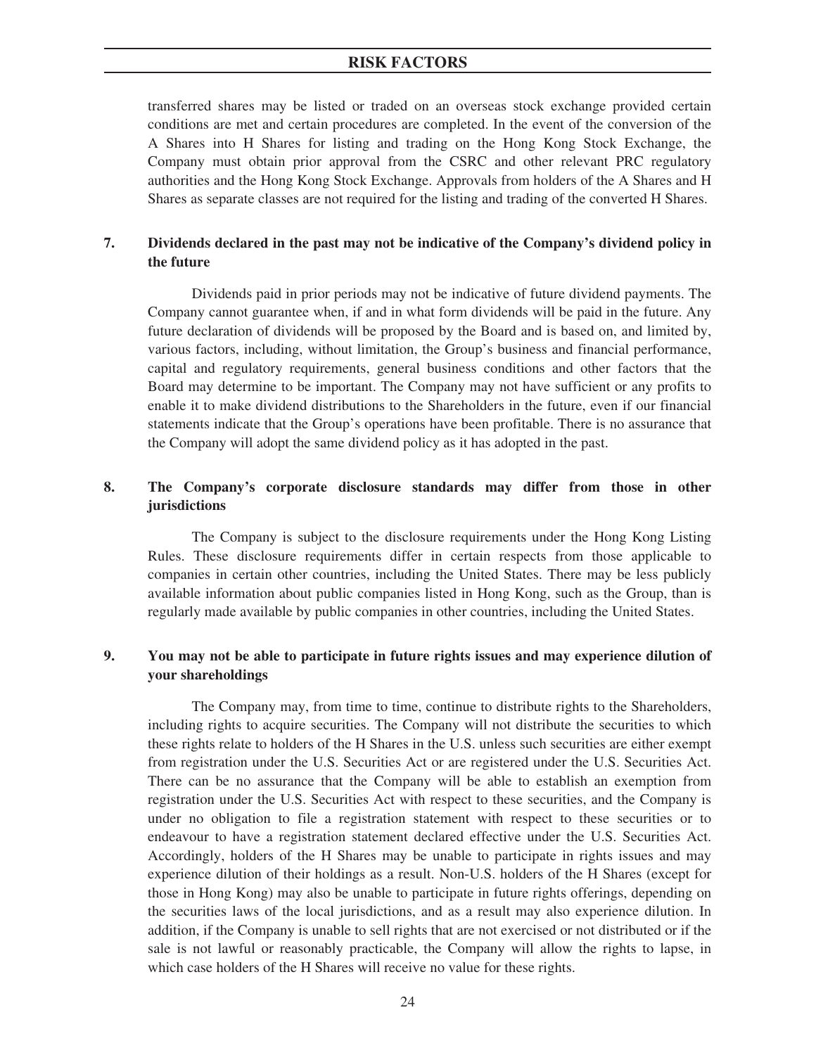## **RISK FACTORS**

transferred shares may be listed or traded on an overseas stock exchange provided certain conditions are met and certain procedures are completed. In the event of the conversion of the A Shares into H Shares for listing and trading on the Hong Kong Stock Exchange, the Company must obtain prior approval from the CSRC and other relevant PRC regulatory authorities and the Hong Kong Stock Exchange. Approvals from holders of the A Shares and H Shares as separate classes are not required for the listing and trading of the converted H Shares.

# **7. Dividends declared in the past may not be indicative of the Company's dividend policy in the future**

Dividends paid in prior periods may not be indicative of future dividend payments. The Company cannot guarantee when, if and in what form dividends will be paid in the future. Any future declaration of dividends will be proposed by the Board and is based on, and limited by, various factors, including, without limitation, the Group's business and financial performance, capital and regulatory requirements, general business conditions and other factors that the Board may determine to be important. The Company may not have sufficient or any profits to enable it to make dividend distributions to the Shareholders in the future, even if our financial statements indicate that the Group's operations have been profitable. There is no assurance that the Company will adopt the same dividend policy as it has adopted in the past.

# **8. The Company's corporate disclosure standards may differ from those in other jurisdictions**

The Company is subject to the disclosure requirements under the Hong Kong Listing Rules. These disclosure requirements differ in certain respects from those applicable to companies in certain other countries, including the United States. There may be less publicly available information about public companies listed in Hong Kong, such as the Group, than is regularly made available by public companies in other countries, including the United States.

# **9. You may not be able to participate in future rights issues and may experience dilution of your shareholdings**

The Company may, from time to time, continue to distribute rights to the Shareholders, including rights to acquire securities. The Company will not distribute the securities to which these rights relate to holders of the H Shares in the U.S. unless such securities are either exempt from registration under the U.S. Securities Act or are registered under the U.S. Securities Act. There can be no assurance that the Company will be able to establish an exemption from registration under the U.S. Securities Act with respect to these securities, and the Company is under no obligation to file a registration statement with respect to these securities or to endeavour to have a registration statement declared effective under the U.S. Securities Act. Accordingly, holders of the H Shares may be unable to participate in rights issues and may experience dilution of their holdings as a result. Non-U.S. holders of the H Shares (except for those in Hong Kong) may also be unable to participate in future rights offerings, depending on the securities laws of the local jurisdictions, and as a result may also experience dilution. In addition, if the Company is unable to sell rights that are not exercised or not distributed or if the sale is not lawful or reasonably practicable, the Company will allow the rights to lapse, in which case holders of the H Shares will receive no value for these rights.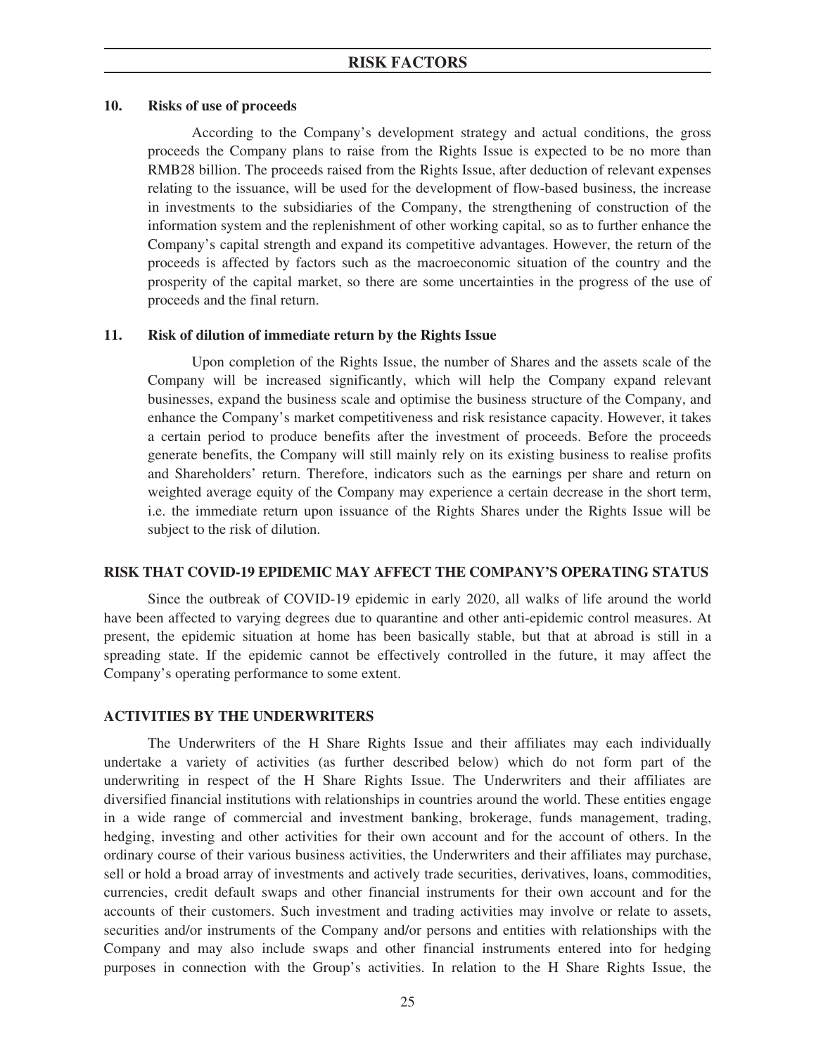### **10. Risks of use of proceeds**

According to the Company's development strategy and actual conditions, the gross proceeds the Company plans to raise from the Rights Issue is expected to be no more than RMB28 billion. The proceeds raised from the Rights Issue, after deduction of relevant expenses relating to the issuance, will be used for the development of flow-based business, the increase in investments to the subsidiaries of the Company, the strengthening of construction of the information system and the replenishment of other working capital, so as to further enhance the Company's capital strength and expand its competitive advantages. However, the return of the proceeds is affected by factors such as the macroeconomic situation of the country and the prosperity of the capital market, so there are some uncertainties in the progress of the use of proceeds and the final return.

### **11. Risk of dilution of immediate return by the Rights Issue**

Upon completion of the Rights Issue, the number of Shares and the assets scale of the Company will be increased significantly, which will help the Company expand relevant businesses, expand the business scale and optimise the business structure of the Company, and enhance the Company's market competitiveness and risk resistance capacity. However, it takes a certain period to produce benefits after the investment of proceeds. Before the proceeds generate benefits, the Company will still mainly rely on its existing business to realise profits and Shareholders' return. Therefore, indicators such as the earnings per share and return on weighted average equity of the Company may experience a certain decrease in the short term, i.e. the immediate return upon issuance of the Rights Shares under the Rights Issue will be subject to the risk of dilution.

### **RISK THAT COVID-19 EPIDEMIC MAY AFFECT THE COMPANY'S OPERATING STATUS**

Since the outbreak of COVID-19 epidemic in early 2020, all walks of life around the world have been affected to varying degrees due to quarantine and other anti-epidemic control measures. At present, the epidemic situation at home has been basically stable, but that at abroad is still in a spreading state. If the epidemic cannot be effectively controlled in the future, it may affect the Company's operating performance to some extent.

#### **ACTIVITIES BY THE UNDERWRITERS**

The Underwriters of the H Share Rights Issue and their affiliates may each individually undertake a variety of activities (as further described below) which do not form part of the underwriting in respect of the H Share Rights Issue. The Underwriters and their affiliates are diversified financial institutions with relationships in countries around the world. These entities engage in a wide range of commercial and investment banking, brokerage, funds management, trading, hedging, investing and other activities for their own account and for the account of others. In the ordinary course of their various business activities, the Underwriters and their affiliates may purchase, sell or hold a broad array of investments and actively trade securities, derivatives, loans, commodities, currencies, credit default swaps and other financial instruments for their own account and for the accounts of their customers. Such investment and trading activities may involve or relate to assets, securities and/or instruments of the Company and/or persons and entities with relationships with the Company and may also include swaps and other financial instruments entered into for hedging purposes in connection with the Group's activities. In relation to the H Share Rights Issue, the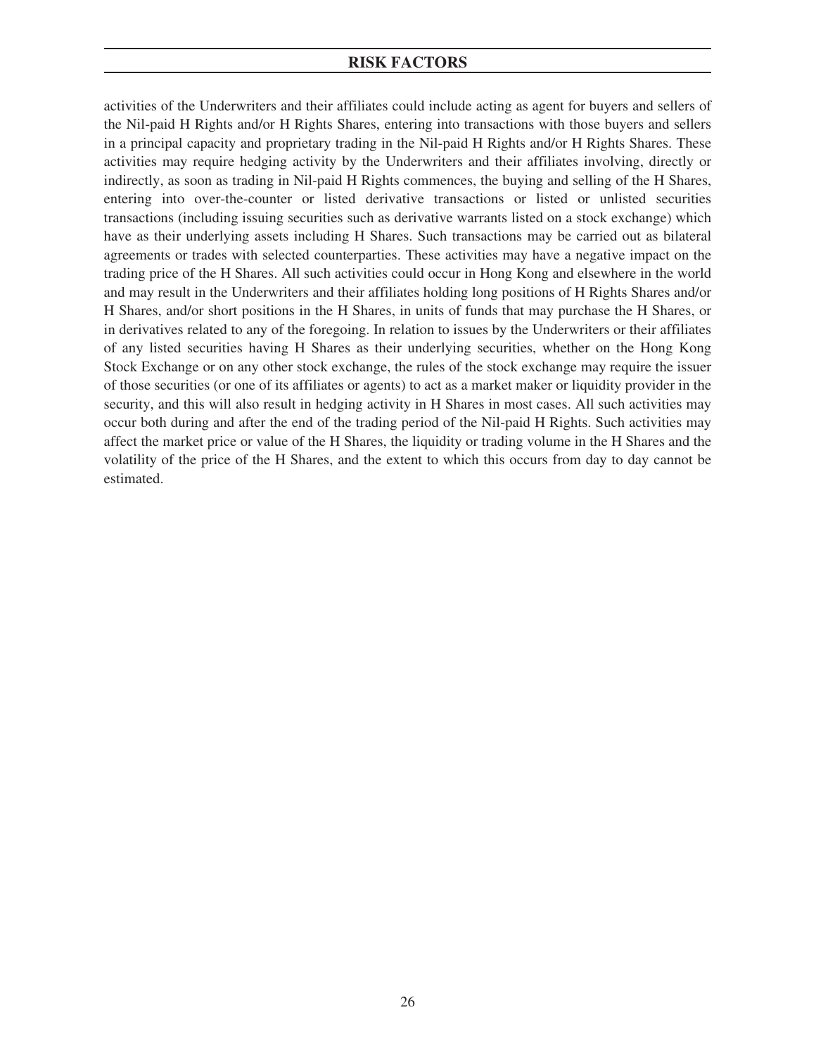# **RISK FACTORS**

activities of the Underwriters and their affiliates could include acting as agent for buyers and sellers of the Nil-paid H Rights and/or H Rights Shares, entering into transactions with those buyers and sellers in a principal capacity and proprietary trading in the Nil-paid H Rights and/or H Rights Shares. These activities may require hedging activity by the Underwriters and their affiliates involving, directly or indirectly, as soon as trading in Nil-paid H Rights commences, the buying and selling of the H Shares, entering into over-the-counter or listed derivative transactions or listed or unlisted securities transactions (including issuing securities such as derivative warrants listed on a stock exchange) which have as their underlying assets including H Shares. Such transactions may be carried out as bilateral agreements or trades with selected counterparties. These activities may have a negative impact on the trading price of the H Shares. All such activities could occur in Hong Kong and elsewhere in the world and may result in the Underwriters and their affiliates holding long positions of H Rights Shares and/or H Shares, and/or short positions in the H Shares, in units of funds that may purchase the H Shares, or in derivatives related to any of the foregoing. In relation to issues by the Underwriters or their affiliates of any listed securities having H Shares as their underlying securities, whether on the Hong Kong Stock Exchange or on any other stock exchange, the rules of the stock exchange may require the issuer of those securities (or one of its affiliates or agents) to act as a market maker or liquidity provider in the security, and this will also result in hedging activity in H Shares in most cases. All such activities may occur both during and after the end of the trading period of the Nil-paid H Rights. Such activities may affect the market price or value of the H Shares, the liquidity or trading volume in the H Shares and the volatility of the price of the H Shares, and the extent to which this occurs from day to day cannot be estimated.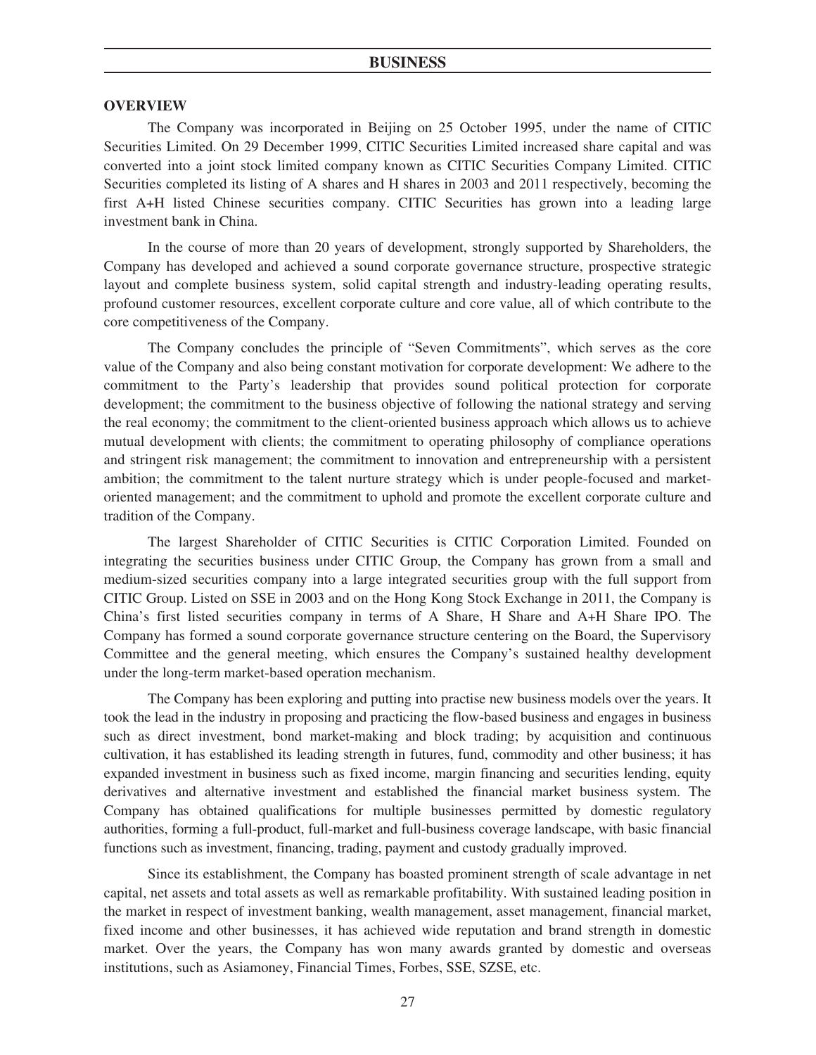#### **OVERVIEW**

The Company was incorporated in Beijing on 25 October 1995, under the name of CITIC Securities Limited. On 29 December 1999, CITIC Securities Limited increased share capital and was converted into a joint stock limited company known as CITIC Securities Company Limited. CITIC Securities completed its listing of A shares and H shares in 2003 and 2011 respectively, becoming the first A+H listed Chinese securities company. CITIC Securities has grown into a leading large investment bank in China.

In the course of more than 20 years of development, strongly supported by Shareholders, the Company has developed and achieved a sound corporate governance structure, prospective strategic layout and complete business system, solid capital strength and industry-leading operating results, profound customer resources, excellent corporate culture and core value, all of which contribute to the core competitiveness of the Company.

The Company concludes the principle of "Seven Commitments", which serves as the core value of the Company and also being constant motivation for corporate development: We adhere to the commitment to the Party's leadership that provides sound political protection for corporate development; the commitment to the business objective of following the national strategy and serving the real economy; the commitment to the client-oriented business approach which allows us to achieve mutual development with clients; the commitment to operating philosophy of compliance operations and stringent risk management; the commitment to innovation and entrepreneurship with a persistent ambition; the commitment to the talent nurture strategy which is under people-focused and marketoriented management; and the commitment to uphold and promote the excellent corporate culture and tradition of the Company.

The largest Shareholder of CITIC Securities is CITIC Corporation Limited. Founded on integrating the securities business under CITIC Group, the Company has grown from a small and medium-sized securities company into a large integrated securities group with the full support from CITIC Group. Listed on SSE in 2003 and on the Hong Kong Stock Exchange in 2011, the Company is China's first listed securities company in terms of A Share, H Share and A+H Share IPO. The Company has formed a sound corporate governance structure centering on the Board, the Supervisory Committee and the general meeting, which ensures the Company's sustained healthy development under the long-term market-based operation mechanism.

The Company has been exploring and putting into practise new business models over the years. It took the lead in the industry in proposing and practicing the flow-based business and engages in business such as direct investment, bond market-making and block trading; by acquisition and continuous cultivation, it has established its leading strength in futures, fund, commodity and other business; it has expanded investment in business such as fixed income, margin financing and securities lending, equity derivatives and alternative investment and established the financial market business system. The Company has obtained qualifications for multiple businesses permitted by domestic regulatory authorities, forming a full-product, full-market and full-business coverage landscape, with basic financial functions such as investment, financing, trading, payment and custody gradually improved.

Since its establishment, the Company has boasted prominent strength of scale advantage in net capital, net assets and total assets as well as remarkable profitability. With sustained leading position in the market in respect of investment banking, wealth management, asset management, financial market, fixed income and other businesses, it has achieved wide reputation and brand strength in domestic market. Over the years, the Company has won many awards granted by domestic and overseas institutions, such as Asiamoney, Financial Times, Forbes, SSE, SZSE, etc.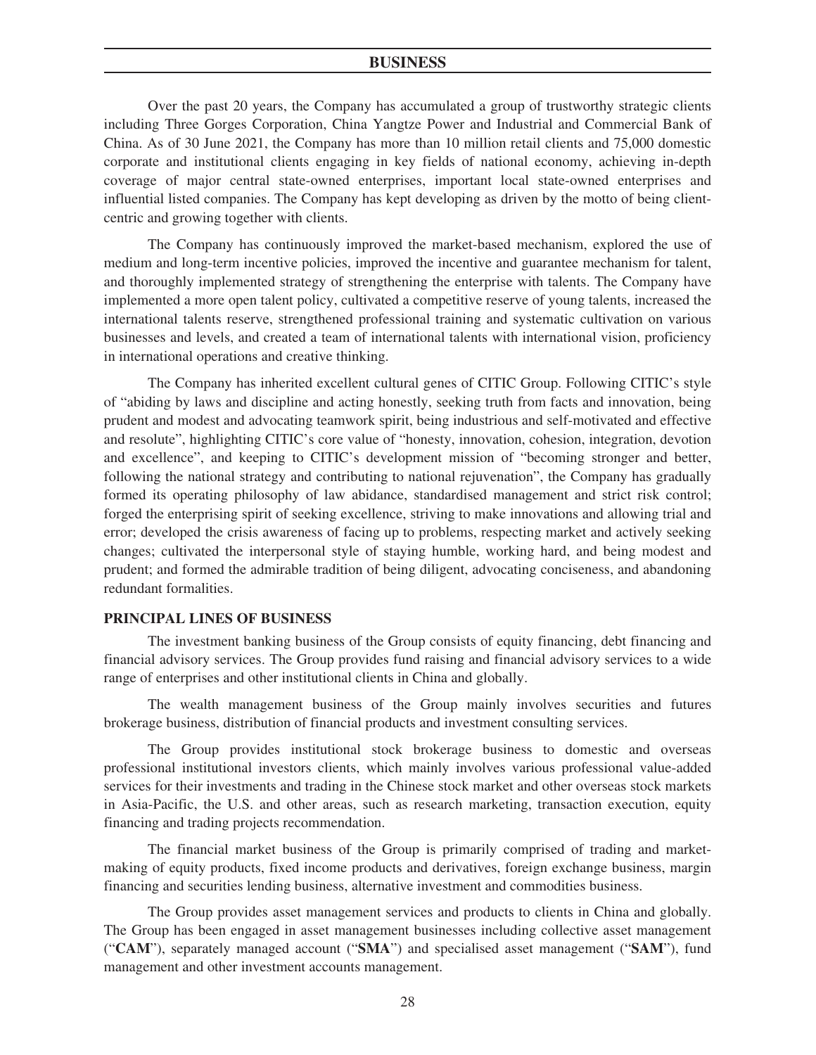Over the past 20 years, the Company has accumulated a group of trustworthy strategic clients including Three Gorges Corporation, China Yangtze Power and Industrial and Commercial Bank of China. As of 30 June 2021, the Company has more than 10 million retail clients and 75,000 domestic corporate and institutional clients engaging in key fields of national economy, achieving in-depth coverage of major central state-owned enterprises, important local state-owned enterprises and influential listed companies. The Company has kept developing as driven by the motto of being clientcentric and growing together with clients.

The Company has continuously improved the market-based mechanism, explored the use of medium and long-term incentive policies, improved the incentive and guarantee mechanism for talent, and thoroughly implemented strategy of strengthening the enterprise with talents. The Company have implemented a more open talent policy, cultivated a competitive reserve of young talents, increased the international talents reserve, strengthened professional training and systematic cultivation on various businesses and levels, and created a team of international talents with international vision, proficiency in international operations and creative thinking.

The Company has inherited excellent cultural genes of CITIC Group. Following CITIC's style of "abiding by laws and discipline and acting honestly, seeking truth from facts and innovation, being prudent and modest and advocating teamwork spirit, being industrious and self-motivated and effective and resolute", highlighting CITIC's core value of "honesty, innovation, cohesion, integration, devotion and excellence", and keeping to CITIC's development mission of "becoming stronger and better, following the national strategy and contributing to national rejuvenation", the Company has gradually formed its operating philosophy of law abidance, standardised management and strict risk control; forged the enterprising spirit of seeking excellence, striving to make innovations and allowing trial and error; developed the crisis awareness of facing up to problems, respecting market and actively seeking changes; cultivated the interpersonal style of staying humble, working hard, and being modest and prudent; and formed the admirable tradition of being diligent, advocating conciseness, and abandoning redundant formalities.

### **PRINCIPAL LINES OF BUSINESS**

The investment banking business of the Group consists of equity financing, debt financing and financial advisory services. The Group provides fund raising and financial advisory services to a wide range of enterprises and other institutional clients in China and globally.

The wealth management business of the Group mainly involves securities and futures brokerage business, distribution of financial products and investment consulting services.

The Group provides institutional stock brokerage business to domestic and overseas professional institutional investors clients, which mainly involves various professional value-added services for their investments and trading in the Chinese stock market and other overseas stock markets in Asia-Pacific, the U.S. and other areas, such as research marketing, transaction execution, equity financing and trading projects recommendation.

The financial market business of the Group is primarily comprised of trading and marketmaking of equity products, fixed income products and derivatives, foreign exchange business, margin financing and securities lending business, alternative investment and commodities business.

The Group provides asset management services and products to clients in China and globally. The Group has been engaged in asset management businesses including collective asset management ("**CAM**"), separately managed account ("**SMA**") and specialised asset management ("**SAM**"), fund management and other investment accounts management.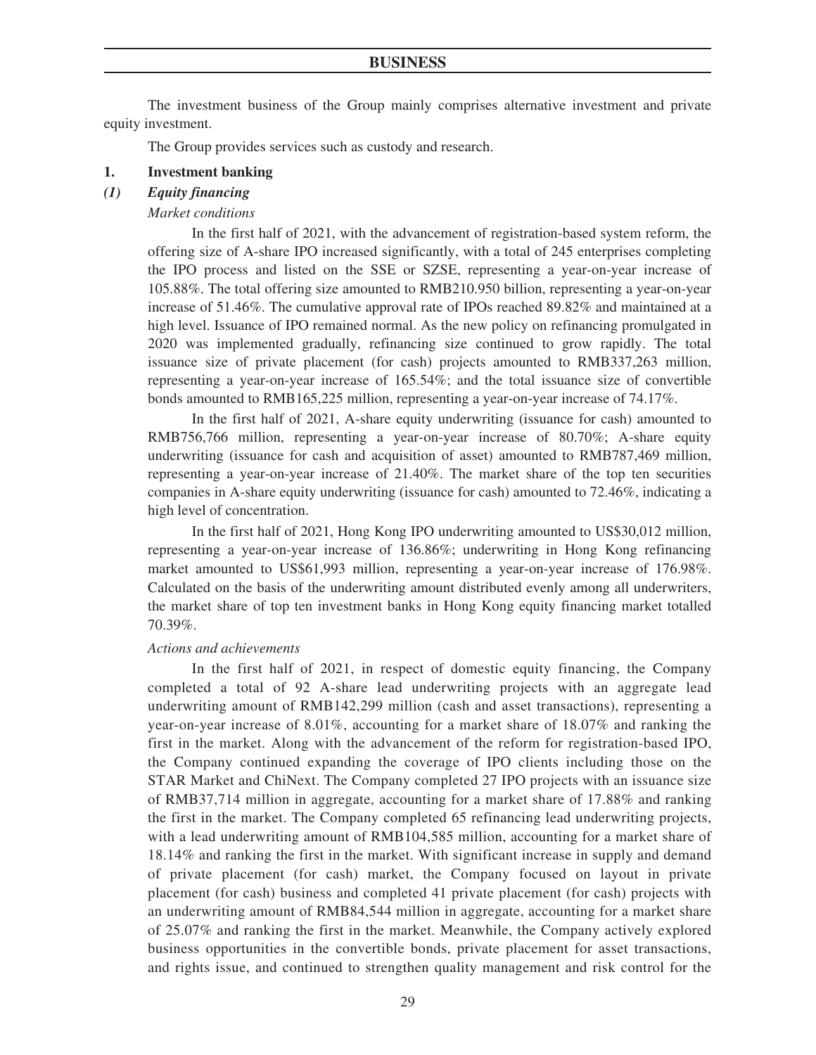The investment business of the Group mainly comprises alternative investment and private equity investment.

The Group provides services such as custody and research.

#### **1. Investment banking**

#### *(1) Equity financing*

#### *Market conditions*

In the first half of 2021, with the advancement of registration-based system reform, the offering size of A-share IPO increased significantly, with a total of 245 enterprises completing the IPO process and listed on the SSE or SZSE, representing a year-on-year increase of 105.88%. The total offering size amounted to RMB210.950 billion, representing a year-on-year increase of 51.46%. The cumulative approval rate of IPOs reached 89.82% and maintained at a high level. Issuance of IPO remained normal. As the new policy on refinancing promulgated in 2020 was implemented gradually, refinancing size continued to grow rapidly. The total issuance size of private placement (for cash) projects amounted to RMB337,263 million, representing a year-on-year increase of 165.54%; and the total issuance size of convertible bonds amounted to RMB165,225 million, representing a year-on-year increase of 74.17%.

In the first half of 2021, A-share equity underwriting (issuance for cash) amounted to RMB756,766 million, representing a year-on-year increase of 80.70%; A-share equity underwriting (issuance for cash and acquisition of asset) amounted to RMB787,469 million, representing a year-on-year increase of 21.40%. The market share of the top ten securities companies in A-share equity underwriting (issuance for cash) amounted to 72.46%, indicating a high level of concentration.

In the first half of 2021, Hong Kong IPO underwriting amounted to US\$30,012 million, representing a year-on-year increase of 136.86%; underwriting in Hong Kong refinancing market amounted to US\$61,993 million, representing a year-on-year increase of 176.98%. Calculated on the basis of the underwriting amount distributed evenly among all underwriters, the market share of top ten investment banks in Hong Kong equity financing market totalled 70.39%.

### *Actions and achievements*

In the first half of 2021, in respect of domestic equity financing, the Company completed a total of 92 A-share lead underwriting projects with an aggregate lead underwriting amount of RMB142,299 million (cash and asset transactions), representing a year-on-year increase of 8.01%, accounting for a market share of 18.07% and ranking the first in the market. Along with the advancement of the reform for registration-based IPO, the Company continued expanding the coverage of IPO clients including those on the STAR Market and ChiNext. The Company completed 27 IPO projects with an issuance size of RMB37,714 million in aggregate, accounting for a market share of 17.88% and ranking the first in the market. The Company completed 65 refinancing lead underwriting projects, with a lead underwriting amount of RMB104,585 million, accounting for a market share of 18.14% and ranking the first in the market. With significant increase in supply and demand of private placement (for cash) market, the Company focused on layout in private placement (for cash) business and completed 41 private placement (for cash) projects with an underwriting amount of RMB84,544 million in aggregate, accounting for a market share of 25.07% and ranking the first in the market. Meanwhile, the Company actively explored business opportunities in the convertible bonds, private placement for asset transactions, and rights issue, and continued to strengthen quality management and risk control for the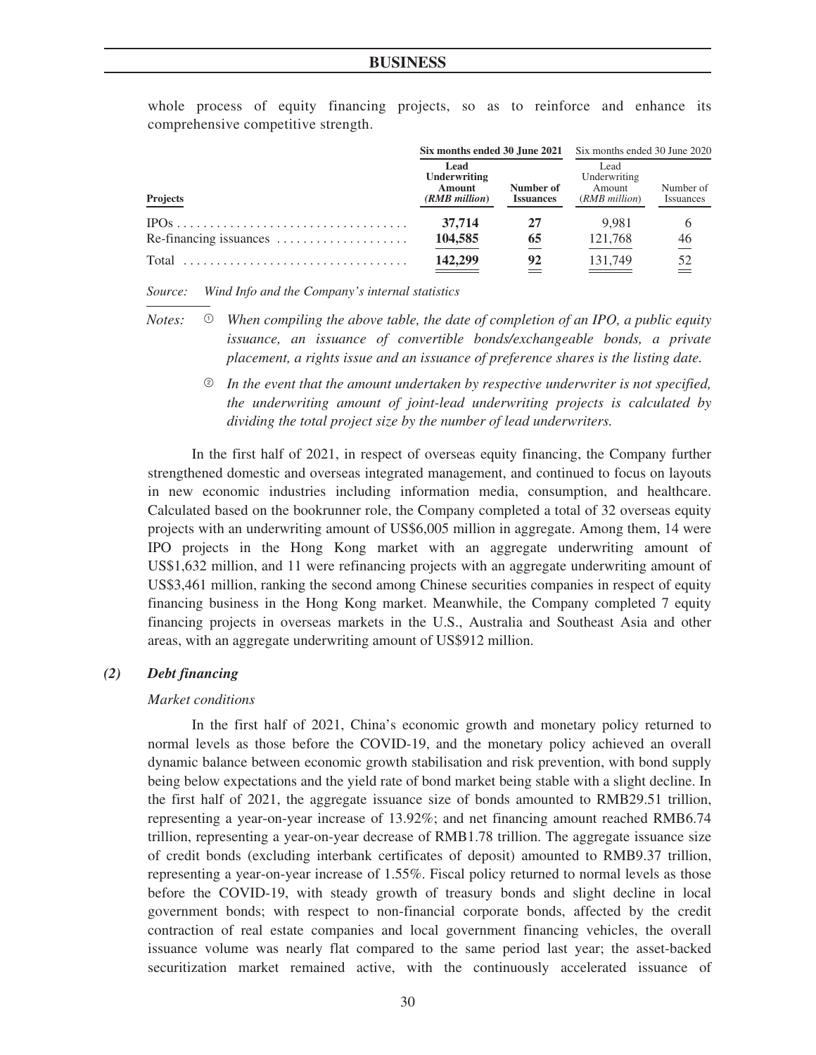|                                                       |                                                 |                               | <b>Six months ended 30 June 2021</b> Six months ended 30 June 2020 |                        |
|-------------------------------------------------------|-------------------------------------------------|-------------------------------|--------------------------------------------------------------------|------------------------|
| <b>Projects</b>                                       | Lead<br>Underwriting<br>Amount<br>(RMB million) | Number of<br><b>Issuances</b> | Lead<br>Underwriting<br>Amount<br>(RMB million)                    | Number of<br>Issuances |
|                                                       | 37,714                                          | 27                            | 9.981                                                              | 6                      |
| $Re-financing \, \dots \dots \dots \dots \dots \dots$ | 104,585                                         | 65                            | 121.768                                                            | 46                     |
| Total                                                 | 142,299                                         | 92                            | 131,749                                                            | 52                     |

whole process of equity financing projects, so as to reinforce and enhance its comprehensive competitive strength.

*Source: Wind Info and the Company's internal statistics*

- *Notes:* <sup>1</sup> *When compiling the above table, the date of completion of an IPO, a public equity issuance, an issuance of convertible bonds/exchangeable bonds, a private placement, a rights issue and an issuance of preference shares is the listing date.*
	- <sup>2</sup> *In the event that the amount undertaken by respective underwriter is not specified, the underwriting amount of joint-lead underwriting projects is calculated by dividing the total project size by the number of lead underwriters.*

In the first half of 2021, in respect of overseas equity financing, the Company further strengthened domestic and overseas integrated management, and continued to focus on layouts in new economic industries including information media, consumption, and healthcare. Calculated based on the bookrunner role, the Company completed a total of 32 overseas equity projects with an underwriting amount of US\$6,005 million in aggregate. Among them, 14 were IPO projects in the Hong Kong market with an aggregate underwriting amount of US\$1,632 million, and 11 were refinancing projects with an aggregate underwriting amount of US\$3,461 million, ranking the second among Chinese securities companies in respect of equity financing business in the Hong Kong market. Meanwhile, the Company completed 7 equity financing projects in overseas markets in the U.S., Australia and Southeast Asia and other areas, with an aggregate underwriting amount of US\$912 million.

### *(2) Debt financing*

#### *Market conditions*

In the first half of 2021, China's economic growth and monetary policy returned to normal levels as those before the COVID-19, and the monetary policy achieved an overall dynamic balance between economic growth stabilisation and risk prevention, with bond supply being below expectations and the yield rate of bond market being stable with a slight decline. In the first half of 2021, the aggregate issuance size of bonds amounted to RMB29.51 trillion, representing a year-on-year increase of 13.92%; and net financing amount reached RMB6.74 trillion, representing a year-on-year decrease of RMB1.78 trillion. The aggregate issuance size of credit bonds (excluding interbank certificates of deposit) amounted to RMB9.37 trillion, representing a year-on-year increase of 1.55%. Fiscal policy returned to normal levels as those before the COVID-19, with steady growth of treasury bonds and slight decline in local government bonds; with respect to non-financial corporate bonds, affected by the credit contraction of real estate companies and local government financing vehicles, the overall issuance volume was nearly flat compared to the same period last year; the asset-backed securitization market remained active, with the continuously accelerated issuance of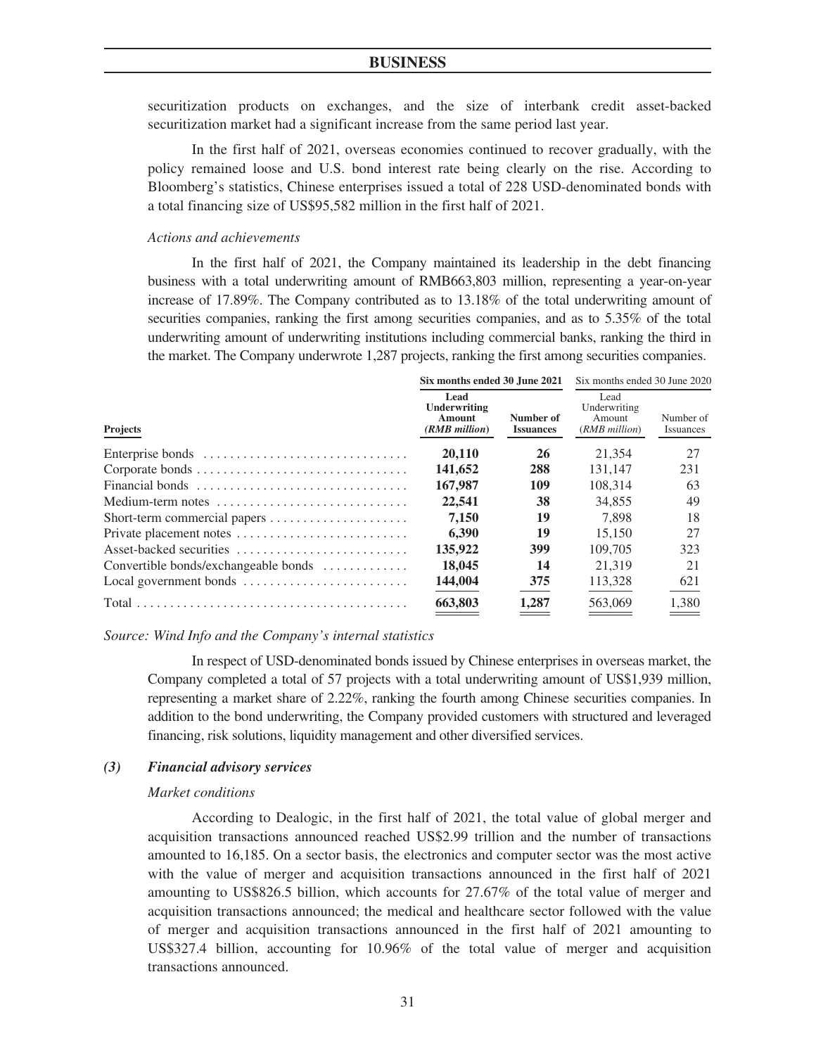securitization products on exchanges, and the size of interbank credit asset-backed securitization market had a significant increase from the same period last year.

In the first half of 2021, overseas economies continued to recover gradually, with the policy remained loose and U.S. bond interest rate being clearly on the rise. According to Bloomberg's statistics, Chinese enterprises issued a total of 228 USD-denominated bonds with a total financing size of US\$95,582 million in the first half of 2021.

#### *Actions and achievements*

In the first half of 2021, the Company maintained its leadership in the debt financing business with a total underwriting amount of RMB663,803 million, representing a year-on-year increase of 17.89%. The Company contributed as to 13.18% of the total underwriting amount of securities companies, ranking the first among securities companies, and as to 5.35% of the total underwriting amount of underwriting institutions including commercial banks, ranking the third in the market. The Company underwrote 1,287 projects, ranking the first among securities companies.

|                                      | Six months ended 30 June 2021                     |                               | Six months ended 30 June 2020                   |                        |
|--------------------------------------|---------------------------------------------------|-------------------------------|-------------------------------------------------|------------------------|
| <b>Projects</b>                      | Lead<br>Underwriting<br>Amount<br>$(RMB$ million) | Number of<br><b>Issuances</b> | Lead<br>Underwriting<br>Amount<br>(RMB million) | Number of<br>Issuances |
|                                      | 20,110                                            | 26                            | 21.354                                          | 27                     |
|                                      | 141,652                                           | 288                           | 131.147                                         | 231                    |
| Financial bonds                      | 167,987                                           | 109                           | 108.314                                         | 63                     |
| Medium-term notes                    | 22,541                                            | 38                            | 34,855                                          | 49                     |
|                                      | 7.150                                             | 19                            | 7.898                                           | 18                     |
|                                      | 6.390                                             | 19                            | 15,150                                          | 27                     |
| Asset-backed securities              | 135,922                                           | 399                           | 109.705                                         | 323                    |
| Convertible bonds/exchangeable bonds | 18,045                                            | 14                            | 21.319                                          | 21                     |
|                                      | 144,004                                           | 375                           | 113,328                                         | 621                    |
|                                      | 663,803                                           | 1,287                         | 563,069                                         | 1.380                  |

*Source: Wind Info and the Company's internal statistics*

In respect of USD-denominated bonds issued by Chinese enterprises in overseas market, the Company completed a total of 57 projects with a total underwriting amount of US\$1,939 million, representing a market share of 2.22%, ranking the fourth among Chinese securities companies. In addition to the bond underwriting, the Company provided customers with structured and leveraged financing, risk solutions, liquidity management and other diversified services.

### *(3) Financial advisory services*

#### *Market conditions*

According to Dealogic, in the first half of 2021, the total value of global merger and acquisition transactions announced reached US\$2.99 trillion and the number of transactions amounted to 16,185. On a sector basis, the electronics and computer sector was the most active with the value of merger and acquisition transactions announced in the first half of 2021 amounting to US\$826.5 billion, which accounts for 27.67% of the total value of merger and acquisition transactions announced; the medical and healthcare sector followed with the value of merger and acquisition transactions announced in the first half of 2021 amounting to US\$327.4 billion, accounting for 10.96% of the total value of merger and acquisition transactions announced.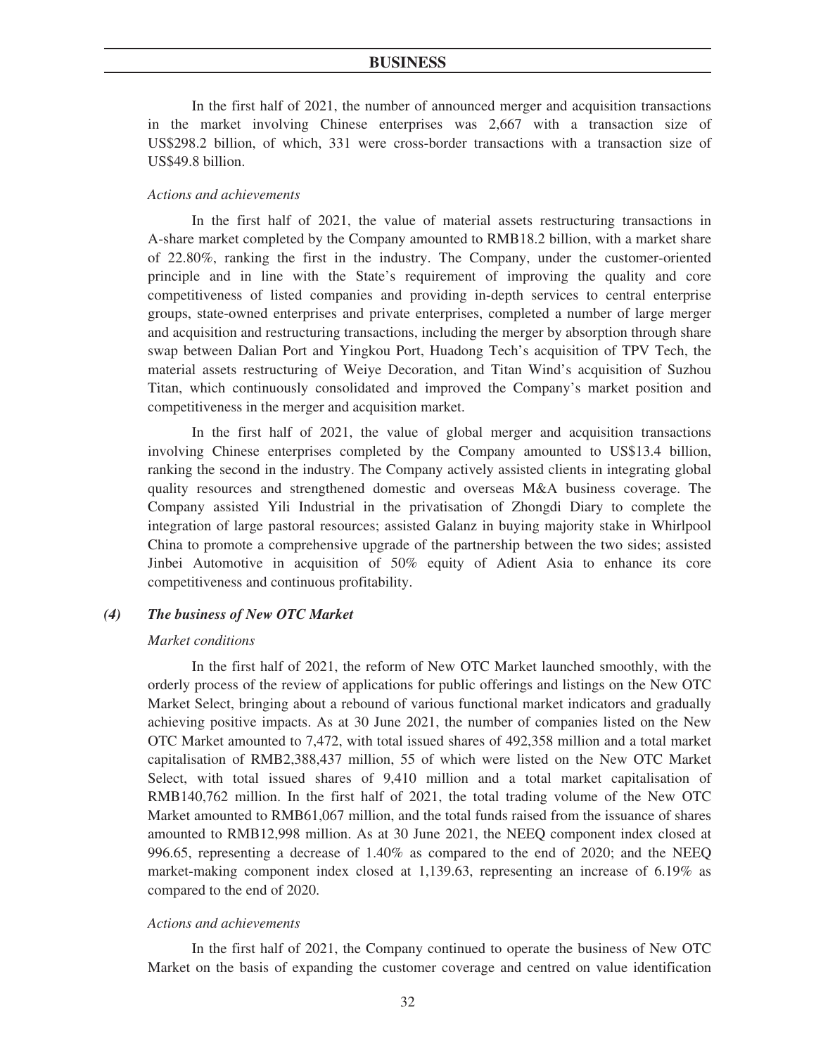In the first half of 2021, the number of announced merger and acquisition transactions in the market involving Chinese enterprises was 2,667 with a transaction size of US\$298.2 billion, of which, 331 were cross-border transactions with a transaction size of US\$49.8 billion.

#### *Actions and achievements*

In the first half of 2021, the value of material assets restructuring transactions in A-share market completed by the Company amounted to RMB18.2 billion, with a market share of 22.80%, ranking the first in the industry. The Company, under the customer-oriented principle and in line with the State's requirement of improving the quality and core competitiveness of listed companies and providing in-depth services to central enterprise groups, state-owned enterprises and private enterprises, completed a number of large merger and acquisition and restructuring transactions, including the merger by absorption through share swap between Dalian Port and Yingkou Port, Huadong Tech's acquisition of TPV Tech, the material assets restructuring of Weiye Decoration, and Titan Wind's acquisition of Suzhou Titan, which continuously consolidated and improved the Company's market position and competitiveness in the merger and acquisition market.

In the first half of 2021, the value of global merger and acquisition transactions involving Chinese enterprises completed by the Company amounted to US\$13.4 billion, ranking the second in the industry. The Company actively assisted clients in integrating global quality resources and strengthened domestic and overseas M&A business coverage. The Company assisted Yili Industrial in the privatisation of Zhongdi Diary to complete the integration of large pastoral resources; assisted Galanz in buying majority stake in Whirlpool China to promote a comprehensive upgrade of the partnership between the two sides; assisted Jinbei Automotive in acquisition of 50% equity of Adient Asia to enhance its core competitiveness and continuous profitability.

# *(4) The business of New OTC Market*

#### *Market conditions*

In the first half of 2021, the reform of New OTC Market launched smoothly, with the orderly process of the review of applications for public offerings and listings on the New OTC Market Select, bringing about a rebound of various functional market indicators and gradually achieving positive impacts. As at 30 June 2021, the number of companies listed on the New OTC Market amounted to 7,472, with total issued shares of 492,358 million and a total market capitalisation of RMB2,388,437 million, 55 of which were listed on the New OTC Market Select, with total issued shares of 9,410 million and a total market capitalisation of RMB140,762 million. In the first half of 2021, the total trading volume of the New OTC Market amounted to RMB61,067 million, and the total funds raised from the issuance of shares amounted to RMB12,998 million. As at 30 June 2021, the NEEQ component index closed at 996.65, representing a decrease of 1.40% as compared to the end of 2020; and the NEEQ market-making component index closed at 1,139.63, representing an increase of 6.19% as compared to the end of 2020.

#### *Actions and achievements*

In the first half of 2021, the Company continued to operate the business of New OTC Market on the basis of expanding the customer coverage and centred on value identification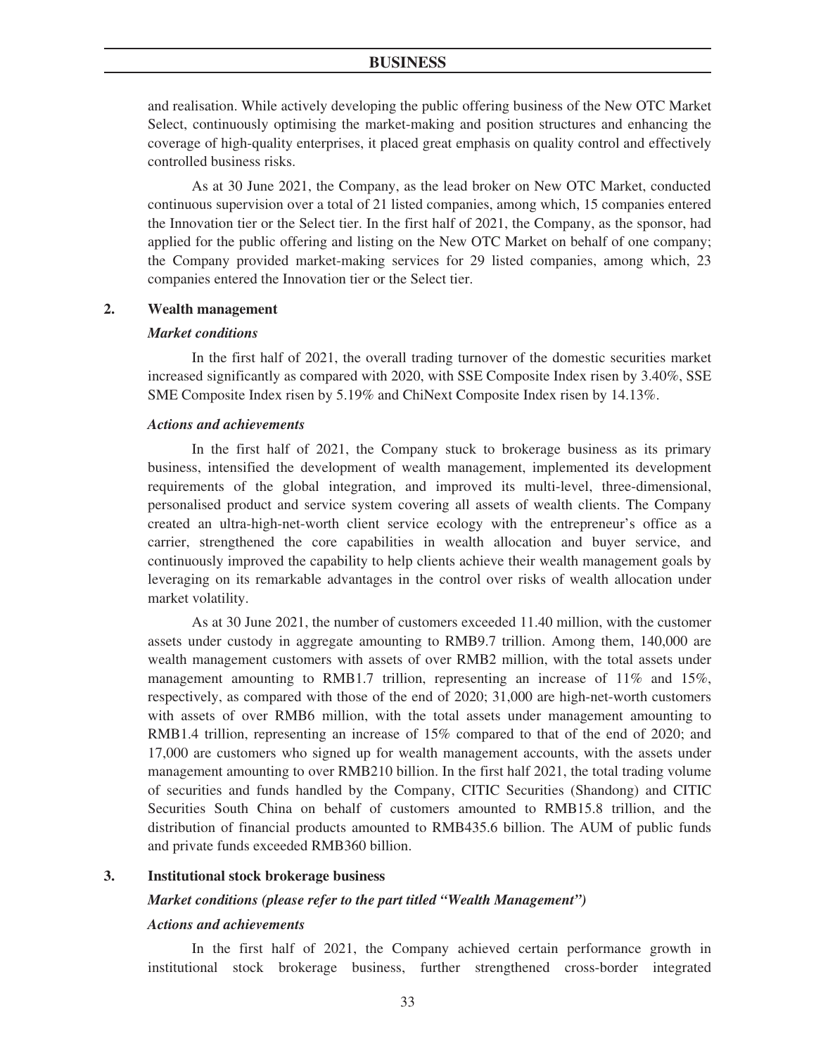and realisation. While actively developing the public offering business of the New OTC Market Select, continuously optimising the market-making and position structures and enhancing the coverage of high-quality enterprises, it placed great emphasis on quality control and effectively controlled business risks.

As at 30 June 2021, the Company, as the lead broker on New OTC Market, conducted continuous supervision over a total of 21 listed companies, among which, 15 companies entered the Innovation tier or the Select tier. In the first half of 2021, the Company, as the sponsor, had applied for the public offering and listing on the New OTC Market on behalf of one company; the Company provided market-making services for 29 listed companies, among which, 23 companies entered the Innovation tier or the Select tier.

## **2. Wealth management**

#### *Market conditions*

In the first half of 2021, the overall trading turnover of the domestic securities market increased significantly as compared with 2020, with SSE Composite Index risen by 3.40%, SSE SME Composite Index risen by 5.19% and ChiNext Composite Index risen by 14.13%.

#### *Actions and achievements*

In the first half of 2021, the Company stuck to brokerage business as its primary business, intensified the development of wealth management, implemented its development requirements of the global integration, and improved its multi-level, three-dimensional, personalised product and service system covering all assets of wealth clients. The Company created an ultra-high-net-worth client service ecology with the entrepreneur's office as a carrier, strengthened the core capabilities in wealth allocation and buyer service, and continuously improved the capability to help clients achieve their wealth management goals by leveraging on its remarkable advantages in the control over risks of wealth allocation under market volatility.

As at 30 June 2021, the number of customers exceeded 11.40 million, with the customer assets under custody in aggregate amounting to RMB9.7 trillion. Among them, 140,000 are wealth management customers with assets of over RMB2 million, with the total assets under management amounting to RMB1.7 trillion, representing an increase of  $11\%$  and  $15\%$ , respectively, as compared with those of the end of 2020; 31,000 are high-net-worth customers with assets of over RMB6 million, with the total assets under management amounting to RMB1.4 trillion, representing an increase of 15% compared to that of the end of 2020; and 17,000 are customers who signed up for wealth management accounts, with the assets under management amounting to over RMB210 billion. In the first half 2021, the total trading volume of securities and funds handled by the Company, CITIC Securities (Shandong) and CITIC Securities South China on behalf of customers amounted to RMB15.8 trillion, and the distribution of financial products amounted to RMB435.6 billion. The AUM of public funds and private funds exceeded RMB360 billion.

### **3. Institutional stock brokerage business**

### *Market conditions (please refer to the part titled "Wealth Management")*

#### *Actions and achievements*

In the first half of 2021, the Company achieved certain performance growth in institutional stock brokerage business, further strengthened cross-border integrated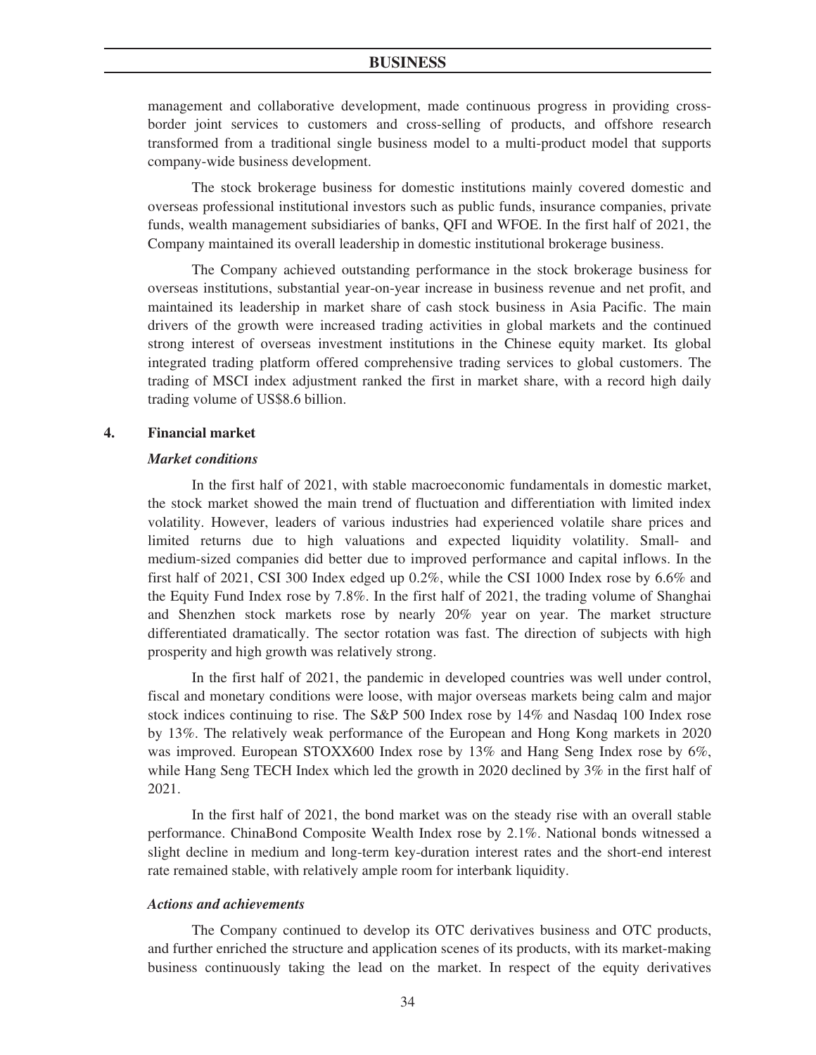management and collaborative development, made continuous progress in providing crossborder joint services to customers and cross-selling of products, and offshore research transformed from a traditional single business model to a multi-product model that supports company-wide business development.

The stock brokerage business for domestic institutions mainly covered domestic and overseas professional institutional investors such as public funds, insurance companies, private funds, wealth management subsidiaries of banks, QFI and WFOE. In the first half of 2021, the Company maintained its overall leadership in domestic institutional brokerage business.

The Company achieved outstanding performance in the stock brokerage business for overseas institutions, substantial year-on-year increase in business revenue and net profit, and maintained its leadership in market share of cash stock business in Asia Pacific. The main drivers of the growth were increased trading activities in global markets and the continued strong interest of overseas investment institutions in the Chinese equity market. Its global integrated trading platform offered comprehensive trading services to global customers. The trading of MSCI index adjustment ranked the first in market share, with a record high daily trading volume of US\$8.6 billion.

### **4. Financial market**

### *Market conditions*

In the first half of 2021, with stable macroeconomic fundamentals in domestic market, the stock market showed the main trend of fluctuation and differentiation with limited index volatility. However, leaders of various industries had experienced volatile share prices and limited returns due to high valuations and expected liquidity volatility. Small- and medium-sized companies did better due to improved performance and capital inflows. In the first half of 2021, CSI 300 Index edged up 0.2%, while the CSI 1000 Index rose by 6.6% and the Equity Fund Index rose by 7.8%. In the first half of 2021, the trading volume of Shanghai and Shenzhen stock markets rose by nearly 20% year on year. The market structure differentiated dramatically. The sector rotation was fast. The direction of subjects with high prosperity and high growth was relatively strong.

In the first half of 2021, the pandemic in developed countries was well under control, fiscal and monetary conditions were loose, with major overseas markets being calm and major stock indices continuing to rise. The S&P 500 Index rose by 14% and Nasdaq 100 Index rose by 13%. The relatively weak performance of the European and Hong Kong markets in 2020 was improved. European STOXX600 Index rose by 13% and Hang Seng Index rose by 6%, while Hang Seng TECH Index which led the growth in 2020 declined by 3% in the first half of 2021.

In the first half of 2021, the bond market was on the steady rise with an overall stable performance. ChinaBond Composite Wealth Index rose by 2.1%. National bonds witnessed a slight decline in medium and long-term key-duration interest rates and the short-end interest rate remained stable, with relatively ample room for interbank liquidity.

### *Actions and achievements*

The Company continued to develop its OTC derivatives business and OTC products, and further enriched the structure and application scenes of its products, with its market-making business continuously taking the lead on the market. In respect of the equity derivatives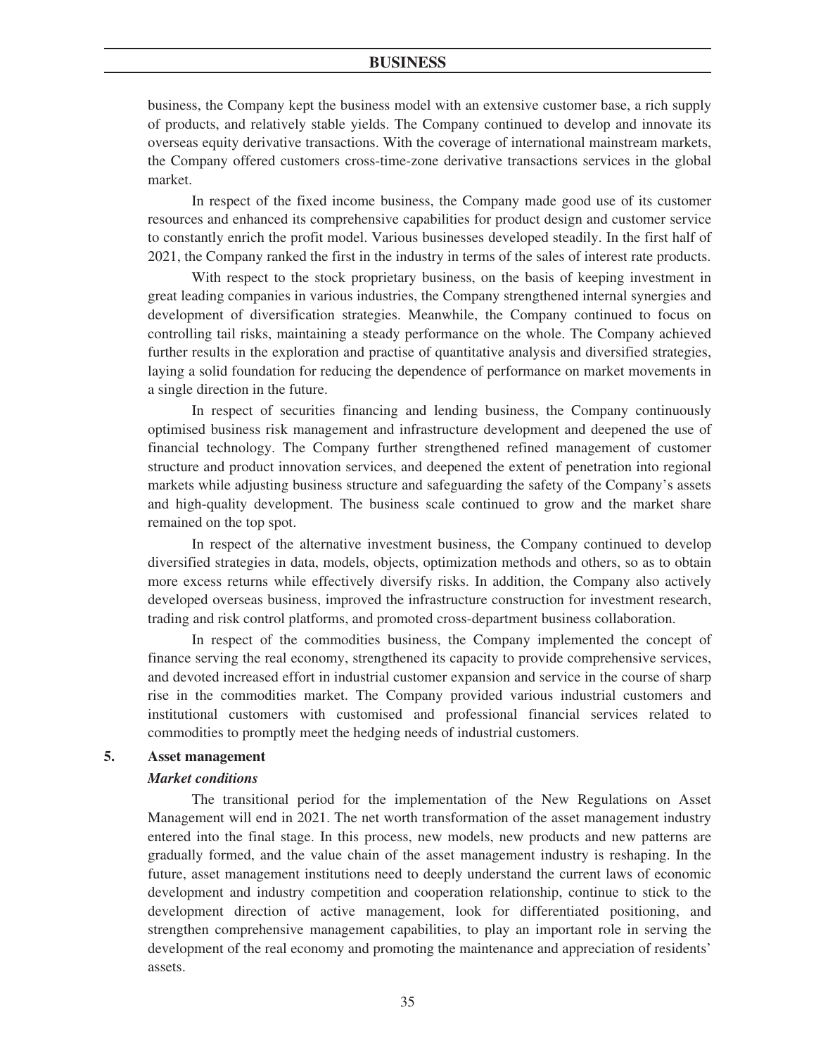business, the Company kept the business model with an extensive customer base, a rich supply of products, and relatively stable yields. The Company continued to develop and innovate its overseas equity derivative transactions. With the coverage of international mainstream markets, the Company offered customers cross-time-zone derivative transactions services in the global market.

In respect of the fixed income business, the Company made good use of its customer resources and enhanced its comprehensive capabilities for product design and customer service to constantly enrich the profit model. Various businesses developed steadily. In the first half of 2021, the Company ranked the first in the industry in terms of the sales of interest rate products.

With respect to the stock proprietary business, on the basis of keeping investment in great leading companies in various industries, the Company strengthened internal synergies and development of diversification strategies. Meanwhile, the Company continued to focus on controlling tail risks, maintaining a steady performance on the whole. The Company achieved further results in the exploration and practise of quantitative analysis and diversified strategies, laying a solid foundation for reducing the dependence of performance on market movements in a single direction in the future.

In respect of securities financing and lending business, the Company continuously optimised business risk management and infrastructure development and deepened the use of financial technology. The Company further strengthened refined management of customer structure and product innovation services, and deepened the extent of penetration into regional markets while adjusting business structure and safeguarding the safety of the Company's assets and high-quality development. The business scale continued to grow and the market share remained on the top spot.

In respect of the alternative investment business, the Company continued to develop diversified strategies in data, models, objects, optimization methods and others, so as to obtain more excess returns while effectively diversify risks. In addition, the Company also actively developed overseas business, improved the infrastructure construction for investment research, trading and risk control platforms, and promoted cross-department business collaboration.

In respect of the commodities business, the Company implemented the concept of finance serving the real economy, strengthened its capacity to provide comprehensive services, and devoted increased effort in industrial customer expansion and service in the course of sharp rise in the commodities market. The Company provided various industrial customers and institutional customers with customised and professional financial services related to commodities to promptly meet the hedging needs of industrial customers.

#### **5. Asset management**

#### *Market conditions*

The transitional period for the implementation of the New Regulations on Asset Management will end in 2021. The net worth transformation of the asset management industry entered into the final stage. In this process, new models, new products and new patterns are gradually formed, and the value chain of the asset management industry is reshaping. In the future, asset management institutions need to deeply understand the current laws of economic development and industry competition and cooperation relationship, continue to stick to the development direction of active management, look for differentiated positioning, and strengthen comprehensive management capabilities, to play an important role in serving the development of the real economy and promoting the maintenance and appreciation of residents' assets.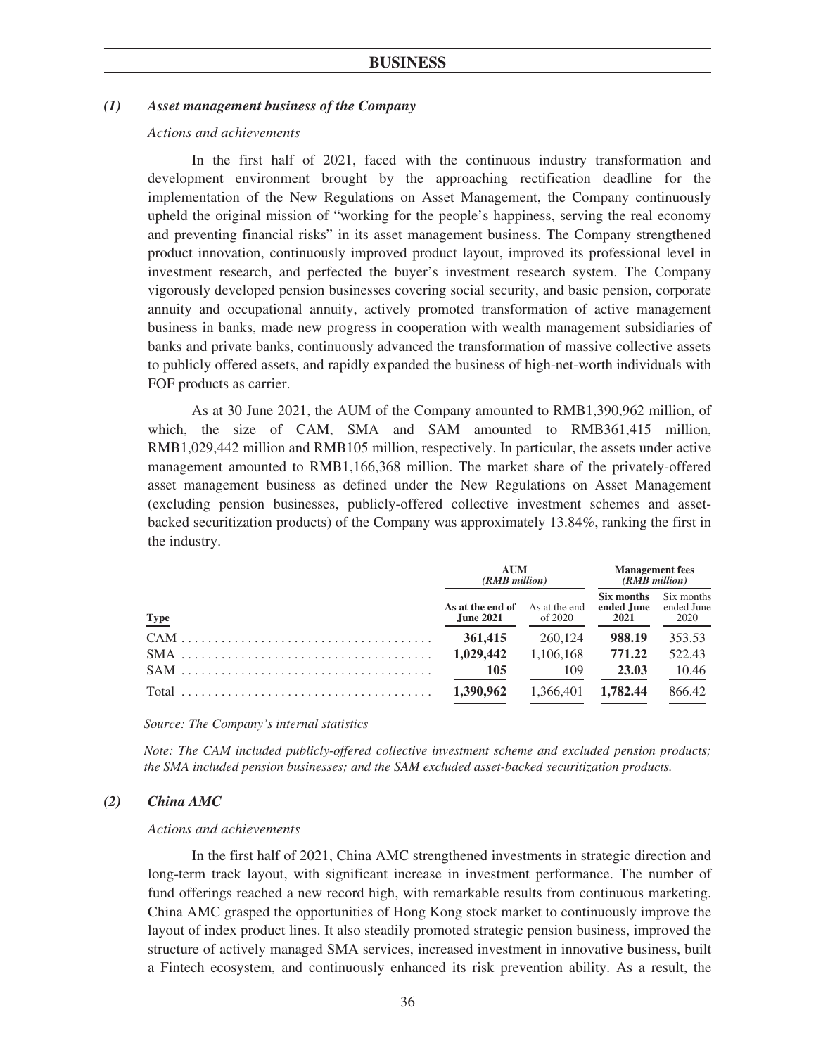### *(1) Asset management business of the Company*

### *Actions and achievements*

In the first half of 2021, faced with the continuous industry transformation and development environment brought by the approaching rectification deadline for the implementation of the New Regulations on Asset Management, the Company continuously upheld the original mission of "working for the people's happiness, serving the real economy and preventing financial risks" in its asset management business. The Company strengthened product innovation, continuously improved product layout, improved its professional level in investment research, and perfected the buyer's investment research system. The Company vigorously developed pension businesses covering social security, and basic pension, corporate annuity and occupational annuity, actively promoted transformation of active management business in banks, made new progress in cooperation with wealth management subsidiaries of banks and private banks, continuously advanced the transformation of massive collective assets to publicly offered assets, and rapidly expanded the business of high-net-worth individuals with FOF products as carrier.

As at 30 June 2021, the AUM of the Company amounted to RMB1,390,962 million, of which, the size of CAM, SMA and SAM amounted to RMB361,415 million, RMB1,029,442 million and RMB105 million, respectively. In particular, the assets under active management amounted to RMB1,166,368 million. The market share of the privately-offered asset management business as defined under the New Regulations on Asset Management (excluding pension businesses, publicly-offered collective investment schemes and assetbacked securitization products) of the Company was approximately 13.84%, ranking the first in the industry.

|             | AUM<br>(RMB million)                                      |           | <b>Management</b> fees<br>$(RMB$ million |                                  |
|-------------|-----------------------------------------------------------|-----------|------------------------------------------|----------------------------------|
| <b>Type</b> | <b>As at the end of</b> As at the end<br><b>June 2021</b> | of 2020   | Six months<br>ended June<br>2021         | Six months<br>ended June<br>2020 |
|             | 361,415                                                   | 260,124   | 988.19                                   | 353.53                           |
|             | 1,029,442                                                 | 1.106.168 | 771.22                                   | 522.43                           |
|             | 105                                                       | 109       | 23.03                                    | 10.46                            |
|             | 1,390,962                                                 | 1,366,401 | 1.782.44                                 | 866.42                           |

*Source: The Company's internal statistics*

*Note: The CAM included publicly-offered collective investment scheme and excluded pension products; the SMA included pension businesses; and the SAM excluded asset-backed securitization products.*

### *(2) China AMC*

#### *Actions and achievements*

In the first half of 2021, China AMC strengthened investments in strategic direction and long-term track layout, with significant increase in investment performance. The number of fund offerings reached a new record high, with remarkable results from continuous marketing. China AMC grasped the opportunities of Hong Kong stock market to continuously improve the layout of index product lines. It also steadily promoted strategic pension business, improved the structure of actively managed SMA services, increased investment in innovative business, built a Fintech ecosystem, and continuously enhanced its risk prevention ability. As a result, the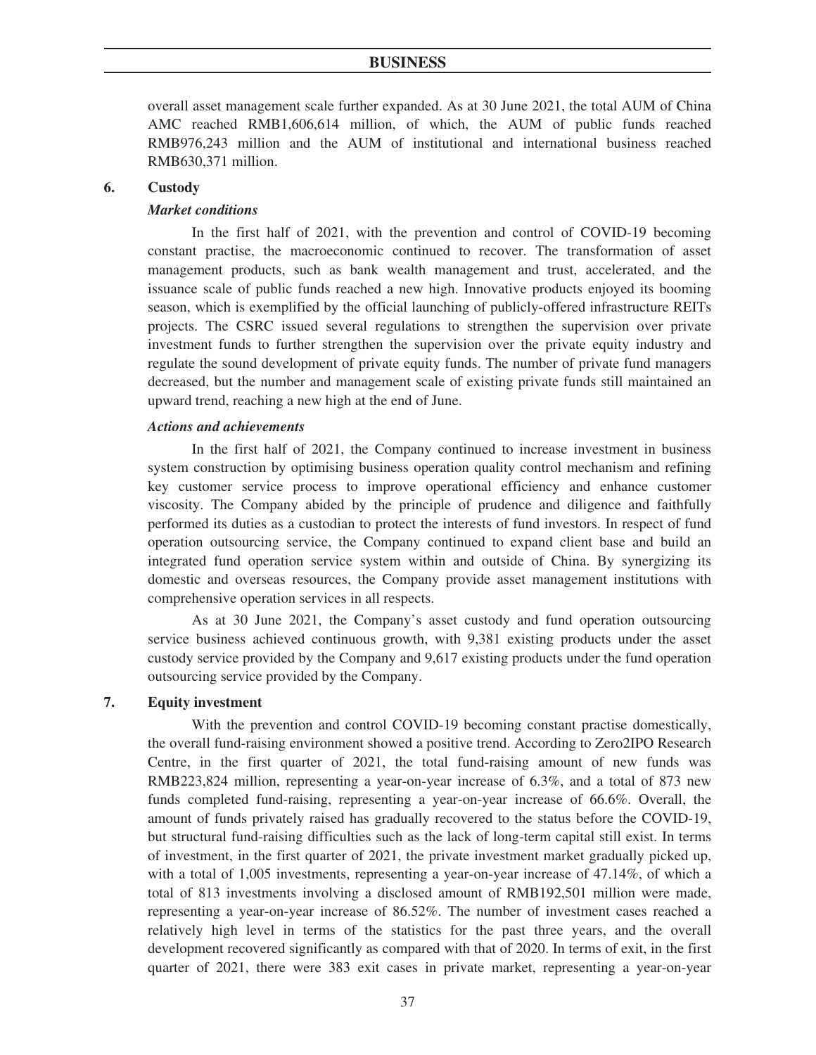overall asset management scale further expanded. As at 30 June 2021, the total AUM of China AMC reached RMB1,606,614 million, of which, the AUM of public funds reached RMB976,243 million and the AUM of institutional and international business reached RMB630,371 million.

### **6. Custody**

#### *Market conditions*

In the first half of 2021, with the prevention and control of COVID-19 becoming constant practise, the macroeconomic continued to recover. The transformation of asset management products, such as bank wealth management and trust, accelerated, and the issuance scale of public funds reached a new high. Innovative products enjoyed its booming season, which is exemplified by the official launching of publicly-offered infrastructure REITs projects. The CSRC issued several regulations to strengthen the supervision over private investment funds to further strengthen the supervision over the private equity industry and regulate the sound development of private equity funds. The number of private fund managers decreased, but the number and management scale of existing private funds still maintained an upward trend, reaching a new high at the end of June.

### *Actions and achievements*

In the first half of 2021, the Company continued to increase investment in business system construction by optimising business operation quality control mechanism and refining key customer service process to improve operational efficiency and enhance customer viscosity. The Company abided by the principle of prudence and diligence and faithfully performed its duties as a custodian to protect the interests of fund investors. In respect of fund operation outsourcing service, the Company continued to expand client base and build an integrated fund operation service system within and outside of China. By synergizing its domestic and overseas resources, the Company provide asset management institutions with comprehensive operation services in all respects.

As at 30 June 2021, the Company's asset custody and fund operation outsourcing service business achieved continuous growth, with 9,381 existing products under the asset custody service provided by the Company and 9,617 existing products under the fund operation outsourcing service provided by the Company.

# **7. Equity investment**

With the prevention and control COVID-19 becoming constant practise domestically, the overall fund-raising environment showed a positive trend. According to Zero2IPO Research Centre, in the first quarter of 2021, the total fund-raising amount of new funds was RMB223,824 million, representing a year-on-year increase of 6.3%, and a total of 873 new funds completed fund-raising, representing a year-on-year increase of 66.6%. Overall, the amount of funds privately raised has gradually recovered to the status before the COVID-19, but structural fund-raising difficulties such as the lack of long-term capital still exist. In terms of investment, in the first quarter of 2021, the private investment market gradually picked up, with a total of 1,005 investments, representing a year-on-year increase of 47.14%, of which a total of 813 investments involving a disclosed amount of RMB192,501 million were made, representing a year-on-year increase of 86.52%. The number of investment cases reached a relatively high level in terms of the statistics for the past three years, and the overall development recovered significantly as compared with that of 2020. In terms of exit, in the first quarter of 2021, there were 383 exit cases in private market, representing a year-on-year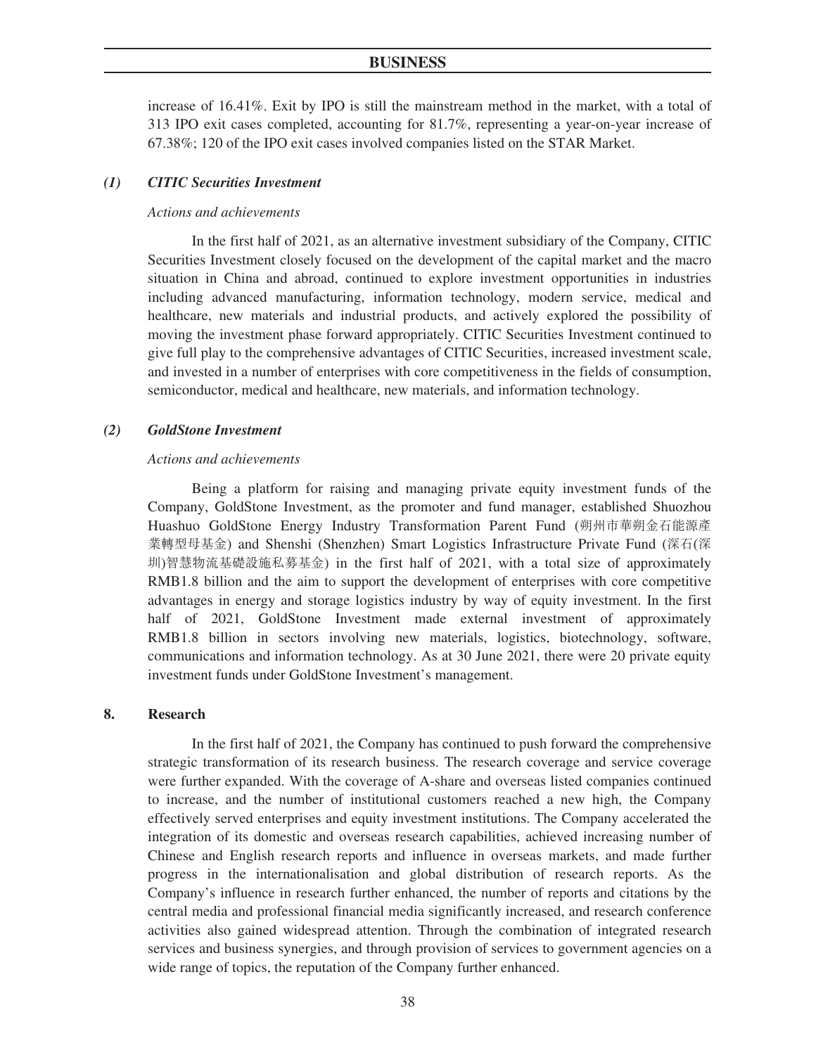increase of 16.41%. Exit by IPO is still the mainstream method in the market, with a total of 313 IPO exit cases completed, accounting for 81.7%, representing a year-on-year increase of 67.38%; 120 of the IPO exit cases involved companies listed on the STAR Market.

### *(1) CITIC Securities Investment*

### *Actions and achievements*

In the first half of 2021, as an alternative investment subsidiary of the Company, CITIC Securities Investment closely focused on the development of the capital market and the macro situation in China and abroad, continued to explore investment opportunities in industries including advanced manufacturing, information technology, modern service, medical and healthcare, new materials and industrial products, and actively explored the possibility of moving the investment phase forward appropriately. CITIC Securities Investment continued to give full play to the comprehensive advantages of CITIC Securities, increased investment scale, and invested in a number of enterprises with core competitiveness in the fields of consumption, semiconductor, medical and healthcare, new materials, and information technology.

#### *(2) GoldStone Investment*

#### *Actions and achievements*

Being a platform for raising and managing private equity investment funds of the Company, GoldStone Investment, as the promoter and fund manager, established Shuozhou Huashuo GoldStone Energy Industry Transformation Parent Fund (朔州市華朔金石能源產 業轉型母基金) and Shenshi (Shenzhen) Smart Logistics Infrastructure Private Fund (深石(深 圳)智慧物流基礎設施私募基金) in the first half of 2021, with a total size of approximately RMB1.8 billion and the aim to support the development of enterprises with core competitive advantages in energy and storage logistics industry by way of equity investment. In the first half of 2021, GoldStone Investment made external investment of approximately RMB1.8 billion in sectors involving new materials, logistics, biotechnology, software, communications and information technology. As at 30 June 2021, there were 20 private equity investment funds under GoldStone Investment's management.

#### **8. Research**

In the first half of 2021, the Company has continued to push forward the comprehensive strategic transformation of its research business. The research coverage and service coverage were further expanded. With the coverage of A-share and overseas listed companies continued to increase, and the number of institutional customers reached a new high, the Company effectively served enterprises and equity investment institutions. The Company accelerated the integration of its domestic and overseas research capabilities, achieved increasing number of Chinese and English research reports and influence in overseas markets, and made further progress in the internationalisation and global distribution of research reports. As the Company's influence in research further enhanced, the number of reports and citations by the central media and professional financial media significantly increased, and research conference activities also gained widespread attention. Through the combination of integrated research services and business synergies, and through provision of services to government agencies on a wide range of topics, the reputation of the Company further enhanced.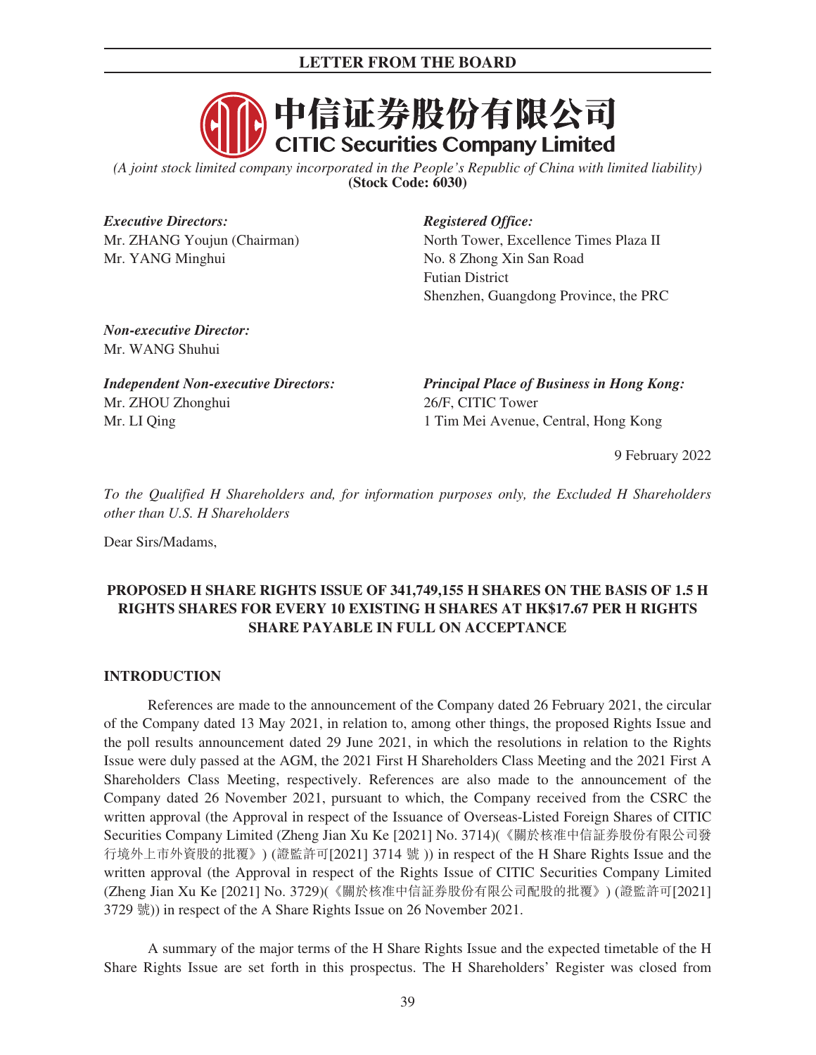

*(A joint stock limited company incorporated in the People's Republic of China with limited liability)* **(Stock Code: 6030)**

*Executive Directors: Registered Office:* Mr. YANG Minghui No. 8 Zhong Xin San Road

Mr. ZHANG Youjun (Chairman) North Tower, Excellence Times Plaza II Futian District Shenzhen, Guangdong Province, the PRC

*Non-executive Director:* Mr. WANG Shuhui

Mr. ZHOU Zhonghui Mr. LI Qing

*Independent Non-executive Directors: Principal Place of Business in Hong Kong:* 26/F, CITIC Tower 1 Tim Mei Avenue, Central, Hong Kong

9 February 2022

*To the Qualified H Shareholders and, for information purposes only, the Excluded H Shareholders other than U.S. H Shareholders*

Dear Sirs/Madams,

# **PROPOSED H SHARE RIGHTS ISSUE OF 341,749,155 H SHARES ON THE BASIS OF 1.5 H RIGHTS SHARES FOR EVERY 10 EXISTING H SHARES AT HK\$17.67 PER H RIGHTS SHARE PAYABLE IN FULL ON ACCEPTANCE**

# **INTRODUCTION**

References are made to the announcement of the Company dated 26 February 2021, the circular of the Company dated 13 May 2021, in relation to, among other things, the proposed Rights Issue and the poll results announcement dated 29 June 2021, in which the resolutions in relation to the Rights Issue were duly passed at the AGM, the 2021 First H Shareholders Class Meeting and the 2021 First A Shareholders Class Meeting, respectively. References are also made to the announcement of the Company dated 26 November 2021, pursuant to which, the Company received from the CSRC the written approval (the Approval in respect of the Issuance of Overseas-Listed Foreign Shares of CITIC Securities Company Limited (Zheng Jian Xu Ke [2021] No. 3714)(《關於核准中信証券股份有限公司發 行境外上市外資股的批覆》) (證監許可[2021] 3714 號 )) in respect of the H Share Rights Issue and the written approval (the Approval in respect of the Rights Issue of CITIC Securities Company Limited (Zheng Jian Xu Ke [2021] No. 3729)(《關於核准中信証券股份有限公司配股的批覆》) (證監許可[2021] 3729 號)) in respect of the A Share Rights Issue on 26 November 2021.

A summary of the major terms of the H Share Rights Issue and the expected timetable of the H Share Rights Issue are set forth in this prospectus. The H Shareholders' Register was closed from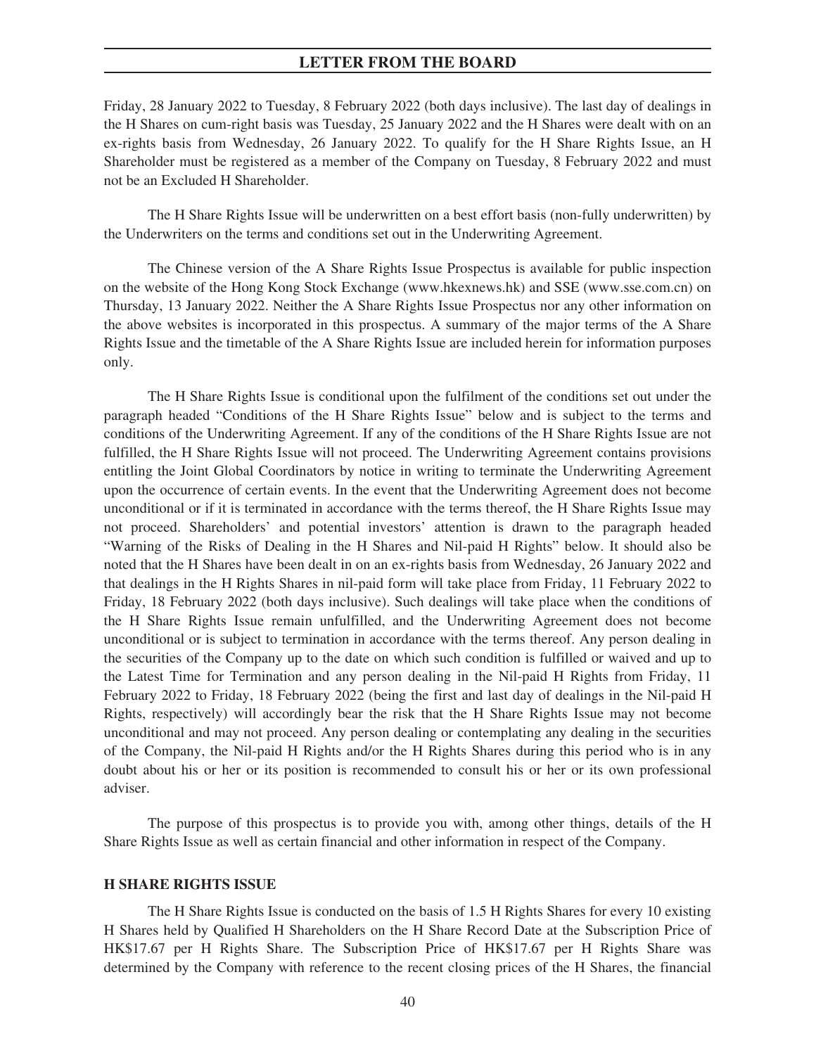Friday, 28 January 2022 to Tuesday, 8 February 2022 (both days inclusive). The last day of dealings in the H Shares on cum-right basis was Tuesday, 25 January 2022 and the H Shares were dealt with on an ex-rights basis from Wednesday, 26 January 2022. To qualify for the H Share Rights Issue, an H Shareholder must be registered as a member of the Company on Tuesday, 8 February 2022 and must not be an Excluded H Shareholder.

The H Share Rights Issue will be underwritten on a best effort basis (non-fully underwritten) by the Underwriters on the terms and conditions set out in the Underwriting Agreement.

The Chinese version of the A Share Rights Issue Prospectus is available for public inspection on the website of the Hong Kong Stock Exchange (www.hkexnews.hk) and SSE (www.sse.com.cn) on Thursday, 13 January 2022. Neither the A Share Rights Issue Prospectus nor any other information on the above websites is incorporated in this prospectus. A summary of the major terms of the A Share Rights Issue and the timetable of the A Share Rights Issue are included herein for information purposes only.

The H Share Rights Issue is conditional upon the fulfilment of the conditions set out under the paragraph headed "Conditions of the H Share Rights Issue" below and is subject to the terms and conditions of the Underwriting Agreement. If any of the conditions of the H Share Rights Issue are not fulfilled, the H Share Rights Issue will not proceed. The Underwriting Agreement contains provisions entitling the Joint Global Coordinators by notice in writing to terminate the Underwriting Agreement upon the occurrence of certain events. In the event that the Underwriting Agreement does not become unconditional or if it is terminated in accordance with the terms thereof, the H Share Rights Issue may not proceed. Shareholders' and potential investors' attention is drawn to the paragraph headed "Warning of the Risks of Dealing in the H Shares and Nil-paid H Rights" below. It should also be noted that the H Shares have been dealt in on an ex-rights basis from Wednesday, 26 January 2022 and that dealings in the H Rights Shares in nil-paid form will take place from Friday, 11 February 2022 to Friday, 18 February 2022 (both days inclusive). Such dealings will take place when the conditions of the H Share Rights Issue remain unfulfilled, and the Underwriting Agreement does not become unconditional or is subject to termination in accordance with the terms thereof. Any person dealing in the securities of the Company up to the date on which such condition is fulfilled or waived and up to the Latest Time for Termination and any person dealing in the Nil-paid H Rights from Friday, 11 February 2022 to Friday, 18 February 2022 (being the first and last day of dealings in the Nil-paid H Rights, respectively) will accordingly bear the risk that the H Share Rights Issue may not become unconditional and may not proceed. Any person dealing or contemplating any dealing in the securities of the Company, the Nil-paid H Rights and/or the H Rights Shares during this period who is in any doubt about his or her or its position is recommended to consult his or her or its own professional adviser.

The purpose of this prospectus is to provide you with, among other things, details of the H Share Rights Issue as well as certain financial and other information in respect of the Company.

#### **H SHARE RIGHTS ISSUE**

The H Share Rights Issue is conducted on the basis of 1.5 H Rights Shares for every 10 existing H Shares held by Qualified H Shareholders on the H Share Record Date at the Subscription Price of HK\$17.67 per H Rights Share. The Subscription Price of HK\$17.67 per H Rights Share was determined by the Company with reference to the recent closing prices of the H Shares, the financial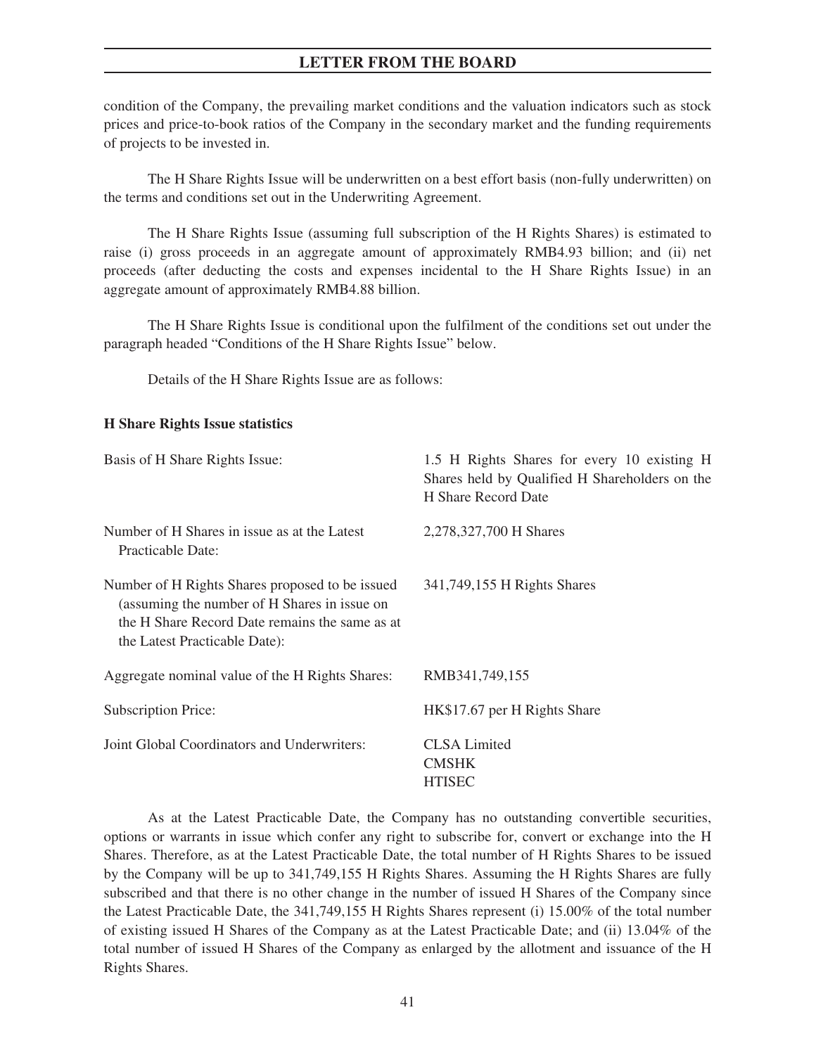condition of the Company, the prevailing market conditions and the valuation indicators such as stock prices and price-to-book ratios of the Company in the secondary market and the funding requirements of projects to be invested in.

The H Share Rights Issue will be underwritten on a best effort basis (non-fully underwritten) on the terms and conditions set out in the Underwriting Agreement.

The H Share Rights Issue (assuming full subscription of the H Rights Shares) is estimated to raise (i) gross proceeds in an aggregate amount of approximately RMB4.93 billion; and (ii) net proceeds (after deducting the costs and expenses incidental to the H Share Rights Issue) in an aggregate amount of approximately RMB4.88 billion.

The H Share Rights Issue is conditional upon the fulfilment of the conditions set out under the paragraph headed "Conditions of the H Share Rights Issue" below.

Details of the H Share Rights Issue are as follows:

### **H Share Rights Issue statistics**

| Basis of H Share Rights Issue:                                                                                                                                                     | 1.5 H Rights Shares for every 10 existing H<br>Shares held by Qualified H Shareholders on the<br><b>H</b> Share Record Date |
|------------------------------------------------------------------------------------------------------------------------------------------------------------------------------------|-----------------------------------------------------------------------------------------------------------------------------|
| Number of H Shares in issue as at the Latest<br>Practicable Date:                                                                                                                  | 2,278,327,700 H Shares                                                                                                      |
| Number of H Rights Shares proposed to be issued<br>(assuming the number of H Shares in issue on<br>the H Share Record Date remains the same as at<br>the Latest Practicable Date): | 341,749,155 H Rights Shares                                                                                                 |
| Aggregate nominal value of the H Rights Shares:                                                                                                                                    | RMB341,749,155                                                                                                              |
| <b>Subscription Price:</b>                                                                                                                                                         | HK\$17.67 per H Rights Share                                                                                                |
| Joint Global Coordinators and Underwriters:                                                                                                                                        | <b>CLSA</b> Limited<br><b>CMSHK</b><br><b>HTISEC</b>                                                                        |

As at the Latest Practicable Date, the Company has no outstanding convertible securities, options or warrants in issue which confer any right to subscribe for, convert or exchange into the H Shares. Therefore, as at the Latest Practicable Date, the total number of H Rights Shares to be issued by the Company will be up to 341,749,155 H Rights Shares. Assuming the H Rights Shares are fully subscribed and that there is no other change in the number of issued H Shares of the Company since the Latest Practicable Date, the 341,749,155 H Rights Shares represent (i) 15.00% of the total number of existing issued H Shares of the Company as at the Latest Practicable Date; and (ii) 13.04% of the total number of issued H Shares of the Company as enlarged by the allotment and issuance of the H Rights Shares.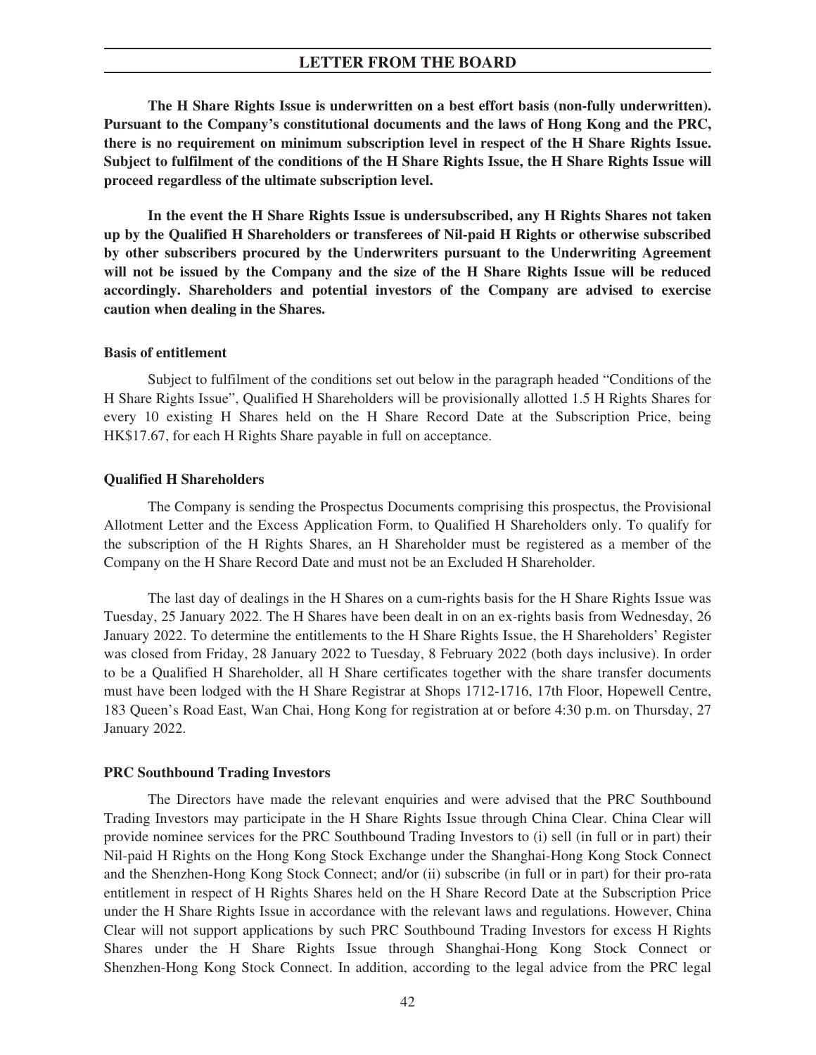**The H Share Rights Issue is underwritten on a best effort basis (non-fully underwritten). Pursuant to the Company's constitutional documents and the laws of Hong Kong and the PRC, there is no requirement on minimum subscription level in respect of the H Share Rights Issue. Subject to fulfilment of the conditions of the H Share Rights Issue, the H Share Rights Issue will proceed regardless of the ultimate subscription level.**

**In the event the H Share Rights Issue is undersubscribed, any H Rights Shares not taken up by the Qualified H Shareholders or transferees of Nil-paid H Rights or otherwise subscribed by other subscribers procured by the Underwriters pursuant to the Underwriting Agreement will not be issued by the Company and the size of the H Share Rights Issue will be reduced accordingly. Shareholders and potential investors of the Company are advised to exercise caution when dealing in the Shares.**

### **Basis of entitlement**

Subject to fulfilment of the conditions set out below in the paragraph headed "Conditions of the H Share Rights Issue", Qualified H Shareholders will be provisionally allotted 1.5 H Rights Shares for every 10 existing H Shares held on the H Share Record Date at the Subscription Price, being HK\$17.67, for each H Rights Share payable in full on acceptance.

#### **Qualified H Shareholders**

The Company is sending the Prospectus Documents comprising this prospectus, the Provisional Allotment Letter and the Excess Application Form, to Qualified H Shareholders only. To qualify for the subscription of the H Rights Shares, an H Shareholder must be registered as a member of the Company on the H Share Record Date and must not be an Excluded H Shareholder.

The last day of dealings in the H Shares on a cum-rights basis for the H Share Rights Issue was Tuesday, 25 January 2022. The H Shares have been dealt in on an ex-rights basis from Wednesday, 26 January 2022. To determine the entitlements to the H Share Rights Issue, the H Shareholders' Register was closed from Friday, 28 January 2022 to Tuesday, 8 February 2022 (both days inclusive). In order to be a Qualified H Shareholder, all H Share certificates together with the share transfer documents must have been lodged with the H Share Registrar at Shops 1712-1716, 17th Floor, Hopewell Centre, 183 Queen's Road East, Wan Chai, Hong Kong for registration at or before 4:30 p.m. on Thursday, 27 January 2022.

#### **PRC Southbound Trading Investors**

The Directors have made the relevant enquiries and were advised that the PRC Southbound Trading Investors may participate in the H Share Rights Issue through China Clear. China Clear will provide nominee services for the PRC Southbound Trading Investors to (i) sell (in full or in part) their Nil-paid H Rights on the Hong Kong Stock Exchange under the Shanghai-Hong Kong Stock Connect and the Shenzhen-Hong Kong Stock Connect; and/or (ii) subscribe (in full or in part) for their pro-rata entitlement in respect of H Rights Shares held on the H Share Record Date at the Subscription Price under the H Share Rights Issue in accordance with the relevant laws and regulations. However, China Clear will not support applications by such PRC Southbound Trading Investors for excess H Rights Shares under the H Share Rights Issue through Shanghai-Hong Kong Stock Connect or Shenzhen-Hong Kong Stock Connect. In addition, according to the legal advice from the PRC legal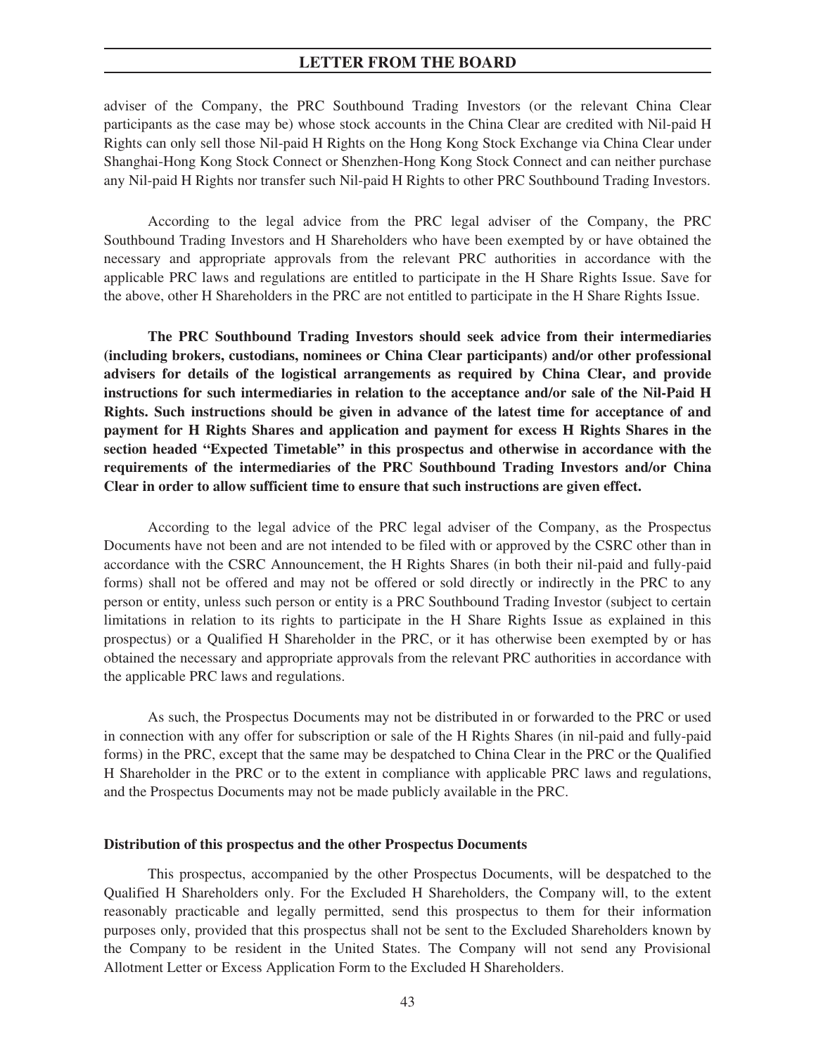adviser of the Company, the PRC Southbound Trading Investors (or the relevant China Clear participants as the case may be) whose stock accounts in the China Clear are credited with Nil-paid H Rights can only sell those Nil-paid H Rights on the Hong Kong Stock Exchange via China Clear under Shanghai-Hong Kong Stock Connect or Shenzhen-Hong Kong Stock Connect and can neither purchase any Nil-paid H Rights nor transfer such Nil-paid H Rights to other PRC Southbound Trading Investors.

According to the legal advice from the PRC legal adviser of the Company, the PRC Southbound Trading Investors and H Shareholders who have been exempted by or have obtained the necessary and appropriate approvals from the relevant PRC authorities in accordance with the applicable PRC laws and regulations are entitled to participate in the H Share Rights Issue. Save for the above, other H Shareholders in the PRC are not entitled to participate in the H Share Rights Issue.

**The PRC Southbound Trading Investors should seek advice from their intermediaries (including brokers, custodians, nominees or China Clear participants) and/or other professional advisers for details of the logistical arrangements as required by China Clear, and provide instructions for such intermediaries in relation to the acceptance and/or sale of the Nil-Paid H Rights. Such instructions should be given in advance of the latest time for acceptance of and payment for H Rights Shares and application and payment for excess H Rights Shares in the section headed "Expected Timetable" in this prospectus and otherwise in accordance with the requirements of the intermediaries of the PRC Southbound Trading Investors and/or China Clear in order to allow sufficient time to ensure that such instructions are given effect.**

According to the legal advice of the PRC legal adviser of the Company, as the Prospectus Documents have not been and are not intended to be filed with or approved by the CSRC other than in accordance with the CSRC Announcement, the H Rights Shares (in both their nil-paid and fully-paid forms) shall not be offered and may not be offered or sold directly or indirectly in the PRC to any person or entity, unless such person or entity is a PRC Southbound Trading Investor (subject to certain limitations in relation to its rights to participate in the H Share Rights Issue as explained in this prospectus) or a Qualified H Shareholder in the PRC, or it has otherwise been exempted by or has obtained the necessary and appropriate approvals from the relevant PRC authorities in accordance with the applicable PRC laws and regulations.

As such, the Prospectus Documents may not be distributed in or forwarded to the PRC or used in connection with any offer for subscription or sale of the H Rights Shares (in nil-paid and fully-paid forms) in the PRC, except that the same may be despatched to China Clear in the PRC or the Qualified H Shareholder in the PRC or to the extent in compliance with applicable PRC laws and regulations, and the Prospectus Documents may not be made publicly available in the PRC.

### **Distribution of this prospectus and the other Prospectus Documents**

This prospectus, accompanied by the other Prospectus Documents, will be despatched to the Qualified H Shareholders only. For the Excluded H Shareholders, the Company will, to the extent reasonably practicable and legally permitted, send this prospectus to them for their information purposes only, provided that this prospectus shall not be sent to the Excluded Shareholders known by the Company to be resident in the United States. The Company will not send any Provisional Allotment Letter or Excess Application Form to the Excluded H Shareholders.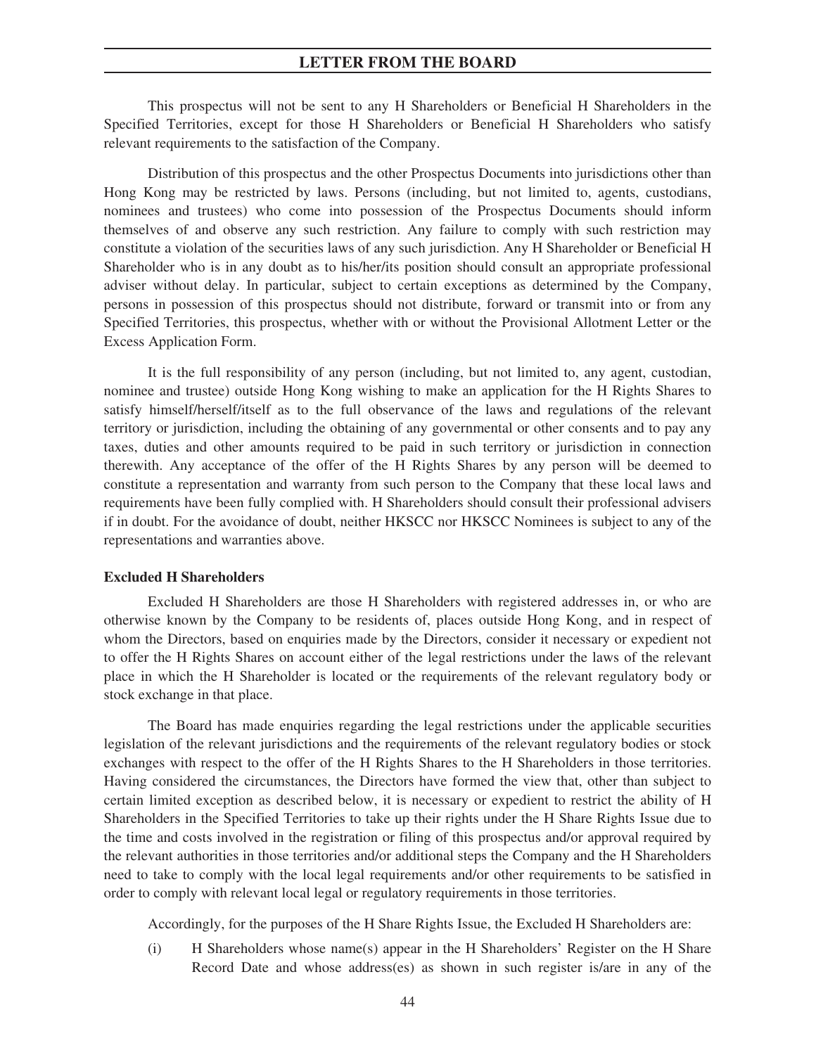This prospectus will not be sent to any H Shareholders or Beneficial H Shareholders in the Specified Territories, except for those H Shareholders or Beneficial H Shareholders who satisfy relevant requirements to the satisfaction of the Company.

Distribution of this prospectus and the other Prospectus Documents into jurisdictions other than Hong Kong may be restricted by laws. Persons (including, but not limited to, agents, custodians, nominees and trustees) who come into possession of the Prospectus Documents should inform themselves of and observe any such restriction. Any failure to comply with such restriction may constitute a violation of the securities laws of any such jurisdiction. Any H Shareholder or Beneficial H Shareholder who is in any doubt as to his/her/its position should consult an appropriate professional adviser without delay. In particular, subject to certain exceptions as determined by the Company, persons in possession of this prospectus should not distribute, forward or transmit into or from any Specified Territories, this prospectus, whether with or without the Provisional Allotment Letter or the Excess Application Form.

It is the full responsibility of any person (including, but not limited to, any agent, custodian, nominee and trustee) outside Hong Kong wishing to make an application for the H Rights Shares to satisfy himself/herself/itself as to the full observance of the laws and regulations of the relevant territory or jurisdiction, including the obtaining of any governmental or other consents and to pay any taxes, duties and other amounts required to be paid in such territory or jurisdiction in connection therewith. Any acceptance of the offer of the H Rights Shares by any person will be deemed to constitute a representation and warranty from such person to the Company that these local laws and requirements have been fully complied with. H Shareholders should consult their professional advisers if in doubt. For the avoidance of doubt, neither HKSCC nor HKSCC Nominees is subject to any of the representations and warranties above.

#### **Excluded H Shareholders**

Excluded H Shareholders are those H Shareholders with registered addresses in, or who are otherwise known by the Company to be residents of, places outside Hong Kong, and in respect of whom the Directors, based on enquiries made by the Directors, consider it necessary or expedient not to offer the H Rights Shares on account either of the legal restrictions under the laws of the relevant place in which the H Shareholder is located or the requirements of the relevant regulatory body or stock exchange in that place.

The Board has made enquiries regarding the legal restrictions under the applicable securities legislation of the relevant jurisdictions and the requirements of the relevant regulatory bodies or stock exchanges with respect to the offer of the H Rights Shares to the H Shareholders in those territories. Having considered the circumstances, the Directors have formed the view that, other than subject to certain limited exception as described below, it is necessary or expedient to restrict the ability of H Shareholders in the Specified Territories to take up their rights under the H Share Rights Issue due to the time and costs involved in the registration or filing of this prospectus and/or approval required by the relevant authorities in those territories and/or additional steps the Company and the H Shareholders need to take to comply with the local legal requirements and/or other requirements to be satisfied in order to comply with relevant local legal or regulatory requirements in those territories.

Accordingly, for the purposes of the H Share Rights Issue, the Excluded H Shareholders are:

(i) H Shareholders whose name(s) appear in the H Shareholders' Register on the H Share Record Date and whose address(es) as shown in such register is/are in any of the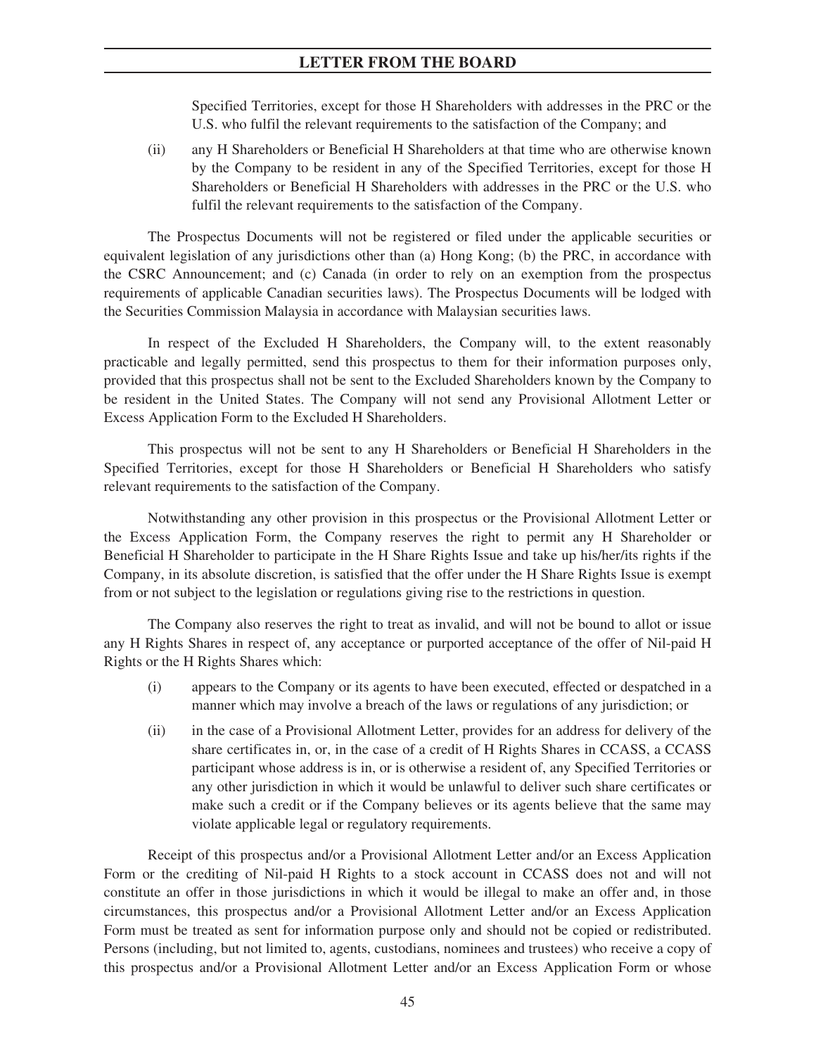Specified Territories, except for those H Shareholders with addresses in the PRC or the U.S. who fulfil the relevant requirements to the satisfaction of the Company; and

(ii) any H Shareholders or Beneficial H Shareholders at that time who are otherwise known by the Company to be resident in any of the Specified Territories, except for those H Shareholders or Beneficial H Shareholders with addresses in the PRC or the U.S. who fulfil the relevant requirements to the satisfaction of the Company.

The Prospectus Documents will not be registered or filed under the applicable securities or equivalent legislation of any jurisdictions other than (a) Hong Kong; (b) the PRC, in accordance with the CSRC Announcement; and (c) Canada (in order to rely on an exemption from the prospectus requirements of applicable Canadian securities laws). The Prospectus Documents will be lodged with the Securities Commission Malaysia in accordance with Malaysian securities laws.

In respect of the Excluded H Shareholders, the Company will, to the extent reasonably practicable and legally permitted, send this prospectus to them for their information purposes only, provided that this prospectus shall not be sent to the Excluded Shareholders known by the Company to be resident in the United States. The Company will not send any Provisional Allotment Letter or Excess Application Form to the Excluded H Shareholders.

This prospectus will not be sent to any H Shareholders or Beneficial H Shareholders in the Specified Territories, except for those H Shareholders or Beneficial H Shareholders who satisfy relevant requirements to the satisfaction of the Company.

Notwithstanding any other provision in this prospectus or the Provisional Allotment Letter or the Excess Application Form, the Company reserves the right to permit any H Shareholder or Beneficial H Shareholder to participate in the H Share Rights Issue and take up his/her/its rights if the Company, in its absolute discretion, is satisfied that the offer under the H Share Rights Issue is exempt from or not subject to the legislation or regulations giving rise to the restrictions in question.

The Company also reserves the right to treat as invalid, and will not be bound to allot or issue any H Rights Shares in respect of, any acceptance or purported acceptance of the offer of Nil-paid H Rights or the H Rights Shares which:

- (i) appears to the Company or its agents to have been executed, effected or despatched in a manner which may involve a breach of the laws or regulations of any jurisdiction; or
- (ii) in the case of a Provisional Allotment Letter, provides for an address for delivery of the share certificates in, or, in the case of a credit of H Rights Shares in CCASS, a CCASS participant whose address is in, or is otherwise a resident of, any Specified Territories or any other jurisdiction in which it would be unlawful to deliver such share certificates or make such a credit or if the Company believes or its agents believe that the same may violate applicable legal or regulatory requirements.

Receipt of this prospectus and/or a Provisional Allotment Letter and/or an Excess Application Form or the crediting of Nil-paid H Rights to a stock account in CCASS does not and will not constitute an offer in those jurisdictions in which it would be illegal to make an offer and, in those circumstances, this prospectus and/or a Provisional Allotment Letter and/or an Excess Application Form must be treated as sent for information purpose only and should not be copied or redistributed. Persons (including, but not limited to, agents, custodians, nominees and trustees) who receive a copy of this prospectus and/or a Provisional Allotment Letter and/or an Excess Application Form or whose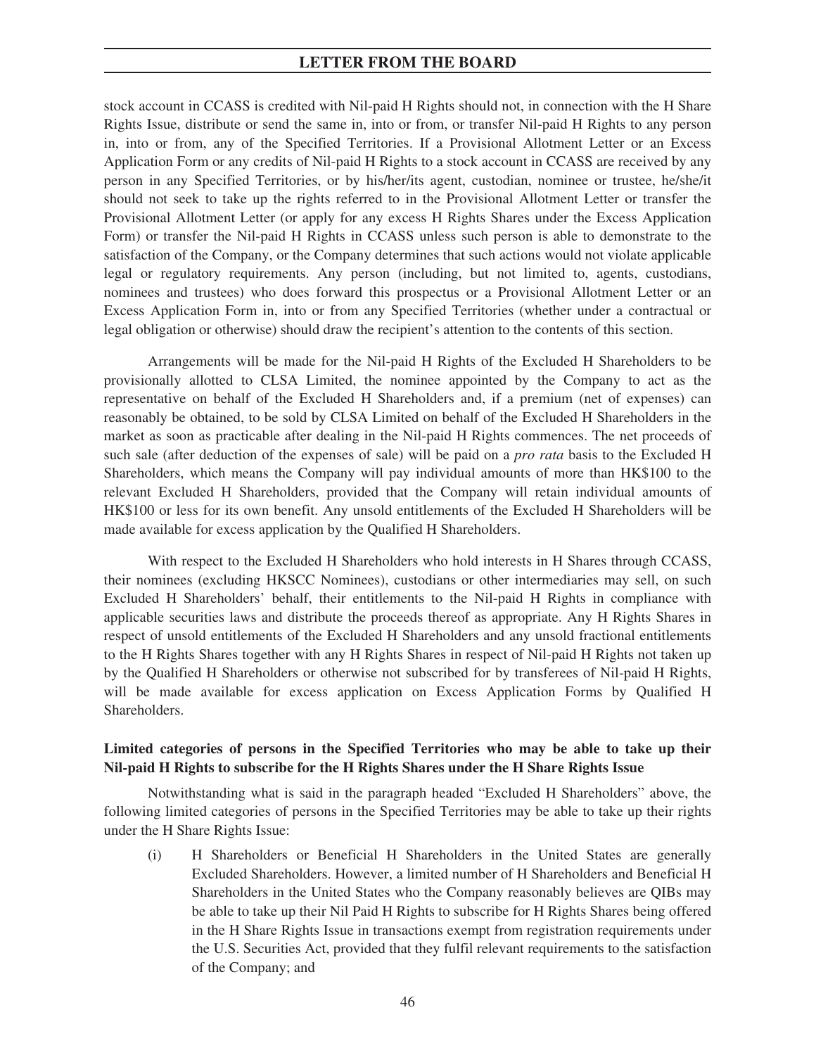stock account in CCASS is credited with Nil-paid H Rights should not, in connection with the H Share Rights Issue, distribute or send the same in, into or from, or transfer Nil-paid H Rights to any person in, into or from, any of the Specified Territories. If a Provisional Allotment Letter or an Excess Application Form or any credits of Nil-paid H Rights to a stock account in CCASS are received by any person in any Specified Territories, or by his/her/its agent, custodian, nominee or trustee, he/she/it should not seek to take up the rights referred to in the Provisional Allotment Letter or transfer the Provisional Allotment Letter (or apply for any excess H Rights Shares under the Excess Application Form) or transfer the Nil-paid H Rights in CCASS unless such person is able to demonstrate to the satisfaction of the Company, or the Company determines that such actions would not violate applicable legal or regulatory requirements. Any person (including, but not limited to, agents, custodians, nominees and trustees) who does forward this prospectus or a Provisional Allotment Letter or an Excess Application Form in, into or from any Specified Territories (whether under a contractual or legal obligation or otherwise) should draw the recipient's attention to the contents of this section.

Arrangements will be made for the Nil-paid H Rights of the Excluded H Shareholders to be provisionally allotted to CLSA Limited, the nominee appointed by the Company to act as the representative on behalf of the Excluded H Shareholders and, if a premium (net of expenses) can reasonably be obtained, to be sold by CLSA Limited on behalf of the Excluded H Shareholders in the market as soon as practicable after dealing in the Nil-paid H Rights commences. The net proceeds of such sale (after deduction of the expenses of sale) will be paid on a *pro rata* basis to the Excluded H Shareholders, which means the Company will pay individual amounts of more than HK\$100 to the relevant Excluded H Shareholders, provided that the Company will retain individual amounts of HK\$100 or less for its own benefit. Any unsold entitlements of the Excluded H Shareholders will be made available for excess application by the Qualified H Shareholders.

With respect to the Excluded H Shareholders who hold interests in H Shares through CCASS, their nominees (excluding HKSCC Nominees), custodians or other intermediaries may sell, on such Excluded H Shareholders' behalf, their entitlements to the Nil-paid H Rights in compliance with applicable securities laws and distribute the proceeds thereof as appropriate. Any H Rights Shares in respect of unsold entitlements of the Excluded H Shareholders and any unsold fractional entitlements to the H Rights Shares together with any H Rights Shares in respect of Nil-paid H Rights not taken up by the Qualified H Shareholders or otherwise not subscribed for by transferees of Nil-paid H Rights, will be made available for excess application on Excess Application Forms by Qualified H Shareholders.

# **Limited categories of persons in the Specified Territories who may be able to take up their Nil-paid H Rights to subscribe for the H Rights Shares under the H Share Rights Issue**

Notwithstanding what is said in the paragraph headed "Excluded H Shareholders" above, the following limited categories of persons in the Specified Territories may be able to take up their rights under the H Share Rights Issue:

(i) H Shareholders or Beneficial H Shareholders in the United States are generally Excluded Shareholders. However, a limited number of H Shareholders and Beneficial H Shareholders in the United States who the Company reasonably believes are QIBs may be able to take up their Nil Paid H Rights to subscribe for H Rights Shares being offered in the H Share Rights Issue in transactions exempt from registration requirements under the U.S. Securities Act, provided that they fulfil relevant requirements to the satisfaction of the Company; and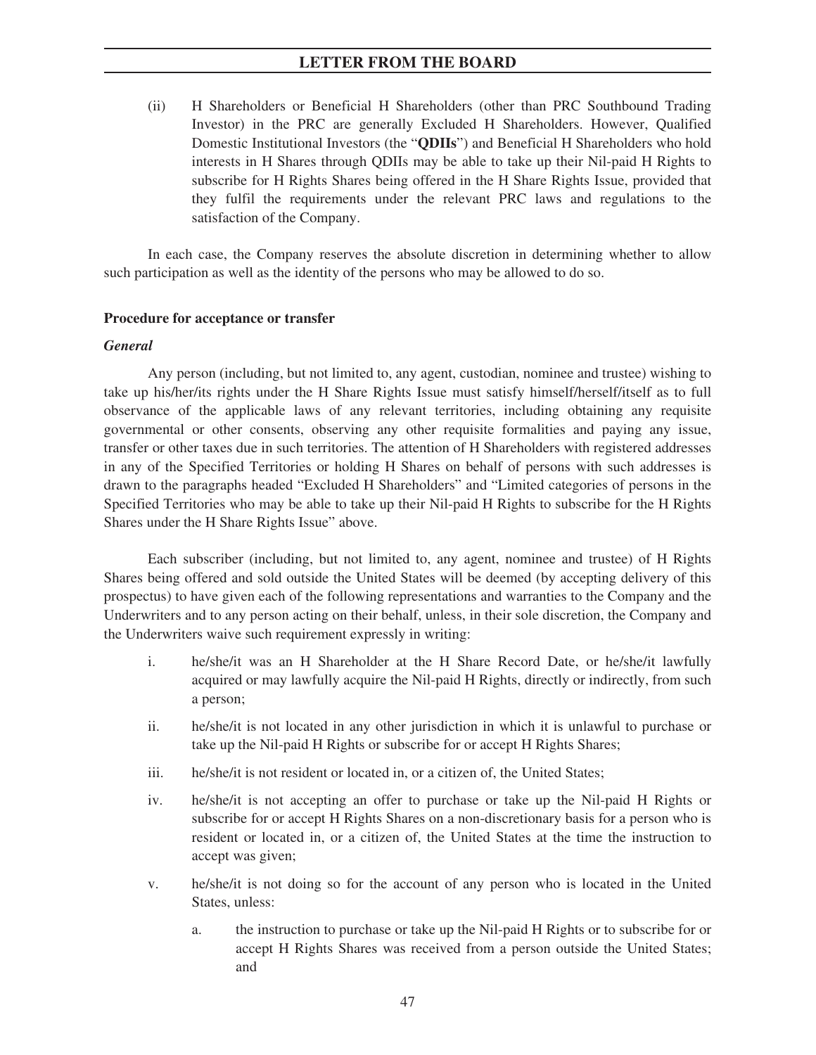(ii) H Shareholders or Beneficial H Shareholders (other than PRC Southbound Trading Investor) in the PRC are generally Excluded H Shareholders. However, Qualified Domestic Institutional Investors (the "**QDIIs**") and Beneficial H Shareholders who hold interests in H Shares through QDIIs may be able to take up their Nil-paid H Rights to subscribe for H Rights Shares being offered in the H Share Rights Issue, provided that they fulfil the requirements under the relevant PRC laws and regulations to the satisfaction of the Company.

In each case, the Company reserves the absolute discretion in determining whether to allow such participation as well as the identity of the persons who may be allowed to do so.

## **Procedure for acceptance or transfer**

## *General*

Any person (including, but not limited to, any agent, custodian, nominee and trustee) wishing to take up his/her/its rights under the H Share Rights Issue must satisfy himself/herself/itself as to full observance of the applicable laws of any relevant territories, including obtaining any requisite governmental or other consents, observing any other requisite formalities and paying any issue, transfer or other taxes due in such territories. The attention of H Shareholders with registered addresses in any of the Specified Territories or holding H Shares on behalf of persons with such addresses is drawn to the paragraphs headed "Excluded H Shareholders" and "Limited categories of persons in the Specified Territories who may be able to take up their Nil-paid H Rights to subscribe for the H Rights Shares under the H Share Rights Issue" above.

Each subscriber (including, but not limited to, any agent, nominee and trustee) of H Rights Shares being offered and sold outside the United States will be deemed (by accepting delivery of this prospectus) to have given each of the following representations and warranties to the Company and the Underwriters and to any person acting on their behalf, unless, in their sole discretion, the Company and the Underwriters waive such requirement expressly in writing:

- i. he/she/it was an H Shareholder at the H Share Record Date, or he/she/it lawfully acquired or may lawfully acquire the Nil-paid H Rights, directly or indirectly, from such a person;
- ii. he/she/it is not located in any other jurisdiction in which it is unlawful to purchase or take up the Nil-paid H Rights or subscribe for or accept H Rights Shares;
- iii. he/she/it is not resident or located in, or a citizen of, the United States;
- iv. he/she/it is not accepting an offer to purchase or take up the Nil-paid H Rights or subscribe for or accept H Rights Shares on a non-discretionary basis for a person who is resident or located in, or a citizen of, the United States at the time the instruction to accept was given;
- v. he/she/it is not doing so for the account of any person who is located in the United States, unless:
	- a. the instruction to purchase or take up the Nil-paid H Rights or to subscribe for or accept H Rights Shares was received from a person outside the United States; and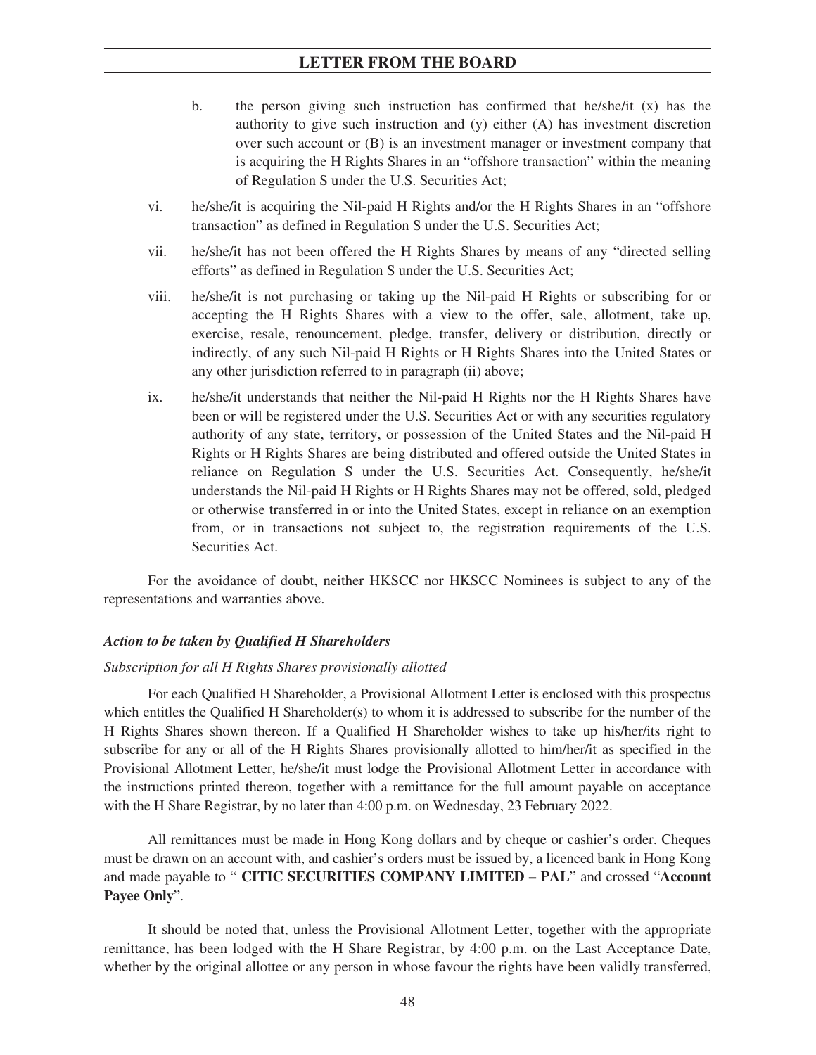- b. the person giving such instruction has confirmed that he/she/it  $(x)$  has the authority to give such instruction and (y) either (A) has investment discretion over such account or (B) is an investment manager or investment company that is acquiring the H Rights Shares in an "offshore transaction" within the meaning of Regulation S under the U.S. Securities Act;
- vi. he/she/it is acquiring the Nil-paid H Rights and/or the H Rights Shares in an "offshore transaction" as defined in Regulation S under the U.S. Securities Act;
- vii. he/she/it has not been offered the H Rights Shares by means of any "directed selling efforts" as defined in Regulation S under the U.S. Securities Act;
- viii. he/she/it is not purchasing or taking up the Nil-paid H Rights or subscribing for or accepting the H Rights Shares with a view to the offer, sale, allotment, take up, exercise, resale, renouncement, pledge, transfer, delivery or distribution, directly or indirectly, of any such Nil-paid H Rights or H Rights Shares into the United States or any other jurisdiction referred to in paragraph (ii) above;
- ix. he/she/it understands that neither the Nil-paid H Rights nor the H Rights Shares have been or will be registered under the U.S. Securities Act or with any securities regulatory authority of any state, territory, or possession of the United States and the Nil-paid H Rights or H Rights Shares are being distributed and offered outside the United States in reliance on Regulation S under the U.S. Securities Act. Consequently, he/she/it understands the Nil-paid H Rights or H Rights Shares may not be offered, sold, pledged or otherwise transferred in or into the United States, except in reliance on an exemption from, or in transactions not subject to, the registration requirements of the U.S. Securities Act.

For the avoidance of doubt, neither HKSCC nor HKSCC Nominees is subject to any of the representations and warranties above.

### *Action to be taken by Qualified H Shareholders*

#### *Subscription for all H Rights Shares provisionally allotted*

For each Qualified H Shareholder, a Provisional Allotment Letter is enclosed with this prospectus which entitles the Qualified H Shareholder(s) to whom it is addressed to subscribe for the number of the H Rights Shares shown thereon. If a Qualified H Shareholder wishes to take up his/her/its right to subscribe for any or all of the H Rights Shares provisionally allotted to him/her/it as specified in the Provisional Allotment Letter, he/she/it must lodge the Provisional Allotment Letter in accordance with the instructions printed thereon, together with a remittance for the full amount payable on acceptance with the H Share Registrar, by no later than 4:00 p.m. on Wednesday, 23 February 2022.

All remittances must be made in Hong Kong dollars and by cheque or cashier's order. Cheques must be drawn on an account with, and cashier's orders must be issued by, a licenced bank in Hong Kong and made payable to " **CITIC SECURITIES COMPANY LIMITED – PAL**" and crossed "**Account Payee Only**".

It should be noted that, unless the Provisional Allotment Letter, together with the appropriate remittance, has been lodged with the H Share Registrar, by 4:00 p.m. on the Last Acceptance Date, whether by the original allottee or any person in whose favour the rights have been validly transferred,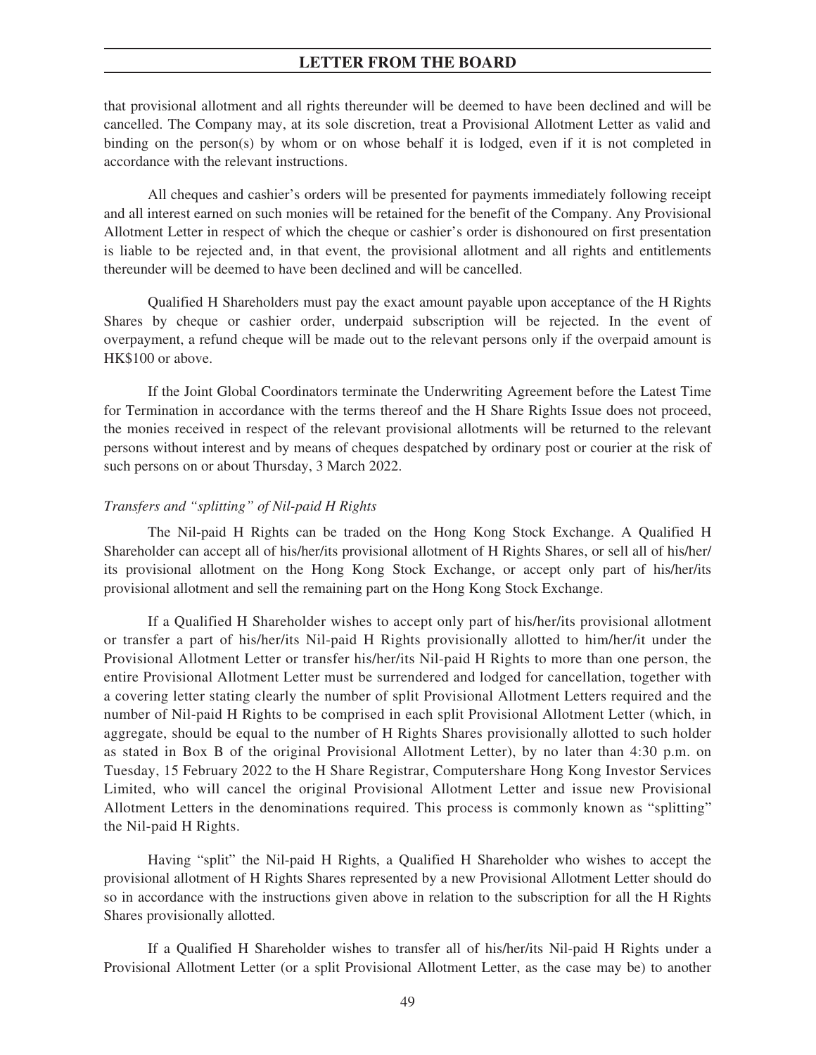that provisional allotment and all rights thereunder will be deemed to have been declined and will be cancelled. The Company may, at its sole discretion, treat a Provisional Allotment Letter as valid and binding on the person(s) by whom or on whose behalf it is lodged, even if it is not completed in accordance with the relevant instructions.

All cheques and cashier's orders will be presented for payments immediately following receipt and all interest earned on such monies will be retained for the benefit of the Company. Any Provisional Allotment Letter in respect of which the cheque or cashier's order is dishonoured on first presentation is liable to be rejected and, in that event, the provisional allotment and all rights and entitlements thereunder will be deemed to have been declined and will be cancelled.

Qualified H Shareholders must pay the exact amount payable upon acceptance of the H Rights Shares by cheque or cashier order, underpaid subscription will be rejected. In the event of overpayment, a refund cheque will be made out to the relevant persons only if the overpaid amount is HK\$100 or above.

If the Joint Global Coordinators terminate the Underwriting Agreement before the Latest Time for Termination in accordance with the terms thereof and the H Share Rights Issue does not proceed, the monies received in respect of the relevant provisional allotments will be returned to the relevant persons without interest and by means of cheques despatched by ordinary post or courier at the risk of such persons on or about Thursday, 3 March 2022.

### *Transfers and "splitting" of Nil-paid H Rights*

The Nil-paid H Rights can be traded on the Hong Kong Stock Exchange. A Qualified H Shareholder can accept all of his/her/its provisional allotment of H Rights Shares, or sell all of his/her/ its provisional allotment on the Hong Kong Stock Exchange, or accept only part of his/her/its provisional allotment and sell the remaining part on the Hong Kong Stock Exchange.

If a Qualified H Shareholder wishes to accept only part of his/her/its provisional allotment or transfer a part of his/her/its Nil-paid H Rights provisionally allotted to him/her/it under the Provisional Allotment Letter or transfer his/her/its Nil-paid H Rights to more than one person, the entire Provisional Allotment Letter must be surrendered and lodged for cancellation, together with a covering letter stating clearly the number of split Provisional Allotment Letters required and the number of Nil-paid H Rights to be comprised in each split Provisional Allotment Letter (which, in aggregate, should be equal to the number of H Rights Shares provisionally allotted to such holder as stated in Box B of the original Provisional Allotment Letter), by no later than 4:30 p.m. on Tuesday, 15 February 2022 to the H Share Registrar, Computershare Hong Kong Investor Services Limited, who will cancel the original Provisional Allotment Letter and issue new Provisional Allotment Letters in the denominations required. This process is commonly known as "splitting" the Nil-paid H Rights.

Having "split" the Nil-paid H Rights, a Qualified H Shareholder who wishes to accept the provisional allotment of H Rights Shares represented by a new Provisional Allotment Letter should do so in accordance with the instructions given above in relation to the subscription for all the H Rights Shares provisionally allotted.

If a Qualified H Shareholder wishes to transfer all of his/her/its Nil-paid H Rights under a Provisional Allotment Letter (or a split Provisional Allotment Letter, as the case may be) to another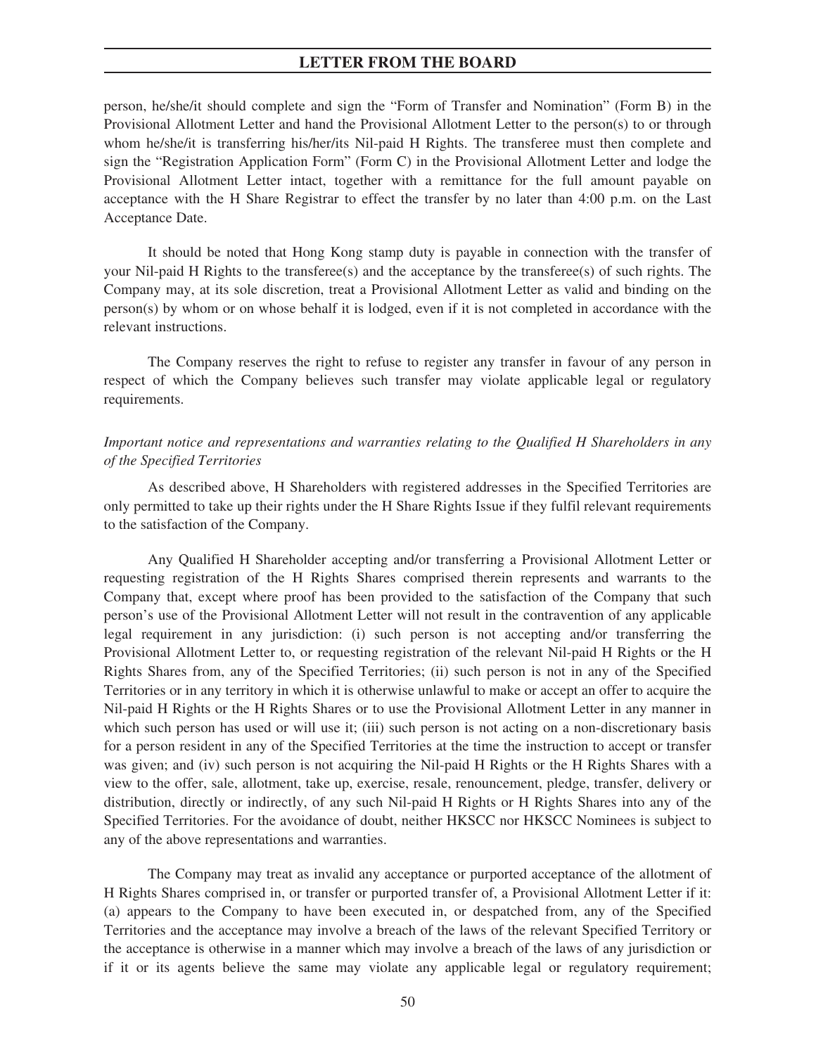person, he/she/it should complete and sign the "Form of Transfer and Nomination" (Form B) in the Provisional Allotment Letter and hand the Provisional Allotment Letter to the person(s) to or through whom he/she/it is transferring his/her/its Nil-paid H Rights. The transferee must then complete and sign the "Registration Application Form" (Form C) in the Provisional Allotment Letter and lodge the Provisional Allotment Letter intact, together with a remittance for the full amount payable on acceptance with the H Share Registrar to effect the transfer by no later than 4:00 p.m. on the Last Acceptance Date.

It should be noted that Hong Kong stamp duty is payable in connection with the transfer of your Nil-paid H Rights to the transferee(s) and the acceptance by the transferee(s) of such rights. The Company may, at its sole discretion, treat a Provisional Allotment Letter as valid and binding on the person(s) by whom or on whose behalf it is lodged, even if it is not completed in accordance with the relevant instructions.

The Company reserves the right to refuse to register any transfer in favour of any person in respect of which the Company believes such transfer may violate applicable legal or regulatory requirements.

# *Important notice and representations and warranties relating to the Qualified H Shareholders in any of the Specified Territories*

As described above, H Shareholders with registered addresses in the Specified Territories are only permitted to take up their rights under the H Share Rights Issue if they fulfil relevant requirements to the satisfaction of the Company.

Any Qualified H Shareholder accepting and/or transferring a Provisional Allotment Letter or requesting registration of the H Rights Shares comprised therein represents and warrants to the Company that, except where proof has been provided to the satisfaction of the Company that such person's use of the Provisional Allotment Letter will not result in the contravention of any applicable legal requirement in any jurisdiction: (i) such person is not accepting and/or transferring the Provisional Allotment Letter to, or requesting registration of the relevant Nil-paid H Rights or the H Rights Shares from, any of the Specified Territories; (ii) such person is not in any of the Specified Territories or in any territory in which it is otherwise unlawful to make or accept an offer to acquire the Nil-paid H Rights or the H Rights Shares or to use the Provisional Allotment Letter in any manner in which such person has used or will use it; (iii) such person is not acting on a non-discretionary basis for a person resident in any of the Specified Territories at the time the instruction to accept or transfer was given; and (iv) such person is not acquiring the Nil-paid H Rights or the H Rights Shares with a view to the offer, sale, allotment, take up, exercise, resale, renouncement, pledge, transfer, delivery or distribution, directly or indirectly, of any such Nil-paid H Rights or H Rights Shares into any of the Specified Territories. For the avoidance of doubt, neither HKSCC nor HKSCC Nominees is subject to any of the above representations and warranties.

The Company may treat as invalid any acceptance or purported acceptance of the allotment of H Rights Shares comprised in, or transfer or purported transfer of, a Provisional Allotment Letter if it: (a) appears to the Company to have been executed in, or despatched from, any of the Specified Territories and the acceptance may involve a breach of the laws of the relevant Specified Territory or the acceptance is otherwise in a manner which may involve a breach of the laws of any jurisdiction or if it or its agents believe the same may violate any applicable legal or regulatory requirement;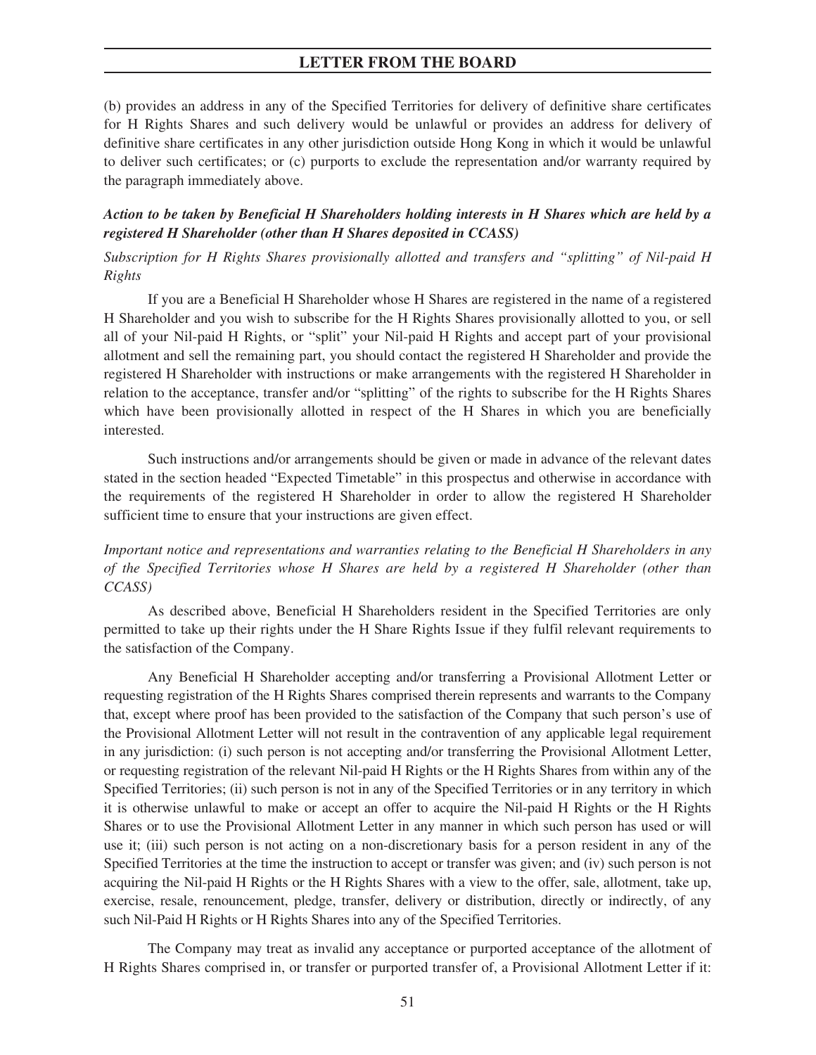(b) provides an address in any of the Specified Territories for delivery of definitive share certificates for H Rights Shares and such delivery would be unlawful or provides an address for delivery of definitive share certificates in any other jurisdiction outside Hong Kong in which it would be unlawful to deliver such certificates; or (c) purports to exclude the representation and/or warranty required by the paragraph immediately above.

# *Action to be taken by Beneficial H Shareholders holding interests in H Shares which are held by a registered H Shareholder (other than H Shares deposited in CCASS)*

*Subscription for H Rights Shares provisionally allotted and transfers and "splitting" of Nil-paid H Rights*

If you are a Beneficial H Shareholder whose H Shares are registered in the name of a registered H Shareholder and you wish to subscribe for the H Rights Shares provisionally allotted to you, or sell all of your Nil-paid H Rights, or "split" your Nil-paid H Rights and accept part of your provisional allotment and sell the remaining part, you should contact the registered H Shareholder and provide the registered H Shareholder with instructions or make arrangements with the registered H Shareholder in relation to the acceptance, transfer and/or "splitting" of the rights to subscribe for the H Rights Shares which have been provisionally allotted in respect of the H Shares in which you are beneficially interested.

Such instructions and/or arrangements should be given or made in advance of the relevant dates stated in the section headed "Expected Timetable" in this prospectus and otherwise in accordance with the requirements of the registered H Shareholder in order to allow the registered H Shareholder sufficient time to ensure that your instructions are given effect.

# *Important notice and representations and warranties relating to the Beneficial H Shareholders in any of the Specified Territories whose H Shares are held by a registered H Shareholder (other than CCASS)*

As described above, Beneficial H Shareholders resident in the Specified Territories are only permitted to take up their rights under the H Share Rights Issue if they fulfil relevant requirements to the satisfaction of the Company.

Any Beneficial H Shareholder accepting and/or transferring a Provisional Allotment Letter or requesting registration of the H Rights Shares comprised therein represents and warrants to the Company that, except where proof has been provided to the satisfaction of the Company that such person's use of the Provisional Allotment Letter will not result in the contravention of any applicable legal requirement in any jurisdiction: (i) such person is not accepting and/or transferring the Provisional Allotment Letter, or requesting registration of the relevant Nil-paid H Rights or the H Rights Shares from within any of the Specified Territories; (ii) such person is not in any of the Specified Territories or in any territory in which it is otherwise unlawful to make or accept an offer to acquire the Nil-paid H Rights or the H Rights Shares or to use the Provisional Allotment Letter in any manner in which such person has used or will use it; (iii) such person is not acting on a non-discretionary basis for a person resident in any of the Specified Territories at the time the instruction to accept or transfer was given; and (iv) such person is not acquiring the Nil-paid H Rights or the H Rights Shares with a view to the offer, sale, allotment, take up, exercise, resale, renouncement, pledge, transfer, delivery or distribution, directly or indirectly, of any such Nil-Paid H Rights or H Rights Shares into any of the Specified Territories.

The Company may treat as invalid any acceptance or purported acceptance of the allotment of H Rights Shares comprised in, or transfer or purported transfer of, a Provisional Allotment Letter if it: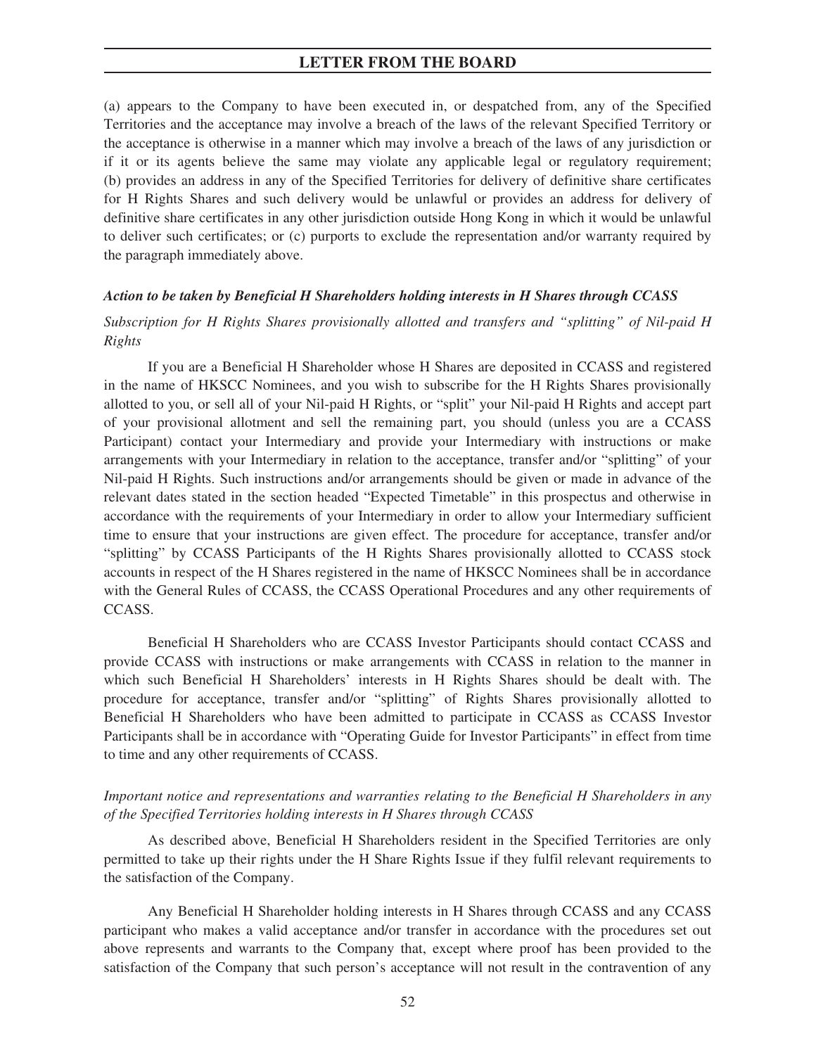(a) appears to the Company to have been executed in, or despatched from, any of the Specified Territories and the acceptance may involve a breach of the laws of the relevant Specified Territory or the acceptance is otherwise in a manner which may involve a breach of the laws of any jurisdiction or if it or its agents believe the same may violate any applicable legal or regulatory requirement; (b) provides an address in any of the Specified Territories for delivery of definitive share certificates for H Rights Shares and such delivery would be unlawful or provides an address for delivery of definitive share certificates in any other jurisdiction outside Hong Kong in which it would be unlawful to deliver such certificates; or (c) purports to exclude the representation and/or warranty required by the paragraph immediately above.

### *Action to be taken by Beneficial H Shareholders holding interests in H Shares through CCASS*

# *Subscription for H Rights Shares provisionally allotted and transfers and "splitting" of Nil-paid H Rights*

If you are a Beneficial H Shareholder whose H Shares are deposited in CCASS and registered in the name of HKSCC Nominees, and you wish to subscribe for the H Rights Shares provisionally allotted to you, or sell all of your Nil-paid H Rights, or "split" your Nil-paid H Rights and accept part of your provisional allotment and sell the remaining part, you should (unless you are a CCASS Participant) contact your Intermediary and provide your Intermediary with instructions or make arrangements with your Intermediary in relation to the acceptance, transfer and/or "splitting" of your Nil-paid H Rights. Such instructions and/or arrangements should be given or made in advance of the relevant dates stated in the section headed "Expected Timetable" in this prospectus and otherwise in accordance with the requirements of your Intermediary in order to allow your Intermediary sufficient time to ensure that your instructions are given effect. The procedure for acceptance, transfer and/or "splitting" by CCASS Participants of the H Rights Shares provisionally allotted to CCASS stock accounts in respect of the H Shares registered in the name of HKSCC Nominees shall be in accordance with the General Rules of CCASS, the CCASS Operational Procedures and any other requirements of CCASS.

Beneficial H Shareholders who are CCASS Investor Participants should contact CCASS and provide CCASS with instructions or make arrangements with CCASS in relation to the manner in which such Beneficial H Shareholders' interests in H Rights Shares should be dealt with. The procedure for acceptance, transfer and/or "splitting" of Rights Shares provisionally allotted to Beneficial H Shareholders who have been admitted to participate in CCASS as CCASS Investor Participants shall be in accordance with "Operating Guide for Investor Participants" in effect from time to time and any other requirements of CCASS.

# *Important notice and representations and warranties relating to the Beneficial H Shareholders in any of the Specified Territories holding interests in H Shares through CCASS*

As described above, Beneficial H Shareholders resident in the Specified Territories are only permitted to take up their rights under the H Share Rights Issue if they fulfil relevant requirements to the satisfaction of the Company.

Any Beneficial H Shareholder holding interests in H Shares through CCASS and any CCASS participant who makes a valid acceptance and/or transfer in accordance with the procedures set out above represents and warrants to the Company that, except where proof has been provided to the satisfaction of the Company that such person's acceptance will not result in the contravention of any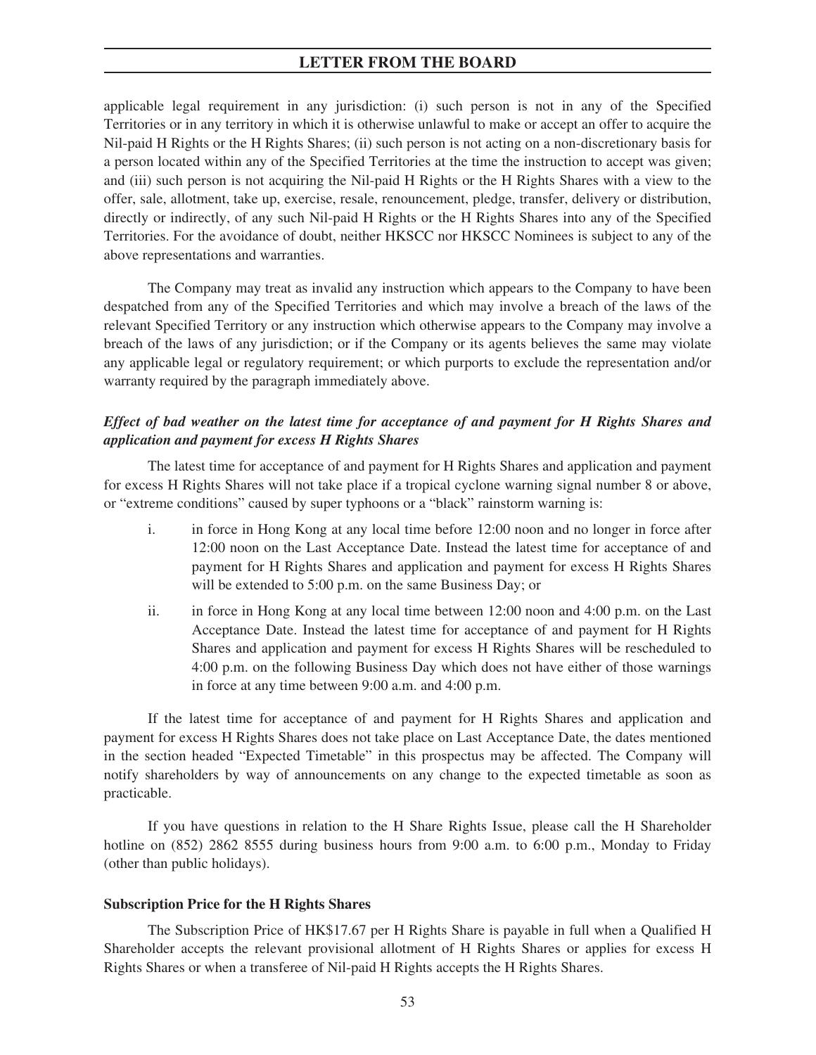applicable legal requirement in any jurisdiction: (i) such person is not in any of the Specified Territories or in any territory in which it is otherwise unlawful to make or accept an offer to acquire the Nil-paid H Rights or the H Rights Shares; (ii) such person is not acting on a non-discretionary basis for a person located within any of the Specified Territories at the time the instruction to accept was given; and (iii) such person is not acquiring the Nil-paid H Rights or the H Rights Shares with a view to the offer, sale, allotment, take up, exercise, resale, renouncement, pledge, transfer, delivery or distribution, directly or indirectly, of any such Nil-paid H Rights or the H Rights Shares into any of the Specified Territories. For the avoidance of doubt, neither HKSCC nor HKSCC Nominees is subject to any of the above representations and warranties.

The Company may treat as invalid any instruction which appears to the Company to have been despatched from any of the Specified Territories and which may involve a breach of the laws of the relevant Specified Territory or any instruction which otherwise appears to the Company may involve a breach of the laws of any jurisdiction; or if the Company or its agents believes the same may violate any applicable legal or regulatory requirement; or which purports to exclude the representation and/or warranty required by the paragraph immediately above.

# *Effect of bad weather on the latest time for acceptance of and payment for H Rights Shares and application and payment for excess H Rights Shares*

The latest time for acceptance of and payment for H Rights Shares and application and payment for excess H Rights Shares will not take place if a tropical cyclone warning signal number 8 or above, or "extreme conditions" caused by super typhoons or a "black" rainstorm warning is:

- i. in force in Hong Kong at any local time before 12:00 noon and no longer in force after 12:00 noon on the Last Acceptance Date. Instead the latest time for acceptance of and payment for H Rights Shares and application and payment for excess H Rights Shares will be extended to 5:00 p.m. on the same Business Day; or
- ii. in force in Hong Kong at any local time between 12:00 noon and 4:00 p.m. on the Last Acceptance Date. Instead the latest time for acceptance of and payment for H Rights Shares and application and payment for excess H Rights Shares will be rescheduled to 4:00 p.m. on the following Business Day which does not have either of those warnings in force at any time between 9:00 a.m. and 4:00 p.m.

If the latest time for acceptance of and payment for H Rights Shares and application and payment for excess H Rights Shares does not take place on Last Acceptance Date, the dates mentioned in the section headed "Expected Timetable" in this prospectus may be affected. The Company will notify shareholders by way of announcements on any change to the expected timetable as soon as practicable.

If you have questions in relation to the H Share Rights Issue, please call the H Shareholder hotline on (852) 2862 8555 during business hours from 9:00 a.m. to 6:00 p.m., Monday to Friday (other than public holidays).

#### **Subscription Price for the H Rights Shares**

The Subscription Price of HK\$17.67 per H Rights Share is payable in full when a Qualified H Shareholder accepts the relevant provisional allotment of H Rights Shares or applies for excess H Rights Shares or when a transferee of Nil-paid H Rights accepts the H Rights Shares.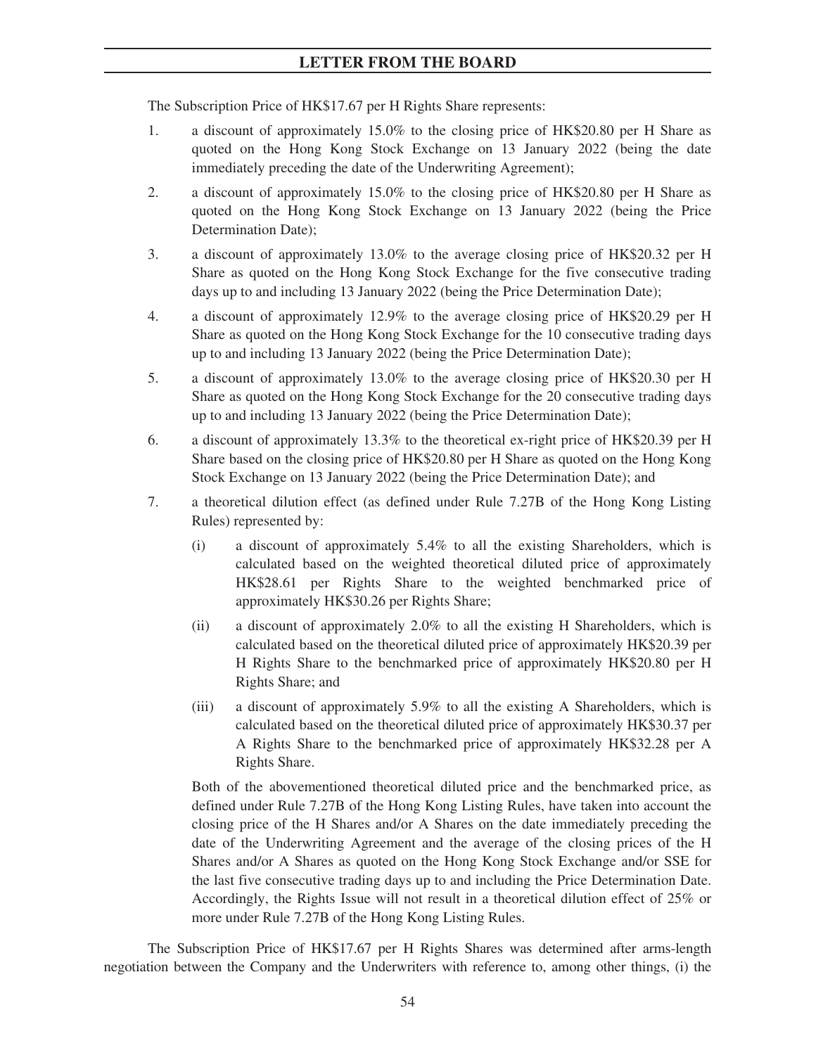The Subscription Price of HK\$17.67 per H Rights Share represents:

- 1. a discount of approximately 15.0% to the closing price of HK\$20.80 per H Share as quoted on the Hong Kong Stock Exchange on 13 January 2022 (being the date immediately preceding the date of the Underwriting Agreement);
- 2. a discount of approximately 15.0% to the closing price of HK\$20.80 per H Share as quoted on the Hong Kong Stock Exchange on 13 January 2022 (being the Price Determination Date);
- 3. a discount of approximately 13.0% to the average closing price of HK\$20.32 per H Share as quoted on the Hong Kong Stock Exchange for the five consecutive trading days up to and including 13 January 2022 (being the Price Determination Date);
- 4. a discount of approximately 12.9% to the average closing price of HK\$20.29 per H Share as quoted on the Hong Kong Stock Exchange for the 10 consecutive trading days up to and including 13 January 2022 (being the Price Determination Date);
- 5. a discount of approximately 13.0% to the average closing price of HK\$20.30 per H Share as quoted on the Hong Kong Stock Exchange for the 20 consecutive trading days up to and including 13 January 2022 (being the Price Determination Date);
- 6. a discount of approximately 13.3% to the theoretical ex-right price of HK\$20.39 per H Share based on the closing price of HK\$20.80 per H Share as quoted on the Hong Kong Stock Exchange on 13 January 2022 (being the Price Determination Date); and
- 7. a theoretical dilution effect (as defined under Rule 7.27B of the Hong Kong Listing Rules) represented by:
	- (i) a discount of approximately 5.4% to all the existing Shareholders, which is calculated based on the weighted theoretical diluted price of approximately HK\$28.61 per Rights Share to the weighted benchmarked price of approximately HK\$30.26 per Rights Share;
	- (ii) a discount of approximately 2.0% to all the existing H Shareholders, which is calculated based on the theoretical diluted price of approximately HK\$20.39 per H Rights Share to the benchmarked price of approximately HK\$20.80 per H Rights Share; and
	- (iii) a discount of approximately 5.9% to all the existing A Shareholders, which is calculated based on the theoretical diluted price of approximately HK\$30.37 per A Rights Share to the benchmarked price of approximately HK\$32.28 per A Rights Share.

Both of the abovementioned theoretical diluted price and the benchmarked price, as defined under Rule 7.27B of the Hong Kong Listing Rules, have taken into account the closing price of the H Shares and/or A Shares on the date immediately preceding the date of the Underwriting Agreement and the average of the closing prices of the H Shares and/or A Shares as quoted on the Hong Kong Stock Exchange and/or SSE for the last five consecutive trading days up to and including the Price Determination Date. Accordingly, the Rights Issue will not result in a theoretical dilution effect of 25% or more under Rule 7.27B of the Hong Kong Listing Rules.

The Subscription Price of HK\$17.67 per H Rights Shares was determined after arms-length negotiation between the Company and the Underwriters with reference to, among other things, (i) the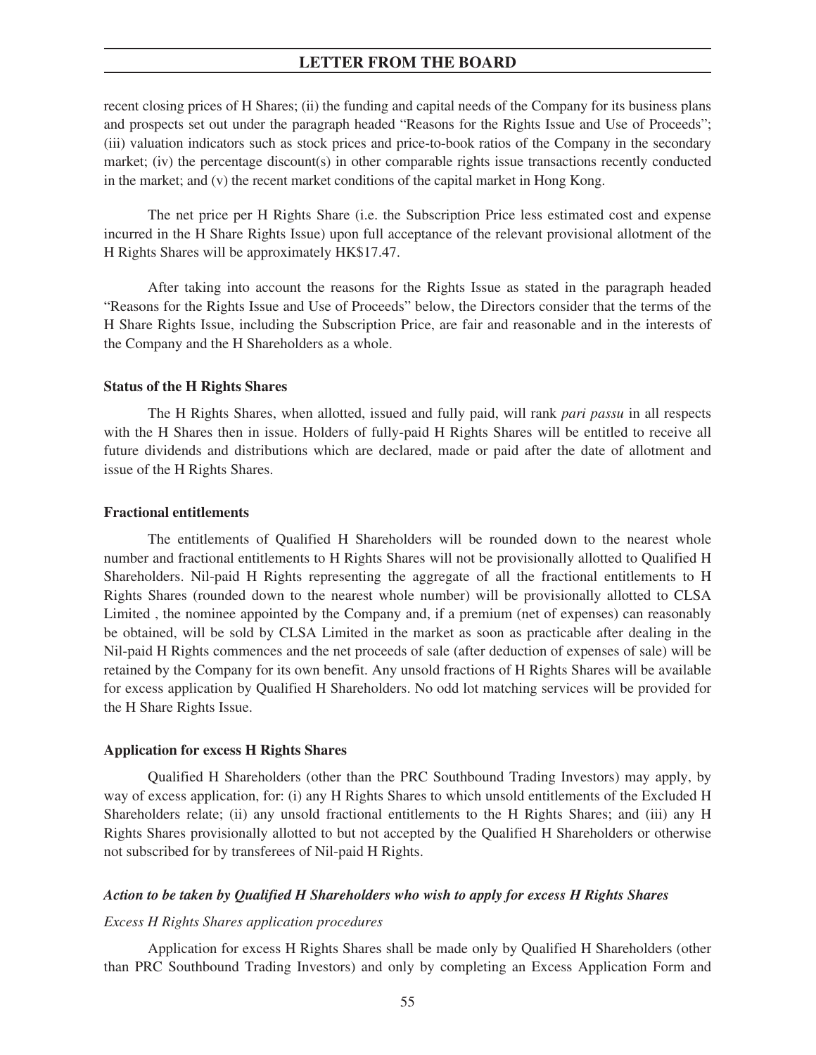recent closing prices of H Shares; (ii) the funding and capital needs of the Company for its business plans and prospects set out under the paragraph headed "Reasons for the Rights Issue and Use of Proceeds"; (iii) valuation indicators such as stock prices and price-to-book ratios of the Company in the secondary market; (iv) the percentage discount(s) in other comparable rights issue transactions recently conducted in the market; and (v) the recent market conditions of the capital market in Hong Kong.

The net price per H Rights Share (i.e. the Subscription Price less estimated cost and expense incurred in the H Share Rights Issue) upon full acceptance of the relevant provisional allotment of the H Rights Shares will be approximately HK\$17.47.

After taking into account the reasons for the Rights Issue as stated in the paragraph headed "Reasons for the Rights Issue and Use of Proceeds" below, the Directors consider that the terms of the H Share Rights Issue, including the Subscription Price, are fair and reasonable and in the interests of the Company and the H Shareholders as a whole.

### **Status of the H Rights Shares**

The H Rights Shares, when allotted, issued and fully paid, will rank *pari passu* in all respects with the H Shares then in issue. Holders of fully-paid H Rights Shares will be entitled to receive all future dividends and distributions which are declared, made or paid after the date of allotment and issue of the H Rights Shares.

#### **Fractional entitlements**

The entitlements of Qualified H Shareholders will be rounded down to the nearest whole number and fractional entitlements to H Rights Shares will not be provisionally allotted to Qualified H Shareholders. Nil-paid H Rights representing the aggregate of all the fractional entitlements to H Rights Shares (rounded down to the nearest whole number) will be provisionally allotted to CLSA Limited , the nominee appointed by the Company and, if a premium (net of expenses) can reasonably be obtained, will be sold by CLSA Limited in the market as soon as practicable after dealing in the Nil-paid H Rights commences and the net proceeds of sale (after deduction of expenses of sale) will be retained by the Company for its own benefit. Any unsold fractions of H Rights Shares will be available for excess application by Qualified H Shareholders. No odd lot matching services will be provided for the H Share Rights Issue.

### **Application for excess H Rights Shares**

Qualified H Shareholders (other than the PRC Southbound Trading Investors) may apply, by way of excess application, for: (i) any H Rights Shares to which unsold entitlements of the Excluded H Shareholders relate; (ii) any unsold fractional entitlements to the H Rights Shares; and (iii) any H Rights Shares provisionally allotted to but not accepted by the Qualified H Shareholders or otherwise not subscribed for by transferees of Nil-paid H Rights.

### *Action to be taken by Qualified H Shareholders who wish to apply for excess H Rights Shares*

### *Excess H Rights Shares application procedures*

Application for excess H Rights Shares shall be made only by Qualified H Shareholders (other than PRC Southbound Trading Investors) and only by completing an Excess Application Form and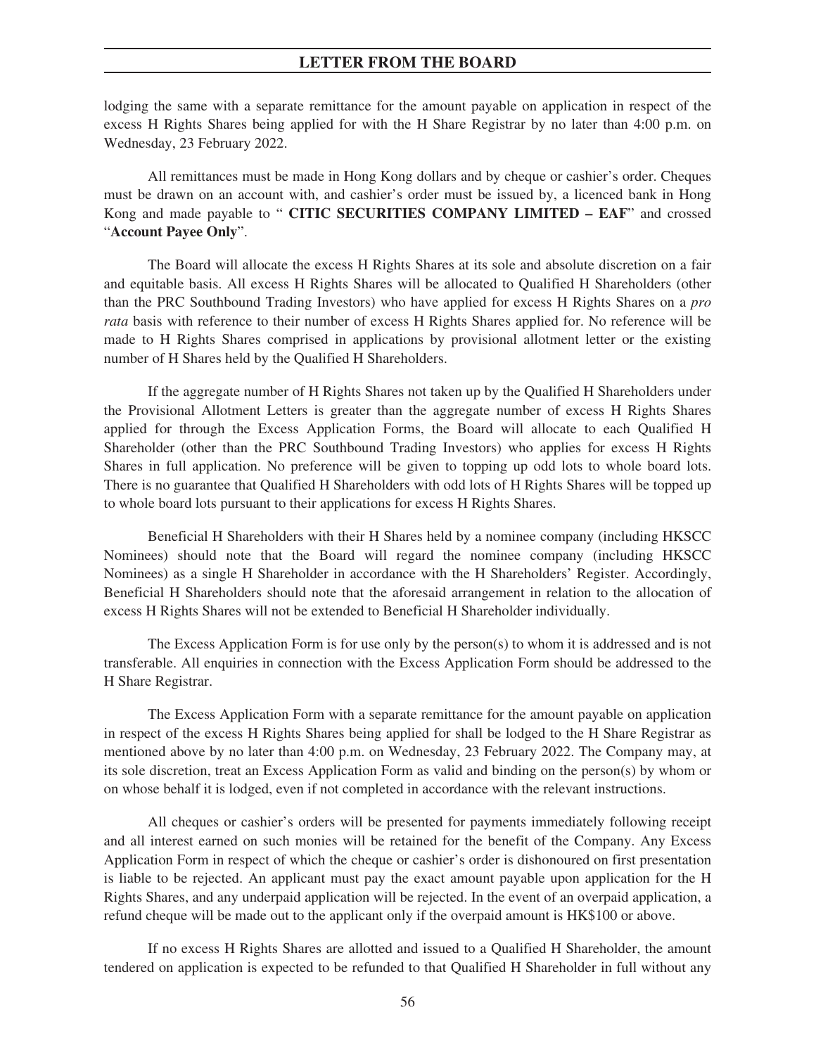lodging the same with a separate remittance for the amount payable on application in respect of the excess H Rights Shares being applied for with the H Share Registrar by no later than 4:00 p.m. on Wednesday, 23 February 2022.

All remittances must be made in Hong Kong dollars and by cheque or cashier's order. Cheques must be drawn on an account with, and cashier's order must be issued by, a licenced bank in Hong Kong and made payable to " **CITIC SECURITIES COMPANY LIMITED – EAF**" and crossed "**Account Payee Only**".

The Board will allocate the excess H Rights Shares at its sole and absolute discretion on a fair and equitable basis. All excess H Rights Shares will be allocated to Qualified H Shareholders (other than the PRC Southbound Trading Investors) who have applied for excess H Rights Shares on a *pro rata* basis with reference to their number of excess H Rights Shares applied for. No reference will be made to H Rights Shares comprised in applications by provisional allotment letter or the existing number of H Shares held by the Qualified H Shareholders.

If the aggregate number of H Rights Shares not taken up by the Qualified H Shareholders under the Provisional Allotment Letters is greater than the aggregate number of excess H Rights Shares applied for through the Excess Application Forms, the Board will allocate to each Qualified H Shareholder (other than the PRC Southbound Trading Investors) who applies for excess H Rights Shares in full application. No preference will be given to topping up odd lots to whole board lots. There is no guarantee that Qualified H Shareholders with odd lots of H Rights Shares will be topped up to whole board lots pursuant to their applications for excess H Rights Shares.

Beneficial H Shareholders with their H Shares held by a nominee company (including HKSCC Nominees) should note that the Board will regard the nominee company (including HKSCC Nominees) as a single H Shareholder in accordance with the H Shareholders' Register. Accordingly, Beneficial H Shareholders should note that the aforesaid arrangement in relation to the allocation of excess H Rights Shares will not be extended to Beneficial H Shareholder individually.

The Excess Application Form is for use only by the person(s) to whom it is addressed and is not transferable. All enquiries in connection with the Excess Application Form should be addressed to the H Share Registrar.

The Excess Application Form with a separate remittance for the amount payable on application in respect of the excess H Rights Shares being applied for shall be lodged to the H Share Registrar as mentioned above by no later than 4:00 p.m. on Wednesday, 23 February 2022. The Company may, at its sole discretion, treat an Excess Application Form as valid and binding on the person(s) by whom or on whose behalf it is lodged, even if not completed in accordance with the relevant instructions.

All cheques or cashier's orders will be presented for payments immediately following receipt and all interest earned on such monies will be retained for the benefit of the Company. Any Excess Application Form in respect of which the cheque or cashier's order is dishonoured on first presentation is liable to be rejected. An applicant must pay the exact amount payable upon application for the H Rights Shares, and any underpaid application will be rejected. In the event of an overpaid application, a refund cheque will be made out to the applicant only if the overpaid amount is HK\$100 or above.

If no excess H Rights Shares are allotted and issued to a Qualified H Shareholder, the amount tendered on application is expected to be refunded to that Qualified H Shareholder in full without any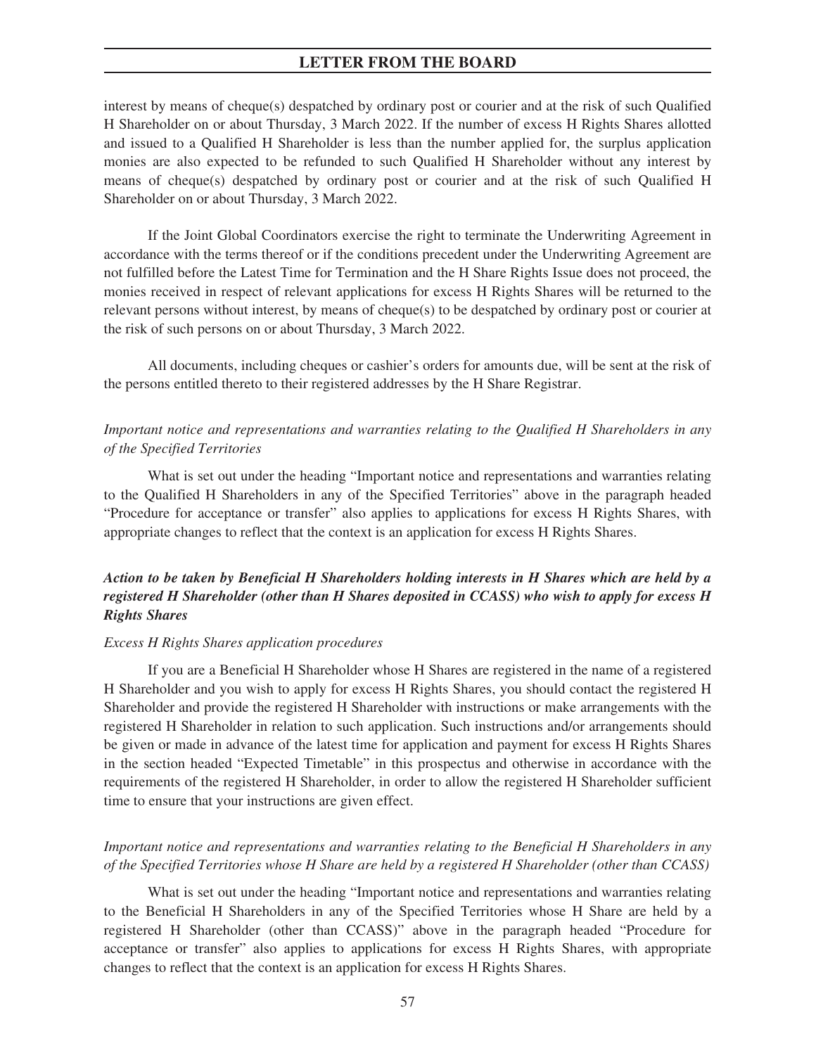interest by means of cheque(s) despatched by ordinary post or courier and at the risk of such Qualified H Shareholder on or about Thursday, 3 March 2022. If the number of excess H Rights Shares allotted and issued to a Qualified H Shareholder is less than the number applied for, the surplus application monies are also expected to be refunded to such Qualified H Shareholder without any interest by means of cheque(s) despatched by ordinary post or courier and at the risk of such Qualified H Shareholder on or about Thursday, 3 March 2022.

If the Joint Global Coordinators exercise the right to terminate the Underwriting Agreement in accordance with the terms thereof or if the conditions precedent under the Underwriting Agreement are not fulfilled before the Latest Time for Termination and the H Share Rights Issue does not proceed, the monies received in respect of relevant applications for excess H Rights Shares will be returned to the relevant persons without interest, by means of cheque(s) to be despatched by ordinary post or courier at the risk of such persons on or about Thursday, 3 March 2022.

All documents, including cheques or cashier's orders for amounts due, will be sent at the risk of the persons entitled thereto to their registered addresses by the H Share Registrar.

# *Important notice and representations and warranties relating to the Qualified H Shareholders in any of the Specified Territories*

What is set out under the heading "Important notice and representations and warranties relating to the Qualified H Shareholders in any of the Specified Territories" above in the paragraph headed "Procedure for acceptance or transfer" also applies to applications for excess H Rights Shares, with appropriate changes to reflect that the context is an application for excess H Rights Shares.

# *Action to be taken by Beneficial H Shareholders holding interests in H Shares which are held by a registered H Shareholder (other than H Shares deposited in CCASS) who wish to apply for excess H Rights Shares*

#### *Excess H Rights Shares application procedures*

If you are a Beneficial H Shareholder whose H Shares are registered in the name of a registered H Shareholder and you wish to apply for excess H Rights Shares, you should contact the registered H Shareholder and provide the registered H Shareholder with instructions or make arrangements with the registered H Shareholder in relation to such application. Such instructions and/or arrangements should be given or made in advance of the latest time for application and payment for excess H Rights Shares in the section headed "Expected Timetable" in this prospectus and otherwise in accordance with the requirements of the registered H Shareholder, in order to allow the registered H Shareholder sufficient time to ensure that your instructions are given effect.

# *Important notice and representations and warranties relating to the Beneficial H Shareholders in any of the Specified Territories whose H Share are held by a registered H Shareholder (other than CCASS)*

What is set out under the heading "Important notice and representations and warranties relating to the Beneficial H Shareholders in any of the Specified Territories whose H Share are held by a registered H Shareholder (other than CCASS)" above in the paragraph headed "Procedure for acceptance or transfer" also applies to applications for excess H Rights Shares, with appropriate changes to reflect that the context is an application for excess H Rights Shares.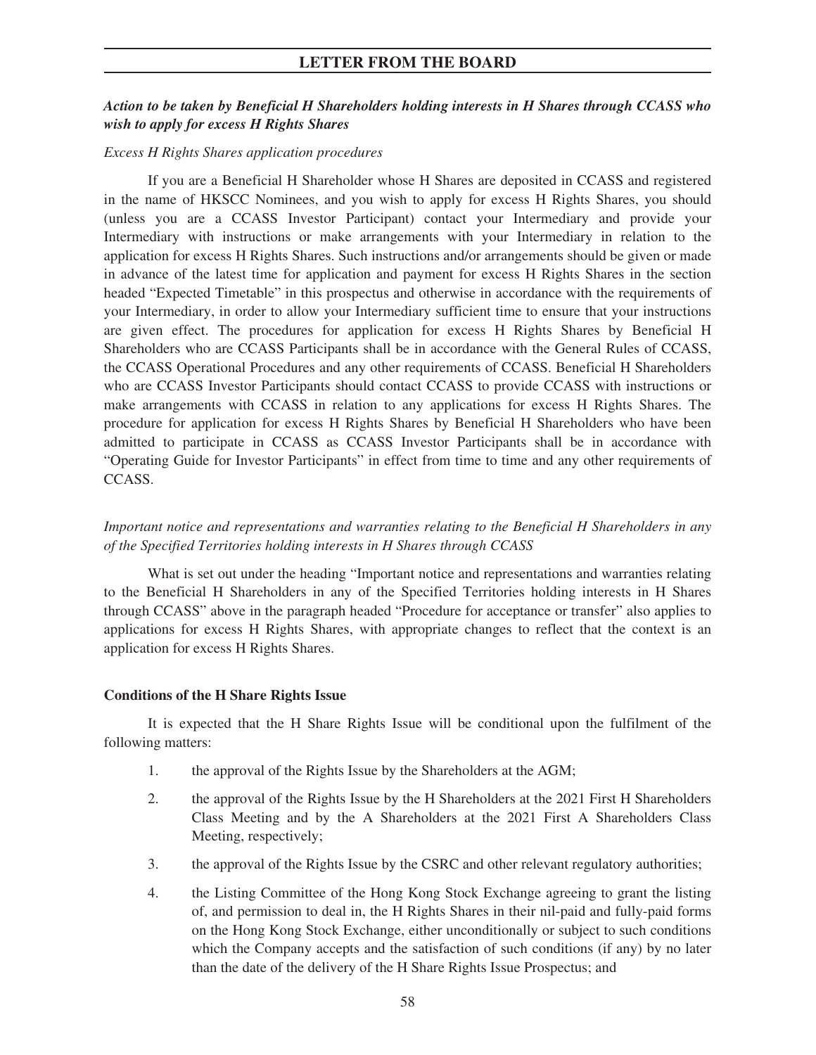# *Action to be taken by Beneficial H Shareholders holding interests in H Shares through CCASS who wish to apply for excess H Rights Shares*

### *Excess H Rights Shares application procedures*

If you are a Beneficial H Shareholder whose H Shares are deposited in CCASS and registered in the name of HKSCC Nominees, and you wish to apply for excess H Rights Shares, you should (unless you are a CCASS Investor Participant) contact your Intermediary and provide your Intermediary with instructions or make arrangements with your Intermediary in relation to the application for excess H Rights Shares. Such instructions and/or arrangements should be given or made in advance of the latest time for application and payment for excess H Rights Shares in the section headed "Expected Timetable" in this prospectus and otherwise in accordance with the requirements of your Intermediary, in order to allow your Intermediary sufficient time to ensure that your instructions are given effect. The procedures for application for excess H Rights Shares by Beneficial H Shareholders who are CCASS Participants shall be in accordance with the General Rules of CCASS, the CCASS Operational Procedures and any other requirements of CCASS. Beneficial H Shareholders who are CCASS Investor Participants should contact CCASS to provide CCASS with instructions or make arrangements with CCASS in relation to any applications for excess H Rights Shares. The procedure for application for excess H Rights Shares by Beneficial H Shareholders who have been admitted to participate in CCASS as CCASS Investor Participants shall be in accordance with "Operating Guide for Investor Participants" in effect from time to time and any other requirements of CCASS.

# *Important notice and representations and warranties relating to the Beneficial H Shareholders in any of the Specified Territories holding interests in H Shares through CCASS*

What is set out under the heading "Important notice and representations and warranties relating to the Beneficial H Shareholders in any of the Specified Territories holding interests in H Shares through CCASS" above in the paragraph headed "Procedure for acceptance or transfer" also applies to applications for excess H Rights Shares, with appropriate changes to reflect that the context is an application for excess H Rights Shares.

### **Conditions of the H Share Rights Issue**

It is expected that the H Share Rights Issue will be conditional upon the fulfilment of the following matters:

- 1. the approval of the Rights Issue by the Shareholders at the AGM;
- 2. the approval of the Rights Issue by the H Shareholders at the 2021 First H Shareholders Class Meeting and by the A Shareholders at the 2021 First A Shareholders Class Meeting, respectively;
- 3. the approval of the Rights Issue by the CSRC and other relevant regulatory authorities;
- 4. the Listing Committee of the Hong Kong Stock Exchange agreeing to grant the listing of, and permission to deal in, the H Rights Shares in their nil-paid and fully-paid forms on the Hong Kong Stock Exchange, either unconditionally or subject to such conditions which the Company accepts and the satisfaction of such conditions (if any) by no later than the date of the delivery of the H Share Rights Issue Prospectus; and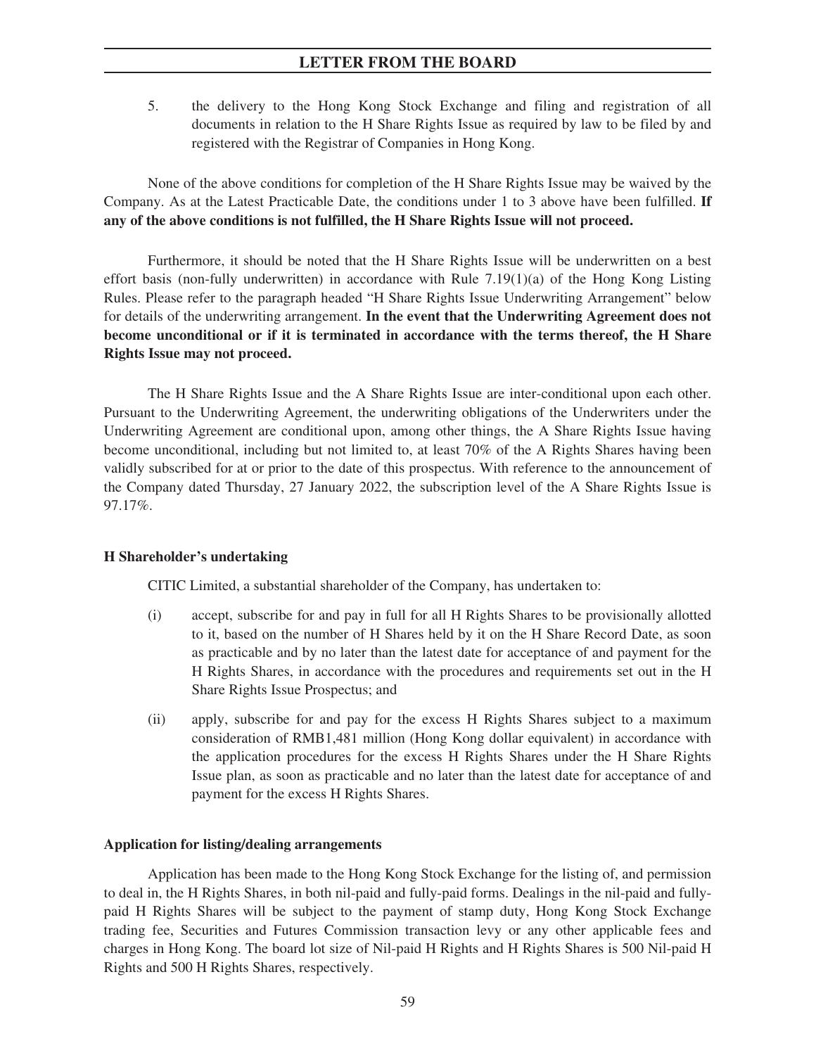5. the delivery to the Hong Kong Stock Exchange and filing and registration of all documents in relation to the H Share Rights Issue as required by law to be filed by and registered with the Registrar of Companies in Hong Kong.

None of the above conditions for completion of the H Share Rights Issue may be waived by the Company. As at the Latest Practicable Date, the conditions under 1 to 3 above have been fulfilled. **If any of the above conditions is not fulfilled, the H Share Rights Issue will not proceed.**

Furthermore, it should be noted that the H Share Rights Issue will be underwritten on a best effort basis (non-fully underwritten) in accordance with Rule 7.19(1)(a) of the Hong Kong Listing Rules. Please refer to the paragraph headed "H Share Rights Issue Underwriting Arrangement" below for details of the underwriting arrangement. **In the event that the Underwriting Agreement does not become unconditional or if it is terminated in accordance with the terms thereof, the H Share Rights Issue may not proceed.**

The H Share Rights Issue and the A Share Rights Issue are inter-conditional upon each other. Pursuant to the Underwriting Agreement, the underwriting obligations of the Underwriters under the Underwriting Agreement are conditional upon, among other things, the A Share Rights Issue having become unconditional, including but not limited to, at least 70% of the A Rights Shares having been validly subscribed for at or prior to the date of this prospectus. With reference to the announcement of the Company dated Thursday, 27 January 2022, the subscription level of the A Share Rights Issue is 97.17%.

### **H Shareholder's undertaking**

CITIC Limited, a substantial shareholder of the Company, has undertaken to:

- (i) accept, subscribe for and pay in full for all H Rights Shares to be provisionally allotted to it, based on the number of H Shares held by it on the H Share Record Date, as soon as practicable and by no later than the latest date for acceptance of and payment for the H Rights Shares, in accordance with the procedures and requirements set out in the H Share Rights Issue Prospectus; and
- (ii) apply, subscribe for and pay for the excess H Rights Shares subject to a maximum consideration of RMB1,481 million (Hong Kong dollar equivalent) in accordance with the application procedures for the excess H Rights Shares under the H Share Rights Issue plan, as soon as practicable and no later than the latest date for acceptance of and payment for the excess H Rights Shares.

### **Application for listing/dealing arrangements**

Application has been made to the Hong Kong Stock Exchange for the listing of, and permission to deal in, the H Rights Shares, in both nil-paid and fully-paid forms. Dealings in the nil-paid and fullypaid H Rights Shares will be subject to the payment of stamp duty, Hong Kong Stock Exchange trading fee, Securities and Futures Commission transaction levy or any other applicable fees and charges in Hong Kong. The board lot size of Nil-paid H Rights and H Rights Shares is 500 Nil-paid H Rights and 500 H Rights Shares, respectively.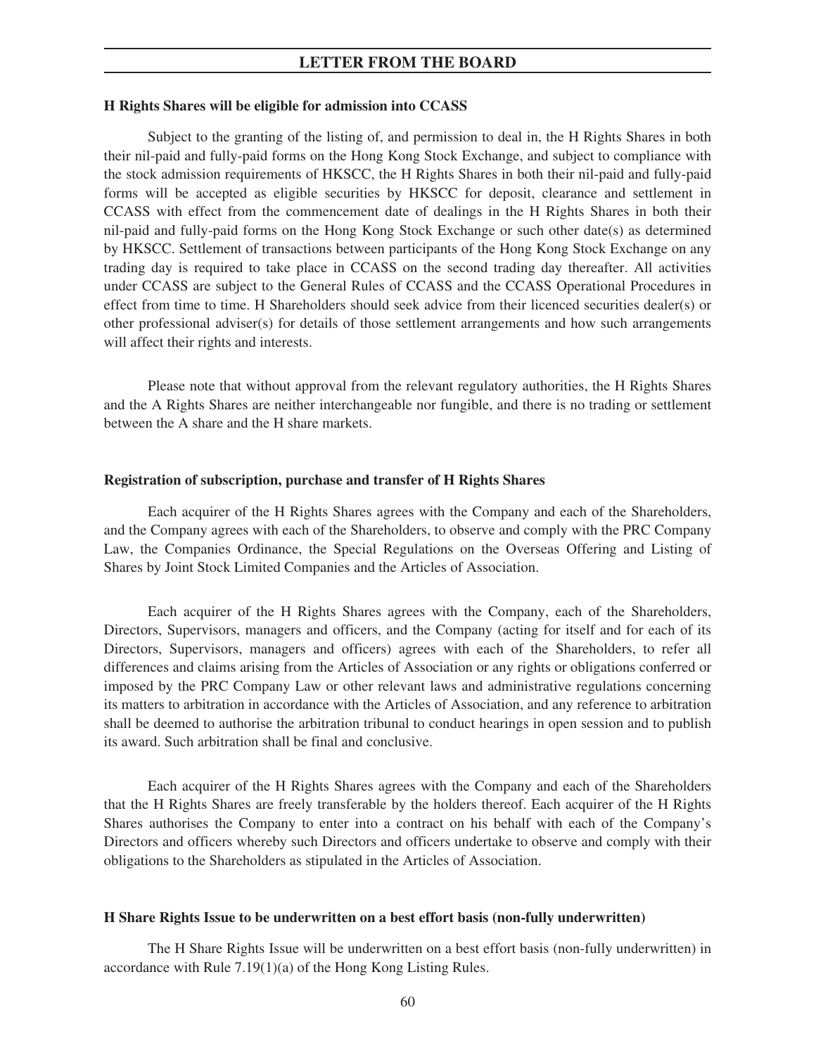## **H Rights Shares will be eligible for admission into CCASS**

Subject to the granting of the listing of, and permission to deal in, the H Rights Shares in both their nil-paid and fully-paid forms on the Hong Kong Stock Exchange, and subject to compliance with the stock admission requirements of HKSCC, the H Rights Shares in both their nil-paid and fully-paid forms will be accepted as eligible securities by HKSCC for deposit, clearance and settlement in CCASS with effect from the commencement date of dealings in the H Rights Shares in both their nil-paid and fully-paid forms on the Hong Kong Stock Exchange or such other date(s) as determined by HKSCC. Settlement of transactions between participants of the Hong Kong Stock Exchange on any trading day is required to take place in CCASS on the second trading day thereafter. All activities under CCASS are subject to the General Rules of CCASS and the CCASS Operational Procedures in effect from time to time. H Shareholders should seek advice from their licenced securities dealer(s) or other professional adviser(s) for details of those settlement arrangements and how such arrangements will affect their rights and interests.

Please note that without approval from the relevant regulatory authorities, the H Rights Shares and the A Rights Shares are neither interchangeable nor fungible, and there is no trading or settlement between the A share and the H share markets.

### **Registration of subscription, purchase and transfer of H Rights Shares**

Each acquirer of the H Rights Shares agrees with the Company and each of the Shareholders, and the Company agrees with each of the Shareholders, to observe and comply with the PRC Company Law, the Companies Ordinance, the Special Regulations on the Overseas Offering and Listing of Shares by Joint Stock Limited Companies and the Articles of Association.

Each acquirer of the H Rights Shares agrees with the Company, each of the Shareholders, Directors, Supervisors, managers and officers, and the Company (acting for itself and for each of its Directors, Supervisors, managers and officers) agrees with each of the Shareholders, to refer all differences and claims arising from the Articles of Association or any rights or obligations conferred or imposed by the PRC Company Law or other relevant laws and administrative regulations concerning its matters to arbitration in accordance with the Articles of Association, and any reference to arbitration shall be deemed to authorise the arbitration tribunal to conduct hearings in open session and to publish its award. Such arbitration shall be final and conclusive.

Each acquirer of the H Rights Shares agrees with the Company and each of the Shareholders that the H Rights Shares are freely transferable by the holders thereof. Each acquirer of the H Rights Shares authorises the Company to enter into a contract on his behalf with each of the Company's Directors and officers whereby such Directors and officers undertake to observe and comply with their obligations to the Shareholders as stipulated in the Articles of Association.

### **H Share Rights Issue to be underwritten on a best effort basis (non-fully underwritten)**

The H Share Rights Issue will be underwritten on a best effort basis (non-fully underwritten) in accordance with Rule 7.19(1)(a) of the Hong Kong Listing Rules.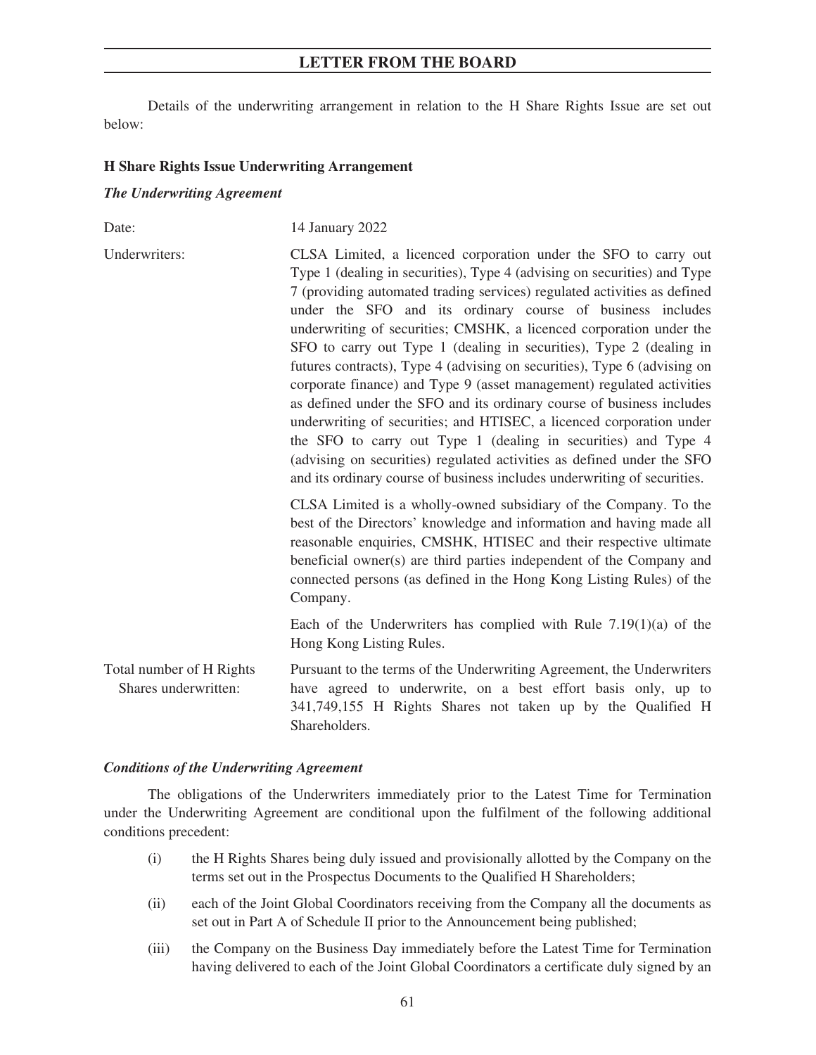Details of the underwriting arrangement in relation to the H Share Rights Issue are set out below:

### **H Share Rights Issue Underwriting Arrangement**

### *The Underwriting Agreement*

| Date:                                            | 14 January 2022                                                                                                                                                                                                                                                                                                                                                                                                                                                                                                                                                                                                                                                                                                                                                                                                                                                                                                                                                   |
|--------------------------------------------------|-------------------------------------------------------------------------------------------------------------------------------------------------------------------------------------------------------------------------------------------------------------------------------------------------------------------------------------------------------------------------------------------------------------------------------------------------------------------------------------------------------------------------------------------------------------------------------------------------------------------------------------------------------------------------------------------------------------------------------------------------------------------------------------------------------------------------------------------------------------------------------------------------------------------------------------------------------------------|
| Underwriters:<br>Company.                        | CLSA Limited, a licenced corporation under the SFO to carry out<br>Type 1 (dealing in securities), Type 4 (advising on securities) and Type<br>7 (providing automated trading services) regulated activities as defined<br>under the SFO and its ordinary course of business includes<br>underwriting of securities; CMSHK, a licenced corporation under the<br>SFO to carry out Type 1 (dealing in securities), Type 2 (dealing in<br>futures contracts), Type 4 (advising on securities), Type 6 (advising on<br>corporate finance) and Type 9 (asset management) regulated activities<br>as defined under the SFO and its ordinary course of business includes<br>underwriting of securities; and HTISEC, a licenced corporation under<br>the SFO to carry out Type 1 (dealing in securities) and Type 4<br>(advising on securities) regulated activities as defined under the SFO<br>and its ordinary course of business includes underwriting of securities. |
|                                                  | CLSA Limited is a wholly-owned subsidiary of the Company. To the<br>best of the Directors' knowledge and information and having made all<br>reasonable enquiries, CMSHK, HTISEC and their respective ultimate<br>beneficial owner(s) are third parties independent of the Company and<br>connected persons (as defined in the Hong Kong Listing Rules) of the                                                                                                                                                                                                                                                                                                                                                                                                                                                                                                                                                                                                     |
|                                                  | Each of the Underwriters has complied with Rule $7.19(1)(a)$ of the<br>Hong Kong Listing Rules.                                                                                                                                                                                                                                                                                                                                                                                                                                                                                                                                                                                                                                                                                                                                                                                                                                                                   |
| Total number of H Rights<br>Shares underwritten: | Pursuant to the terms of the Underwriting Agreement, the Underwriters<br>have agreed to underwrite, on a best effort basis only, up to<br>341,749,155 H Rights Shares not taken up by the Qualified H<br>Shareholders.                                                                                                                                                                                                                                                                                                                                                                                                                                                                                                                                                                                                                                                                                                                                            |

### *Conditions of the Underwriting Agreement*

The obligations of the Underwriters immediately prior to the Latest Time for Termination under the Underwriting Agreement are conditional upon the fulfilment of the following additional conditions precedent:

- (i) the H Rights Shares being duly issued and provisionally allotted by the Company on the terms set out in the Prospectus Documents to the Qualified H Shareholders;
- (ii) each of the Joint Global Coordinators receiving from the Company all the documents as set out in Part A of Schedule II prior to the Announcement being published;
- (iii) the Company on the Business Day immediately before the Latest Time for Termination having delivered to each of the Joint Global Coordinators a certificate duly signed by an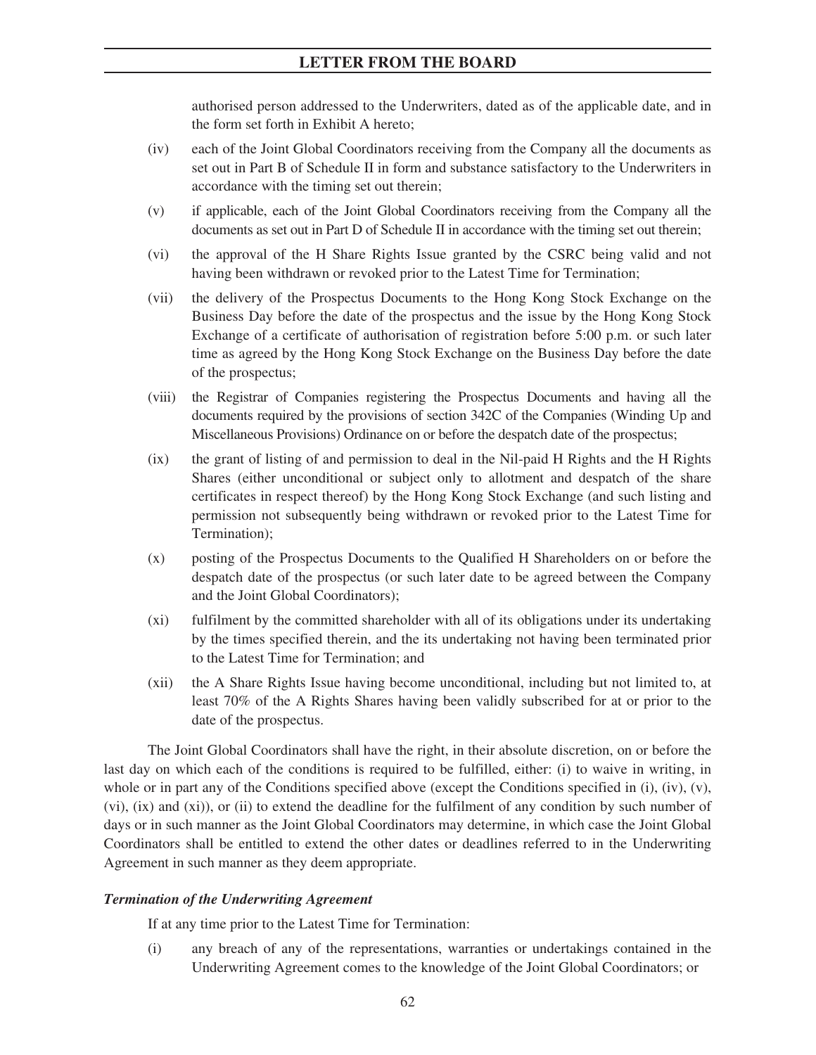authorised person addressed to the Underwriters, dated as of the applicable date, and in the form set forth in Exhibit A hereto;

- (iv) each of the Joint Global Coordinators receiving from the Company all the documents as set out in Part B of Schedule II in form and substance satisfactory to the Underwriters in accordance with the timing set out therein;
- (v) if applicable, each of the Joint Global Coordinators receiving from the Company all the documents as set out in Part D of Schedule II in accordance with the timing set out therein;
- (vi) the approval of the H Share Rights Issue granted by the CSRC being valid and not having been withdrawn or revoked prior to the Latest Time for Termination;
- (vii) the delivery of the Prospectus Documents to the Hong Kong Stock Exchange on the Business Day before the date of the prospectus and the issue by the Hong Kong Stock Exchange of a certificate of authorisation of registration before 5:00 p.m. or such later time as agreed by the Hong Kong Stock Exchange on the Business Day before the date of the prospectus;
- (viii) the Registrar of Companies registering the Prospectus Documents and having all the documents required by the provisions of section 342C of the Companies (Winding Up and Miscellaneous Provisions) Ordinance on or before the despatch date of the prospectus;
- (ix) the grant of listing of and permission to deal in the Nil-paid H Rights and the H Rights Shares (either unconditional or subject only to allotment and despatch of the share certificates in respect thereof) by the Hong Kong Stock Exchange (and such listing and permission not subsequently being withdrawn or revoked prior to the Latest Time for Termination);
- (x) posting of the Prospectus Documents to the Qualified H Shareholders on or before the despatch date of the prospectus (or such later date to be agreed between the Company and the Joint Global Coordinators);
- (xi) fulfilment by the committed shareholder with all of its obligations under its undertaking by the times specified therein, and the its undertaking not having been terminated prior to the Latest Time for Termination; and
- (xii) the A Share Rights Issue having become unconditional, including but not limited to, at least 70% of the A Rights Shares having been validly subscribed for at or prior to the date of the prospectus.

The Joint Global Coordinators shall have the right, in their absolute discretion, on or before the last day on which each of the conditions is required to be fulfilled, either: (i) to waive in writing, in whole or in part any of the Conditions specified above (except the Conditions specified in  $(i)$ ,  $(iv)$ ,  $(v)$ , (vi), (ix) and (xi)), or (ii) to extend the deadline for the fulfilment of any condition by such number of days or in such manner as the Joint Global Coordinators may determine, in which case the Joint Global Coordinators shall be entitled to extend the other dates or deadlines referred to in the Underwriting Agreement in such manner as they deem appropriate.

## *Termination of the Underwriting Agreement*

If at any time prior to the Latest Time for Termination:

(i) any breach of any of the representations, warranties or undertakings contained in the Underwriting Agreement comes to the knowledge of the Joint Global Coordinators; or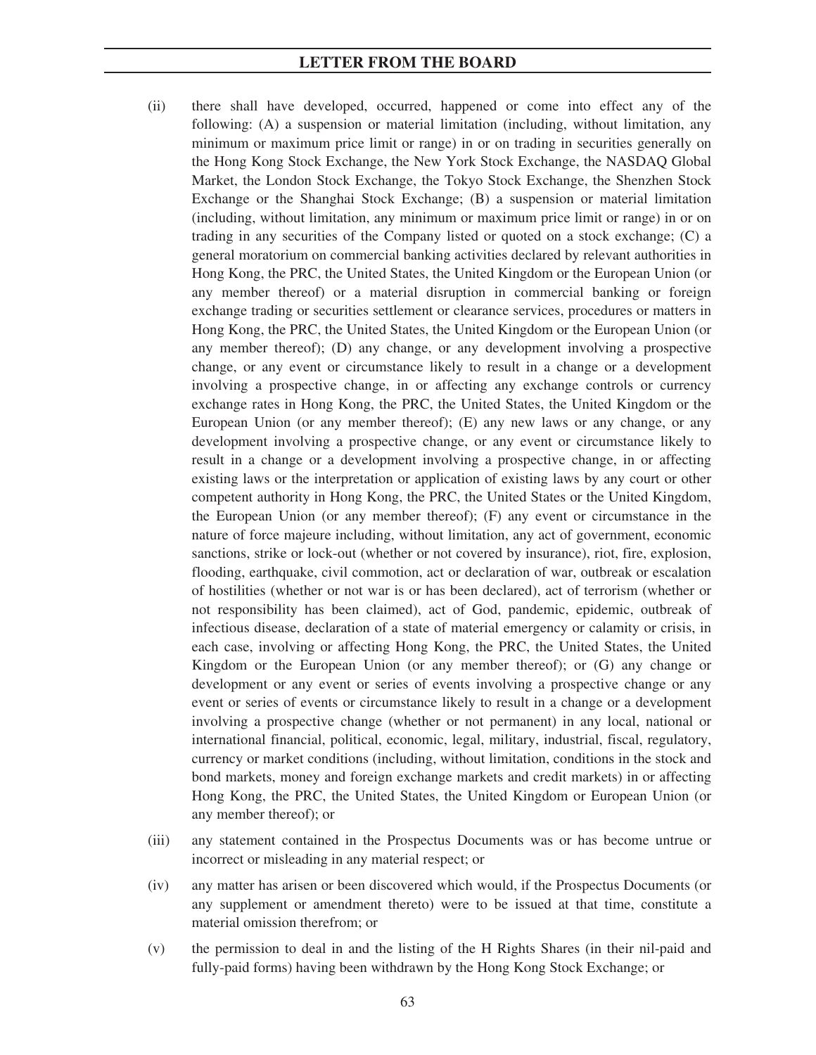- (ii) there shall have developed, occurred, happened or come into effect any of the following: (A) a suspension or material limitation (including, without limitation, any minimum or maximum price limit or range) in or on trading in securities generally on the Hong Kong Stock Exchange, the New York Stock Exchange, the NASDAQ Global Market, the London Stock Exchange, the Tokyo Stock Exchange, the Shenzhen Stock Exchange or the Shanghai Stock Exchange; (B) a suspension or material limitation (including, without limitation, any minimum or maximum price limit or range) in or on trading in any securities of the Company listed or quoted on a stock exchange; (C) a general moratorium on commercial banking activities declared by relevant authorities in Hong Kong, the PRC, the United States, the United Kingdom or the European Union (or any member thereof) or a material disruption in commercial banking or foreign exchange trading or securities settlement or clearance services, procedures or matters in Hong Kong, the PRC, the United States, the United Kingdom or the European Union (or any member thereof); (D) any change, or any development involving a prospective change, or any event or circumstance likely to result in a change or a development involving a prospective change, in or affecting any exchange controls or currency exchange rates in Hong Kong, the PRC, the United States, the United Kingdom or the European Union (or any member thereof); (E) any new laws or any change, or any development involving a prospective change, or any event or circumstance likely to result in a change or a development involving a prospective change, in or affecting existing laws or the interpretation or application of existing laws by any court or other competent authority in Hong Kong, the PRC, the United States or the United Kingdom, the European Union (or any member thereof); (F) any event or circumstance in the nature of force majeure including, without limitation, any act of government, economic sanctions, strike or lock-out (whether or not covered by insurance), riot, fire, explosion, flooding, earthquake, civil commotion, act or declaration of war, outbreak or escalation of hostilities (whether or not war is or has been declared), act of terrorism (whether or not responsibility has been claimed), act of God, pandemic, epidemic, outbreak of infectious disease, declaration of a state of material emergency or calamity or crisis, in each case, involving or affecting Hong Kong, the PRC, the United States, the United Kingdom or the European Union (or any member thereof); or (G) any change or development or any event or series of events involving a prospective change or any event or series of events or circumstance likely to result in a change or a development involving a prospective change (whether or not permanent) in any local, national or international financial, political, economic, legal, military, industrial, fiscal, regulatory, currency or market conditions (including, without limitation, conditions in the stock and bond markets, money and foreign exchange markets and credit markets) in or affecting Hong Kong, the PRC, the United States, the United Kingdom or European Union (or any member thereof); or
- (iii) any statement contained in the Prospectus Documents was or has become untrue or incorrect or misleading in any material respect; or
- (iv) any matter has arisen or been discovered which would, if the Prospectus Documents (or any supplement or amendment thereto) were to be issued at that time, constitute a material omission therefrom; or
- (v) the permission to deal in and the listing of the H Rights Shares (in their nil-paid and fully-paid forms) having been withdrawn by the Hong Kong Stock Exchange; or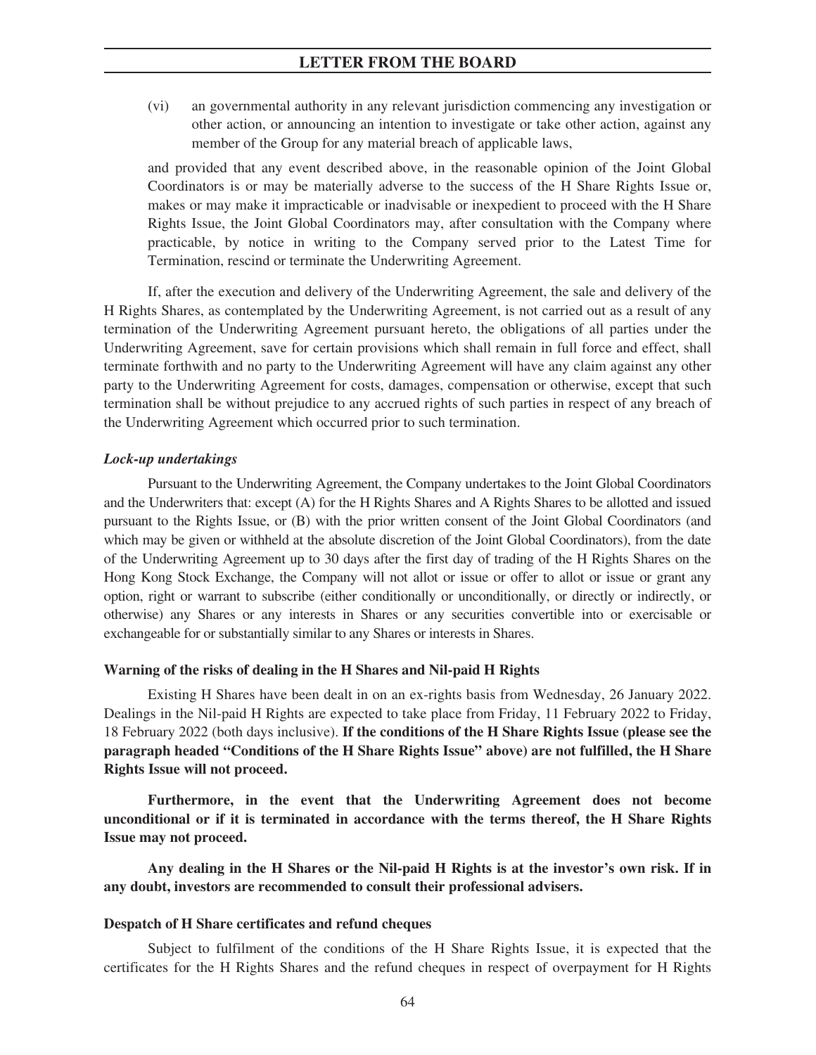(vi) an governmental authority in any relevant jurisdiction commencing any investigation or other action, or announcing an intention to investigate or take other action, against any member of the Group for any material breach of applicable laws,

and provided that any event described above, in the reasonable opinion of the Joint Global Coordinators is or may be materially adverse to the success of the H Share Rights Issue or, makes or may make it impracticable or inadvisable or inexpedient to proceed with the H Share Rights Issue, the Joint Global Coordinators may, after consultation with the Company where practicable, by notice in writing to the Company served prior to the Latest Time for Termination, rescind or terminate the Underwriting Agreement.

If, after the execution and delivery of the Underwriting Agreement, the sale and delivery of the H Rights Shares, as contemplated by the Underwriting Agreement, is not carried out as a result of any termination of the Underwriting Agreement pursuant hereto, the obligations of all parties under the Underwriting Agreement, save for certain provisions which shall remain in full force and effect, shall terminate forthwith and no party to the Underwriting Agreement will have any claim against any other party to the Underwriting Agreement for costs, damages, compensation or otherwise, except that such termination shall be without prejudice to any accrued rights of such parties in respect of any breach of the Underwriting Agreement which occurred prior to such termination.

### *Lock-up undertakings*

Pursuant to the Underwriting Agreement, the Company undertakes to the Joint Global Coordinators and the Underwriters that: except (A) for the H Rights Shares and A Rights Shares to be allotted and issued pursuant to the Rights Issue, or (B) with the prior written consent of the Joint Global Coordinators (and which may be given or withheld at the absolute discretion of the Joint Global Coordinators), from the date of the Underwriting Agreement up to 30 days after the first day of trading of the H Rights Shares on the Hong Kong Stock Exchange, the Company will not allot or issue or offer to allot or issue or grant any option, right or warrant to subscribe (either conditionally or unconditionally, or directly or indirectly, or otherwise) any Shares or any interests in Shares or any securities convertible into or exercisable or exchangeable for or substantially similar to any Shares or interests in Shares.

### **Warning of the risks of dealing in the H Shares and Nil-paid H Rights**

Existing H Shares have been dealt in on an ex-rights basis from Wednesday, 26 January 2022. Dealings in the Nil-paid H Rights are expected to take place from Friday, 11 February 2022 to Friday, 18 February 2022 (both days inclusive). **If the conditions of the H Share Rights Issue (please see the paragraph headed "Conditions of the H Share Rights Issue" above) are not fulfilled, the H Share Rights Issue will not proceed.**

**Furthermore, in the event that the Underwriting Agreement does not become unconditional or if it is terminated in accordance with the terms thereof, the H Share Rights Issue may not proceed.**

**Any dealing in the H Shares or the Nil-paid H Rights is at the investor's own risk. If in any doubt, investors are recommended to consult their professional advisers.**

### **Despatch of H Share certificates and refund cheques**

Subject to fulfilment of the conditions of the H Share Rights Issue, it is expected that the certificates for the H Rights Shares and the refund cheques in respect of overpayment for H Rights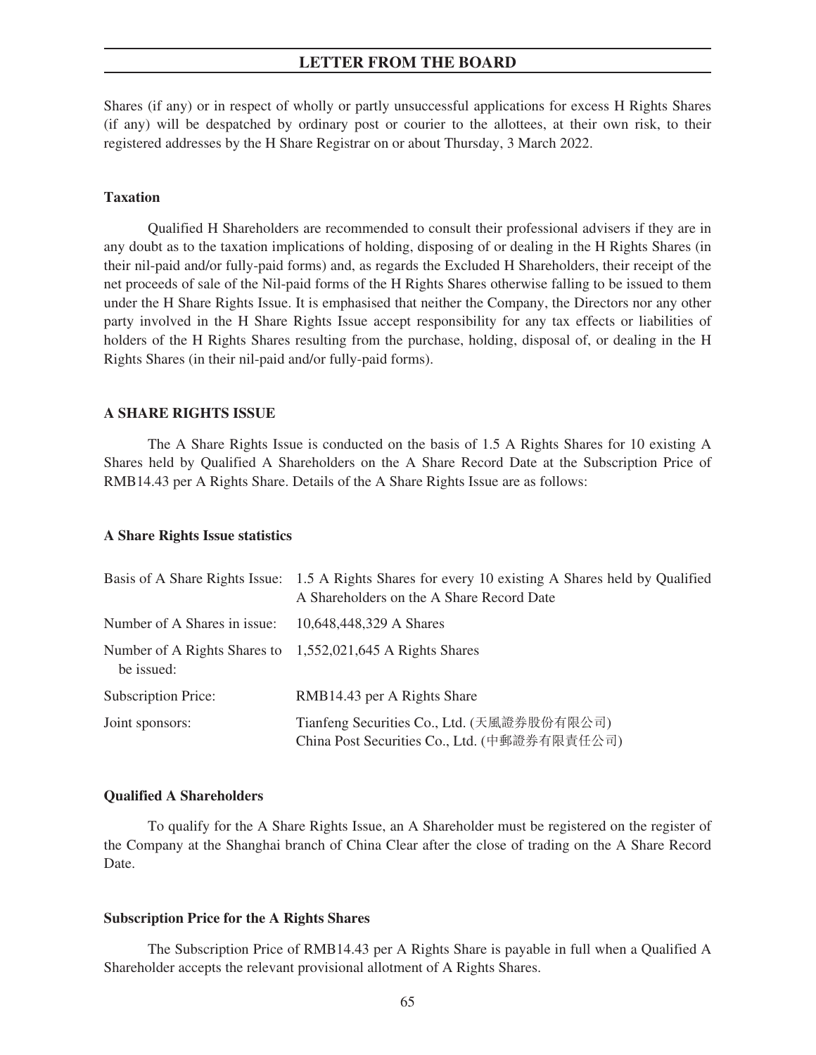Shares (if any) or in respect of wholly or partly unsuccessful applications for excess H Rights Shares (if any) will be despatched by ordinary post or courier to the allottees, at their own risk, to their registered addresses by the H Share Registrar on or about Thursday, 3 March 2022.

## **Taxation**

Qualified H Shareholders are recommended to consult their professional advisers if they are in any doubt as to the taxation implications of holding, disposing of or dealing in the H Rights Shares (in their nil-paid and/or fully-paid forms) and, as regards the Excluded H Shareholders, their receipt of the net proceeds of sale of the Nil-paid forms of the H Rights Shares otherwise falling to be issued to them under the H Share Rights Issue. It is emphasised that neither the Company, the Directors nor any other party involved in the H Share Rights Issue accept responsibility for any tax effects or liabilities of holders of the H Rights Shares resulting from the purchase, holding, disposal of, or dealing in the H Rights Shares (in their nil-paid and/or fully-paid forms).

### **A SHARE RIGHTS ISSUE**

The A Share Rights Issue is conducted on the basis of 1.5 A Rights Shares for 10 existing A Shares held by Qualified A Shareholders on the A Share Record Date at the Subscription Price of RMB14.43 per A Rights Share. Details of the A Share Rights Issue are as follows:

### **A Share Rights Issue statistics**

|                              | Basis of A Share Rights Issue: 1.5 A Rights Shares for every 10 existing A Shares held by Qualified<br>A Shareholders on the A Share Record Date |
|------------------------------|--------------------------------------------------------------------------------------------------------------------------------------------------|
| Number of A Shares in issue: | 10,648,448,329 A Shares                                                                                                                          |
| be issued:                   | Number of A Rights Shares to 1,552,021,645 A Rights Shares                                                                                       |
| Subscription Price:          | RMB14.43 per A Rights Share                                                                                                                      |
| Joint sponsors:              | Tianfeng Securities Co., Ltd. (天風證券股份有限公司)<br>China Post Securities Co., Ltd. (中郵證券有限責任公司)                                                       |

### **Qualified A Shareholders**

To qualify for the A Share Rights Issue, an A Shareholder must be registered on the register of the Company at the Shanghai branch of China Clear after the close of trading on the A Share Record Date.

### **Subscription Price for the A Rights Shares**

The Subscription Price of RMB14.43 per A Rights Share is payable in full when a Qualified A Shareholder accepts the relevant provisional allotment of A Rights Shares.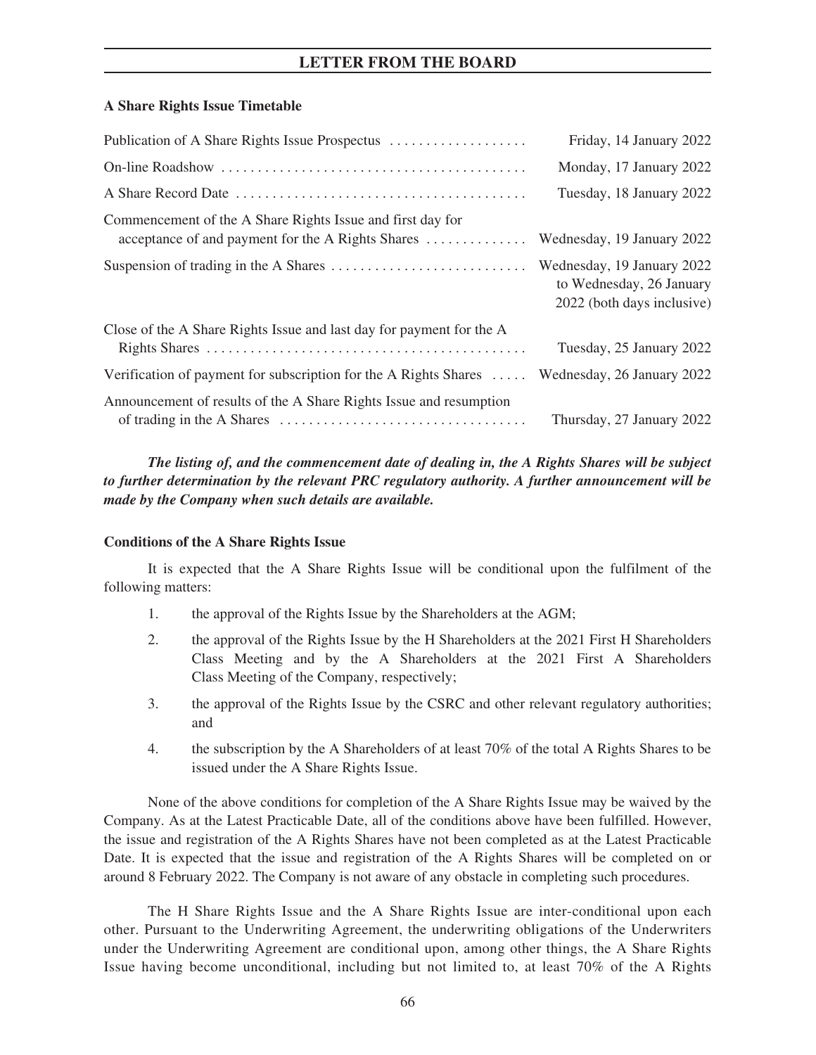## **A Share Rights Issue Timetable**

| Publication of A Share Rights Issue Prospectus                                                                  | Friday, 14 January 2022                                                              |
|-----------------------------------------------------------------------------------------------------------------|--------------------------------------------------------------------------------------|
|                                                                                                                 | Monday, 17 January 2022                                                              |
|                                                                                                                 | Tuesday, 18 January 2022                                                             |
| Commencement of the A Share Rights Issue and first day for<br>acceptance of and payment for the A Rights Shares | Wednesday, 19 January 2022                                                           |
|                                                                                                                 | Wednesday, 19 January 2022<br>to Wednesday, 26 January<br>2022 (both days inclusive) |
| Close of the A Share Rights Issue and last day for payment for the A                                            | Tuesday, 25 January 2022                                                             |
| Verification of payment for subscription for the A Rights Shares  Wednesday, 26 January 2022                    |                                                                                      |
| Announcement of results of the A Share Rights Issue and resumption                                              | Thursday, 27 January 2022                                                            |

*The listing of, and the commencement date of dealing in, the A Rights Shares will be subject to further determination by the relevant PRC regulatory authority. A further announcement will be made by the Company when such details are available.*

## **Conditions of the A Share Rights Issue**

It is expected that the A Share Rights Issue will be conditional upon the fulfilment of the following matters:

- 1. the approval of the Rights Issue by the Shareholders at the AGM;
- 2. the approval of the Rights Issue by the H Shareholders at the 2021 First H Shareholders Class Meeting and by the A Shareholders at the 2021 First A Shareholders Class Meeting of the Company, respectively;
- 3. the approval of the Rights Issue by the CSRC and other relevant regulatory authorities; and
- 4. the subscription by the A Shareholders of at least 70% of the total A Rights Shares to be issued under the A Share Rights Issue.

None of the above conditions for completion of the A Share Rights Issue may be waived by the Company. As at the Latest Practicable Date, all of the conditions above have been fulfilled. However, the issue and registration of the A Rights Shares have not been completed as at the Latest Practicable Date. It is expected that the issue and registration of the A Rights Shares will be completed on or around 8 February 2022. The Company is not aware of any obstacle in completing such procedures.

The H Share Rights Issue and the A Share Rights Issue are inter-conditional upon each other. Pursuant to the Underwriting Agreement, the underwriting obligations of the Underwriters under the Underwriting Agreement are conditional upon, among other things, the A Share Rights Issue having become unconditional, including but not limited to, at least 70% of the A Rights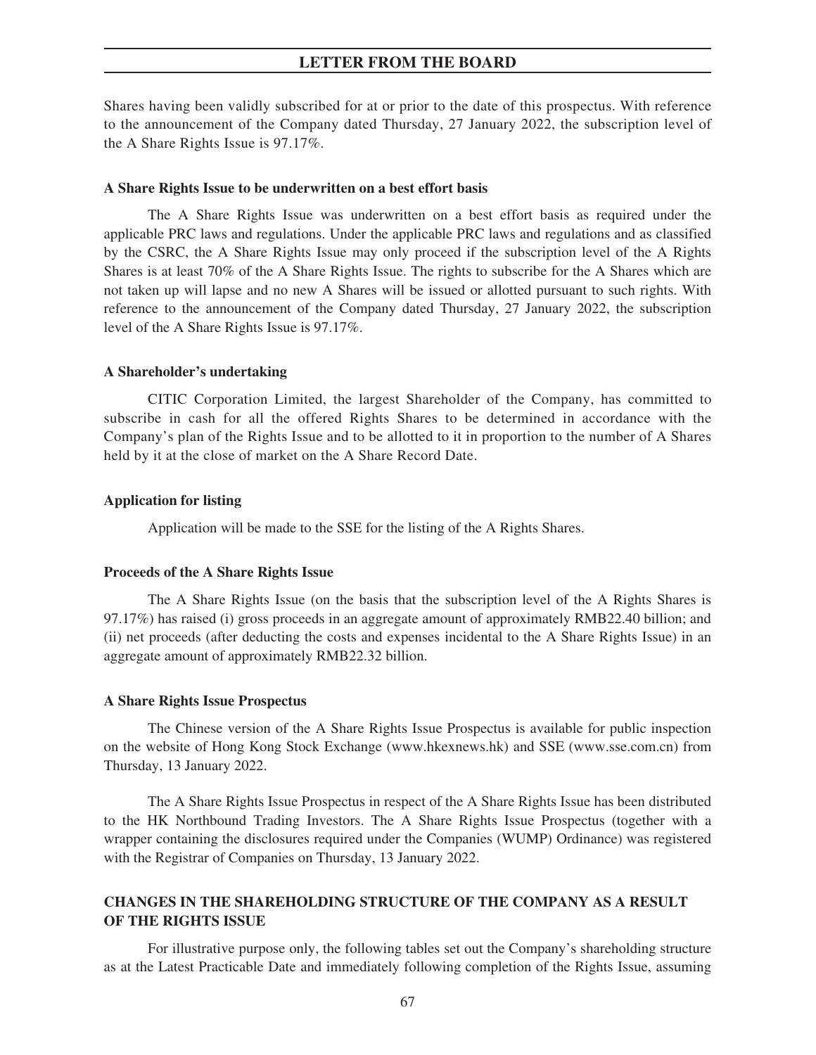Shares having been validly subscribed for at or prior to the date of this prospectus. With reference to the announcement of the Company dated Thursday, 27 January 2022, the subscription level of the A Share Rights Issue is 97.17%.

### **A Share Rights Issue to be underwritten on a best effort basis**

The A Share Rights Issue was underwritten on a best effort basis as required under the applicable PRC laws and regulations. Under the applicable PRC laws and regulations and as classified by the CSRC, the A Share Rights Issue may only proceed if the subscription level of the A Rights Shares is at least 70% of the A Share Rights Issue. The rights to subscribe for the A Shares which are not taken up will lapse and no new A Shares will be issued or allotted pursuant to such rights. With reference to the announcement of the Company dated Thursday, 27 January 2022, the subscription level of the A Share Rights Issue is 97.17%.

### **A Shareholder's undertaking**

CITIC Corporation Limited, the largest Shareholder of the Company, has committed to subscribe in cash for all the offered Rights Shares to be determined in accordance with the Company's plan of the Rights Issue and to be allotted to it in proportion to the number of A Shares held by it at the close of market on the A Share Record Date.

### **Application for listing**

Application will be made to the SSE for the listing of the A Rights Shares.

### **Proceeds of the A Share Rights Issue**

The A Share Rights Issue (on the basis that the subscription level of the A Rights Shares is 97.17%) has raised (i) gross proceeds in an aggregate amount of approximately RMB22.40 billion; and (ii) net proceeds (after deducting the costs and expenses incidental to the A Share Rights Issue) in an aggregate amount of approximately RMB22.32 billion.

### **A Share Rights Issue Prospectus**

The Chinese version of the A Share Rights Issue Prospectus is available for public inspection on the website of Hong Kong Stock Exchange (www.hkexnews.hk) and SSE (www.sse.com.cn) from Thursday, 13 January 2022.

The A Share Rights Issue Prospectus in respect of the A Share Rights Issue has been distributed to the HK Northbound Trading Investors. The A Share Rights Issue Prospectus (together with a wrapper containing the disclosures required under the Companies (WUMP) Ordinance) was registered with the Registrar of Companies on Thursday, 13 January 2022.

# **CHANGES IN THE SHAREHOLDING STRUCTURE OF THE COMPANY AS A RESULT OF THE RIGHTS ISSUE**

For illustrative purpose only, the following tables set out the Company's shareholding structure as at the Latest Practicable Date and immediately following completion of the Rights Issue, assuming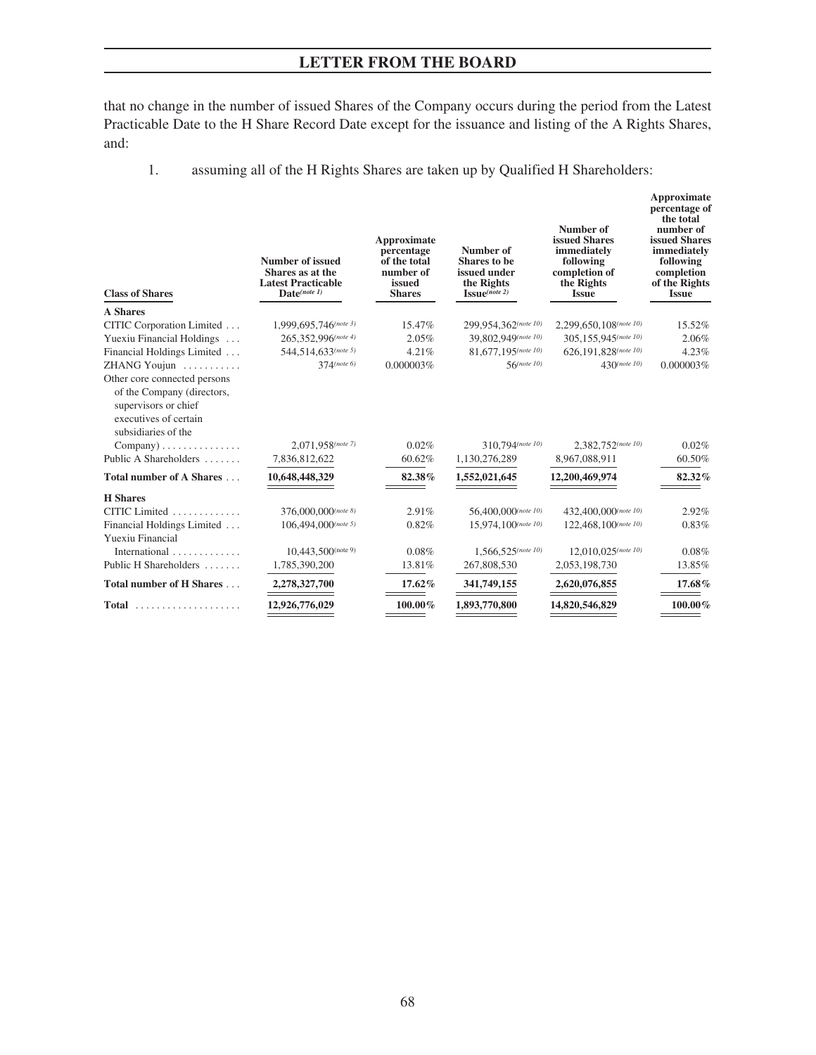that no change in the number of issued Shares of the Company occurs during the period from the Latest Practicable Date to the H Share Record Date except for the issuance and listing of the A Rights Shares, and:

1. assuming all of the H Rights Shares are taken up by Qualified H Shareholders:

| <b>Class of Shares</b>                                                                                                                             | Number of issued<br>Shares as at the<br><b>Latest Practicable</b><br>Date(note 1) | Approximate<br>percentage<br>of the total<br>number of<br>issued<br><b>Shares</b> | Number of<br>Shares to be<br>issued under<br>the Rights<br>$\mathbf{I}\mathbf{S}\mathbf{S}\mathbf{u}\mathbf{e}^{(note\ 2)}$ | Number of<br>issued Shares<br>immediately<br>following<br>completion of<br>the Rights<br><b>Issue</b> | Approximate<br>percentage of<br>the total<br>number of<br>issued Shares<br>immediately<br>following<br>completion<br>of the Rights<br><b>Issue</b> |
|----------------------------------------------------------------------------------------------------------------------------------------------------|-----------------------------------------------------------------------------------|-----------------------------------------------------------------------------------|-----------------------------------------------------------------------------------------------------------------------------|-------------------------------------------------------------------------------------------------------|----------------------------------------------------------------------------------------------------------------------------------------------------|
| <b>A</b> Shares                                                                                                                                    |                                                                                   |                                                                                   |                                                                                                                             |                                                                                                       |                                                                                                                                                    |
| CITIC Corporation Limited                                                                                                                          | $1,999,695,746$ (note 3)                                                          | 15.47%                                                                            | 299,954,362(note 10)                                                                                                        | 2,299,650,108(note 10)                                                                                | 15.52%                                                                                                                                             |
| Yuexiu Financial Holdings                                                                                                                          | 265,352,996(note 4)                                                               | 2.05%                                                                             | 39,802,949(note 10)                                                                                                         | 305,155,945(note 10)                                                                                  | 2.06%                                                                                                                                              |
| Financial Holdings Limited                                                                                                                         | 544,514,633(note 5)                                                               | 4.21%                                                                             | 81,677,195(note 10)                                                                                                         | 626.191.828(note 10)                                                                                  | 4.23%                                                                                                                                              |
| ZHANG Youjun<br>Other core connected persons<br>of the Company (directors,<br>supervisors or chief<br>executives of certain<br>subsidiaries of the | $374$ (note 6)                                                                    | 0.000003%                                                                         | $56$ (note 10)                                                                                                              | $430^{(note 10)}$                                                                                     | 0.000003%                                                                                                                                          |
| $ Company) \ldots \ldots \ldots \ldots$<br>Public A Shareholders                                                                                   | 2.071.958(note 7)<br>7,836,812,622                                                | 0.02%<br>60.62%                                                                   | 310,794(note 10)<br>1,130,276,289                                                                                           | 2,382,752(note 10)<br>8,967,088,911                                                                   | 0.02%<br>60.50%                                                                                                                                    |
| Total number of A Shares                                                                                                                           | 10,648,448,329                                                                    | 82.38%                                                                            | 1,552,021,645                                                                                                               | 12,200,469,974                                                                                        | 82.32%                                                                                                                                             |
| <b>H</b> Shares                                                                                                                                    |                                                                                   |                                                                                   |                                                                                                                             |                                                                                                       |                                                                                                                                                    |
| CITIC Limited                                                                                                                                      | 376,000,000(note 8)                                                               | 2.91%                                                                             | 56,400,000(note 10)                                                                                                         | 432,400,000(note 10)                                                                                  | 2.92%                                                                                                                                              |
| Financial Holdings Limited<br>Yuexiu Financial                                                                                                     | $106,494,000$ (note 5)                                                            | 0.82%                                                                             | 15,974,100(note 10)                                                                                                         | 122,468,100(note 10)                                                                                  | 0.83%                                                                                                                                              |
| International                                                                                                                                      | 10,443,500(note 9)                                                                | 0.08%                                                                             | 1,566,525(note 10)                                                                                                          | $12,010,025$ (note 10)                                                                                | 0.08%                                                                                                                                              |
| Public H Shareholders                                                                                                                              | 1,785,390,200                                                                     | 13.81%                                                                            | 267,808,530                                                                                                                 | 2,053,198,730                                                                                         | 13.85%                                                                                                                                             |
| Total number of H Shares                                                                                                                           | 2,278,327,700                                                                     | 17.62%                                                                            | 341,749,155                                                                                                                 | 2,620,076,855                                                                                         | 17.68%                                                                                                                                             |
| <b>Total</b><br>.                                                                                                                                  | 12,926,776,029                                                                    | $100.00\%$                                                                        | 1,893,770,800                                                                                                               | 14,820,546,829                                                                                        | 100.00%                                                                                                                                            |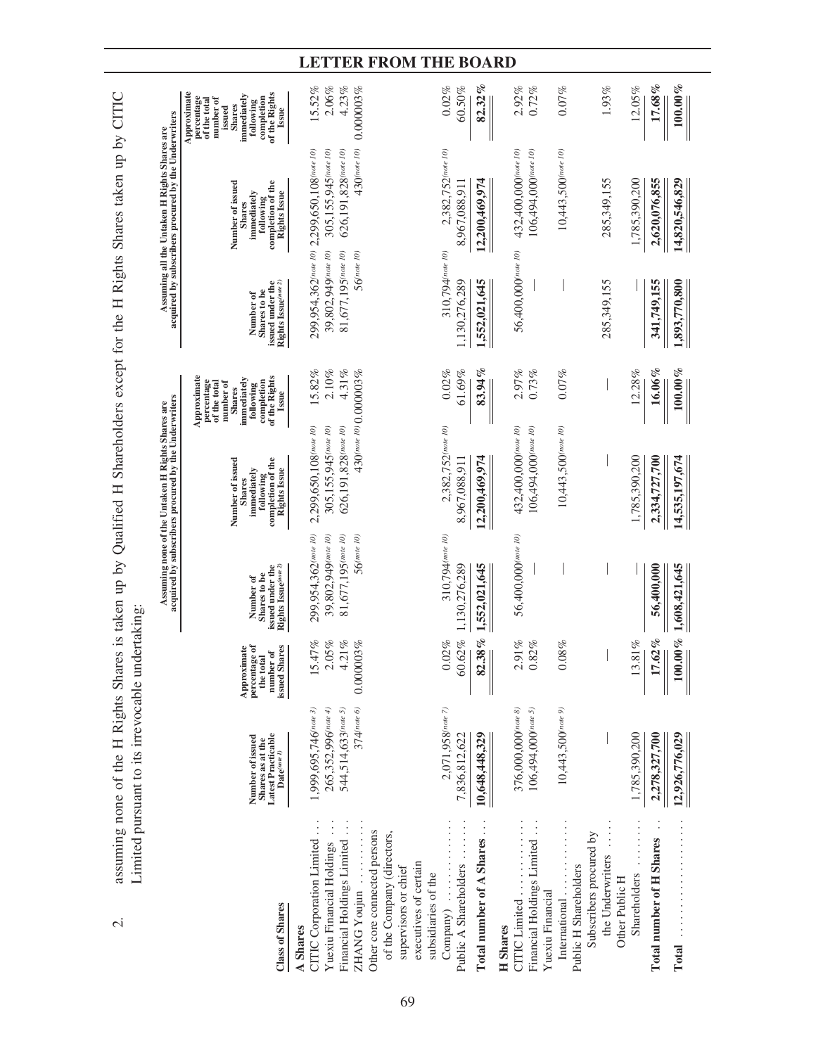|                                                                                                                                                                                                                                 |                                                                                         |                                                                         |                                                                                         | Assuming none of the Untaken H Rights Shares are<br>acquired by subscribers procured by the Underwriters  |                                                                                                                                             |                                                                                      | Assuming all the Untaken H Rights Shares are<br>acquired by subscribers procured by the Underwriters |                                                                                                                                                       |
|---------------------------------------------------------------------------------------------------------------------------------------------------------------------------------------------------------------------------------|-----------------------------------------------------------------------------------------|-------------------------------------------------------------------------|-----------------------------------------------------------------------------------------|-----------------------------------------------------------------------------------------------------------|---------------------------------------------------------------------------------------------------------------------------------------------|--------------------------------------------------------------------------------------|------------------------------------------------------------------------------------------------------|-------------------------------------------------------------------------------------------------------------------------------------------------------|
| Class of Shares                                                                                                                                                                                                                 | Latest Practicable<br>$\text{Date}^{(note\,I)}$<br>Number of issued<br>Shares as at the | Approximate<br>percentage of<br>the total<br>issued Shares<br>number of | Rights Issue(note 2)<br>issued under the<br>Shares to be<br>Number of                   | completion of the<br>Number of issued<br><b>Rights Issue</b><br>inmediately<br>following<br><b>Shares</b> | Approximate<br>of the Rights<br>immediately<br>percentage<br>completion<br>number of<br>of the total<br>following<br><b>Shares</b><br>Issue | issued under the<br>Rights Issue(note 2)<br>Shares to be<br>Number of                | Number of issued<br>completion of the<br><b>Rights Issue</b><br>inmediately<br>following<br>Shares   | Approximate<br>of the Rights<br>immediately<br>percentage<br>number of<br>completion<br>of the total<br>following<br><b>Shares</b><br>issued<br>Issue |
| CITIC Corporation Limited<br>Other core connected persons<br>of the Company (directors,<br>Financial Holdings Limited<br>Yuexiu Financial Holdings<br>executives of certain<br>supervisors or chief<br>ZHANG Youjun<br>A Shares | 265,352,996(note 4)<br>$374$ (note 6)<br>1,999,695,746(note 3)<br>544,514,633(note 5)   | 47%<br>05%<br>.21%<br>0.000003%<br>$\frac{5}{2}$<br>$\sim$              | 299,954,362(note 10)<br>$81,677,195$ (note 10)<br>39,802,949(note 10)<br>$56$ (note 10) | 2,299,650,108 (note 10)<br>305,155,945(note 10)<br>626,191,828(note 10)                                   | 15.82%<br>$2.10\%$<br>4.31%<br>430(note 10) 0.000003%                                                                                       | 299,954,362(note 10)<br>39,802,949(note 10)<br>$81,677,195$ (note 10)<br>56(note 10) | $430$ (note 10)<br>2,299,650,108(note 10)<br>305,155,945(note 10)<br>626,191,828(note 10)            | 4.23%<br>15.52%<br>2.06%<br>0.000003%                                                                                                                 |
| Total number of A Shares<br>Public A Shareholders<br>subsidiaries of the<br>Company)                                                                                                                                            | $2,071,958$ (note 7)<br>7,836,812,622<br>10,648,448,329                                 | .38%<br>0.62%<br>0.02%<br>$\odot$<br>$\boldsymbol{\mathcal{Z}}$         | 310,794(note 10)<br>1,552,021,645<br>1.130.276.289                                      | 2,382,752(note 10)<br>12,200,469,974<br>8,967,088,911                                                     | 83.94%<br>0.02%<br>61.69%                                                                                                                   | 310,794(note 10)<br>,130,276,289<br>1,552,021,645                                    | 2,382,752(note 10)<br>12,200,469,974<br>8,967,088,911                                                | $82.32\%$<br>0.02%<br>60.50%                                                                                                                          |
| Financial Holdings Limited<br>CITIC Limited<br>Yuexiu Financial<br><b>H</b> Shares                                                                                                                                              | 376,000,000(note 8)<br>106,494,000(note 5)                                              | $.91\%$<br>.82%                                                         | 56,400,000(note 10)                                                                     | 432,400,000(note 10)<br>106,494,000 (note 10)                                                             | 2.97%<br>0.73%                                                                                                                              | 56,400,000(note 10)                                                                  | 432,400,000(note 10)<br>106,494,000(note 10)                                                         | 2.92%<br>0.72%                                                                                                                                        |
| Subscribers procured by<br>the Underwriters<br>Public H Shareholders<br>International                                                                                                                                           | $10,443,500$ (note 9)                                                                   | $-0.08%$                                                                |                                                                                         | $10,443,500$ (note 10)                                                                                    | 0.07%                                                                                                                                       | 285,349,155                                                                          | $10,443,500$ (note 10)<br>285,349,155                                                                | $0.07\%$<br>1.93%                                                                                                                                     |
| Shareholders<br>Other Public H                                                                                                                                                                                                  | 1,785,390,200                                                                           | $.81\%$<br>$\overline{13}$                                              |                                                                                         | 1,785,390,200                                                                                             | 12.28%                                                                                                                                      |                                                                                      | 1,785,390,200                                                                                        | 12.05%                                                                                                                                                |
| <b>Total number of H Shares</b>                                                                                                                                                                                                 | 2,278,327,700<br>12,926,776,029                                                         | $100.00\,\%$<br>.62%<br>$\overline{1}$                                  | 56,400,000<br>1,608,421,645                                                             | 2,334,727,700<br>14,535,197,674                                                                           | $16.06\%$<br>$100.00\%$                                                                                                                     | 1,893,770,800<br>341,749,155                                                         | 2,620,076,855<br>14,820,546,829                                                                      | 17.68%<br>$100.00\%$                                                                                                                                  |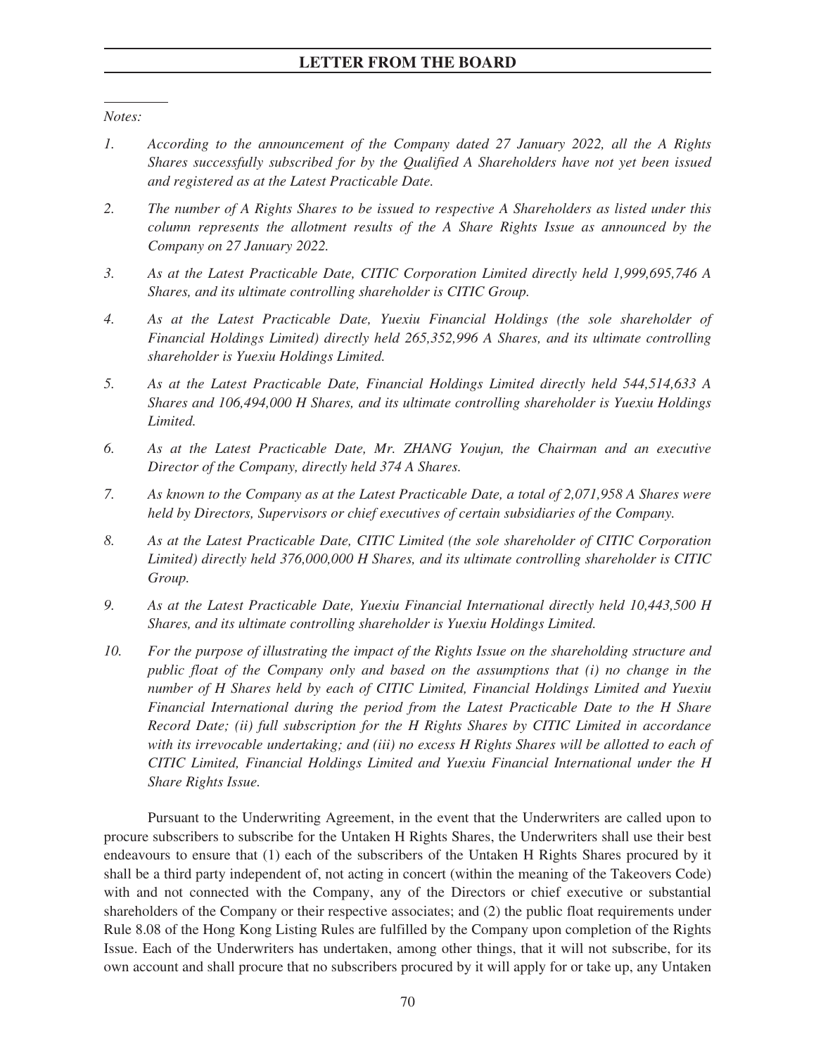*Notes:*

- *1. According to the announcement of the Company dated 27 January 2022, all the A Rights Shares successfully subscribed for by the Qualified A Shareholders have not yet been issued and registered as at the Latest Practicable Date.*
- *2. The number of A Rights Shares to be issued to respective A Shareholders as listed under this column represents the allotment results of the A Share Rights Issue as announced by the Company on 27 January 2022.*
- *3. As at the Latest Practicable Date, CITIC Corporation Limited directly held 1,999,695,746 A Shares, and its ultimate controlling shareholder is CITIC Group.*
- *4. As at the Latest Practicable Date, Yuexiu Financial Holdings (the sole shareholder of Financial Holdings Limited) directly held 265,352,996 A Shares, and its ultimate controlling shareholder is Yuexiu Holdings Limited.*
- *5. As at the Latest Practicable Date, Financial Holdings Limited directly held 544,514,633 A Shares and 106,494,000 H Shares, and its ultimate controlling shareholder is Yuexiu Holdings Limited.*
- *6. As at the Latest Practicable Date, Mr. ZHANG Youjun, the Chairman and an executive Director of the Company, directly held 374 A Shares.*
- *7. As known to the Company as at the Latest Practicable Date, a total of 2,071,958 A Shares were held by Directors, Supervisors or chief executives of certain subsidiaries of the Company.*
- *8. As at the Latest Practicable Date, CITIC Limited (the sole shareholder of CITIC Corporation Limited) directly held 376,000,000 H Shares, and its ultimate controlling shareholder is CITIC Group.*
- *9. As at the Latest Practicable Date, Yuexiu Financial International directly held 10,443,500 H Shares, and its ultimate controlling shareholder is Yuexiu Holdings Limited.*
- *10. For the purpose of illustrating the impact of the Rights Issue on the shareholding structure and public float of the Company only and based on the assumptions that (i) no change in the number of H Shares held by each of CITIC Limited, Financial Holdings Limited and Yuexiu Financial International during the period from the Latest Practicable Date to the H Share Record Date; (ii) full subscription for the H Rights Shares by CITIC Limited in accordance with its irrevocable undertaking; and (iii) no excess H Rights Shares will be allotted to each of CITIC Limited, Financial Holdings Limited and Yuexiu Financial International under the H Share Rights Issue.*

Pursuant to the Underwriting Agreement, in the event that the Underwriters are called upon to procure subscribers to subscribe for the Untaken H Rights Shares, the Underwriters shall use their best endeavours to ensure that (1) each of the subscribers of the Untaken H Rights Shares procured by it shall be a third party independent of, not acting in concert (within the meaning of the Takeovers Code) with and not connected with the Company, any of the Directors or chief executive or substantial shareholders of the Company or their respective associates; and (2) the public float requirements under Rule 8.08 of the Hong Kong Listing Rules are fulfilled by the Company upon completion of the Rights Issue. Each of the Underwriters has undertaken, among other things, that it will not subscribe, for its own account and shall procure that no subscribers procured by it will apply for or take up, any Untaken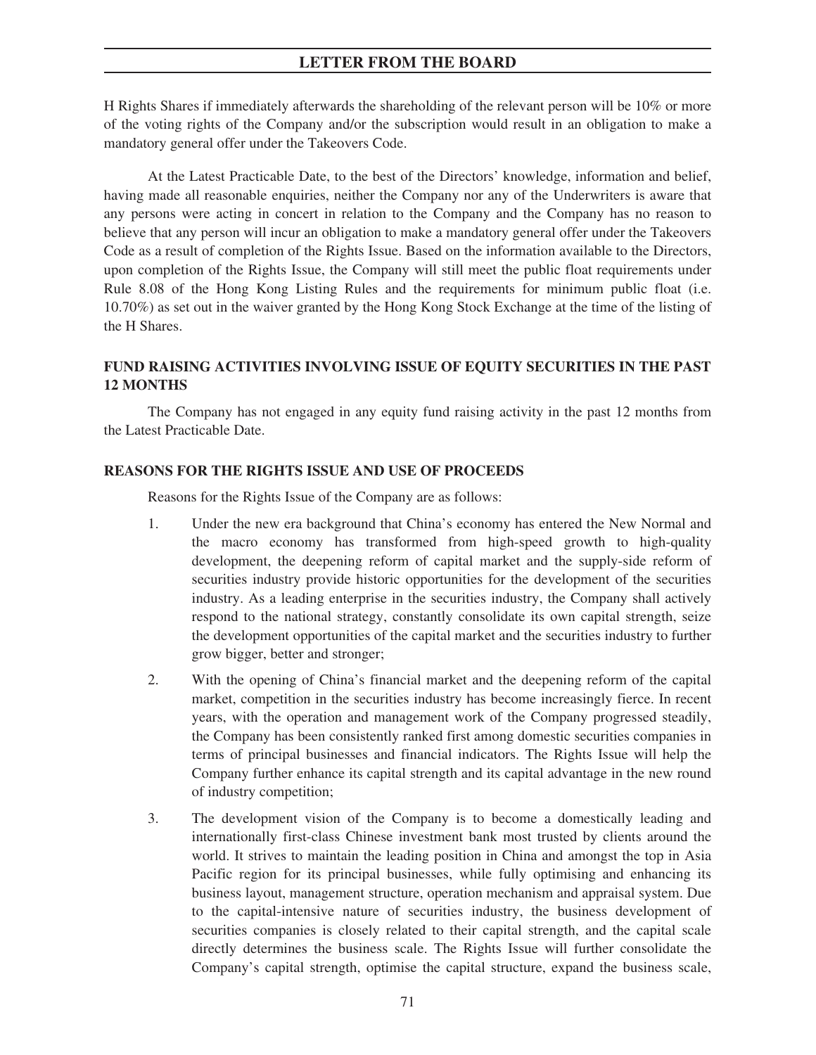H Rights Shares if immediately afterwards the shareholding of the relevant person will be 10% or more of the voting rights of the Company and/or the subscription would result in an obligation to make a mandatory general offer under the Takeovers Code.

At the Latest Practicable Date, to the best of the Directors' knowledge, information and belief, having made all reasonable enquiries, neither the Company nor any of the Underwriters is aware that any persons were acting in concert in relation to the Company and the Company has no reason to believe that any person will incur an obligation to make a mandatory general offer under the Takeovers Code as a result of completion of the Rights Issue. Based on the information available to the Directors, upon completion of the Rights Issue, the Company will still meet the public float requirements under Rule 8.08 of the Hong Kong Listing Rules and the requirements for minimum public float (i.e. 10.70%) as set out in the waiver granted by the Hong Kong Stock Exchange at the time of the listing of the H Shares.

# **FUND RAISING ACTIVITIES INVOLVING ISSUE OF EQUITY SECURITIES IN THE PAST 12 MONTHS**

The Company has not engaged in any equity fund raising activity in the past 12 months from the Latest Practicable Date.

### **REASONS FOR THE RIGHTS ISSUE AND USE OF PROCEEDS**

Reasons for the Rights Issue of the Company are as follows:

- 1. Under the new era background that China's economy has entered the New Normal and the macro economy has transformed from high-speed growth to high-quality development, the deepening reform of capital market and the supply-side reform of securities industry provide historic opportunities for the development of the securities industry. As a leading enterprise in the securities industry, the Company shall actively respond to the national strategy, constantly consolidate its own capital strength, seize the development opportunities of the capital market and the securities industry to further grow bigger, better and stronger;
- 2. With the opening of China's financial market and the deepening reform of the capital market, competition in the securities industry has become increasingly fierce. In recent years, with the operation and management work of the Company progressed steadily, the Company has been consistently ranked first among domestic securities companies in terms of principal businesses and financial indicators. The Rights Issue will help the Company further enhance its capital strength and its capital advantage in the new round of industry competition;
- 3. The development vision of the Company is to become a domestically leading and internationally first-class Chinese investment bank most trusted by clients around the world. It strives to maintain the leading position in China and amongst the top in Asia Pacific region for its principal businesses, while fully optimising and enhancing its business layout, management structure, operation mechanism and appraisal system. Due to the capital-intensive nature of securities industry, the business development of securities companies is closely related to their capital strength, and the capital scale directly determines the business scale. The Rights Issue will further consolidate the Company's capital strength, optimise the capital structure, expand the business scale,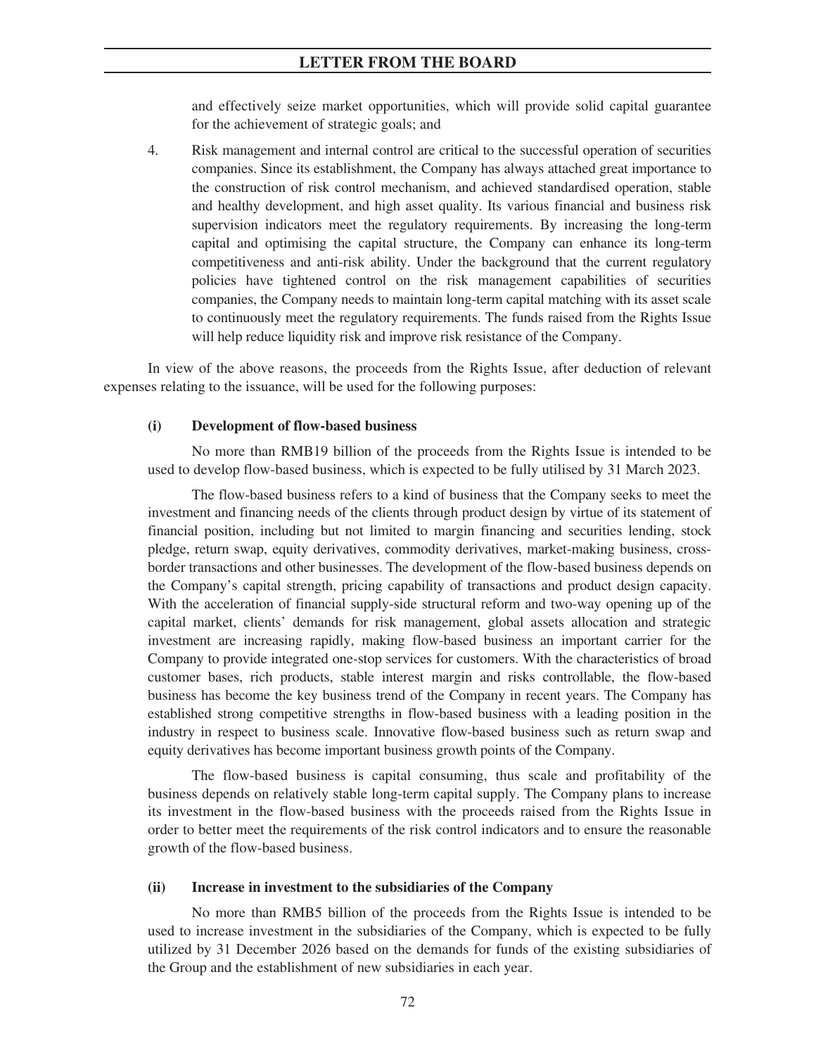and effectively seize market opportunities, which will provide solid capital guarantee for the achievement of strategic goals; and

4. Risk management and internal control are critical to the successful operation of securities companies. Since its establishment, the Company has always attached great importance to the construction of risk control mechanism, and achieved standardised operation, stable and healthy development, and high asset quality. Its various financial and business risk supervision indicators meet the regulatory requirements. By increasing the long-term capital and optimising the capital structure, the Company can enhance its long-term competitiveness and anti-risk ability. Under the background that the current regulatory policies have tightened control on the risk management capabilities of securities companies, the Company needs to maintain long-term capital matching with its asset scale to continuously meet the regulatory requirements. The funds raised from the Rights Issue will help reduce liquidity risk and improve risk resistance of the Company.

In view of the above reasons, the proceeds from the Rights Issue, after deduction of relevant expenses relating to the issuance, will be used for the following purposes:

## **(i) Development of flow-based business**

No more than RMB19 billion of the proceeds from the Rights Issue is intended to be used to develop flow-based business, which is expected to be fully utilised by 31 March 2023.

The flow-based business refers to a kind of business that the Company seeks to meet the investment and financing needs of the clients through product design by virtue of its statement of financial position, including but not limited to margin financing and securities lending, stock pledge, return swap, equity derivatives, commodity derivatives, market-making business, crossborder transactions and other businesses. The development of the flow-based business depends on the Company's capital strength, pricing capability of transactions and product design capacity. With the acceleration of financial supply-side structural reform and two-way opening up of the capital market, clients' demands for risk management, global assets allocation and strategic investment are increasing rapidly, making flow-based business an important carrier for the Company to provide integrated one-stop services for customers. With the characteristics of broad customer bases, rich products, stable interest margin and risks controllable, the flow-based business has become the key business trend of the Company in recent years. The Company has established strong competitive strengths in flow-based business with a leading position in the industry in respect to business scale. Innovative flow-based business such as return swap and equity derivatives has become important business growth points of the Company.

The flow-based business is capital consuming, thus scale and profitability of the business depends on relatively stable long-term capital supply. The Company plans to increase its investment in the flow-based business with the proceeds raised from the Rights Issue in order to better meet the requirements of the risk control indicators and to ensure the reasonable growth of the flow-based business.

### **(ii) Increase in investment to the subsidiaries of the Company**

No more than RMB5 billion of the proceeds from the Rights Issue is intended to be used to increase investment in the subsidiaries of the Company, which is expected to be fully utilized by 31 December 2026 based on the demands for funds of the existing subsidiaries of the Group and the establishment of new subsidiaries in each year.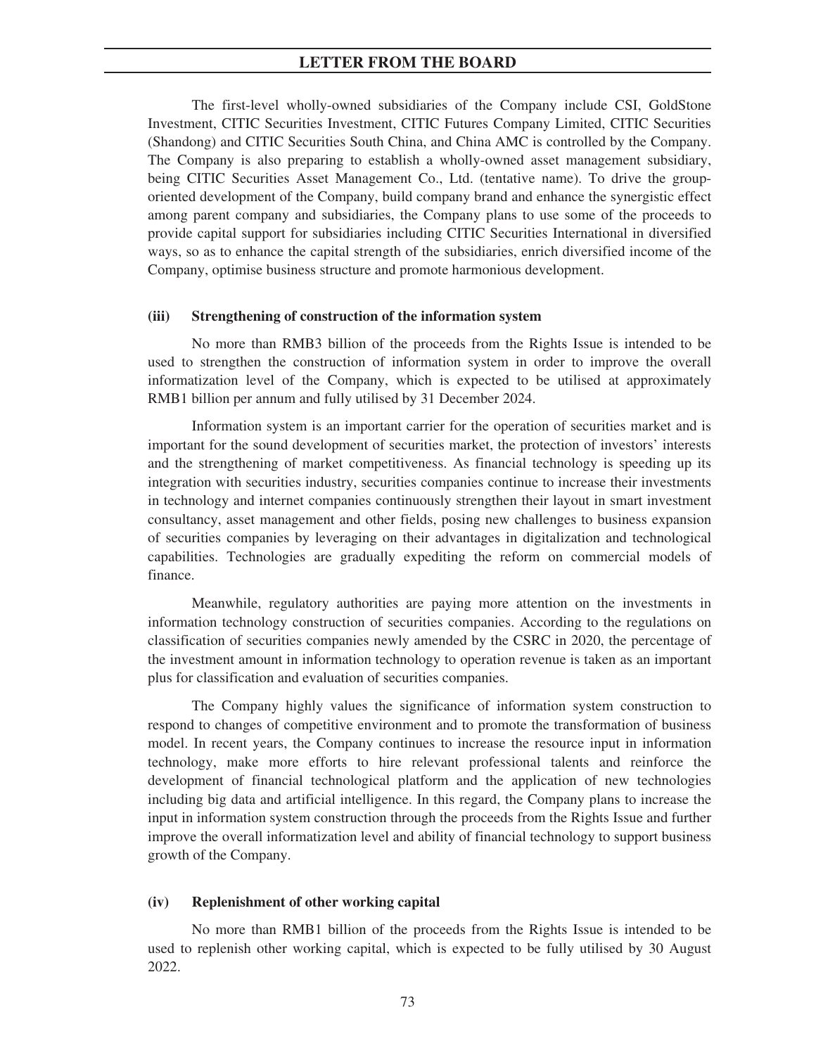The first-level wholly-owned subsidiaries of the Company include CSI, GoldStone Investment, CITIC Securities Investment, CITIC Futures Company Limited, CITIC Securities (Shandong) and CITIC Securities South China, and China AMC is controlled by the Company. The Company is also preparing to establish a wholly-owned asset management subsidiary, being CITIC Securities Asset Management Co., Ltd. (tentative name). To drive the grouporiented development of the Company, build company brand and enhance the synergistic effect among parent company and subsidiaries, the Company plans to use some of the proceeds to provide capital support for subsidiaries including CITIC Securities International in diversified ways, so as to enhance the capital strength of the subsidiaries, enrich diversified income of the Company, optimise business structure and promote harmonious development.

### **(iii) Strengthening of construction of the information system**

No more than RMB3 billion of the proceeds from the Rights Issue is intended to be used to strengthen the construction of information system in order to improve the overall informatization level of the Company, which is expected to be utilised at approximately RMB1 billion per annum and fully utilised by 31 December 2024.

Information system is an important carrier for the operation of securities market and is important for the sound development of securities market, the protection of investors' interests and the strengthening of market competitiveness. As financial technology is speeding up its integration with securities industry, securities companies continue to increase their investments in technology and internet companies continuously strengthen their layout in smart investment consultancy, asset management and other fields, posing new challenges to business expansion of securities companies by leveraging on their advantages in digitalization and technological capabilities. Technologies are gradually expediting the reform on commercial models of finance.

Meanwhile, regulatory authorities are paying more attention on the investments in information technology construction of securities companies. According to the regulations on classification of securities companies newly amended by the CSRC in 2020, the percentage of the investment amount in information technology to operation revenue is taken as an important plus for classification and evaluation of securities companies.

The Company highly values the significance of information system construction to respond to changes of competitive environment and to promote the transformation of business model. In recent years, the Company continues to increase the resource input in information technology, make more efforts to hire relevant professional talents and reinforce the development of financial technological platform and the application of new technologies including big data and artificial intelligence. In this regard, the Company plans to increase the input in information system construction through the proceeds from the Rights Issue and further improve the overall informatization level and ability of financial technology to support business growth of the Company.

### **(iv) Replenishment of other working capital**

No more than RMB1 billion of the proceeds from the Rights Issue is intended to be used to replenish other working capital, which is expected to be fully utilised by 30 August 2022.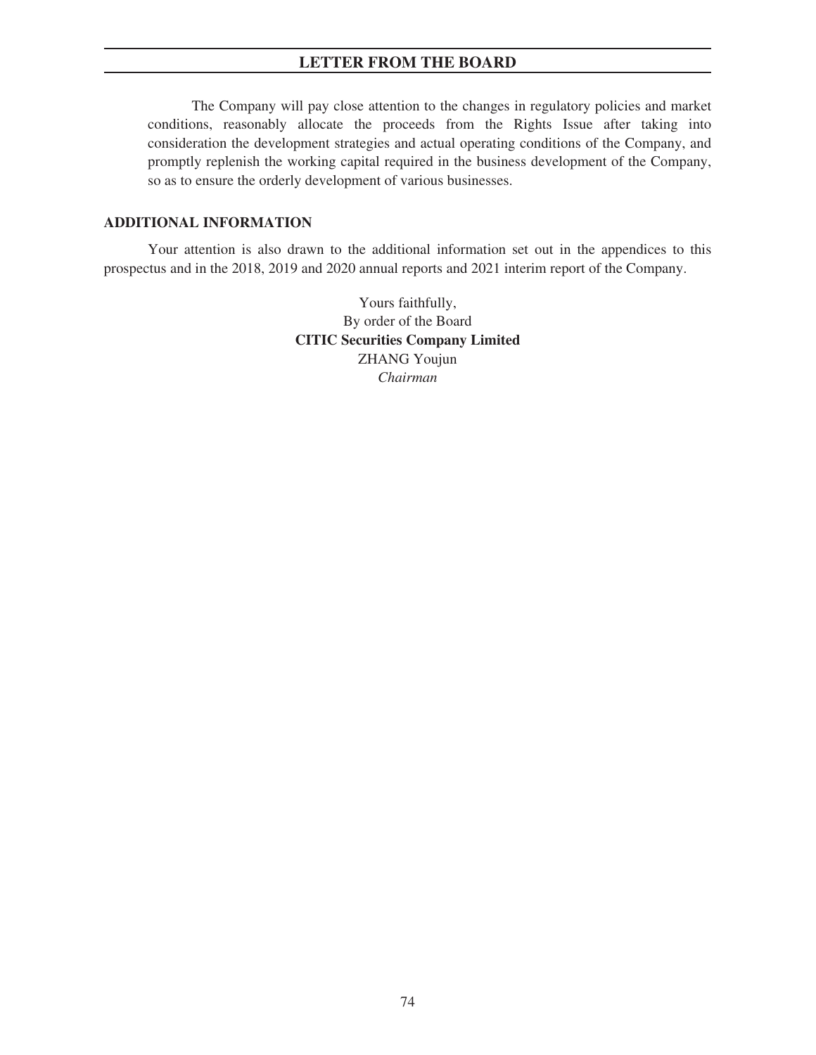The Company will pay close attention to the changes in regulatory policies and market conditions, reasonably allocate the proceeds from the Rights Issue after taking into consideration the development strategies and actual operating conditions of the Company, and promptly replenish the working capital required in the business development of the Company, so as to ensure the orderly development of various businesses.

## **ADDITIONAL INFORMATION**

Your attention is also drawn to the additional information set out in the appendices to this prospectus and in the 2018, 2019 and 2020 annual reports and 2021 interim report of the Company.

> Yours faithfully, By order of the Board **CITIC Securities Company Limited** ZHANG Youjun *Chairman*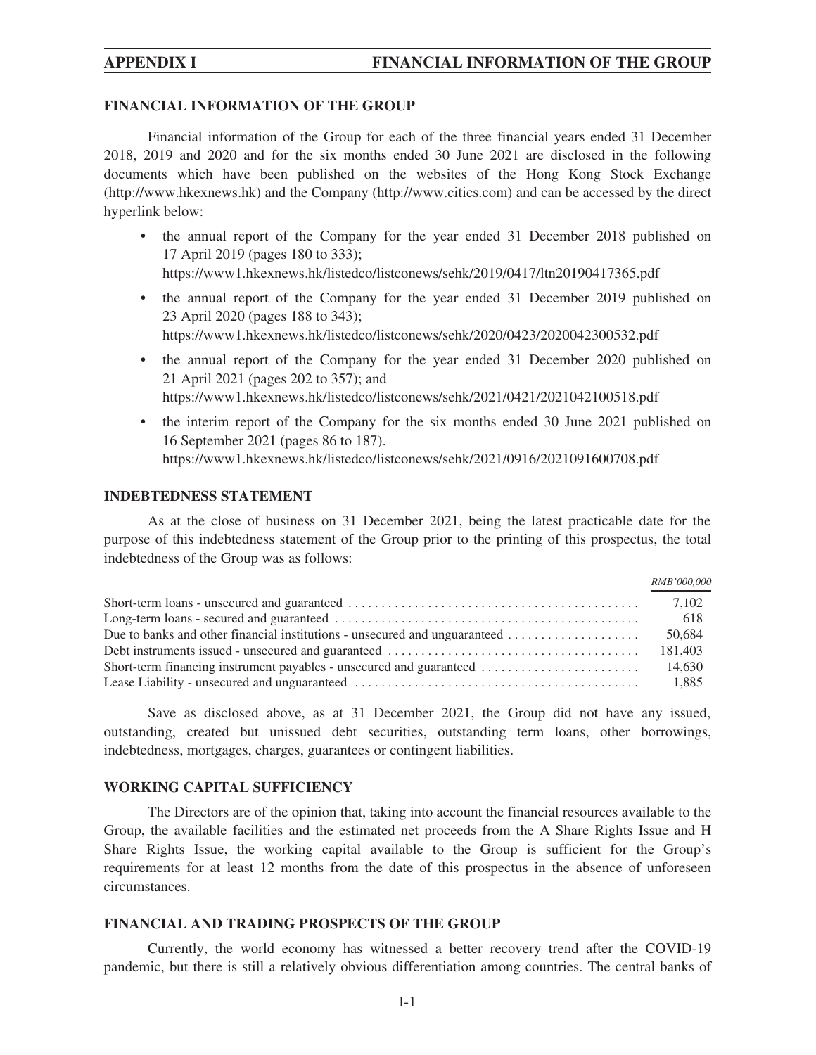## **FINANCIAL INFORMATION OF THE GROUP**

Financial information of the Group for each of the three financial years ended 31 December 2018, 2019 and 2020 and for the six months ended 30 June 2021 are disclosed in the following documents which have been published on the websites of the Hong Kong Stock Exchange (http://www.hkexnews.hk) and the Company (http://www.citics.com) and can be accessed by the direct hyperlink below:

- the annual report of the Company for the year ended 31 December 2018 published on 17 April 2019 (pages 180 to 333); https://www1.hkexnews.hk/listedco/listconews/sehk/2019/0417/ltn20190417365.pdf
- the annual report of the Company for the year ended 31 December 2019 published on 23 April 2020 (pages 188 to 343); https://www1.hkexnews.hk/listedco/listconews/sehk/2020/0423/2020042300532.pdf
- the annual report of the Company for the year ended 31 December 2020 published on 21 April 2021 (pages 202 to 357); and https://www1.hkexnews.hk/listedco/listconews/sehk/2021/0421/2021042100518.pdf
- the interim report of the Company for the six months ended 30 June 2021 published on 16 September 2021 (pages 86 to 187). https://www1.hkexnews.hk/listedco/listconews/sehk/2021/0916/2021091600708.pdf

## **INDEBTEDNESS STATEMENT**

As at the close of business on 31 December 2021, being the latest practicable date for the purpose of this indebtedness statement of the Group prior to the printing of this prospectus, the total indebtedness of the Group was as follows:

|                                                                                                            | RMB'000,000 |
|------------------------------------------------------------------------------------------------------------|-------------|
|                                                                                                            | 7.102       |
|                                                                                                            | 618         |
| Due to banks and other financial institutions - unsecured and unguaranteed $\dots \dots \dots \dots \dots$ | 50,684      |
|                                                                                                            | 181,403     |
| Short-term financing instrument payables - unsecured and guaranteed                                        | 14,630      |
|                                                                                                            | 1,885       |

Save as disclosed above, as at 31 December 2021, the Group did not have any issued, outstanding, created but unissued debt securities, outstanding term loans, other borrowings, indebtedness, mortgages, charges, guarantees or contingent liabilities.

## **WORKING CAPITAL SUFFICIENCY**

The Directors are of the opinion that, taking into account the financial resources available to the Group, the available facilities and the estimated net proceeds from the A Share Rights Issue and H Share Rights Issue, the working capital available to the Group is sufficient for the Group's requirements for at least 12 months from the date of this prospectus in the absence of unforeseen circumstances.

## **FINANCIAL AND TRADING PROSPECTS OF THE GROUP**

Currently, the world economy has witnessed a better recovery trend after the COVID-19 pandemic, but there is still a relatively obvious differentiation among countries. The central banks of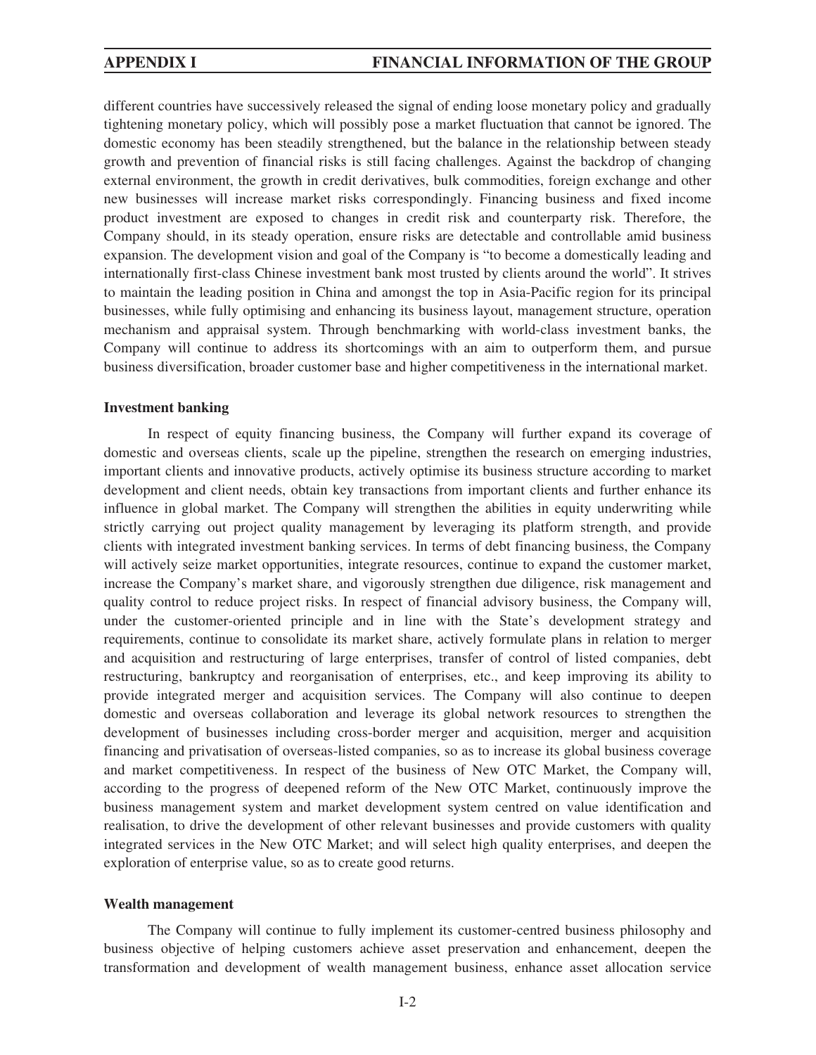different countries have successively released the signal of ending loose monetary policy and gradually tightening monetary policy, which will possibly pose a market fluctuation that cannot be ignored. The domestic economy has been steadily strengthened, but the balance in the relationship between steady growth and prevention of financial risks is still facing challenges. Against the backdrop of changing external environment, the growth in credit derivatives, bulk commodities, foreign exchange and other new businesses will increase market risks correspondingly. Financing business and fixed income product investment are exposed to changes in credit risk and counterparty risk. Therefore, the Company should, in its steady operation, ensure risks are detectable and controllable amid business expansion. The development vision and goal of the Company is "to become a domestically leading and internationally first-class Chinese investment bank most trusted by clients around the world". It strives to maintain the leading position in China and amongst the top in Asia-Pacific region for its principal businesses, while fully optimising and enhancing its business layout, management structure, operation mechanism and appraisal system. Through benchmarking with world-class investment banks, the Company will continue to address its shortcomings with an aim to outperform them, and pursue business diversification, broader customer base and higher competitiveness in the international market.

### **Investment banking**

In respect of equity financing business, the Company will further expand its coverage of domestic and overseas clients, scale up the pipeline, strengthen the research on emerging industries, important clients and innovative products, actively optimise its business structure according to market development and client needs, obtain key transactions from important clients and further enhance its influence in global market. The Company will strengthen the abilities in equity underwriting while strictly carrying out project quality management by leveraging its platform strength, and provide clients with integrated investment banking services. In terms of debt financing business, the Company will actively seize market opportunities, integrate resources, continue to expand the customer market, increase the Company's market share, and vigorously strengthen due diligence, risk management and quality control to reduce project risks. In respect of financial advisory business, the Company will, under the customer-oriented principle and in line with the State's development strategy and requirements, continue to consolidate its market share, actively formulate plans in relation to merger and acquisition and restructuring of large enterprises, transfer of control of listed companies, debt restructuring, bankruptcy and reorganisation of enterprises, etc., and keep improving its ability to provide integrated merger and acquisition services. The Company will also continue to deepen domestic and overseas collaboration and leverage its global network resources to strengthen the development of businesses including cross-border merger and acquisition, merger and acquisition financing and privatisation of overseas-listed companies, so as to increase its global business coverage and market competitiveness. In respect of the business of New OTC Market, the Company will, according to the progress of deepened reform of the New OTC Market, continuously improve the business management system and market development system centred on value identification and realisation, to drive the development of other relevant businesses and provide customers with quality integrated services in the New OTC Market; and will select high quality enterprises, and deepen the exploration of enterprise value, so as to create good returns.

### **Wealth management**

The Company will continue to fully implement its customer-centred business philosophy and business objective of helping customers achieve asset preservation and enhancement, deepen the transformation and development of wealth management business, enhance asset allocation service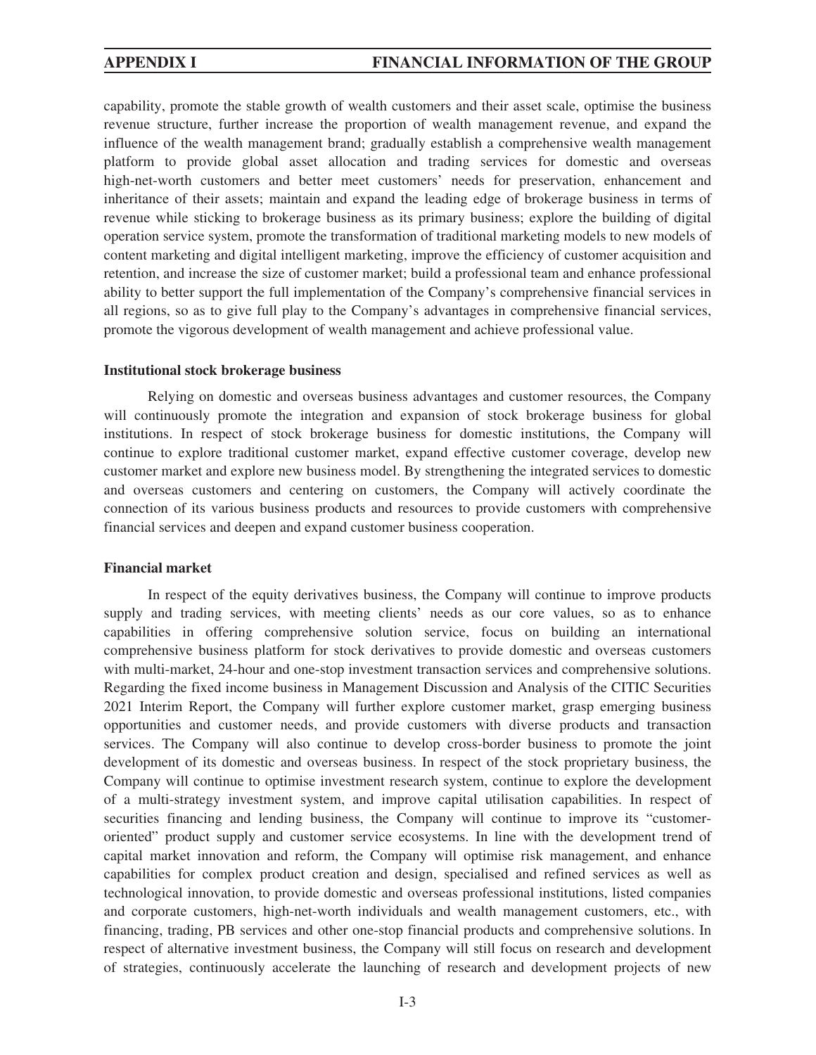## **APPENDIX I FINANCIAL INFORMATION OF THE GROUP**

capability, promote the stable growth of wealth customers and their asset scale, optimise the business revenue structure, further increase the proportion of wealth management revenue, and expand the influence of the wealth management brand; gradually establish a comprehensive wealth management platform to provide global asset allocation and trading services for domestic and overseas high-net-worth customers and better meet customers' needs for preservation, enhancement and inheritance of their assets; maintain and expand the leading edge of brokerage business in terms of revenue while sticking to brokerage business as its primary business; explore the building of digital operation service system, promote the transformation of traditional marketing models to new models of content marketing and digital intelligent marketing, improve the efficiency of customer acquisition and retention, and increase the size of customer market; build a professional team and enhance professional ability to better support the full implementation of the Company's comprehensive financial services in all regions, so as to give full play to the Company's advantages in comprehensive financial services, promote the vigorous development of wealth management and achieve professional value.

### **Institutional stock brokerage business**

Relying on domestic and overseas business advantages and customer resources, the Company will continuously promote the integration and expansion of stock brokerage business for global institutions. In respect of stock brokerage business for domestic institutions, the Company will continue to explore traditional customer market, expand effective customer coverage, develop new customer market and explore new business model. By strengthening the integrated services to domestic and overseas customers and centering on customers, the Company will actively coordinate the connection of its various business products and resources to provide customers with comprehensive financial services and deepen and expand customer business cooperation.

### **Financial market**

In respect of the equity derivatives business, the Company will continue to improve products supply and trading services, with meeting clients' needs as our core values, so as to enhance capabilities in offering comprehensive solution service, focus on building an international comprehensive business platform for stock derivatives to provide domestic and overseas customers with multi-market, 24-hour and one-stop investment transaction services and comprehensive solutions. Regarding the fixed income business in Management Discussion and Analysis of the CITIC Securities 2021 Interim Report, the Company will further explore customer market, grasp emerging business opportunities and customer needs, and provide customers with diverse products and transaction services. The Company will also continue to develop cross-border business to promote the joint development of its domestic and overseas business. In respect of the stock proprietary business, the Company will continue to optimise investment research system, continue to explore the development of a multi-strategy investment system, and improve capital utilisation capabilities. In respect of securities financing and lending business, the Company will continue to improve its "customeroriented" product supply and customer service ecosystems. In line with the development trend of capital market innovation and reform, the Company will optimise risk management, and enhance capabilities for complex product creation and design, specialised and refined services as well as technological innovation, to provide domestic and overseas professional institutions, listed companies and corporate customers, high-net-worth individuals and wealth management customers, etc., with financing, trading, PB services and other one-stop financial products and comprehensive solutions. In respect of alternative investment business, the Company will still focus on research and development of strategies, continuously accelerate the launching of research and development projects of new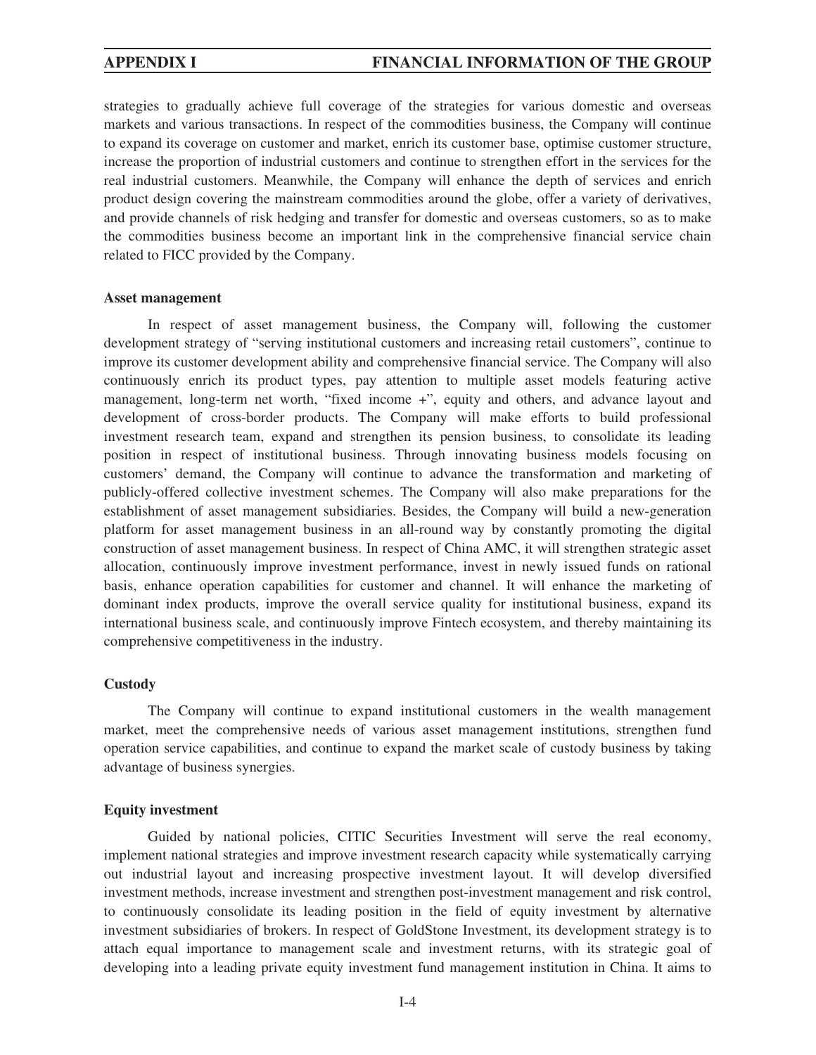strategies to gradually achieve full coverage of the strategies for various domestic and overseas markets and various transactions. In respect of the commodities business, the Company will continue to expand its coverage on customer and market, enrich its customer base, optimise customer structure, increase the proportion of industrial customers and continue to strengthen effort in the services for the real industrial customers. Meanwhile, the Company will enhance the depth of services and enrich product design covering the mainstream commodities around the globe, offer a variety of derivatives, and provide channels of risk hedging and transfer for domestic and overseas customers, so as to make the commodities business become an important link in the comprehensive financial service chain related to FICC provided by the Company.

### **Asset management**

In respect of asset management business, the Company will, following the customer development strategy of "serving institutional customers and increasing retail customers", continue to improve its customer development ability and comprehensive financial service. The Company will also continuously enrich its product types, pay attention to multiple asset models featuring active management, long-term net worth, "fixed income +", equity and others, and advance layout and development of cross-border products. The Company will make efforts to build professional investment research team, expand and strengthen its pension business, to consolidate its leading position in respect of institutional business. Through innovating business models focusing on customers' demand, the Company will continue to advance the transformation and marketing of publicly-offered collective investment schemes. The Company will also make preparations for the establishment of asset management subsidiaries. Besides, the Company will build a new-generation platform for asset management business in an all-round way by constantly promoting the digital construction of asset management business. In respect of China AMC, it will strengthen strategic asset allocation, continuously improve investment performance, invest in newly issued funds on rational basis, enhance operation capabilities for customer and channel. It will enhance the marketing of dominant index products, improve the overall service quality for institutional business, expand its international business scale, and continuously improve Fintech ecosystem, and thereby maintaining its comprehensive competitiveness in the industry.

## **Custody**

The Company will continue to expand institutional customers in the wealth management market, meet the comprehensive needs of various asset management institutions, strengthen fund operation service capabilities, and continue to expand the market scale of custody business by taking advantage of business synergies.

## **Equity investment**

Guided by national policies, CITIC Securities Investment will serve the real economy, implement national strategies and improve investment research capacity while systematically carrying out industrial layout and increasing prospective investment layout. It will develop diversified investment methods, increase investment and strengthen post-investment management and risk control, to continuously consolidate its leading position in the field of equity investment by alternative investment subsidiaries of brokers. In respect of GoldStone Investment, its development strategy is to attach equal importance to management scale and investment returns, with its strategic goal of developing into a leading private equity investment fund management institution in China. It aims to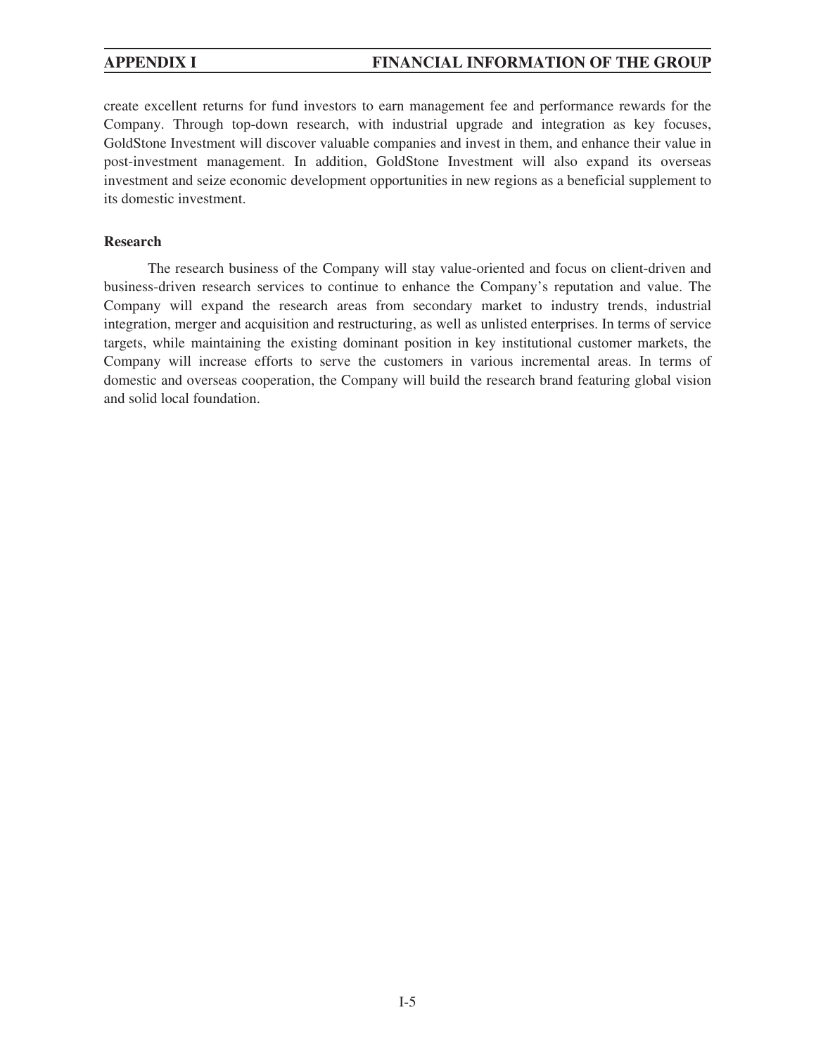create excellent returns for fund investors to earn management fee and performance rewards for the Company. Through top-down research, with industrial upgrade and integration as key focuses, GoldStone Investment will discover valuable companies and invest in them, and enhance their value in post-investment management. In addition, GoldStone Investment will also expand its overseas investment and seize economic development opportunities in new regions as a beneficial supplement to its domestic investment.

## **Research**

The research business of the Company will stay value-oriented and focus on client-driven and business-driven research services to continue to enhance the Company's reputation and value. The Company will expand the research areas from secondary market to industry trends, industrial integration, merger and acquisition and restructuring, as well as unlisted enterprises. In terms of service targets, while maintaining the existing dominant position in key institutional customer markets, the Company will increase efforts to serve the customers in various incremental areas. In terms of domestic and overseas cooperation, the Company will build the research brand featuring global vision and solid local foundation.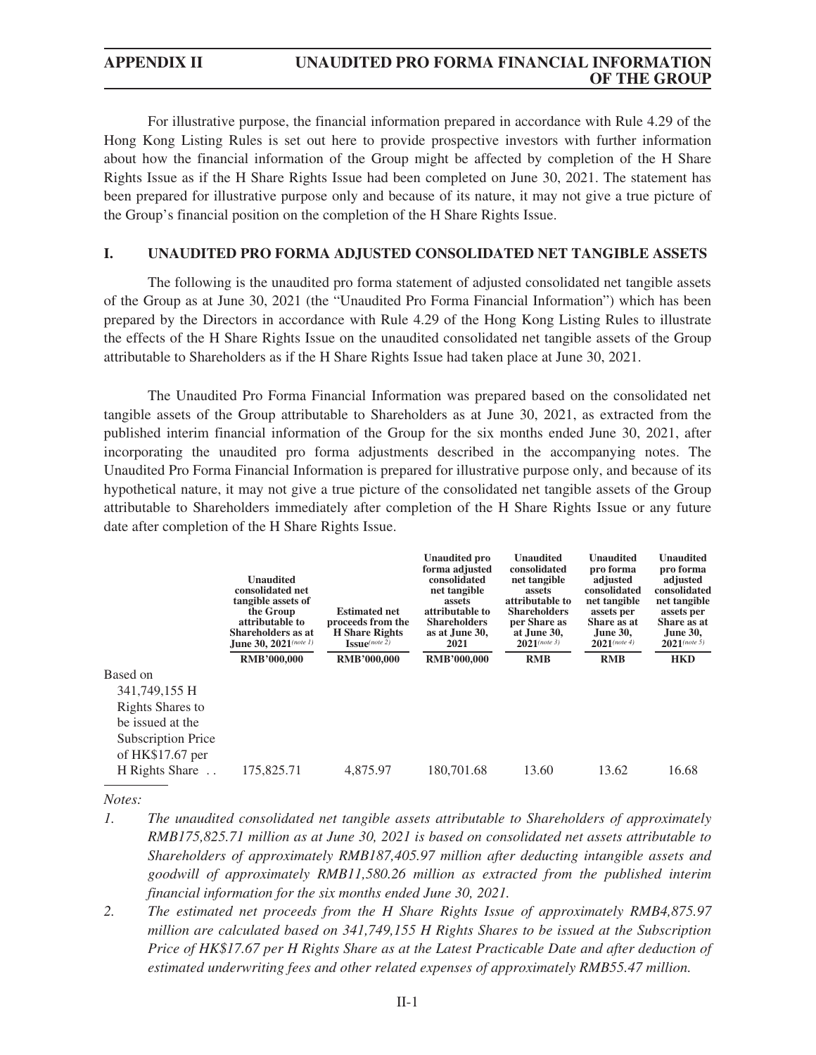For illustrative purpose, the financial information prepared in accordance with Rule 4.29 of the Hong Kong Listing Rules is set out here to provide prospective investors with further information about how the financial information of the Group might be affected by completion of the H Share Rights Issue as if the H Share Rights Issue had been completed on June 30, 2021. The statement has been prepared for illustrative purpose only and because of its nature, it may not give a true picture of the Group's financial position on the completion of the H Share Rights Issue.

## **I. UNAUDITED PRO FORMA ADJUSTED CONSOLIDATED NET TANGIBLE ASSETS**

The following is the unaudited pro forma statement of adjusted consolidated net tangible assets of the Group as at June 30, 2021 (the "Unaudited Pro Forma Financial Information") which has been prepared by the Directors in accordance with Rule 4.29 of the Hong Kong Listing Rules to illustrate the effects of the H Share Rights Issue on the unaudited consolidated net tangible assets of the Group attributable to Shareholders as if the H Share Rights Issue had taken place at June 30, 2021.

The Unaudited Pro Forma Financial Information was prepared based on the consolidated net tangible assets of the Group attributable to Shareholders as at June 30, 2021, as extracted from the published interim financial information of the Group for the six months ended June 30, 2021, after incorporating the unaudited pro forma adjustments described in the accompanying notes. The Unaudited Pro Forma Financial Information is prepared for illustrative purpose only, and because of its hypothetical nature, it may not give a true picture of the consolidated net tangible assets of the Group attributable to Shareholders immediately after completion of the H Share Rights Issue or any future date after completion of the H Share Rights Issue.

|                         | Unaudited<br>consolidated net<br>tangible assets of<br>the Group<br>attributable to<br>Shareholders as at<br>June 30, 2021(note 1)<br><b>RMB'000,000</b> | <b>Estimated net</b><br>proceeds from the<br><b>H</b> Share Rights<br>$\mathbf{I}\mathbf{S}\mathbf{S}\mathbf{u}\mathbf{e}^{(note\ 2)}$<br><b>RMB'000,000</b> | <b>Unaudited pro</b><br>forma adjusted<br>consolidated<br>net tangible<br>assets<br>attributable to<br><b>Shareholders</b><br>as at June 30,<br>2021<br><b>RMB'000,000</b> | Unaudited<br>consolidated<br>net tangible<br>assets<br>attributable to<br><b>Shareholders</b><br>per Share as<br>at June 30,<br>$2021$ (note 3)<br><b>RMB</b> | Unaudited<br>pro forma<br>adjusted<br>consolidated<br>net tangible<br>assets per<br>Share as at<br><b>June 30.</b><br>$2021$ (note 4)<br><b>RMB</b> | Unaudited<br>pro forma<br>adjusted<br>consolidated<br>net tangible<br>assets per<br>Share as at<br>June 30,<br>$2021^{(note 5)}$<br><b>HKD</b> |
|-------------------------|----------------------------------------------------------------------------------------------------------------------------------------------------------|--------------------------------------------------------------------------------------------------------------------------------------------------------------|----------------------------------------------------------------------------------------------------------------------------------------------------------------------------|---------------------------------------------------------------------------------------------------------------------------------------------------------------|-----------------------------------------------------------------------------------------------------------------------------------------------------|------------------------------------------------------------------------------------------------------------------------------------------------|
| Based on                |                                                                                                                                                          |                                                                                                                                                              |                                                                                                                                                                            |                                                                                                                                                               |                                                                                                                                                     |                                                                                                                                                |
| 341,749,155 H           |                                                                                                                                                          |                                                                                                                                                              |                                                                                                                                                                            |                                                                                                                                                               |                                                                                                                                                     |                                                                                                                                                |
| <b>Rights Shares to</b> |                                                                                                                                                          |                                                                                                                                                              |                                                                                                                                                                            |                                                                                                                                                               |                                                                                                                                                     |                                                                                                                                                |
| be issued at the        |                                                                                                                                                          |                                                                                                                                                              |                                                                                                                                                                            |                                                                                                                                                               |                                                                                                                                                     |                                                                                                                                                |
| Subscription Price      |                                                                                                                                                          |                                                                                                                                                              |                                                                                                                                                                            |                                                                                                                                                               |                                                                                                                                                     |                                                                                                                                                |
| of $HK$17.67$ per       |                                                                                                                                                          |                                                                                                                                                              |                                                                                                                                                                            |                                                                                                                                                               |                                                                                                                                                     |                                                                                                                                                |
| H Rights Share          | 175,825.71                                                                                                                                               | 4,875.97                                                                                                                                                     | 180,701.68                                                                                                                                                                 | 13.60                                                                                                                                                         | 13.62                                                                                                                                               | 16.68                                                                                                                                          |

*Notes:*

- *1. The unaudited consolidated net tangible assets attributable to Shareholders of approximately RMB175,825.71 million as at June 30, 2021 is based on consolidated net assets attributable to Shareholders of approximately RMB187,405.97 million after deducting intangible assets and goodwill of approximately RMB11,580.26 million as extracted from the published interim financial information for the six months ended June 30, 2021.*
- *2. The estimated net proceeds from the H Share Rights Issue of approximately RMB4,875.97 million are calculated based on 341,749,155 H Rights Shares to be issued at the Subscription Price of HK\$17.67 per H Rights Share as at the Latest Practicable Date and after deduction of estimated underwriting fees and other related expenses of approximately RMB55.47 million.*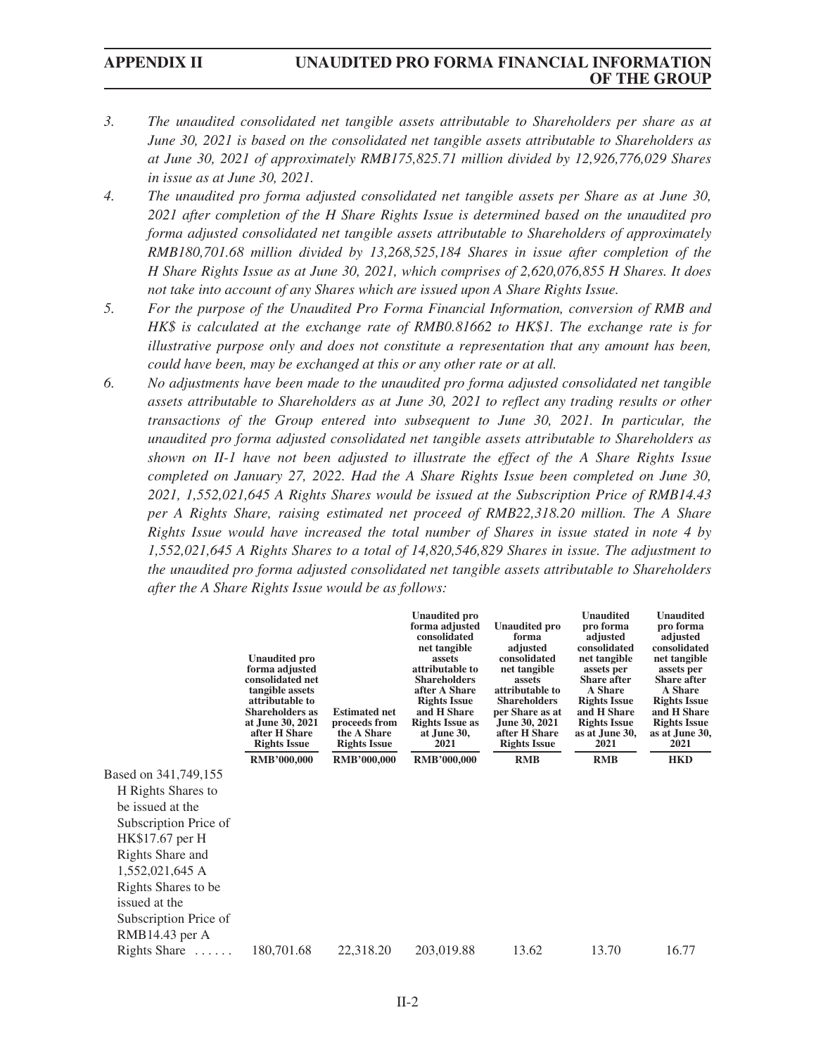## **APPENDIX II UNAUDITED PRO FORMA FINANCIAL INFORMATION OF THE GROUP**

- *3. The unaudited consolidated net tangible assets attributable to Shareholders per share as at June 30, 2021 is based on the consolidated net tangible assets attributable to Shareholders as at June 30, 2021 of approximately RMB175,825.71 million divided by 12,926,776,029 Shares in issue as at June 30, 2021.*
- *4. The unaudited pro forma adjusted consolidated net tangible assets per Share as at June 30, 2021 after completion of the H Share Rights Issue is determined based on the unaudited pro forma adjusted consolidated net tangible assets attributable to Shareholders of approximately RMB180,701.68 million divided by 13,268,525,184 Shares in issue after completion of the H Share Rights Issue as at June 30, 2021, which comprises of 2,620,076,855 H Shares. It does not take into account of any Shares which are issued upon A Share Rights Issue.*
- *5. For the purpose of the Unaudited Pro Forma Financial Information, conversion of RMB and HK\$ is calculated at the exchange rate of RMB0.81662 to HK\$1. The exchange rate is for illustrative purpose only and does not constitute a representation that any amount has been, could have been, may be exchanged at this or any other rate or at all.*
- *6. No adjustments have been made to the unaudited pro forma adjusted consolidated net tangible assets attributable to Shareholders as at June 30, 2021 to reflect any trading results or other transactions of the Group entered into subsequent to June 30, 2021. In particular, the unaudited pro forma adjusted consolidated net tangible assets attributable to Shareholders as shown on II-1 have not been adjusted to illustrate the effect of the A Share Rights Issue completed on January 27, 2022. Had the A Share Rights Issue been completed on June 30, 2021, 1,552,021,645 A Rights Shares would be issued at the Subscription Price of RMB14.43 per A Rights Share, raising estimated net proceed of RMB22,318.20 million. The A Share Rights Issue would have increased the total number of Shares in issue stated in note 4 by 1,552,021,645 A Rights Shares to a total of 14,820,546,829 Shares in issue. The adjustment to the unaudited pro forma adjusted consolidated net tangible assets attributable to Shareholders after the A Share Rights Issue would be as follows:*

|                       | <b>Unaudited pro</b><br>forma adjusted<br>consolidated net<br>tangible assets<br>attributable to<br><b>Shareholders as</b><br>at June 30, 2021<br>after H Share<br><b>Rights Issue</b><br><b>RMB'000,000</b> | <b>Estimated net</b><br>proceeds from<br>the A Share<br><b>Rights Issue</b><br><b>RMB'000,000</b> | <b>Unaudited pro</b><br>forma adjusted<br>consolidated<br>net tangible<br>assets<br>attributable to<br><b>Shareholders</b><br>after A Share<br><b>Rights Issue</b><br>and H Share<br><b>Rights Issue as</b><br>at June 30,<br>2021<br><b>RMB'000,000</b> | <b>Unaudited pro</b><br>forma<br>adjusted<br>consolidated<br>net tangible<br>assets<br>attributable to<br><b>Shareholders</b><br>per Share as at<br>June 30, 2021<br>after H Share<br><b>Rights Issue</b><br><b>RMB</b> | <b>Unaudited</b><br>pro forma<br>adjusted<br>consolidated<br>net tangible<br>assets per<br><b>Share after</b><br>A Share<br><b>Rights Issue</b><br>and H Share<br><b>Rights Issue</b><br>as at June 30,<br>2021<br><b>RMB</b> | <b>Unaudited</b><br>pro forma<br>adjusted<br>consolidated<br>net tangible<br>assets per<br><b>Share after</b><br>A Share<br><b>Rights Issue</b><br>and H Share<br><b>Rights Issue</b><br>as at June 30,<br>2021<br><b>HKD</b> |
|-----------------------|--------------------------------------------------------------------------------------------------------------------------------------------------------------------------------------------------------------|---------------------------------------------------------------------------------------------------|----------------------------------------------------------------------------------------------------------------------------------------------------------------------------------------------------------------------------------------------------------|-------------------------------------------------------------------------------------------------------------------------------------------------------------------------------------------------------------------------|-------------------------------------------------------------------------------------------------------------------------------------------------------------------------------------------------------------------------------|-------------------------------------------------------------------------------------------------------------------------------------------------------------------------------------------------------------------------------|
| Based on 341,749,155  |                                                                                                                                                                                                              |                                                                                                   |                                                                                                                                                                                                                                                          |                                                                                                                                                                                                                         |                                                                                                                                                                                                                               |                                                                                                                                                                                                                               |
| H Rights Shares to    |                                                                                                                                                                                                              |                                                                                                   |                                                                                                                                                                                                                                                          |                                                                                                                                                                                                                         |                                                                                                                                                                                                                               |                                                                                                                                                                                                                               |
| be issued at the      |                                                                                                                                                                                                              |                                                                                                   |                                                                                                                                                                                                                                                          |                                                                                                                                                                                                                         |                                                                                                                                                                                                                               |                                                                                                                                                                                                                               |
| Subscription Price of |                                                                                                                                                                                                              |                                                                                                   |                                                                                                                                                                                                                                                          |                                                                                                                                                                                                                         |                                                                                                                                                                                                                               |                                                                                                                                                                                                                               |
| HK\$17.67 per H       |                                                                                                                                                                                                              |                                                                                                   |                                                                                                                                                                                                                                                          |                                                                                                                                                                                                                         |                                                                                                                                                                                                                               |                                                                                                                                                                                                                               |
| Rights Share and      |                                                                                                                                                                                                              |                                                                                                   |                                                                                                                                                                                                                                                          |                                                                                                                                                                                                                         |                                                                                                                                                                                                                               |                                                                                                                                                                                                                               |
| 1,552,021,645 A       |                                                                                                                                                                                                              |                                                                                                   |                                                                                                                                                                                                                                                          |                                                                                                                                                                                                                         |                                                                                                                                                                                                                               |                                                                                                                                                                                                                               |
| Rights Shares to be   |                                                                                                                                                                                                              |                                                                                                   |                                                                                                                                                                                                                                                          |                                                                                                                                                                                                                         |                                                                                                                                                                                                                               |                                                                                                                                                                                                                               |
| issued at the         |                                                                                                                                                                                                              |                                                                                                   |                                                                                                                                                                                                                                                          |                                                                                                                                                                                                                         |                                                                                                                                                                                                                               |                                                                                                                                                                                                                               |
| Subscription Price of |                                                                                                                                                                                                              |                                                                                                   |                                                                                                                                                                                                                                                          |                                                                                                                                                                                                                         |                                                                                                                                                                                                                               |                                                                                                                                                                                                                               |
| $RMB14.43$ per A      |                                                                                                                                                                                                              |                                                                                                   |                                                                                                                                                                                                                                                          |                                                                                                                                                                                                                         |                                                                                                                                                                                                                               |                                                                                                                                                                                                                               |
| Rights Share          | 180,701.68                                                                                                                                                                                                   | 22,318.20                                                                                         | 203,019.88                                                                                                                                                                                                                                               | 13.62                                                                                                                                                                                                                   | 13.70                                                                                                                                                                                                                         | 16.77                                                                                                                                                                                                                         |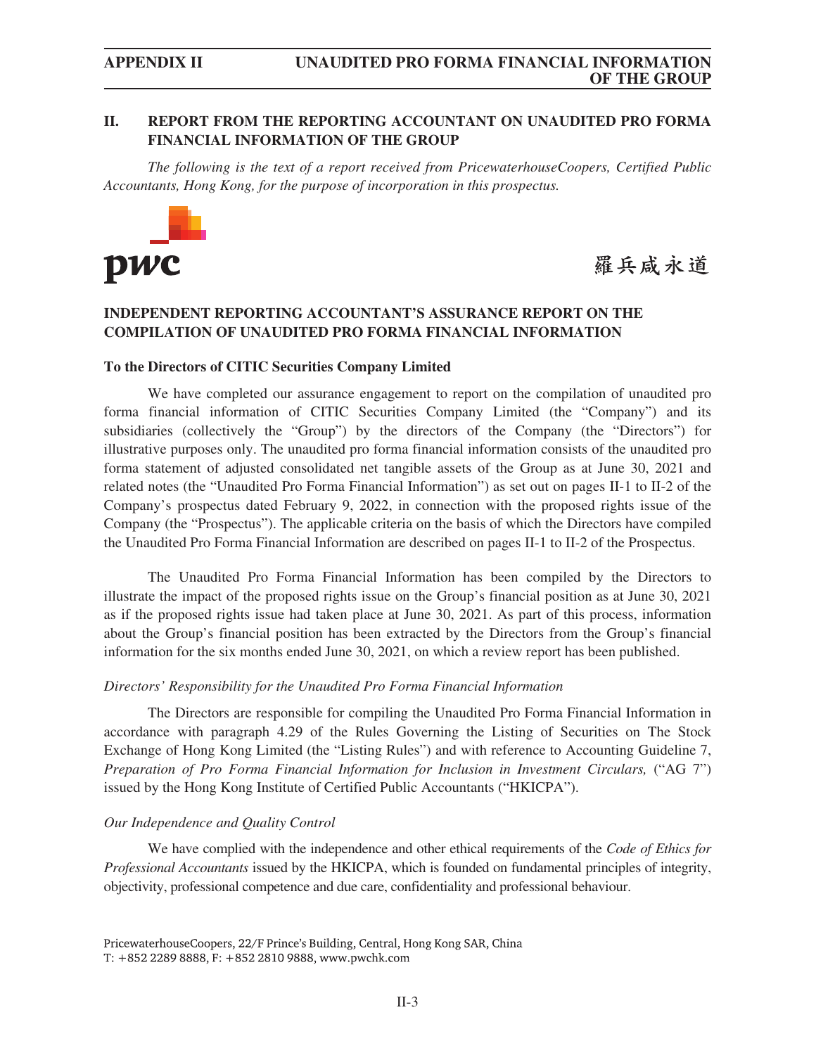## **II. REPORT FROM THE REPORTING ACCOUNTANT ON UNAUDITED PRO FORMA FINANCIAL INFORMATION OF THE GROUP**

*The following is the text of a report received from PricewaterhouseCoopers, Certified Public Accountants, Hong Kong, for the purpose of incorporation in this prospectus.*



羅兵咸永道

## **INDEPENDENT REPORTING ACCOUNTANT'S ASSURANCE REPORT ON THE COMPILATION OF UNAUDITED PRO FORMA FINANCIAL INFORMATION**

### **To the Directors of CITIC Securities Company Limited**

We have completed our assurance engagement to report on the compilation of unaudited pro forma financial information of CITIC Securities Company Limited (the "Company") and its subsidiaries (collectively the "Group") by the directors of the Company (the "Directors") for illustrative purposes only. The unaudited pro forma financial information consists of the unaudited pro forma statement of adjusted consolidated net tangible assets of the Group as at June 30, 2021 and related notes (the "Unaudited Pro Forma Financial Information") as set out on pages II-1 to II-2 of the Company's prospectus dated February 9, 2022, in connection with the proposed rights issue of the Company (the "Prospectus"). The applicable criteria on the basis of which the Directors have compiled the Unaudited Pro Forma Financial Information are described on pages II-1 to II-2 of the Prospectus.

The Unaudited Pro Forma Financial Information has been compiled by the Directors to illustrate the impact of the proposed rights issue on the Group's financial position as at June 30, 2021 as if the proposed rights issue had taken place at June 30, 2021. As part of this process, information about the Group's financial position has been extracted by the Directors from the Group's financial information for the six months ended June 30, 2021, on which a review report has been published.

### *Directors' Responsibility for the Unaudited Pro Forma Financial Information*

The Directors are responsible for compiling the Unaudited Pro Forma Financial Information in accordance with paragraph 4.29 of the Rules Governing the Listing of Securities on The Stock Exchange of Hong Kong Limited (the "Listing Rules") and with reference to Accounting Guideline 7, *Preparation of Pro Forma Financial Information for Inclusion in Investment Circulars,* ("AG 7") issued by the Hong Kong Institute of Certified Public Accountants ("HKICPA").

### *Our Independence and Quality Control*

We have complied with the independence and other ethical requirements of the *Code of Ethics for Professional Accountants* issued by the HKICPA, which is founded on fundamental principles of integrity, objectivity, professional competence and due care, confidentiality and professional behaviour.

PricewaterhouseCoopers, 22/F Prince's Building, Central, Hong Kong SAR, China T: +852 2289 8888, F: +852 2810 9888, www.pwchk.com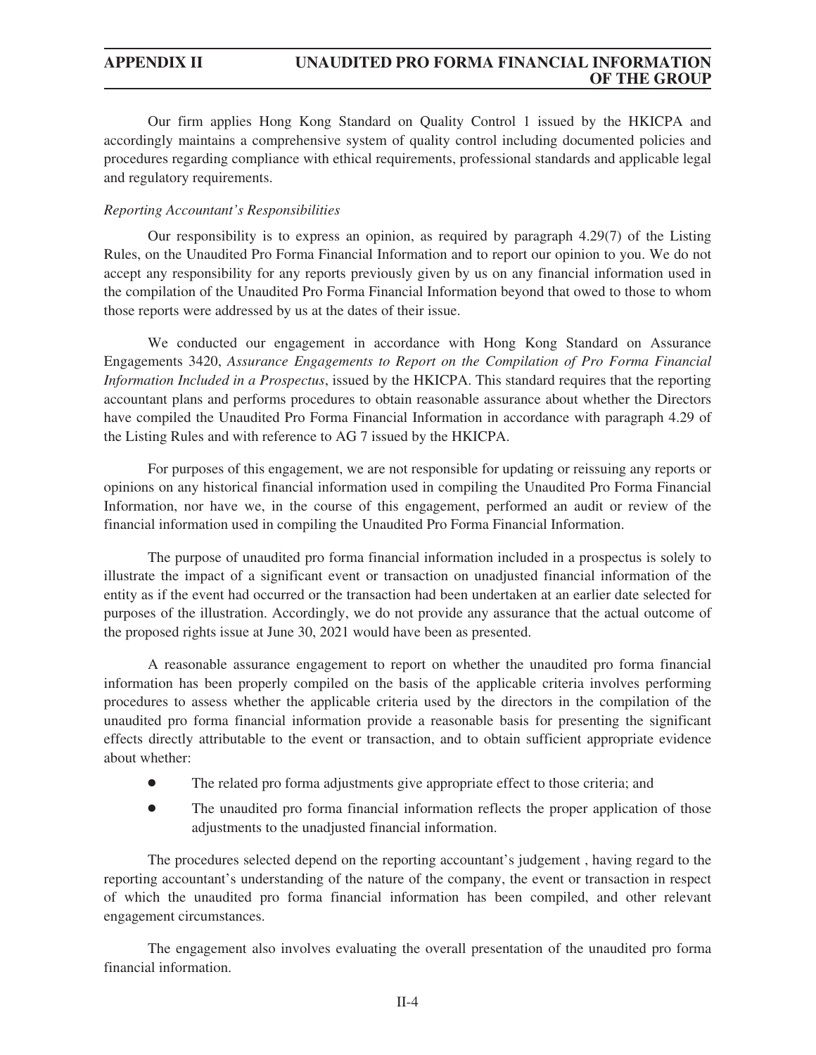Our firm applies Hong Kong Standard on Quality Control 1 issued by the HKICPA and accordingly maintains a comprehensive system of quality control including documented policies and procedures regarding compliance with ethical requirements, professional standards and applicable legal and regulatory requirements.

## *Reporting Accountant's Responsibilities*

Our responsibility is to express an opinion, as required by paragraph 4.29(7) of the Listing Rules, on the Unaudited Pro Forma Financial Information and to report our opinion to you. We do not accept any responsibility for any reports previously given by us on any financial information used in the compilation of the Unaudited Pro Forma Financial Information beyond that owed to those to whom those reports were addressed by us at the dates of their issue.

We conducted our engagement in accordance with Hong Kong Standard on Assurance Engagements 3420, *Assurance Engagements to Report on the Compilation of Pro Forma Financial Information Included in a Prospectus*, issued by the HKICPA. This standard requires that the reporting accountant plans and performs procedures to obtain reasonable assurance about whether the Directors have compiled the Unaudited Pro Forma Financial Information in accordance with paragraph 4.29 of the Listing Rules and with reference to AG 7 issued by the HKICPA.

For purposes of this engagement, we are not responsible for updating or reissuing any reports or opinions on any historical financial information used in compiling the Unaudited Pro Forma Financial Information, nor have we, in the course of this engagement, performed an audit or review of the financial information used in compiling the Unaudited Pro Forma Financial Information.

The purpose of unaudited pro forma financial information included in a prospectus is solely to illustrate the impact of a significant event or transaction on unadjusted financial information of the entity as if the event had occurred or the transaction had been undertaken at an earlier date selected for purposes of the illustration. Accordingly, we do not provide any assurance that the actual outcome of the proposed rights issue at June 30, 2021 would have been as presented.

A reasonable assurance engagement to report on whether the unaudited pro forma financial information has been properly compiled on the basis of the applicable criteria involves performing procedures to assess whether the applicable criteria used by the directors in the compilation of the unaudited pro forma financial information provide a reasonable basis for presenting the significant effects directly attributable to the event or transaction, and to obtain sufficient appropriate evidence about whether:

- The related pro forma adjustments give appropriate effect to those criteria; and
- The unaudited pro forma financial information reflects the proper application of those adjustments to the unadjusted financial information.

The procedures selected depend on the reporting accountant's judgement , having regard to the reporting accountant's understanding of the nature of the company, the event or transaction in respect of which the unaudited pro forma financial information has been compiled, and other relevant engagement circumstances.

The engagement also involves evaluating the overall presentation of the unaudited pro forma financial information.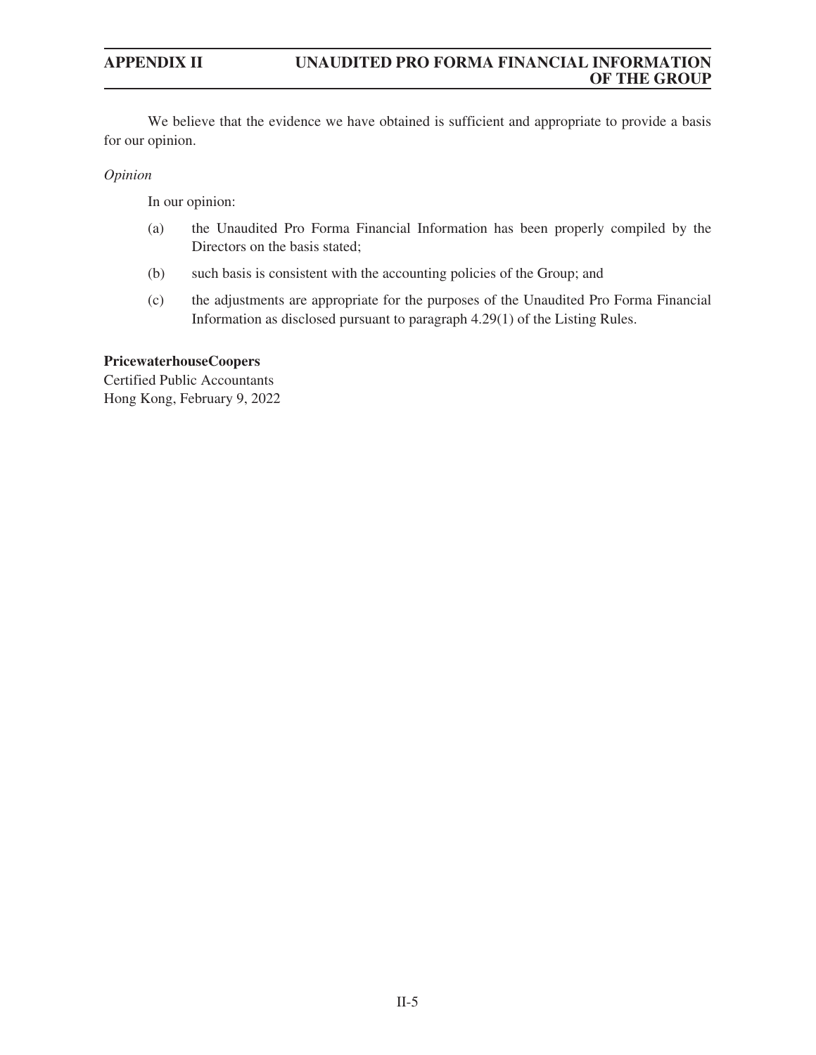We believe that the evidence we have obtained is sufficient and appropriate to provide a basis for our opinion.

## *Opinion*

In our opinion:

- (a) the Unaudited Pro Forma Financial Information has been properly compiled by the Directors on the basis stated;
- (b) such basis is consistent with the accounting policies of the Group; and
- (c) the adjustments are appropriate for the purposes of the Unaudited Pro Forma Financial Information as disclosed pursuant to paragraph 4.29(1) of the Listing Rules.

## **PricewaterhouseCoopers**

Certified Public Accountants Hong Kong, February 9, 2022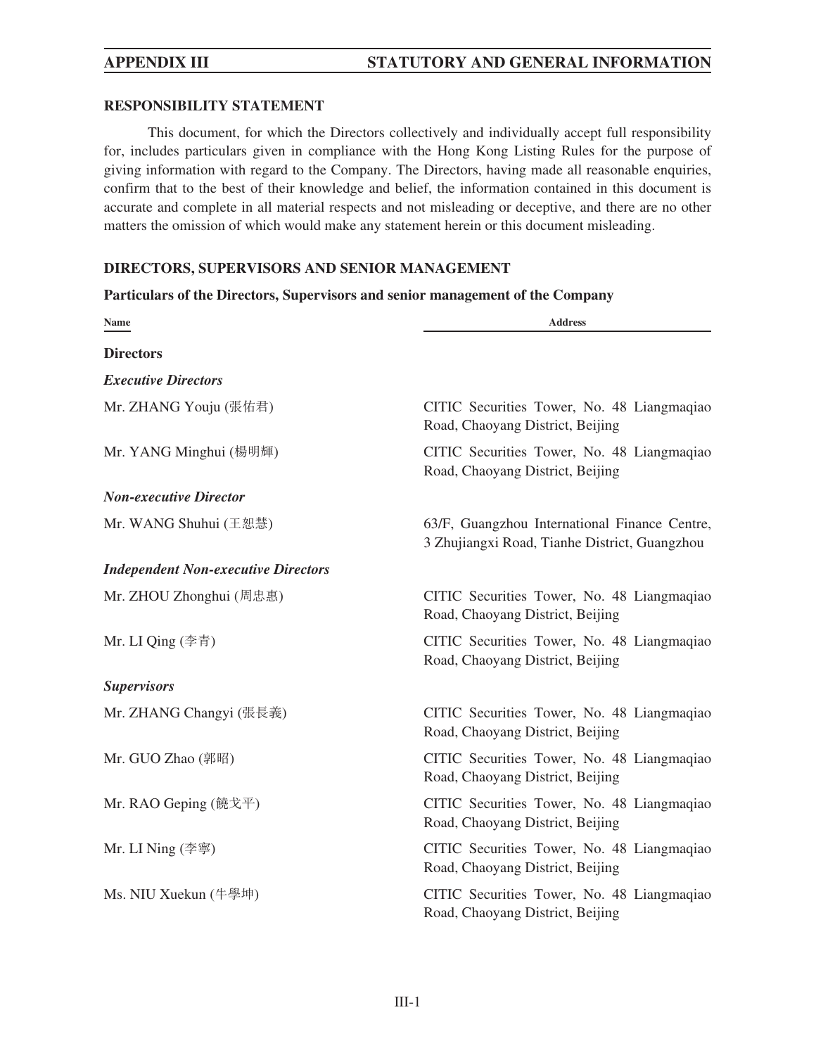## **RESPONSIBILITY STATEMENT**

This document, for which the Directors collectively and individually accept full responsibility for, includes particulars given in compliance with the Hong Kong Listing Rules for the purpose of giving information with regard to the Company. The Directors, having made all reasonable enquiries, confirm that to the best of their knowledge and belief, the information contained in this document is accurate and complete in all material respects and not misleading or deceptive, and there are no other matters the omission of which would make any statement herein or this document misleading.

## **DIRECTORS, SUPERVISORS AND SENIOR MANAGEMENT**

## **Particulars of the Directors, Supervisors and senior management of the Company**

| <b>Name</b>                                | <b>Address</b>                                                                                 |
|--------------------------------------------|------------------------------------------------------------------------------------------------|
| <b>Directors</b>                           |                                                                                                |
| <b>Executive Directors</b>                 |                                                                                                |
| Mr. ZHANG Youju (張佑君)                      | CITIC Securities Tower, No. 48 Liangmaqiao<br>Road, Chaoyang District, Beijing                 |
| Mr. YANG Minghui (楊明輝)                     | CITIC Securities Tower, No. 48 Liangmaqiao<br>Road, Chaoyang District, Beijing                 |
| <b>Non-executive Director</b>              |                                                                                                |
| Mr. WANG Shuhui (王恕慧)                      | 63/F, Guangzhou International Finance Centre,<br>3 Zhujiangxi Road, Tianhe District, Guangzhou |
| <b>Independent Non-executive Directors</b> |                                                                                                |
| Mr. ZHOU Zhonghui (周忠惠)                    | CITIC Securities Tower, No. 48 Liangmaqiao<br>Road, Chaoyang District, Beijing                 |
| Mr. LI Qing (李青)                           | CITIC Securities Tower, No. 48 Liangmaqiao<br>Road, Chaoyang District, Beijing                 |
| <b>Supervisors</b>                         |                                                                                                |
| Mr. ZHANG Changyi (張長義)                    | CITIC Securities Tower, No. 48 Liangmaqiao<br>Road, Chaoyang District, Beijing                 |
| Mr. GUO Zhao (郭昭)                          | CITIC Securities Tower, No. 48 Liangmaqiao<br>Road, Chaoyang District, Beijing                 |
| Mr. RAO Geping (饒戈平)                       | CITIC Securities Tower, No. 48 Liangmaqiao<br>Road, Chaoyang District, Beijing                 |
| Mr. LI Ning (李寧)                           | CITIC Securities Tower, No. 48 Liangmaqiao<br>Road, Chaoyang District, Beijing                 |
| Ms. NIU Xuekun (牛學坤)                       | CITIC Securities Tower, No. 48 Liangmaqiao<br>Road, Chaoyang District, Beijing                 |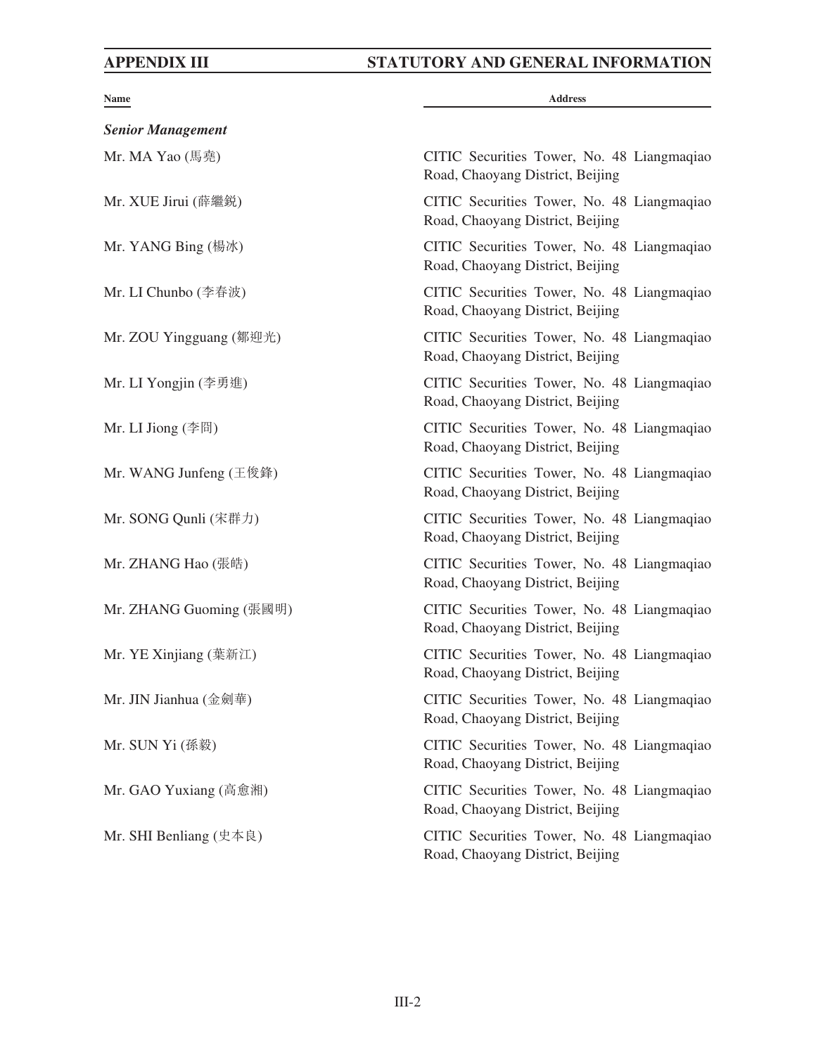| Name                              | <b>Address</b>                                                                 |
|-----------------------------------|--------------------------------------------------------------------------------|
| <b>Senior Management</b>          |                                                                                |
| Mr. MA Yao $(\mathbb{H}\bar{\#})$ | CITIC Securities Tower, No. 48 Liangmaqiao<br>Road, Chaoyang District, Beijing |
| Mr. XUE Jirui (薛繼鋭)               | CITIC Securities Tower, No. 48 Liangmaqiao<br>Road, Chaoyang District, Beijing |
| Mr. YANG Bing (楊冰)                | CITIC Securities Tower, No. 48 Liangmaqiao<br>Road, Chaoyang District, Beijing |
| Mr. LI Chunbo (李春波)               | CITIC Securities Tower, No. 48 Liangmaqiao<br>Road, Chaoyang District, Beijing |
| Mr. ZOU Yingguang (鄒迎光)           | CITIC Securities Tower, No. 48 Liangmaqiao<br>Road, Chaoyang District, Beijing |
| Mr. LI Yongjin (李勇進)              | CITIC Securities Tower, No. 48 Liangmaqiao<br>Road, Chaoyang District, Beijing |
| Mr. LI Jiong (李冏)                 | CITIC Securities Tower, No. 48 Liangmaqiao<br>Road, Chaoyang District, Beijing |
| Mr. WANG Junfeng (王俊鋒)            | CITIC Securities Tower, No. 48 Liangmaqiao<br>Road, Chaoyang District, Beijing |
| Mr. SONG Qunli (宋群力)              | CITIC Securities Tower, No. 48 Liangmaqiao<br>Road, Chaoyang District, Beijing |
| Mr. ZHANG Hao (張皓)                | CITIC Securities Tower, No. 48 Liangmaqiao<br>Road, Chaoyang District, Beijing |
| Mr. ZHANG Guoming (張國明)           | CITIC Securities Tower, No. 48 Liangmaqiao<br>Road, Chaoyang District, Beijing |
| Mr. YE Xinjiang (葉新江)             | CITIC Securities Tower, No. 48 Liangmaqiao<br>Road, Chaoyang District, Beijing |
| Mr. JIN Jianhua (金劍華)             | CITIC Securities Tower, No. 48 Liangmaqiao<br>Road, Chaoyang District, Beijing |
| Mr. SUN Yi (孫毅)                   | CITIC Securities Tower, No. 48 Liangmaqiao<br>Road, Chaoyang District, Beijing |
| Mr. GAO Yuxiang (高愈湘)             | CITIC Securities Tower, No. 48 Liangmaqiao<br>Road, Chaoyang District, Beijing |
| Mr. SHI Benliang (史本良)            | CITIC Securities Tower, No. 48 Liangmaqiao<br>Road, Chaoyang District, Beijing |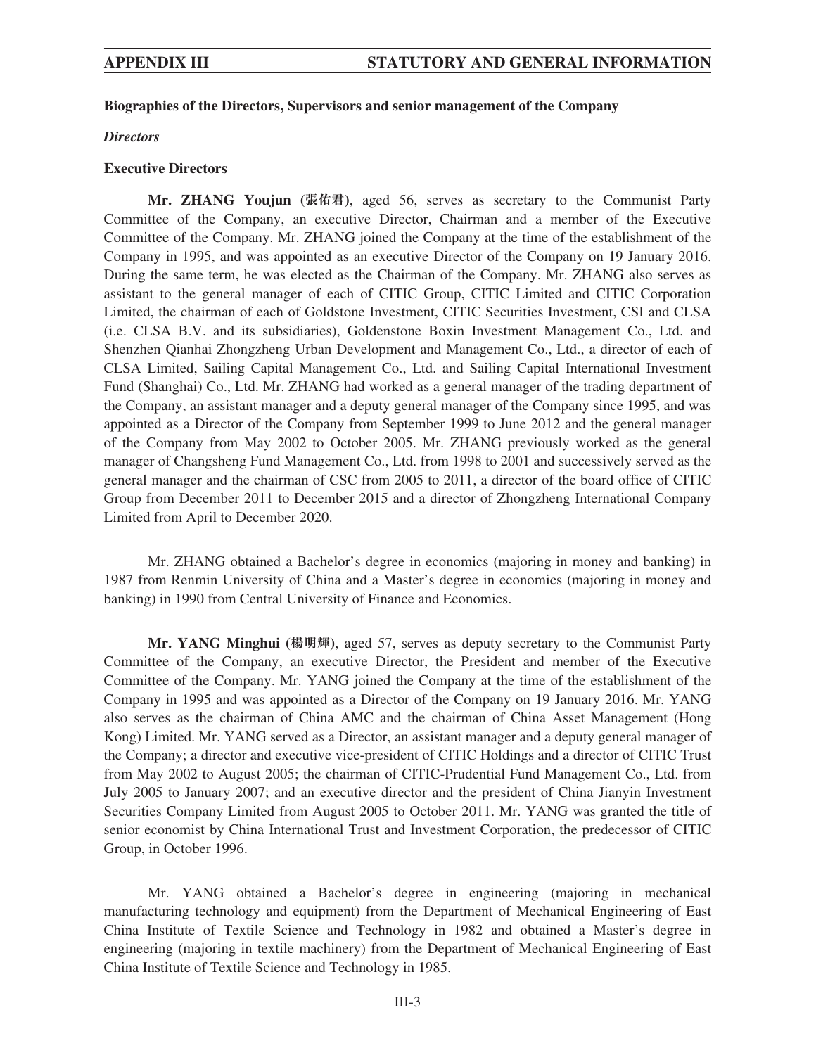## **Biographies of the Directors, Supervisors and senior management of the Company**

*Directors*

### **Executive Directors**

**Mr. ZHANG Youjun (張佑君)**, aged 56, serves as secretary to the Communist Party Committee of the Company, an executive Director, Chairman and a member of the Executive Committee of the Company. Mr. ZHANG joined the Company at the time of the establishment of the Company in 1995, and was appointed as an executive Director of the Company on 19 January 2016. During the same term, he was elected as the Chairman of the Company. Mr. ZHANG also serves as assistant to the general manager of each of CITIC Group, CITIC Limited and CITIC Corporation Limited, the chairman of each of Goldstone Investment, CITIC Securities Investment, CSI and CLSA (i.e. CLSA B.V. and its subsidiaries), Goldenstone Boxin Investment Management Co., Ltd. and Shenzhen Qianhai Zhongzheng Urban Development and Management Co., Ltd., a director of each of CLSA Limited, Sailing Capital Management Co., Ltd. and Sailing Capital International Investment Fund (Shanghai) Co., Ltd. Mr. ZHANG had worked as a general manager of the trading department of the Company, an assistant manager and a deputy general manager of the Company since 1995, and was appointed as a Director of the Company from September 1999 to June 2012 and the general manager of the Company from May 2002 to October 2005. Mr. ZHANG previously worked as the general manager of Changsheng Fund Management Co., Ltd. from 1998 to 2001 and successively served as the general manager and the chairman of CSC from 2005 to 2011, a director of the board office of CITIC Group from December 2011 to December 2015 and a director of Zhongzheng International Company Limited from April to December 2020.

Mr. ZHANG obtained a Bachelor's degree in economics (majoring in money and banking) in 1987 from Renmin University of China and a Master's degree in economics (majoring in money and banking) in 1990 from Central University of Finance and Economics.

**Mr. YANG Minghui (楊明輝)**, aged 57, serves as deputy secretary to the Communist Party Committee of the Company, an executive Director, the President and member of the Executive Committee of the Company. Mr. YANG joined the Company at the time of the establishment of the Company in 1995 and was appointed as a Director of the Company on 19 January 2016. Mr. YANG also serves as the chairman of China AMC and the chairman of China Asset Management (Hong Kong) Limited. Mr. YANG served as a Director, an assistant manager and a deputy general manager of the Company; a director and executive vice-president of CITIC Holdings and a director of CITIC Trust from May 2002 to August 2005; the chairman of CITIC-Prudential Fund Management Co., Ltd. from July 2005 to January 2007; and an executive director and the president of China Jianyin Investment Securities Company Limited from August 2005 to October 2011. Mr. YANG was granted the title of senior economist by China International Trust and Investment Corporation, the predecessor of CITIC Group, in October 1996.

Mr. YANG obtained a Bachelor's degree in engineering (majoring in mechanical manufacturing technology and equipment) from the Department of Mechanical Engineering of East China Institute of Textile Science and Technology in 1982 and obtained a Master's degree in engineering (majoring in textile machinery) from the Department of Mechanical Engineering of East China Institute of Textile Science and Technology in 1985.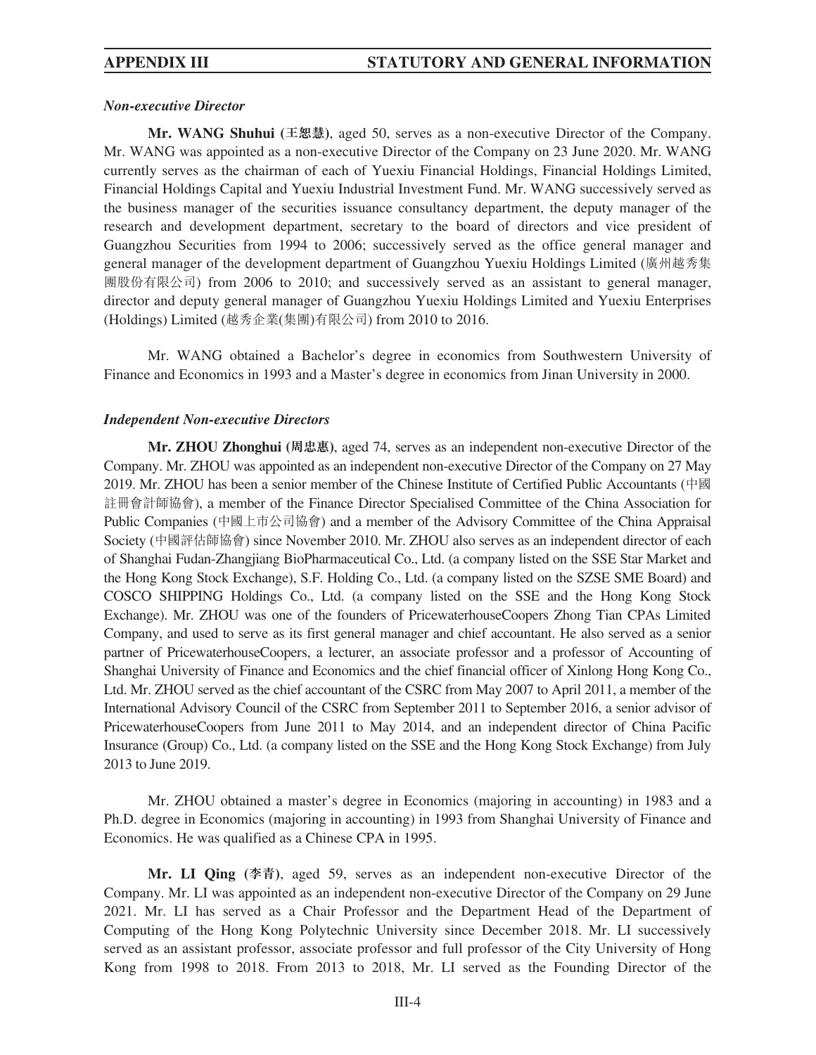## *Non-executive Director*

**Mr. WANG Shuhui (王恕慧)**, aged 50, serves as a non-executive Director of the Company. Mr. WANG was appointed as a non-executive Director of the Company on 23 June 2020. Mr. WANG currently serves as the chairman of each of Yuexiu Financial Holdings, Financial Holdings Limited, Financial Holdings Capital and Yuexiu Industrial Investment Fund. Mr. WANG successively served as the business manager of the securities issuance consultancy department, the deputy manager of the research and development department, secretary to the board of directors and vice president of Guangzhou Securities from 1994 to 2006; successively served as the office general manager and general manager of the development department of Guangzhou Yuexiu Holdings Limited (廣州越秀集 團股份有限公司) from 2006 to 2010; and successively served as an assistant to general manager, director and deputy general manager of Guangzhou Yuexiu Holdings Limited and Yuexiu Enterprises (Holdings) Limited (越秀企業(集團)有限公司) from 2010 to 2016.

Mr. WANG obtained a Bachelor's degree in economics from Southwestern University of Finance and Economics in 1993 and a Master's degree in economics from Jinan University in 2000.

## *Independent Non-executive Directors*

**Mr. ZHOU Zhonghui (周忠惠)**, aged 74, serves as an independent non-executive Director of the Company. Mr. ZHOU was appointed as an independent non-executive Director of the Company on 27 May 2019. Mr. ZHOU has been a senior member of the Chinese Institute of Certified Public Accountants (中國 註冊會計師協會), a member of the Finance Director Specialised Committee of the China Association for Public Companies (中國上市公司協會) and a member of the Advisory Committee of the China Appraisal Society (中國評估師協會) since November 2010. Mr. ZHOU also serves as an independent director of each of Shanghai Fudan-Zhangjiang BioPharmaceutical Co., Ltd. (a company listed on the SSE Star Market and the Hong Kong Stock Exchange), S.F. Holding Co., Ltd. (a company listed on the SZSE SME Board) and COSCO SHIPPING Holdings Co., Ltd. (a company listed on the SSE and the Hong Kong Stock Exchange). Mr. ZHOU was one of the founders of PricewaterhouseCoopers Zhong Tian CPAs Limited Company, and used to serve as its first general manager and chief accountant. He also served as a senior partner of PricewaterhouseCoopers, a lecturer, an associate professor and a professor of Accounting of Shanghai University of Finance and Economics and the chief financial officer of Xinlong Hong Kong Co., Ltd. Mr. ZHOU served as the chief accountant of the CSRC from May 2007 to April 2011, a member of the International Advisory Council of the CSRC from September 2011 to September 2016, a senior advisor of PricewaterhouseCoopers from June 2011 to May 2014, and an independent director of China Pacific Insurance (Group) Co., Ltd. (a company listed on the SSE and the Hong Kong Stock Exchange) from July 2013 to June 2019.

Mr. ZHOU obtained a master's degree in Economics (majoring in accounting) in 1983 and a Ph.D. degree in Economics (majoring in accounting) in 1993 from Shanghai University of Finance and Economics. He was qualified as a Chinese CPA in 1995.

**Mr. LI Qing (李青)**, aged 59, serves as an independent non-executive Director of the Company. Mr. LI was appointed as an independent non-executive Director of the Company on 29 June 2021. Mr. LI has served as a Chair Professor and the Department Head of the Department of Computing of the Hong Kong Polytechnic University since December 2018. Mr. LI successively served as an assistant professor, associate professor and full professor of the City University of Hong Kong from 1998 to 2018. From 2013 to 2018, Mr. LI served as the Founding Director of the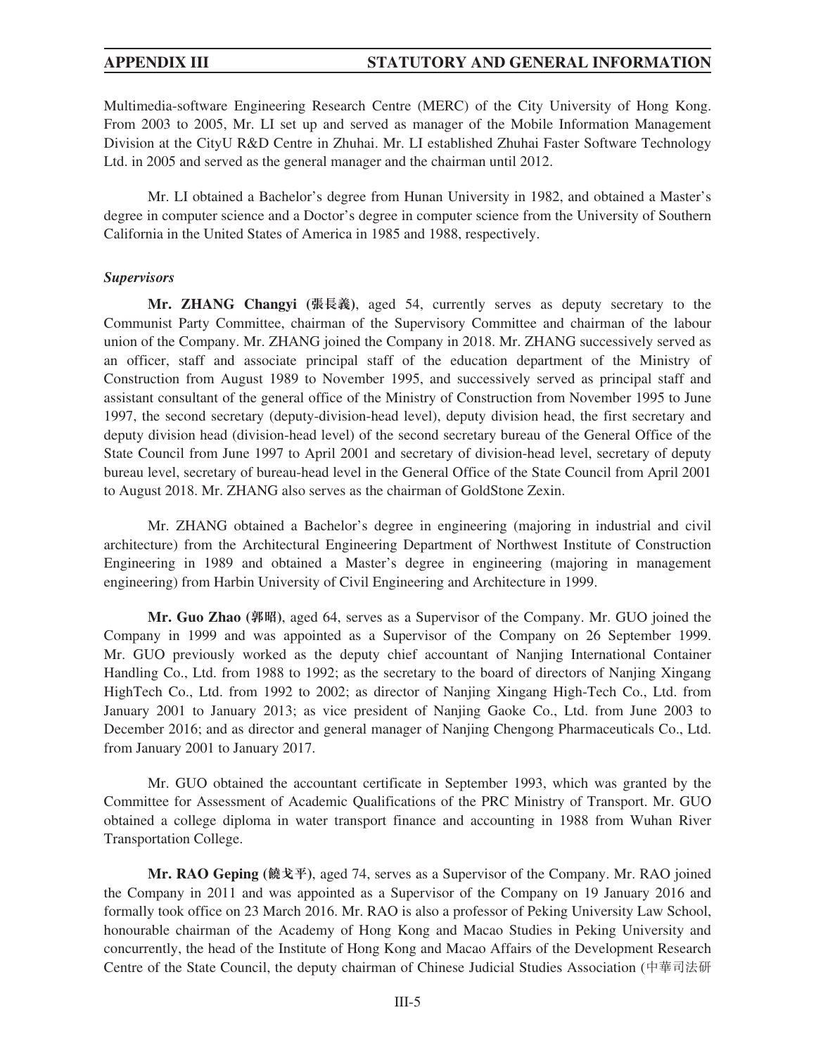Multimedia-software Engineering Research Centre (MERC) of the City University of Hong Kong. From 2003 to 2005, Mr. LI set up and served as manager of the Mobile Information Management Division at the CityU R&D Centre in Zhuhai. Mr. LI established Zhuhai Faster Software Technology Ltd. in 2005 and served as the general manager and the chairman until 2012.

Mr. LI obtained a Bachelor's degree from Hunan University in 1982, and obtained a Master's degree in computer science and a Doctor's degree in computer science from the University of Southern California in the United States of America in 1985 and 1988, respectively.

### *Supervisors*

**Mr. ZHANG Changyi (張長義)**, aged 54, currently serves as deputy secretary to the Communist Party Committee, chairman of the Supervisory Committee and chairman of the labour union of the Company. Mr. ZHANG joined the Company in 2018. Mr. ZHANG successively served as an officer, staff and associate principal staff of the education department of the Ministry of Construction from August 1989 to November 1995, and successively served as principal staff and assistant consultant of the general office of the Ministry of Construction from November 1995 to June 1997, the second secretary (deputy-division-head level), deputy division head, the first secretary and deputy division head (division-head level) of the second secretary bureau of the General Office of the State Council from June 1997 to April 2001 and secretary of division-head level, secretary of deputy bureau level, secretary of bureau-head level in the General Office of the State Council from April 2001 to August 2018. Mr. ZHANG also serves as the chairman of GoldStone Zexin.

Mr. ZHANG obtained a Bachelor's degree in engineering (majoring in industrial and civil architecture) from the Architectural Engineering Department of Northwest Institute of Construction Engineering in 1989 and obtained a Master's degree in engineering (majoring in management engineering) from Harbin University of Civil Engineering and Architecture in 1999.

**Mr. Guo Zhao (郭昭)**, aged 64, serves as a Supervisor of the Company. Mr. GUO joined the Company in 1999 and was appointed as a Supervisor of the Company on 26 September 1999. Mr. GUO previously worked as the deputy chief accountant of Nanjing International Container Handling Co., Ltd. from 1988 to 1992; as the secretary to the board of directors of Nanjing Xingang HighTech Co., Ltd. from 1992 to 2002; as director of Nanjing Xingang High-Tech Co., Ltd. from January 2001 to January 2013; as vice president of Nanjing Gaoke Co., Ltd. from June 2003 to December 2016; and as director and general manager of Nanjing Chengong Pharmaceuticals Co., Ltd. from January 2001 to January 2017.

Mr. GUO obtained the accountant certificate in September 1993, which was granted by the Committee for Assessment of Academic Qualifications of the PRC Ministry of Transport. Mr. GUO obtained a college diploma in water transport finance and accounting in 1988 from Wuhan River Transportation College.

**Mr. RAO Geping (饒戈平)**, aged 74, serves as a Supervisor of the Company. Mr. RAO joined the Company in 2011 and was appointed as a Supervisor of the Company on 19 January 2016 and formally took office on 23 March 2016. Mr. RAO is also a professor of Peking University Law School, honourable chairman of the Academy of Hong Kong and Macao Studies in Peking University and concurrently, the head of the Institute of Hong Kong and Macao Affairs of the Development Research Centre of the State Council, the deputy chairman of Chinese Judicial Studies Association (中華司法研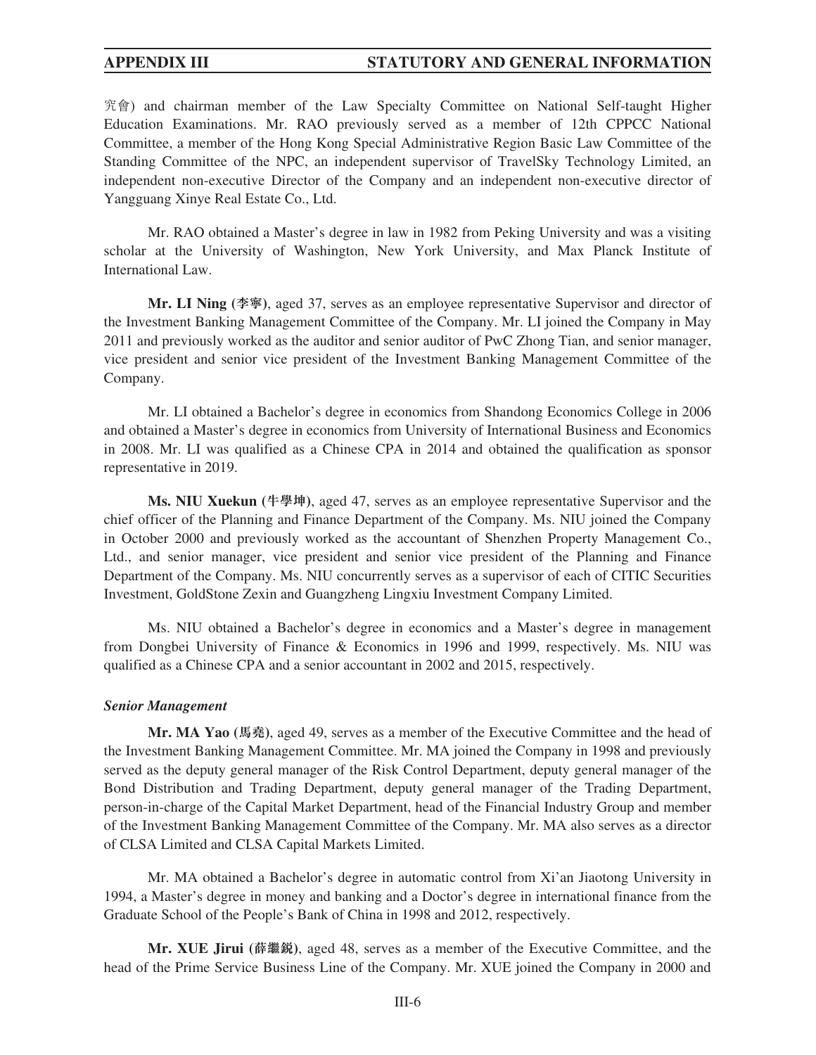究會) and chairman member of the Law Specialty Committee on National Self-taught Higher Education Examinations. Mr. RAO previously served as a member of 12th CPPCC National Committee, a member of the Hong Kong Special Administrative Region Basic Law Committee of the Standing Committee of the NPC, an independent supervisor of TravelSky Technology Limited, an independent non-executive Director of the Company and an independent non-executive director of Yangguang Xinye Real Estate Co., Ltd.

Mr. RAO obtained a Master's degree in law in 1982 from Peking University and was a visiting scholar at the University of Washington, New York University, and Max Planck Institute of International Law.

**Mr. LI Ning (李寧)**, aged 37, serves as an employee representative Supervisor and director of the Investment Banking Management Committee of the Company. Mr. LI joined the Company in May 2011 and previously worked as the auditor and senior auditor of PwC Zhong Tian, and senior manager, vice president and senior vice president of the Investment Banking Management Committee of the Company.

Mr. LI obtained a Bachelor's degree in economics from Shandong Economics College in 2006 and obtained a Master's degree in economics from University of International Business and Economics in 2008. Mr. LI was qualified as a Chinese CPA in 2014 and obtained the qualification as sponsor representative in 2019.

**Ms. NIU Xuekun (牛學坤)**, aged 47, serves as an employee representative Supervisor and the chief officer of the Planning and Finance Department of the Company. Ms. NIU joined the Company in October 2000 and previously worked as the accountant of Shenzhen Property Management Co., Ltd., and senior manager, vice president and senior vice president of the Planning and Finance Department of the Company. Ms. NIU concurrently serves as a supervisor of each of CITIC Securities Investment, GoldStone Zexin and Guangzheng Lingxiu Investment Company Limited.

Ms. NIU obtained a Bachelor's degree in economics and a Master's degree in management from Dongbei University of Finance & Economics in 1996 and 1999, respectively. Ms. NIU was qualified as a Chinese CPA and a senior accountant in 2002 and 2015, respectively.

### *Senior Management*

**Mr. MA Yao (馬堯)**, aged 49, serves as a member of the Executive Committee and the head of the Investment Banking Management Committee. Mr. MA joined the Company in 1998 and previously served as the deputy general manager of the Risk Control Department, deputy general manager of the Bond Distribution and Trading Department, deputy general manager of the Trading Department, person-in-charge of the Capital Market Department, head of the Financial Industry Group and member of the Investment Banking Management Committee of the Company. Mr. MA also serves as a director of CLSA Limited and CLSA Capital Markets Limited.

Mr. MA obtained a Bachelor's degree in automatic control from Xi'an Jiaotong University in 1994, a Master's degree in money and banking and a Doctor's degree in international finance from the Graduate School of the People's Bank of China in 1998 and 2012, respectively.

**Mr. XUE Jirui (薛繼銳)**, aged 48, serves as a member of the Executive Committee, and the head of the Prime Service Business Line of the Company. Mr. XUE joined the Company in 2000 and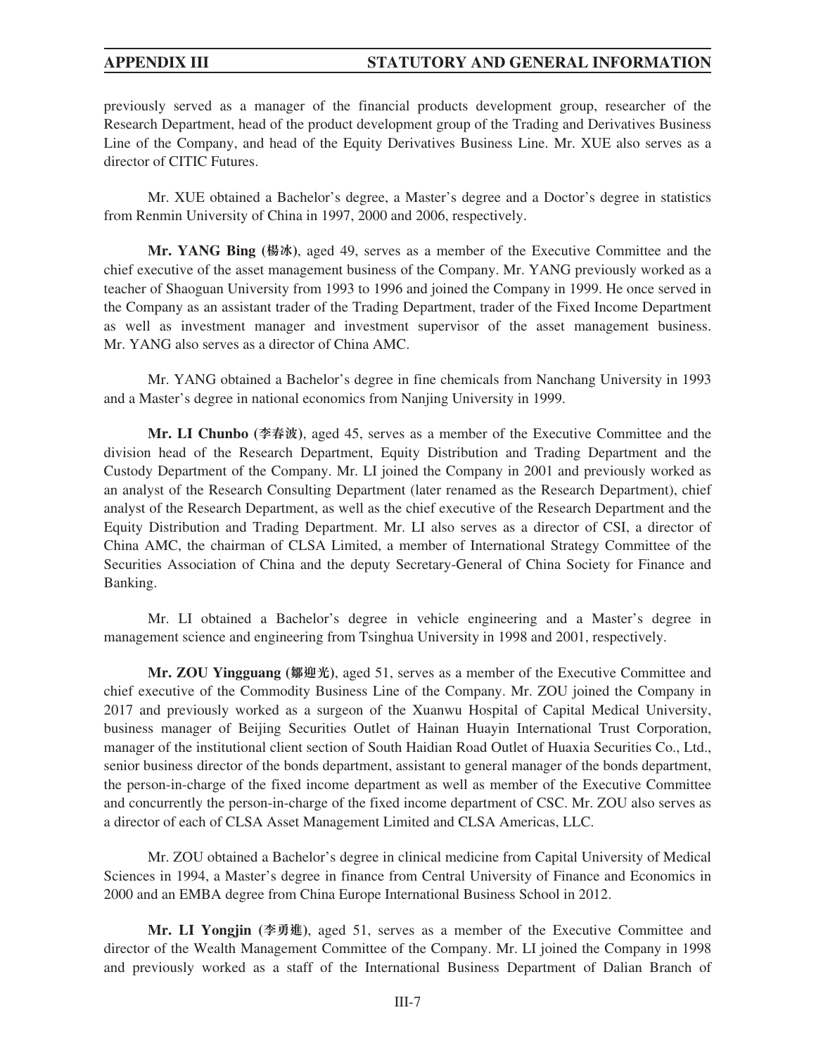previously served as a manager of the financial products development group, researcher of the Research Department, head of the product development group of the Trading and Derivatives Business Line of the Company, and head of the Equity Derivatives Business Line. Mr. XUE also serves as a director of CITIC Futures.

Mr. XUE obtained a Bachelor's degree, a Master's degree and a Doctor's degree in statistics from Renmin University of China in 1997, 2000 and 2006, respectively.

**Mr. YANG Bing (楊冰)**, aged 49, serves as a member of the Executive Committee and the chief executive of the asset management business of the Company. Mr. YANG previously worked as a teacher of Shaoguan University from 1993 to 1996 and joined the Company in 1999. He once served in the Company as an assistant trader of the Trading Department, trader of the Fixed Income Department as well as investment manager and investment supervisor of the asset management business. Mr. YANG also serves as a director of China AMC.

Mr. YANG obtained a Bachelor's degree in fine chemicals from Nanchang University in 1993 and a Master's degree in national economics from Nanjing University in 1999.

**Mr. LI Chunbo (李春波)**, aged 45, serves as a member of the Executive Committee and the division head of the Research Department, Equity Distribution and Trading Department and the Custody Department of the Company. Mr. LI joined the Company in 2001 and previously worked as an analyst of the Research Consulting Department (later renamed as the Research Department), chief analyst of the Research Department, as well as the chief executive of the Research Department and the Equity Distribution and Trading Department. Mr. LI also serves as a director of CSI, a director of China AMC, the chairman of CLSA Limited, a member of International Strategy Committee of the Securities Association of China and the deputy Secretary-General of China Society for Finance and Banking.

Mr. LI obtained a Bachelor's degree in vehicle engineering and a Master's degree in management science and engineering from Tsinghua University in 1998 and 2001, respectively.

**Mr. ZOU Yingguang (鄒迎光)**, aged 51, serves as a member of the Executive Committee and chief executive of the Commodity Business Line of the Company. Mr. ZOU joined the Company in 2017 and previously worked as a surgeon of the Xuanwu Hospital of Capital Medical University, business manager of Beijing Securities Outlet of Hainan Huayin International Trust Corporation, manager of the institutional client section of South Haidian Road Outlet of Huaxia Securities Co., Ltd., senior business director of the bonds department, assistant to general manager of the bonds department, the person-in-charge of the fixed income department as well as member of the Executive Committee and concurrently the person-in-charge of the fixed income department of CSC. Mr. ZOU also serves as a director of each of CLSA Asset Management Limited and CLSA Americas, LLC.

Mr. ZOU obtained a Bachelor's degree in clinical medicine from Capital University of Medical Sciences in 1994, a Master's degree in finance from Central University of Finance and Economics in 2000 and an EMBA degree from China Europe International Business School in 2012.

**Mr. LI Yongjin (李勇進)**, aged 51, serves as a member of the Executive Committee and director of the Wealth Management Committee of the Company. Mr. LI joined the Company in 1998 and previously worked as a staff of the International Business Department of Dalian Branch of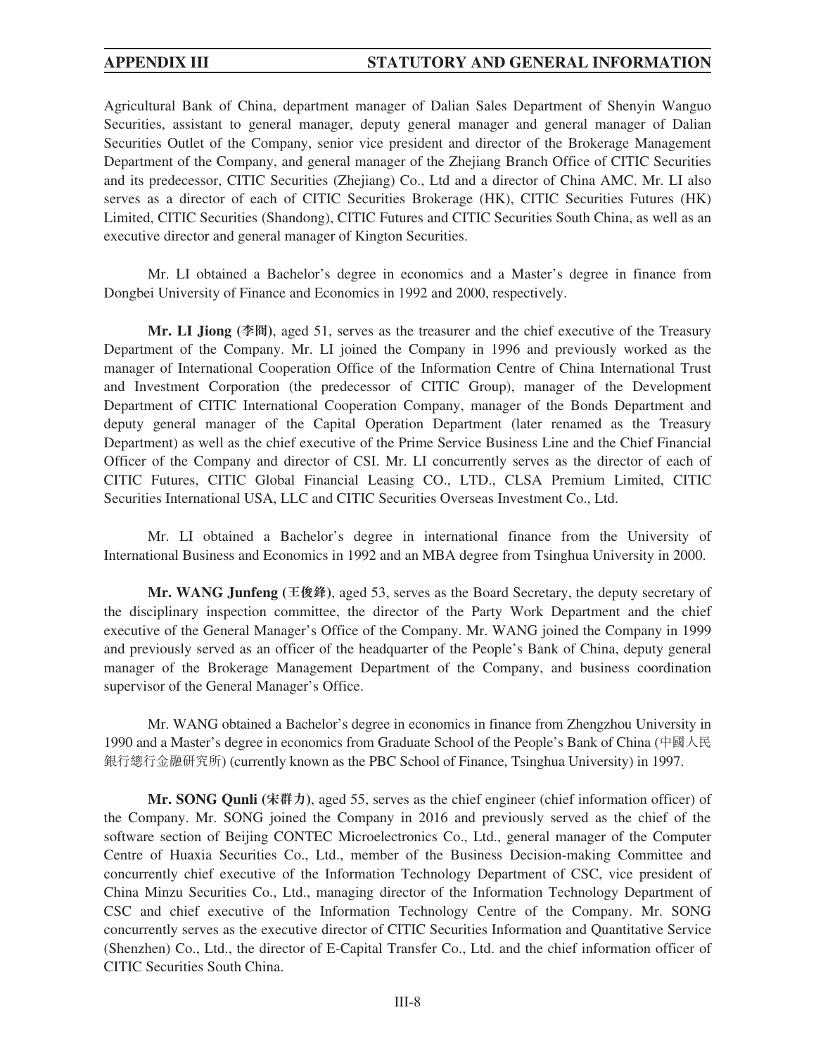Agricultural Bank of China, department manager of Dalian Sales Department of Shenyin Wanguo Securities, assistant to general manager, deputy general manager and general manager of Dalian Securities Outlet of the Company, senior vice president and director of the Brokerage Management Department of the Company, and general manager of the Zhejiang Branch Office of CITIC Securities and its predecessor, CITIC Securities (Zhejiang) Co., Ltd and a director of China AMC. Mr. LI also serves as a director of each of CITIC Securities Brokerage (HK), CITIC Securities Futures (HK) Limited, CITIC Securities (Shandong), CITIC Futures and CITIC Securities South China, as well as an executive director and general manager of Kington Securities.

Mr. LI obtained a Bachelor's degree in economics and a Master's degree in finance from Dongbei University of Finance and Economics in 1992 and 2000, respectively.

**Mr. LI Jiong (李冏)**, aged 51, serves as the treasurer and the chief executive of the Treasury Department of the Company. Mr. LI joined the Company in 1996 and previously worked as the manager of International Cooperation Office of the Information Centre of China International Trust and Investment Corporation (the predecessor of CITIC Group), manager of the Development Department of CITIC International Cooperation Company, manager of the Bonds Department and deputy general manager of the Capital Operation Department (later renamed as the Treasury Department) as well as the chief executive of the Prime Service Business Line and the Chief Financial Officer of the Company and director of CSI. Mr. LI concurrently serves as the director of each of CITIC Futures, CITIC Global Financial Leasing CO., LTD., CLSA Premium Limited, CITIC Securities International USA, LLC and CITIC Securities Overseas Investment Co., Ltd.

Mr. LI obtained a Bachelor's degree in international finance from the University of International Business and Economics in 1992 and an MBA degree from Tsinghua University in 2000.

**Mr. WANG Junfeng (王俊鋒)**, aged 53, serves as the Board Secretary, the deputy secretary of the disciplinary inspection committee, the director of the Party Work Department and the chief executive of the General Manager's Office of the Company. Mr. WANG joined the Company in 1999 and previously served as an officer of the headquarter of the People's Bank of China, deputy general manager of the Brokerage Management Department of the Company, and business coordination supervisor of the General Manager's Office.

Mr. WANG obtained a Bachelor's degree in economics in finance from Zhengzhou University in 1990 and a Master's degree in economics from Graduate School of the People's Bank of China (中國人民 銀行總行金融研究所) (currently known as the PBC School of Finance, Tsinghua University) in 1997.

**Mr. SONG Qunli (宋群力)**, aged 55, serves as the chief engineer (chief information officer) of the Company. Mr. SONG joined the Company in 2016 and previously served as the chief of the software section of Beijing CONTEC Microelectronics Co., Ltd., general manager of the Computer Centre of Huaxia Securities Co., Ltd., member of the Business Decision-making Committee and concurrently chief executive of the Information Technology Department of CSC, vice president of China Minzu Securities Co., Ltd., managing director of the Information Technology Department of CSC and chief executive of the Information Technology Centre of the Company. Mr. SONG concurrently serves as the executive director of CITIC Securities Information and Quantitative Service (Shenzhen) Co., Ltd., the director of E-Capital Transfer Co., Ltd. and the chief information officer of CITIC Securities South China.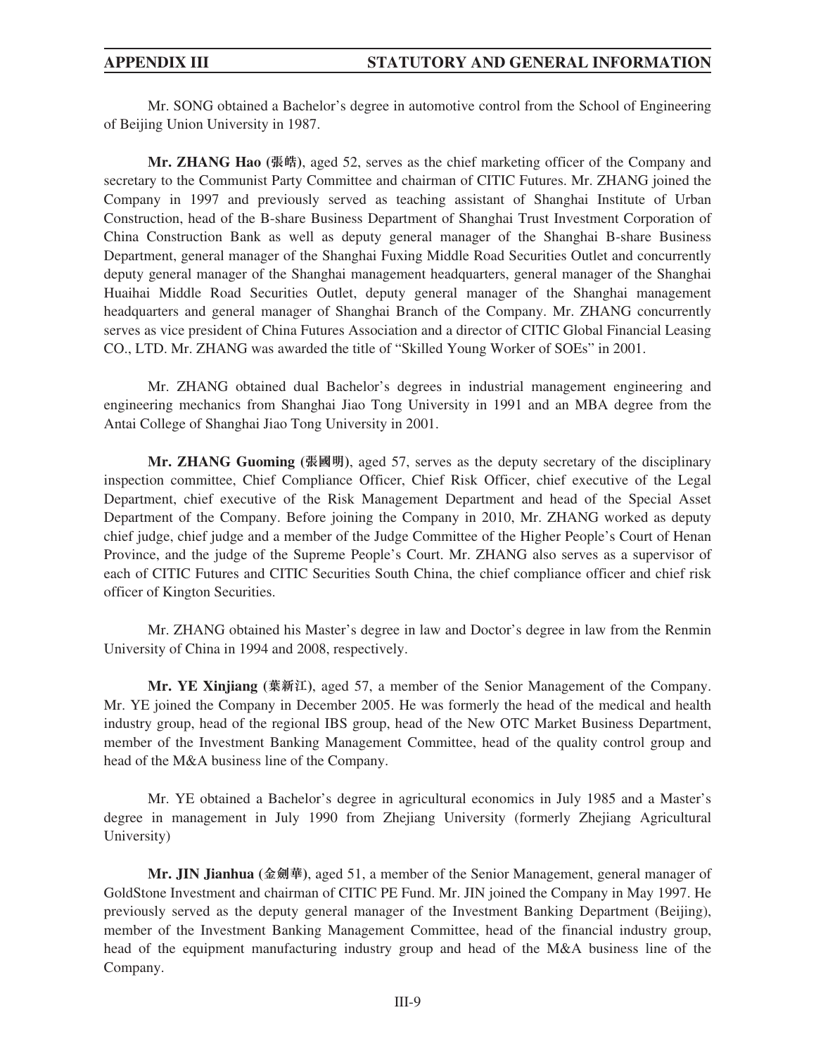Mr. SONG obtained a Bachelor's degree in automotive control from the School of Engineering of Beijing Union University in 1987.

**Mr. ZHANG Hao (張皓)**, aged 52, serves as the chief marketing officer of the Company and secretary to the Communist Party Committee and chairman of CITIC Futures. Mr. ZHANG joined the Company in 1997 and previously served as teaching assistant of Shanghai Institute of Urban Construction, head of the B-share Business Department of Shanghai Trust Investment Corporation of China Construction Bank as well as deputy general manager of the Shanghai B-share Business Department, general manager of the Shanghai Fuxing Middle Road Securities Outlet and concurrently deputy general manager of the Shanghai management headquarters, general manager of the Shanghai Huaihai Middle Road Securities Outlet, deputy general manager of the Shanghai management headquarters and general manager of Shanghai Branch of the Company. Mr. ZHANG concurrently serves as vice president of China Futures Association and a director of CITIC Global Financial Leasing CO., LTD. Mr. ZHANG was awarded the title of "Skilled Young Worker of SOEs" in 2001.

Mr. ZHANG obtained dual Bachelor's degrees in industrial management engineering and engineering mechanics from Shanghai Jiao Tong University in 1991 and an MBA degree from the Antai College of Shanghai Jiao Tong University in 2001.

**Mr. ZHANG Guoming (張國明)**, aged 57, serves as the deputy secretary of the disciplinary inspection committee, Chief Compliance Officer, Chief Risk Officer, chief executive of the Legal Department, chief executive of the Risk Management Department and head of the Special Asset Department of the Company. Before joining the Company in 2010, Mr. ZHANG worked as deputy chief judge, chief judge and a member of the Judge Committee of the Higher People's Court of Henan Province, and the judge of the Supreme People's Court. Mr. ZHANG also serves as a supervisor of each of CITIC Futures and CITIC Securities South China, the chief compliance officer and chief risk officer of Kington Securities.

Mr. ZHANG obtained his Master's degree in law and Doctor's degree in law from the Renmin University of China in 1994 and 2008, respectively.

**Mr. YE Xinjiang (葉新江)**, aged 57, a member of the Senior Management of the Company. Mr. YE joined the Company in December 2005. He was formerly the head of the medical and health industry group, head of the regional IBS group, head of the New OTC Market Business Department, member of the Investment Banking Management Committee, head of the quality control group and head of the M&A business line of the Company.

Mr. YE obtained a Bachelor's degree in agricultural economics in July 1985 and a Master's degree in management in July 1990 from Zhejiang University (formerly Zhejiang Agricultural University)

**Mr. JIN Jianhua (金劍華)**, aged 51, a member of the Senior Management, general manager of GoldStone Investment and chairman of CITIC PE Fund. Mr. JIN joined the Company in May 1997. He previously served as the deputy general manager of the Investment Banking Department (Beijing), member of the Investment Banking Management Committee, head of the financial industry group, head of the equipment manufacturing industry group and head of the M&A business line of the Company.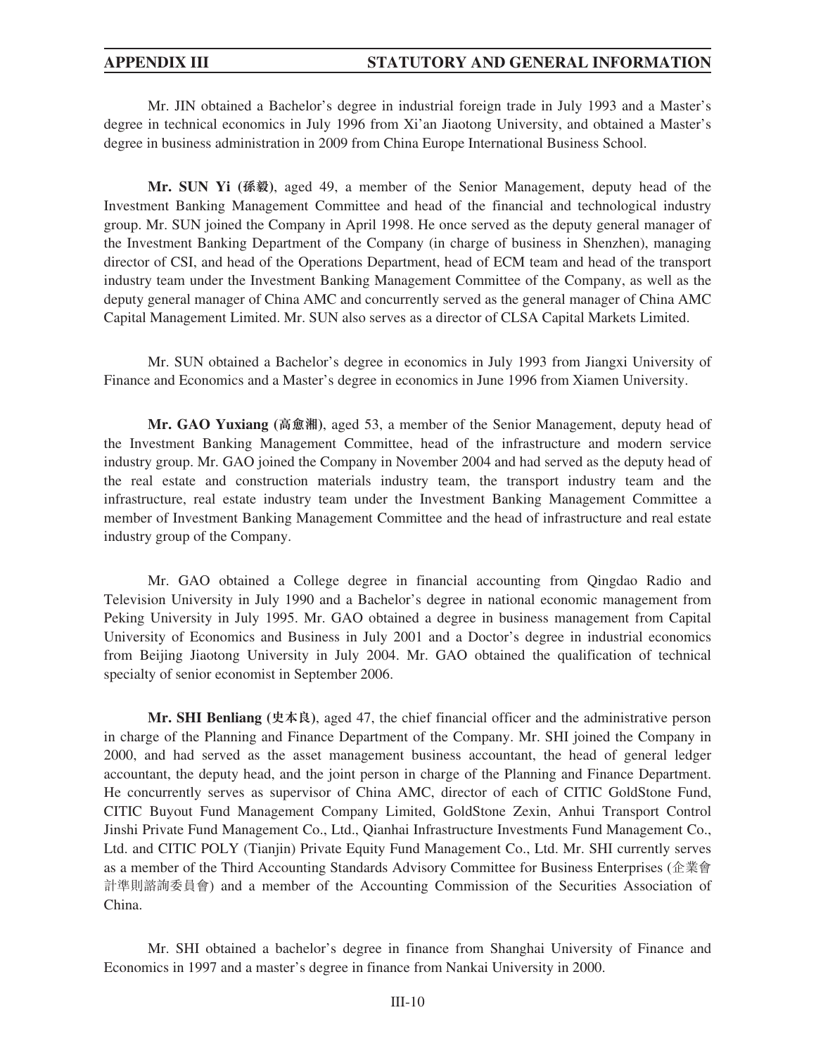Mr. JIN obtained a Bachelor's degree in industrial foreign trade in July 1993 and a Master's degree in technical economics in July 1996 from Xi'an Jiaotong University, and obtained a Master's degree in business administration in 2009 from China Europe International Business School.

**Mr. SUN Yi (孫毅)**, aged 49, a member of the Senior Management, deputy head of the Investment Banking Management Committee and head of the financial and technological industry group. Mr. SUN joined the Company in April 1998. He once served as the deputy general manager of the Investment Banking Department of the Company (in charge of business in Shenzhen), managing director of CSI, and head of the Operations Department, head of ECM team and head of the transport industry team under the Investment Banking Management Committee of the Company, as well as the deputy general manager of China AMC and concurrently served as the general manager of China AMC Capital Management Limited. Mr. SUN also serves as a director of CLSA Capital Markets Limited.

Mr. SUN obtained a Bachelor's degree in economics in July 1993 from Jiangxi University of Finance and Economics and a Master's degree in economics in June 1996 from Xiamen University.

**Mr. GAO Yuxiang (高愈湘)**, aged 53, a member of the Senior Management, deputy head of the Investment Banking Management Committee, head of the infrastructure and modern service industry group. Mr. GAO joined the Company in November 2004 and had served as the deputy head of the real estate and construction materials industry team, the transport industry team and the infrastructure, real estate industry team under the Investment Banking Management Committee a member of Investment Banking Management Committee and the head of infrastructure and real estate industry group of the Company.

Mr. GAO obtained a College degree in financial accounting from Qingdao Radio and Television University in July 1990 and a Bachelor's degree in national economic management from Peking University in July 1995. Mr. GAO obtained a degree in business management from Capital University of Economics and Business in July 2001 and a Doctor's degree in industrial economics from Beijing Jiaotong University in July 2004. Mr. GAO obtained the qualification of technical specialty of senior economist in September 2006.

**Mr. SHI Benliang (史本良)**, aged 47, the chief financial officer and the administrative person in charge of the Planning and Finance Department of the Company. Mr. SHI joined the Company in 2000, and had served as the asset management business accountant, the head of general ledger accountant, the deputy head, and the joint person in charge of the Planning and Finance Department. He concurrently serves as supervisor of China AMC, director of each of CITIC GoldStone Fund, CITIC Buyout Fund Management Company Limited, GoldStone Zexin, Anhui Transport Control Jinshi Private Fund Management Co., Ltd., Qianhai Infrastructure Investments Fund Management Co., Ltd. and CITIC POLY (Tianjin) Private Equity Fund Management Co., Ltd. Mr. SHI currently serves as a member of the Third Accounting Standards Advisory Committee for Business Enterprises (企業會 計準則諮詢委員會) and a member of the Accounting Commission of the Securities Association of China.

Mr. SHI obtained a bachelor's degree in finance from Shanghai University of Finance and Economics in 1997 and a master's degree in finance from Nankai University in 2000.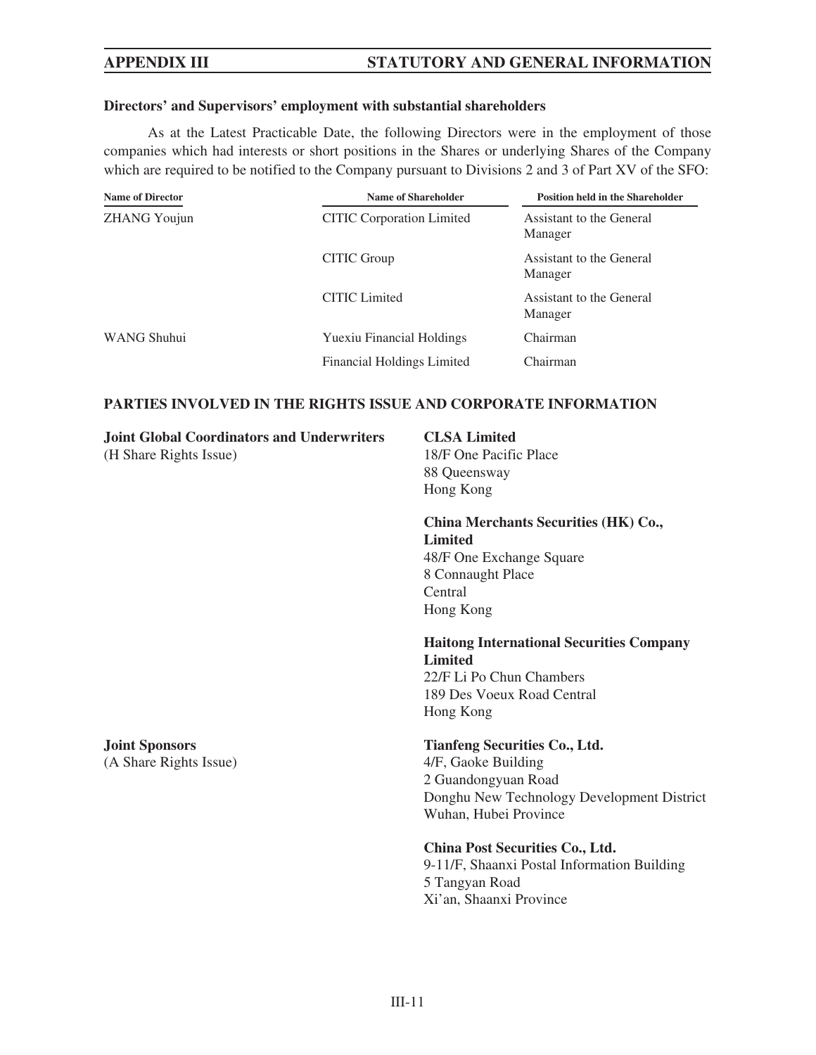## **Directors' and Supervisors' employment with substantial shareholders**

As at the Latest Practicable Date, the following Directors were in the employment of those companies which had interests or short positions in the Shares or underlying Shares of the Company which are required to be notified to the Company pursuant to Divisions 2 and 3 of Part XV of the SFO:

| <b>Name of Director</b> | Name of Shareholder              | <b>Position held in the Shareholder</b> |
|-------------------------|----------------------------------|-----------------------------------------|
| <b>ZHANG Youjun</b>     | <b>CITIC</b> Corporation Limited | Assistant to the General<br>Manager     |
|                         | CITIC Group                      | Assistant to the General<br>Manager     |
|                         | <b>CITIC</b> Limited             | Assistant to the General<br>Manager     |
| WANG Shuhui             | <b>Yuexiu Financial Holdings</b> | Chairman                                |
|                         | Financial Holdings Limited       | Chairman                                |

# **PARTIES INVOLVED IN THE RIGHTS ISSUE AND CORPORATE INFORMATION**

**CLSA Limited**

**Joint Global Coordinators and Underwriters**

| (H Share Rights Issue) | 18/F One Pacific Place                                            |
|------------------------|-------------------------------------------------------------------|
|                        | 88 Queensway                                                      |
|                        | Hong Kong                                                         |
|                        | China Merchants Securities (HK) Co.,                              |
|                        | <b>Limited</b>                                                    |
|                        | 48/F One Exchange Square                                          |
|                        | 8 Connaught Place                                                 |
|                        | Central                                                           |
|                        | Hong Kong                                                         |
|                        | <b>Haitong International Securities Company</b><br><b>Limited</b> |
|                        | 22/F Li Po Chun Chambers                                          |
|                        | 189 Des Voeux Road Central                                        |
|                        | Hong Kong                                                         |
| <b>Joint Sponsors</b>  | <b>Tianfeng Securities Co., Ltd.</b>                              |
| (A Share Rights Issue) | 4/F, Gaoke Building                                               |
|                        | 2 Guandongyuan Road                                               |
|                        | Donghu New Technology Development District                        |
|                        | Wuhan, Hubei Province                                             |
|                        | China Post Securities Co., Ltd.                                   |
|                        | 9-11/F, Shaanxi Postal Information Building                       |
|                        | 5 Tangyan Road                                                    |
|                        | Xi'an, Shaanxi Province                                           |
|                        |                                                                   |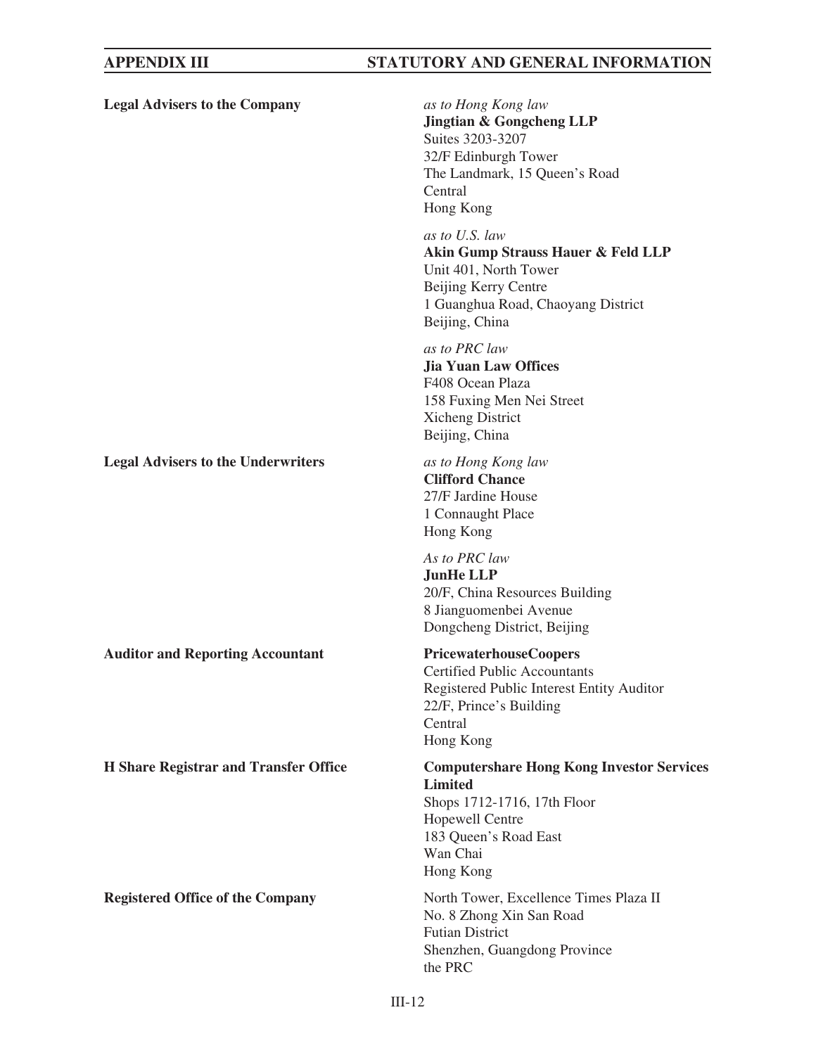| <b>Legal Advisers to the Company</b>         | as to Hong Kong law<br><b>Jingtian &amp; Gongcheng LLP</b><br>Suites 3203-3207<br>32/F Edinburgh Tower<br>The Landmark, 15 Queen's Road<br>Central<br>Hong Kong        |
|----------------------------------------------|------------------------------------------------------------------------------------------------------------------------------------------------------------------------|
|                                              | as to U.S. law<br>Akin Gump Strauss Hauer & Feld LLP<br>Unit 401, North Tower<br>Beijing Kerry Centre<br>1 Guanghua Road, Chaoyang District<br>Beijing, China          |
|                                              | as to PRC law<br><b>Jia Yuan Law Offices</b><br>F408 Ocean Plaza<br>158 Fuxing Men Nei Street<br>Xicheng District<br>Beijing, China                                    |
| <b>Legal Advisers to the Underwriters</b>    | as to Hong Kong law<br><b>Clifford Chance</b><br>27/F Jardine House<br>1 Connaught Place<br>Hong Kong                                                                  |
|                                              | As to PRC law<br><b>JunHe LLP</b><br>20/F, China Resources Building<br>8 Jianguomenbei Avenue<br>Dongcheng District, Beijing                                           |
| <b>Auditor and Reporting Accountant</b>      | <b>PricewaterhouseCoopers</b><br><b>Certified Public Accountants</b><br>Registered Public Interest Entity Auditor<br>22/F, Prince's Building<br>Central<br>Hong Kong   |
| <b>H</b> Share Registrar and Transfer Office | <b>Computershare Hong Kong Investor Services</b><br><b>Limited</b><br>Shops 1712-1716, 17th Floor<br>Hopewell Centre<br>183 Queen's Road East<br>Wan Chai<br>Hong Kong |
| <b>Registered Office of the Company</b>      | North Tower, Excellence Times Plaza II<br>No. 8 Zhong Xin San Road<br><b>Futian District</b><br>Shenzhen, Guangdong Province<br>the PRC                                |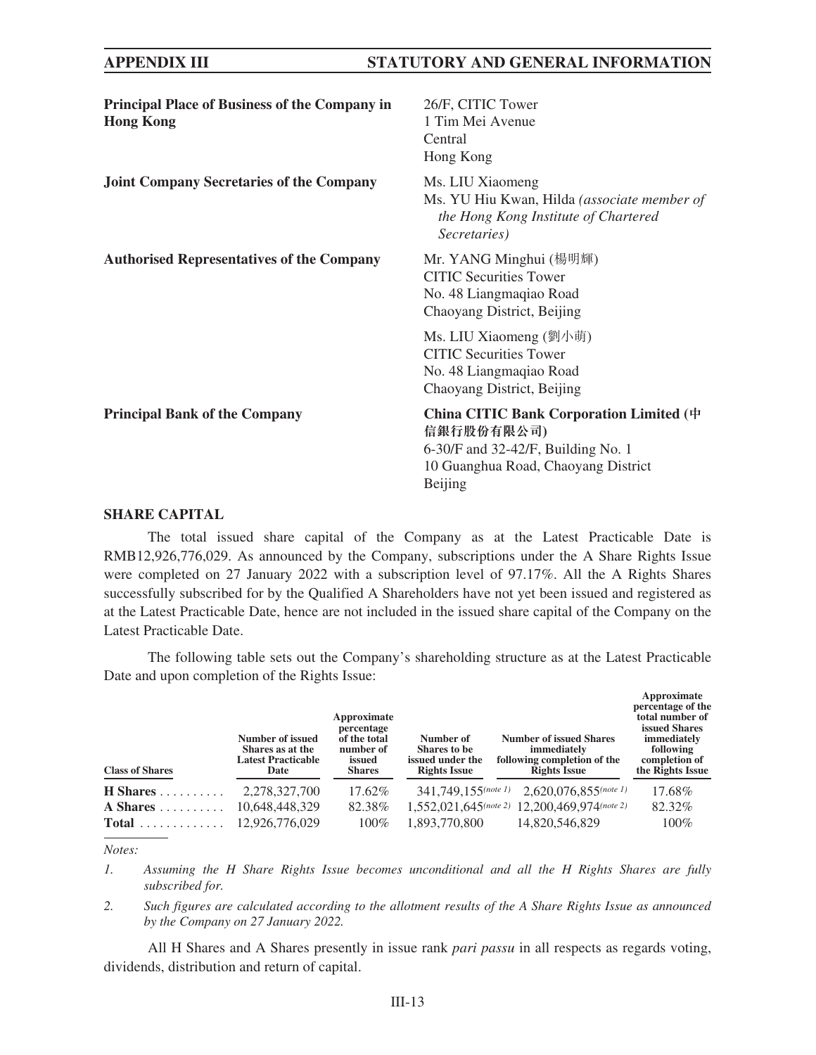| <b>Principal Place of Business of the Company in</b><br><b>Hong Kong</b> | 26/F, CITIC Tower<br>1 Tim Mei Avenue<br>Central<br>Hong Kong                                                                                 |
|--------------------------------------------------------------------------|-----------------------------------------------------------------------------------------------------------------------------------------------|
| <b>Joint Company Secretaries of the Company</b>                          | Ms. LIU Xiaomeng<br>Ms. YU Hiu Kwan, Hilda (associate member of<br>the Hong Kong Institute of Chartered<br>Secretaries)                       |
| <b>Authorised Representatives of the Company</b>                         | Mr. YANG Minghui (楊明輝)<br><b>CITIC Securities Tower</b><br>No. 48 Liangmaqiao Road<br>Chaoyang District, Beijing                              |
|                                                                          | Ms. LIU Xiaomeng (劉小萌)<br><b>CITIC</b> Securities Tower<br>No. 48 Liangmaqiao Road<br>Chaoyang District, Beijing                              |
| <b>Principal Bank of the Company</b>                                     | China CITIC Bank Corporation Limited (中<br>信銀行股份有限公司)<br>6-30/F and 32-42/F, Building No. 1<br>10 Guanghua Road, Chaoyang District<br>Beijing |

### **SHARE CAPITAL**

The total issued share capital of the Company as at the Latest Practicable Date is RMB12,926,776,029. As announced by the Company, subscriptions under the A Share Rights Issue were completed on 27 January 2022 with a subscription level of 97.17%. All the A Rights Shares successfully subscribed for by the Qualified A Shareholders have not yet been issued and registered as at the Latest Practicable Date, hence are not included in the issued share capital of the Company on the Latest Practicable Date.

The following table sets out the Company's shareholding structure as at the Latest Practicable Date and upon completion of the Rights Issue:

| <b>Class of Shares</b> | Number of issued<br>Shares as at the<br><b>Latest Practicable</b><br>Date | Approximate<br>percentage<br>of the total<br>number of<br>issued<br><b>Shares</b> | Number of<br>Shares to be<br>issued under the<br><b>Rights Issue</b> | <b>Number of issued Shares</b><br>immediately<br>following completion of the<br><b>Rights Issue</b> | Approximate<br>percentage of the<br>total number of<br>issued Shares<br>immediately<br>following<br>completion of<br>the Rights Issue |
|------------------------|---------------------------------------------------------------------------|-----------------------------------------------------------------------------------|----------------------------------------------------------------------|-----------------------------------------------------------------------------------------------------|---------------------------------------------------------------------------------------------------------------------------------------|
| $H$ Shares             | 2,278,327,700                                                             | 17.62%                                                                            | $341.749.155$ (note 1)                                               | $2.620.076.855$ (note 1)                                                                            | 17.68%                                                                                                                                |
| A Shares $\dots \dots$ | 10,648,448,329                                                            | 82.38%                                                                            |                                                                      | 1,552,021,645(note 2) 12,200,469,974(note 2)                                                        | 82.32%                                                                                                                                |
|                        | 12.926.776.029                                                            | $100\%$                                                                           | 1,893,770,800                                                        | 14,820,546,829                                                                                      | 100%                                                                                                                                  |

*Notes:*

*1. Assuming the H Share Rights Issue becomes unconditional and all the H Rights Shares are fully subscribed for.*

*2. Such figures are calculated according to the allotment results of the A Share Rights Issue as announced by the Company on 27 January 2022.*

All H Shares and A Shares presently in issue rank *pari passu* in all respects as regards voting, dividends, distribution and return of capital.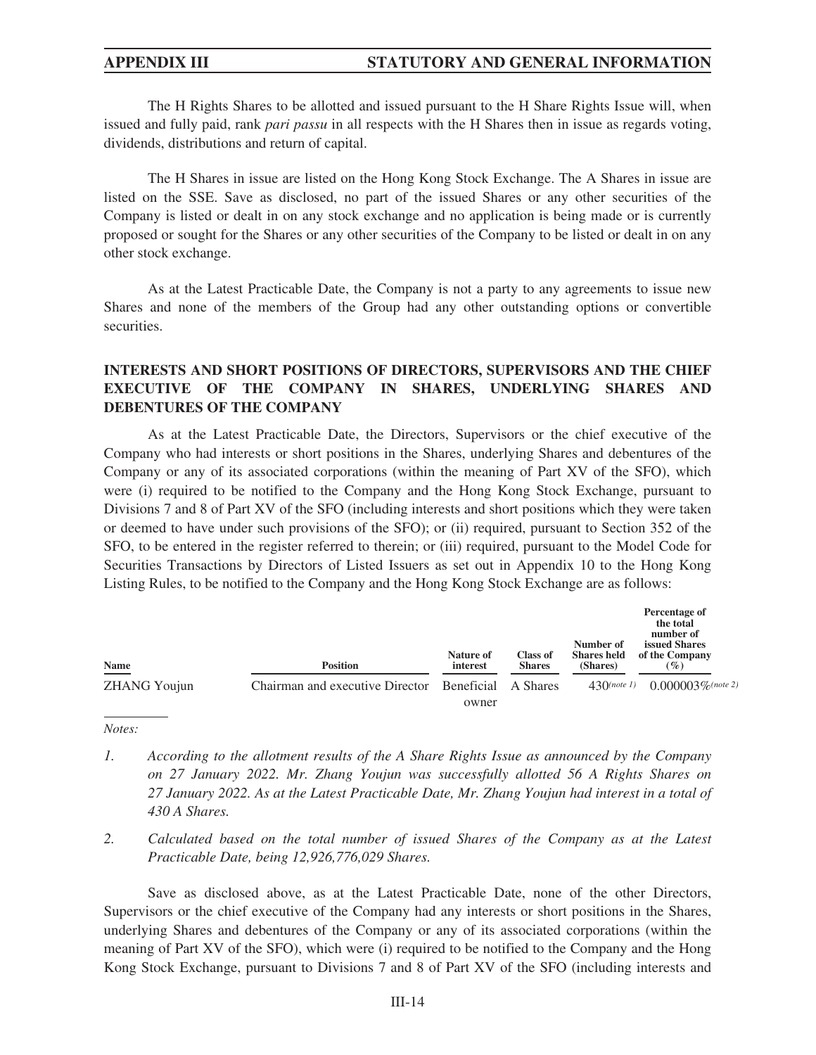The H Rights Shares to be allotted and issued pursuant to the H Share Rights Issue will, when issued and fully paid, rank *pari passu* in all respects with the H Shares then in issue as regards voting, dividends, distributions and return of capital.

The H Shares in issue are listed on the Hong Kong Stock Exchange. The A Shares in issue are listed on the SSE. Save as disclosed, no part of the issued Shares or any other securities of the Company is listed or dealt in on any stock exchange and no application is being made or is currently proposed or sought for the Shares or any other securities of the Company to be listed or dealt in on any other stock exchange.

As at the Latest Practicable Date, the Company is not a party to any agreements to issue new Shares and none of the members of the Group had any other outstanding options or convertible securities.

## **INTERESTS AND SHORT POSITIONS OF DIRECTORS, SUPERVISORS AND THE CHIEF EXECUTIVE OF THE COMPANY IN SHARES, UNDERLYING SHARES AND DEBENTURES OF THE COMPANY**

As at the Latest Practicable Date, the Directors, Supervisors or the chief executive of the Company who had interests or short positions in the Shares, underlying Shares and debentures of the Company or any of its associated corporations (within the meaning of Part XV of the SFO), which were (i) required to be notified to the Company and the Hong Kong Stock Exchange, pursuant to Divisions 7 and 8 of Part XV of the SFO (including interests and short positions which they were taken or deemed to have under such provisions of the SFO); or (ii) required, pursuant to Section 352 of the SFO, to be entered in the register referred to therein; or (iii) required, pursuant to the Model Code for Securities Transactions by Directors of Listed Issuers as set out in Appendix 10 to the Hong Kong Listing Rules, to be notified to the Company and the Hong Kong Stock Exchange are as follows:

| <b>Name</b>         | <b>Position</b>                            | Nature of<br>interest | <b>Class of</b><br><b>Shares</b> | Number of<br><b>Shares held</b><br>(Shares) | Percentage of<br>the total<br>number of<br><b>issued Shares</b><br>of the Company<br>$(\%)$ |
|---------------------|--------------------------------------------|-----------------------|----------------------------------|---------------------------------------------|---------------------------------------------------------------------------------------------|
|                     |                                            |                       |                                  |                                             |                                                                                             |
| <b>ZHANG Youjun</b> | Chairman and executive Director Beneficial |                       | A Shares                         | $43()$ (note 1)                             | $0.000003\%$ (note 2)                                                                       |
|                     |                                            | owner                 |                                  |                                             |                                                                                             |

*Notes:*

- *1. According to the allotment results of the A Share Rights Issue as announced by the Company on 27 January 2022. Mr. Zhang Youjun was successfully allotted 56 A Rights Shares on 27 January 2022. As at the Latest Practicable Date, Mr. Zhang Youjun had interest in a total of 430 A Shares.*
- *2. Calculated based on the total number of issued Shares of the Company as at the Latest Practicable Date, being 12,926,776,029 Shares.*

Save as disclosed above, as at the Latest Practicable Date, none of the other Directors, Supervisors or the chief executive of the Company had any interests or short positions in the Shares, underlying Shares and debentures of the Company or any of its associated corporations (within the meaning of Part XV of the SFO), which were (i) required to be notified to the Company and the Hong Kong Stock Exchange, pursuant to Divisions 7 and 8 of Part XV of the SFO (including interests and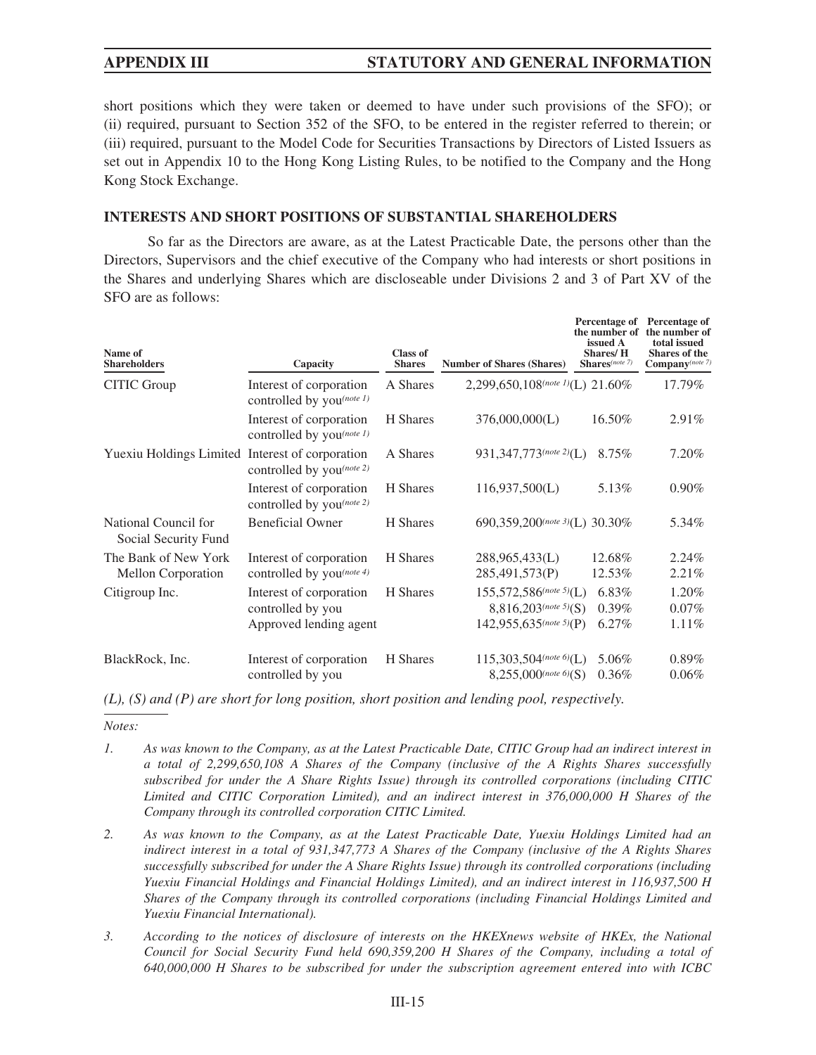short positions which they were taken or deemed to have under such provisions of the SFO); or (ii) required, pursuant to Section 352 of the SFO, to be entered in the register referred to therein; or (iii) required, pursuant to the Model Code for Securities Transactions by Directors of Listed Issuers as set out in Appendix 10 to the Hong Kong Listing Rules, to be notified to the Company and the Hong Kong Stock Exchange.

### **INTERESTS AND SHORT POSITIONS OF SUBSTANTIAL SHAREHOLDERS**

So far as the Directors are aware, as at the Latest Practicable Date, the persons other than the Directors, Supervisors and the chief executive of the Company who had interests or short positions in the Shares and underlying Shares which are discloseable under Divisions 2 and 3 of Part XV of the SFO are as follows:

| Name of<br><b>Shareholders</b>                  | Capacity                                                               | <b>Class of</b><br><b>Shares</b> | <b>Number of Shares (Shares)</b>                                                               | Percentage of<br>the number of<br>issued A<br><b>Shares/H</b><br>Shares(note 7) | <b>Percentage of</b><br>the number of<br>total issued<br><b>Shares of the</b><br>$\mathbf{Company}$ (note 7) |
|-------------------------------------------------|------------------------------------------------------------------------|----------------------------------|------------------------------------------------------------------------------------------------|---------------------------------------------------------------------------------|--------------------------------------------------------------------------------------------------------------|
| CITIC Group                                     | Interest of corporation<br>controlled by you(note 1)                   | A Shares                         | 2,299,650,108(note 1)(L) 21.60%                                                                |                                                                                 | 17.79%                                                                                                       |
|                                                 | Interest of corporation<br>controlled by you(note 1)                   | H Shares                         | 376,000,000(L)                                                                                 | 16.50%                                                                          | $2.91\%$                                                                                                     |
| Yuexiu Holdings Limited Interest of corporation | controlled by you(note 2)                                              | A Shares                         | 931, 347, 773(note 2)(L)                                                                       | 8.75%                                                                           | 7.20%                                                                                                        |
|                                                 | Interest of corporation<br>controlled by you(note 2)                   | H Shares                         | 116,937,500(L)                                                                                 | 5.13%                                                                           | $0.90\%$                                                                                                     |
| National Council for<br>Social Security Fund    | <b>Beneficial Owner</b>                                                | H Shares                         | 690.359.200 $^{(note\ 3)}$ (L) 30.30%                                                          |                                                                                 | 5.34%                                                                                                        |
| The Bank of New York<br>Mellon Corporation      | Interest of corporation<br>controlled by you(note 4)                   | H Shares                         | 288,965,433(L)<br>285,491,573(P)                                                               | 12.68%<br>12.53%                                                                | 2.24%<br>2.21%                                                                                               |
| Citigroup Inc.                                  | Interest of corporation<br>controlled by you<br>Approved lending agent | H Shares                         | $155,572,586^{(note\ 5)}$ (L)<br>$8,816,203$ <sup>(note 5)</sup> (S)<br>142,955,635(note 5)(P) | 6.83%<br>$0.39\%$<br>6.27%                                                      | 1.20%<br>$0.07\%$<br>1.11%                                                                                   |
| BlackRock, Inc.                                 | Interest of corporation<br>controlled by you                           | H Shares                         | $115,303,504$ (note 6)(L)<br>$8,255,000$ (note 6)(S)                                           | 5.06%<br>0.36%                                                                  | $0.89\%$<br>$0.06\%$                                                                                         |

*(L), (S) and (P) are short for long position, short position and lending pool, respectively.*

*Notes:*

- *1. As was known to the Company, as at the Latest Practicable Date, CITIC Group had an indirect interest in a total of 2,299,650,108 A Shares of the Company (inclusive of the A Rights Shares successfully subscribed for under the A Share Rights Issue) through its controlled corporations (including CITIC Limited and CITIC Corporation Limited), and an indirect interest in 376,000,000 H Shares of the Company through its controlled corporation CITIC Limited.*
- *2. As was known to the Company, as at the Latest Practicable Date, Yuexiu Holdings Limited had an indirect interest in a total of 931,347,773 A Shares of the Company (inclusive of the A Rights Shares successfully subscribed for under the A Share Rights Issue) through its controlled corporations (including Yuexiu Financial Holdings and Financial Holdings Limited), and an indirect interest in 116,937,500 H Shares of the Company through its controlled corporations (including Financial Holdings Limited and Yuexiu Financial International).*
- *3. According to the notices of disclosure of interests on the HKEXnews website of HKEx, the National Council for Social Security Fund held 690,359,200 H Shares of the Company, including a total of 640,000,000 H Shares to be subscribed for under the subscription agreement entered into with ICBC*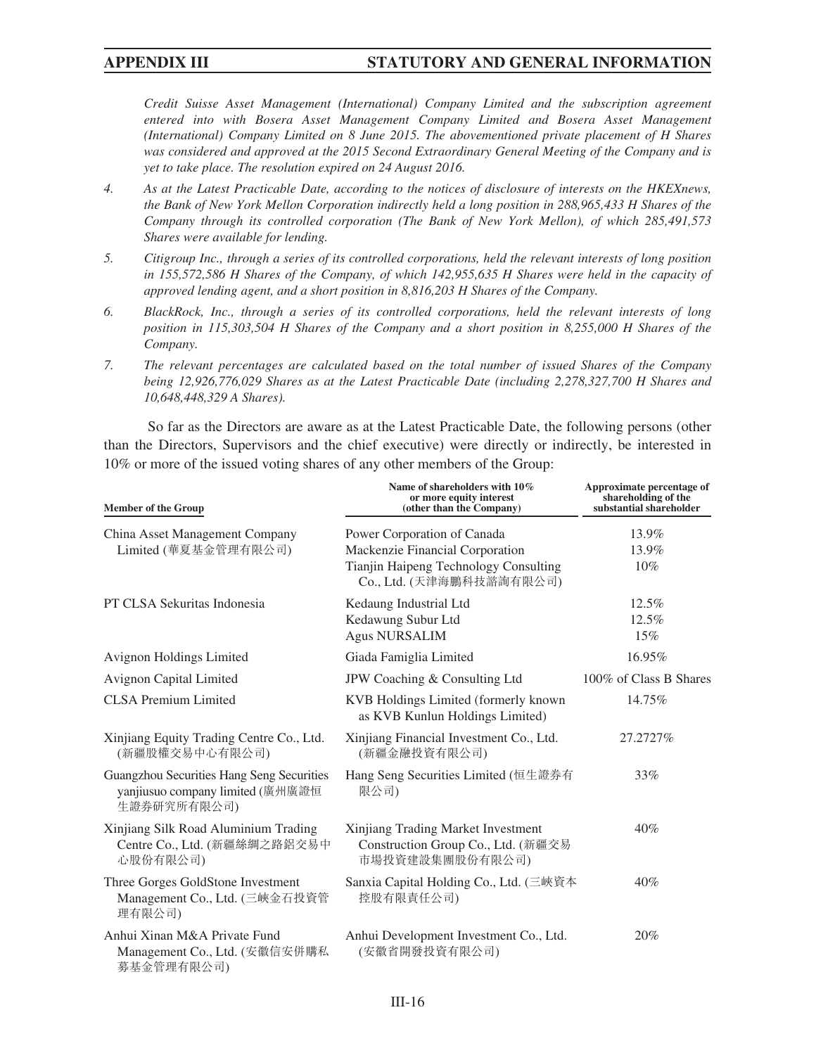*Credit Suisse Asset Management (International) Company Limited and the subscription agreement entered into with Bosera Asset Management Company Limited and Bosera Asset Management (International) Company Limited on 8 June 2015. The abovementioned private placement of H Shares was considered and approved at the 2015 Second Extraordinary General Meeting of the Company and is yet to take place. The resolution expired on 24 August 2016.*

- *4. As at the Latest Practicable Date, according to the notices of disclosure of interests on the HKEXnews, the Bank of New York Mellon Corporation indirectly held a long position in 288,965,433 H Shares of the Company through its controlled corporation (The Bank of New York Mellon), of which 285,491,573 Shares were available for lending.*
- *5. Citigroup Inc., through a series of its controlled corporations, held the relevant interests of long position in 155,572,586 H Shares of the Company, of which 142,955,635 H Shares were held in the capacity of approved lending agent, and a short position in 8,816,203 H Shares of the Company.*
- *6. BlackRock, Inc., through a series of its controlled corporations, held the relevant interests of long position in 115,303,504 H Shares of the Company and a short position in 8,255,000 H Shares of the Company.*
- *7. The relevant percentages are calculated based on the total number of issued Shares of the Company being 12,926,776,029 Shares as at the Latest Practicable Date (including 2,278,327,700 H Shares and 10,648,448,329 A Shares).*

So far as the Directors are aware as at the Latest Practicable Date, the following persons (other than the Directors, Supervisors and the chief executive) were directly or indirectly, be interested in 10% or more of the issued voting shares of any other members of the Group:

| <b>Member of the Group</b>                                                                   | Name of shareholders with 10%<br>or more equity interest<br>(other than the Company)                                                | Approximate percentage of<br>shareholding of the<br>substantial shareholder |
|----------------------------------------------------------------------------------------------|-------------------------------------------------------------------------------------------------------------------------------------|-----------------------------------------------------------------------------|
| China Asset Management Company<br>Limited (華夏基金管理有限公司)                                       | Power Corporation of Canada<br>Mackenzie Financial Corporation<br>Tianjin Haipeng Technology Consulting<br>Co., Ltd. (天津海鵬科技諮詢有限公司) | 13.9%<br>13.9%<br>10%                                                       |
| PT CLSA Sekuritas Indonesia                                                                  | Kedaung Industrial Ltd<br>Kedawung Subur Ltd<br><b>Agus NURSALIM</b>                                                                | 12.5%<br>12.5%<br>15%                                                       |
| Avignon Holdings Limited                                                                     | Giada Famiglia Limited                                                                                                              | 16.95%                                                                      |
| Avignon Capital Limited                                                                      | JPW Coaching & Consulting Ltd                                                                                                       | 100% of Class B Shares                                                      |
| <b>CLSA Premium Limited</b>                                                                  | KVB Holdings Limited (formerly known<br>as KVB Kunlun Holdings Limited)                                                             | 14.75%                                                                      |
| Xinjiang Equity Trading Centre Co., Ltd.<br>(新疆股權交易中心有限公司)                                   | Xinjiang Financial Investment Co., Ltd.<br>(新疆金融投資有限公司)                                                                             | 27.2727%                                                                    |
| Guangzhou Securities Hang Seng Securities<br>yanjiusuo company limited (廣州廣證恒<br>生證券研究所有限公司) | Hang Seng Securities Limited (恒生證券有<br>限公司)                                                                                         | 33%                                                                         |
| Xinjiang Silk Road Aluminium Trading<br>Centre Co., Ltd. (新疆絲綢之路鋁交易中<br>心股份有限公司)             | Xinjiang Trading Market Investment<br>Construction Group Co., Ltd. (新疆交易<br>市場投資建設集團股份有限公司)                                         | 40%                                                                         |
| Three Gorges GoldStone Investment<br>Management Co., Ltd. (三峽金石投資管<br>理有限公司)                 | Sanxia Capital Holding Co., Ltd. (三峽資本<br>控股有限責任公司)                                                                                 | 40%                                                                         |
| Anhui Xinan M&A Private Fund<br>Management Co., Ltd. (安徽信安併購私<br>募基金管理有限公司)                  | Anhui Development Investment Co., Ltd.<br>(安徽省開發投資有限公司)                                                                             | 20%                                                                         |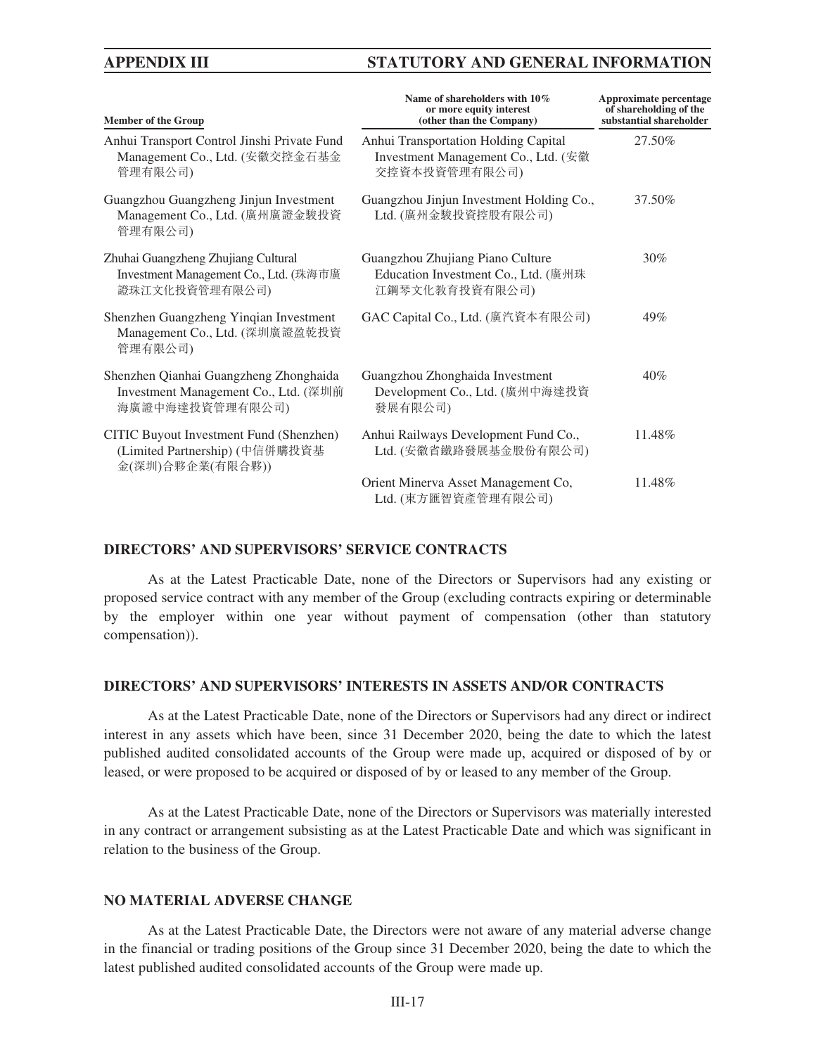| <b>Member of the Group</b>                                                                        | Name of shareholders with 10%<br>or more equity interest<br>(other than the Company)         | Approximate percentage<br>of shareholding of the<br>substantial shareholder |
|---------------------------------------------------------------------------------------------------|----------------------------------------------------------------------------------------------|-----------------------------------------------------------------------------|
| Anhui Transport Control Jinshi Private Fund<br>Management Co., Ltd. (安徽交控金石基金<br>管理有限公司)          | Anhui Transportation Holding Capital<br>Investment Management Co., Ltd. (安徽<br>交控資本投資管理有限公司) | 27.50%                                                                      |
| Guangzhou Guangzheng Jinjun Investment<br>Management Co., Ltd. (廣州廣證金駿投資<br>管理有限公司)               | Guangzhou Jinjun Investment Holding Co.,<br>Ltd. (廣州金駿投資控股有限公司)                              | 37.50%                                                                      |
| Zhuhai Guangzheng Zhujiang Cultural<br>Investment Management Co., Ltd. (珠海市廣<br>證珠江文化投資管理有限公司)    | Guangzhou Zhujiang Piano Culture<br>Education Investment Co., Ltd. (廣州珠<br>江鋼琴文化教育投資有限公司)    | 30%                                                                         |
| Shenzhen Guangzheng Yinqian Investment<br>Management Co., Ltd. (深圳廣證盈乾投資<br>管理有限公司)               | GAC Capital Co., Ltd. (廣汽資本有限公司)                                                             | 49%                                                                         |
| Shenzhen Qianhai Guangzheng Zhonghaida<br>Investment Management Co., Ltd. (深圳前<br>海廣證中海達投資管理有限公司) | Guangzhou Zhonghaida Investment<br>Development Co., Ltd. (廣州中海達投資<br>發展有限公司)                 | 40%                                                                         |
| CITIC Buyout Investment Fund (Shenzhen)<br>(Limited Partnership) (中信併購投資基<br>金(深圳)合夥企業(有限合夥))     | Anhui Railways Development Fund Co.,<br>Ltd. (安徽省鐵路發展基金股份有限公司)                               | 11.48%                                                                      |
|                                                                                                   | Orient Minerva Asset Management Co,<br>Ltd. (東方匯智資產管理有限公司)                                   | 11.48%                                                                      |

### **DIRECTORS' AND SUPERVISORS' SERVICE CONTRACTS**

As at the Latest Practicable Date, none of the Directors or Supervisors had any existing or proposed service contract with any member of the Group (excluding contracts expiring or determinable by the employer within one year without payment of compensation (other than statutory compensation)).

#### **DIRECTORS' AND SUPERVISORS' INTERESTS IN ASSETS AND/OR CONTRACTS**

As at the Latest Practicable Date, none of the Directors or Supervisors had any direct or indirect interest in any assets which have been, since 31 December 2020, being the date to which the latest published audited consolidated accounts of the Group were made up, acquired or disposed of by or leased, or were proposed to be acquired or disposed of by or leased to any member of the Group.

As at the Latest Practicable Date, none of the Directors or Supervisors was materially interested in any contract or arrangement subsisting as at the Latest Practicable Date and which was significant in relation to the business of the Group.

### **NO MATERIAL ADVERSE CHANGE**

As at the Latest Practicable Date, the Directors were not aware of any material adverse change in the financial or trading positions of the Group since 31 December 2020, being the date to which the latest published audited consolidated accounts of the Group were made up.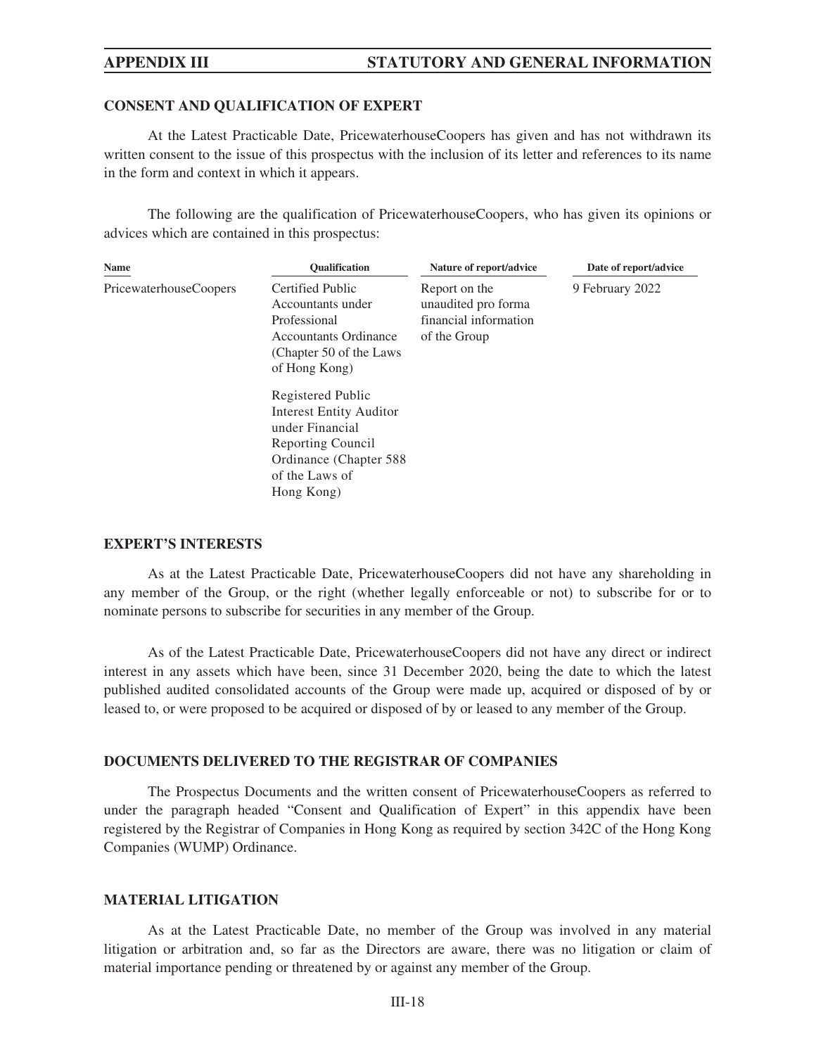### **CONSENT AND QUALIFICATION OF EXPERT**

At the Latest Practicable Date, PricewaterhouseCoopers has given and has not withdrawn its written consent to the issue of this prospectus with the inclusion of its letter and references to its name in the form and context in which it appears.

The following are the qualification of PricewaterhouseCoopers, who has given its opinions or advices which are contained in this prospectus:

| <b>Name</b>            | <b>Oualification</b>                                                                                                                                   | Nature of report/advice                                                       | Date of report/advice |
|------------------------|--------------------------------------------------------------------------------------------------------------------------------------------------------|-------------------------------------------------------------------------------|-----------------------|
| PricewaterhouseCoopers | Certified Public<br>Accountants under<br>Professional<br><b>Accountants Ordinance</b><br>(Chapter 50 of the Laws)<br>of Hong Kong)                     | Report on the<br>unaudited pro forma<br>financial information<br>of the Group | 9 February 2022       |
|                        | Registered Public<br><b>Interest Entity Auditor</b><br>under Financial<br>Reporting Council<br>Ordinance (Chapter 588)<br>of the Laws of<br>Hong Kong) |                                                                               |                       |

## **EXPERT'S INTERESTS**

As at the Latest Practicable Date, PricewaterhouseCoopers did not have any shareholding in any member of the Group, or the right (whether legally enforceable or not) to subscribe for or to nominate persons to subscribe for securities in any member of the Group.

As of the Latest Practicable Date, PricewaterhouseCoopers did not have any direct or indirect interest in any assets which have been, since 31 December 2020, being the date to which the latest published audited consolidated accounts of the Group were made up, acquired or disposed of by or leased to, or were proposed to be acquired or disposed of by or leased to any member of the Group.

### **DOCUMENTS DELIVERED TO THE REGISTRAR OF COMPANIES**

The Prospectus Documents and the written consent of PricewaterhouseCoopers as referred to under the paragraph headed "Consent and Qualification of Expert" in this appendix have been registered by the Registrar of Companies in Hong Kong as required by section 342C of the Hong Kong Companies (WUMP) Ordinance.

### **MATERIAL LITIGATION**

As at the Latest Practicable Date, no member of the Group was involved in any material litigation or arbitration and, so far as the Directors are aware, there was no litigation or claim of material importance pending or threatened by or against any member of the Group.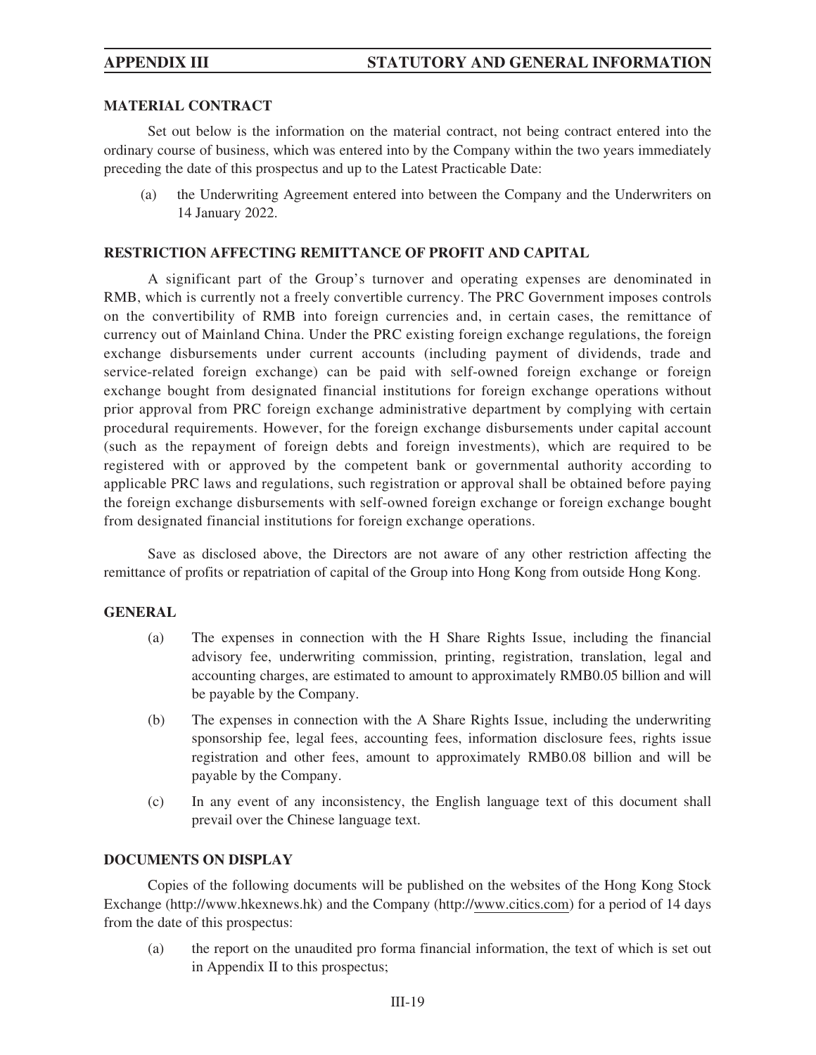### **MATERIAL CONTRACT**

Set out below is the information on the material contract, not being contract entered into the ordinary course of business, which was entered into by the Company within the two years immediately preceding the date of this prospectus and up to the Latest Practicable Date:

(a) the Underwriting Agreement entered into between the Company and the Underwriters on 14 January 2022.

## **RESTRICTION AFFECTING REMITTANCE OF PROFIT AND CAPITAL**

A significant part of the Group's turnover and operating expenses are denominated in RMB, which is currently not a freely convertible currency. The PRC Government imposes controls on the convertibility of RMB into foreign currencies and, in certain cases, the remittance of currency out of Mainland China. Under the PRC existing foreign exchange regulations, the foreign exchange disbursements under current accounts (including payment of dividends, trade and service-related foreign exchange) can be paid with self-owned foreign exchange or foreign exchange bought from designated financial institutions for foreign exchange operations without prior approval from PRC foreign exchange administrative department by complying with certain procedural requirements. However, for the foreign exchange disbursements under capital account (such as the repayment of foreign debts and foreign investments), which are required to be registered with or approved by the competent bank or governmental authority according to applicable PRC laws and regulations, such registration or approval shall be obtained before paying the foreign exchange disbursements with self-owned foreign exchange or foreign exchange bought from designated financial institutions for foreign exchange operations.

Save as disclosed above, the Directors are not aware of any other restriction affecting the remittance of profits or repatriation of capital of the Group into Hong Kong from outside Hong Kong.

### **GENERAL**

- (a) The expenses in connection with the H Share Rights Issue, including the financial advisory fee, underwriting commission, printing, registration, translation, legal and accounting charges, are estimated to amount to approximately RMB0.05 billion and will be payable by the Company.
- (b) The expenses in connection with the A Share Rights Issue, including the underwriting sponsorship fee, legal fees, accounting fees, information disclosure fees, rights issue registration and other fees, amount to approximately RMB0.08 billion and will be payable by the Company.
- (c) In any event of any inconsistency, the English language text of this document shall prevail over the Chinese language text.

### **DOCUMENTS ON DISPLAY**

Copies of the following documents will be published on the websites of the Hong Kong Stock Exchange (http://www.hkexnews.hk) and the Company (http://www.citics.com) for a period of 14 days from the date of this prospectus:

(a) the report on the unaudited pro forma financial information, the text of which is set out in Appendix II to this prospectus;